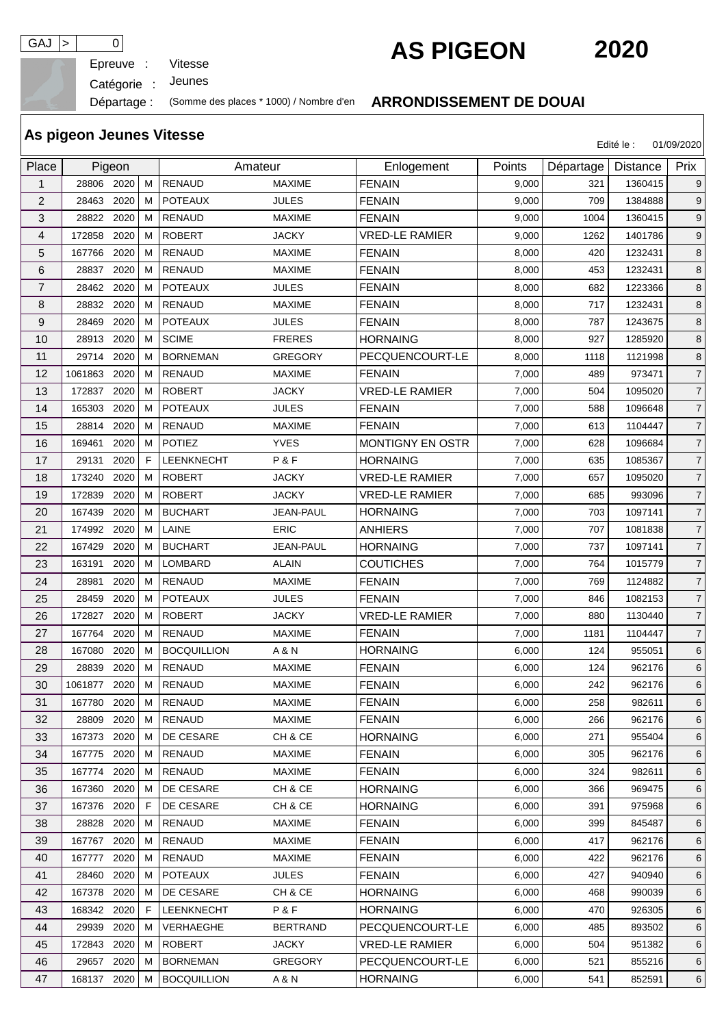Epreuve :

GAJ > 0<br>
Epreuve : Vitesse **AS PIGEON** 2020

Catégorie : Jeunes

Départage : (Somme des places \* 1000) / Nombre d'en **ARRONDISSEMENT DE DOUAI**

|                | As pigeon Jeunes Vitesse |                    |                 |                         |        |           | Edité le :      | 01/09/2020     |
|----------------|--------------------------|--------------------|-----------------|-------------------------|--------|-----------|-----------------|----------------|
| Place          | Pigeon                   |                    | Amateur         | Enlogement              | Points | Départage | <b>Distance</b> | Prix           |
| $\mathbf{1}$   | 28806 2020<br>M          | <b>RENAUD</b>      | <b>MAXIME</b>   | <b>FENAIN</b>           | 9,000  | 321       | 1360415         | 9              |
| $\overline{2}$ | 28463<br>2020<br>м       | <b>POTEAUX</b>     | <b>JULES</b>    | <b>FENAIN</b>           | 9,000  | 709       | 1384888         | 9              |
| 3              | 2020<br>28822<br>м       | <b>RENAUD</b>      | <b>MAXIME</b>   | <b>FENAIN</b>           | 9,000  | 1004      | 1360415         | 9              |
| 4              | 2020<br>172858<br>м      | <b>ROBERT</b>      | <b>JACKY</b>    | <b>VRED-LE RAMIER</b>   | 9,000  | 1262      | 1401786         | 9              |
| 5              | 2020<br>167766<br>м      | <b>RENAUD</b>      | <b>MAXIME</b>   | <b>FENAIN</b>           | 8,000  | 420       | 1232431         | 8              |
| 6              | 2020<br>28837<br>м       | <b>RENAUD</b>      | <b>MAXIME</b>   | <b>FENAIN</b>           | 8,000  | 453       | 1232431         | 8              |
| 7              | 2020<br>28462<br>м       | <b>POTEAUX</b>     | <b>JULES</b>    | <b>FENAIN</b>           | 8,000  | 682       | 1223366         | 8              |
| 8              | 28832<br>2020<br>м       | <b>RENAUD</b>      | <b>MAXIME</b>   | <b>FENAIN</b>           | 8,000  | 717       | 1232431         | 8              |
| 9              | 28469<br>2020<br>м       | <b>POTEAUX</b>     | <b>JULES</b>    | <b>FENAIN</b>           | 8,000  | 787       | 1243675         | 8              |
| 10             | 28913<br>2020<br>м       | <b>SCIME</b>       | <b>FRERES</b>   | <b>HORNAING</b>         | 8,000  | 927       | 1285920         | 8              |
| 11             | 2020<br>29714<br>M       | <b>BORNEMAN</b>    | <b>GREGORY</b>  | PECQUENCOURT-LE         | 8,000  | 1118      | 1121998         | 8              |
| 12             | 1061863<br>2020<br>м     | <b>RENAUD</b>      | <b>MAXIME</b>   | <b>FENAIN</b>           | 7,000  | 489       | 973471          | $\overline{7}$ |
| 13             | 172837<br>2020<br>м      | <b>ROBERT</b>      | <b>JACKY</b>    | <b>VRED-LE RAMIER</b>   | 7,000  | 504       | 1095020         | $\overline{7}$ |
| 14             | 2020<br>165303<br>м      | <b>POTEAUX</b>     | <b>JULES</b>    | <b>FENAIN</b>           | 7,000  | 588       | 1096648         | $\overline{7}$ |
| 15             | 2020<br>28814<br>м       | <b>RENAUD</b>      | <b>MAXIME</b>   | <b>FENAIN</b>           | 7,000  | 613       | 1104447         | $\overline{7}$ |
| 16             | 2020<br>169461<br>м      | <b>POTIEZ</b>      | <b>YVES</b>     | <b>MONTIGNY EN OSTR</b> | 7,000  | 628       | 1096684         | $\overline{7}$ |
| 17             | 2020<br>F<br>29131       | LEENKNECHT         | P&F             | <b>HORNAING</b>         | 7,000  | 635       | 1085367         | $\overline{7}$ |
| 18             | 173240<br>2020<br>м      | <b>ROBERT</b>      | <b>JACKY</b>    | <b>VRED-LE RAMIER</b>   | 7,000  | 657       | 1095020         | $\overline{7}$ |
| 19             | 172839<br>2020<br>м      | <b>ROBERT</b>      | <b>JACKY</b>    | <b>VRED-LE RAMIER</b>   | 7,000  | 685       | 993096          | $\overline{7}$ |
| 20             | 2020<br>M<br>167439      | <b>BUCHART</b>     | JEAN-PAUL       | <b>HORNAING</b>         | 7,000  | 703       | 1097141         | $\overline{7}$ |
| 21             | 2020<br>174992<br>м      | LAINE              | <b>ERIC</b>     | <b>ANHIERS</b>          | 7,000  | 707       | 1081838         | $\overline{7}$ |
| 22             | 167429<br>2020<br>M      | <b>BUCHART</b>     | JEAN-PAUL       | <b>HORNAING</b>         | 7,000  | 737       | 1097141         | $\overline{7}$ |
| 23             | 2020<br>163191<br>м      | <b>LOMBARD</b>     | <b>ALAIN</b>    | <b>COUTICHES</b>        | 7,000  | 764       | 1015779         | $\overline{7}$ |
| 24             | 2020<br>28981<br>м       | <b>RENAUD</b>      | <b>MAXIME</b>   | <b>FENAIN</b>           | 7,000  | 769       | 1124882         | $\overline{7}$ |
| 25             | 2020<br>28459<br>м       | <b>POTEAUX</b>     | <b>JULES</b>    | <b>FENAIN</b>           | 7,000  | 846       | 1082153         | $\overline{7}$ |
| 26             | 2020<br>172827<br>м      | <b>ROBERT</b>      | <b>JACKY</b>    | <b>VRED-LE RAMIER</b>   | 7,000  | 880       | 1130440         | $\overline{7}$ |
| 27             | 2020<br>167764<br>м      | <b>RENAUD</b>      | <b>MAXIME</b>   | <b>FENAIN</b>           | 7,000  | 1181      | 1104447         | $\overline{7}$ |
| 28             | 2020<br>167080<br>м      | <b>BOCQUILLION</b> | A & N           | <b>HORNAING</b>         | 6,000  | 124       | 955051          | 6              |
| 29             | 2020<br>28839<br>м       | <b>RENAUD</b>      | <b>MAXIME</b>   | <b>FENAIN</b>           | 6,000  | 124       | 962176          | 6              |
| 30             | 1061877 2020<br>М        | <b>RENAUD</b>      | <b>MAXIME</b>   | <b>FENAIN</b>           | 6,000  | 242       | 962176          | 6              |
| 31             | 167780 2020<br>м         | <b>RENAUD</b>      | <b>MAXIME</b>   | <b>FENAIN</b>           | 6,000  | 258       | 982611          | 6              |
| 32             | 28809 2020<br>м          | RENAUD             | MAXIME          | <b>FENAIN</b>           | 6,000  | 266       | 962176          | 6              |
| 33             | 167373 2020<br>м         | DE CESARE          | CH & CE         | <b>HORNAING</b>         | 6,000  | 271       | 955404          | 6              |
| 34             | 167775 2020<br>м         | <b>RENAUD</b>      | MAXIME          | <b>FENAIN</b>           | 6,000  | 305       | 962176          | 6              |
| 35             | 167774 2020<br>м         | <b>RENAUD</b>      | MAXIME          | <b>FENAIN</b>           | 6,000  | 324       | 982611          | 6              |
| 36             | 2020<br>167360<br>M      | DE CESARE          | CH & CE         | <b>HORNAING</b>         | 6,000  | 366       | 969475          | 6              |
| 37             | 167376 2020<br>F         | DE CESARE          | CH & CE         | <b>HORNAING</b>         | 6,000  | 391       | 975968          | 6              |
| 38             | 28828<br>2020<br>м       | <b>RENAUD</b>      | MAXIME          | <b>FENAIN</b>           | 6,000  | 399       | 845487          | 6              |
| 39             | 167767<br>2020<br>м      | RENAUD             | MAXIME          | <b>FENAIN</b>           | 6,000  | 417       | 962176          | 6              |
| 40             | 167777<br>2020<br>м      | RENAUD             | MAXIME          | <b>FENAIN</b>           | 6,000  | 422       | 962176          | 6              |
| 41             | 2020<br>28460<br>м       | <b>POTEAUX</b>     | <b>JULES</b>    | <b>FENAIN</b>           | 6,000  | 427       | 940940          | 6              |
| 42             | 167378 2020<br>м         | DE CESARE          | CH & CE         | <b>HORNAING</b>         | 6,000  | 468       | 990039          | 6              |
| 43             | 168342 2020<br>F.        | <b>LEENKNECHT</b>  | P&F             | <b>HORNAING</b>         | 6,000  | 470       | 926305          | 6              |
| 44             | 29939<br>2020<br>м       | VERHAEGHE          | <b>BERTRAND</b> | PECQUENCOURT-LE         | 6,000  | 485       | 893502          | 6              |
| 45             | 172843 2020<br>м         | <b>ROBERT</b>      | <b>JACKY</b>    | <b>VRED-LE RAMIER</b>   | 6,000  | 504       | 951382          | 6              |
| 46             | 29657 2020<br>м          | <b>BORNEMAN</b>    | <b>GREGORY</b>  | PECQUENCOURT-LE         | 6,000  | 521       | 855216          | 6              |
| 47             | 168137 2020<br>М         | <b>BOCQUILLION</b> | A & N           | <b>HORNAING</b>         | 6,000  | 541       | 852591          | $\,6$          |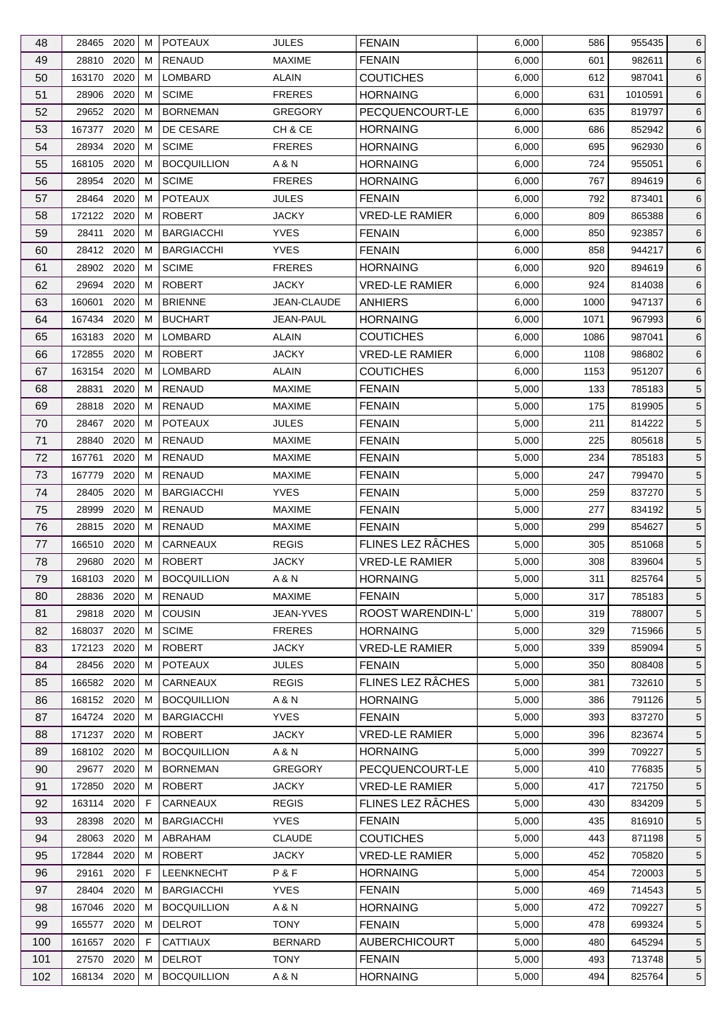| 48       | 28465 2020                 | м      | <b>POTEAUX</b>                      | <b>JULES</b>                   | <b>FENAIN</b>                             | 6,000          | 586        | 955435           | 6                                  |
|----------|----------------------------|--------|-------------------------------------|--------------------------------|-------------------------------------------|----------------|------------|------------------|------------------------------------|
| 49       | 28810<br>2020              | м      | <b>RENAUD</b>                       | <b>MAXIME</b>                  | <b>FENAIN</b>                             | 6,000          | 601        | 982611           | 6                                  |
| 50       | 2020<br>163170             | м      | LOMBARD                             | <b>ALAIN</b>                   | <b>COUTICHES</b>                          | 6,000          | 612        | 987041           | 6                                  |
| 51       | 2020<br>28906              | м      | <b>SCIME</b>                        | <b>FRERES</b>                  | <b>HORNAING</b>                           | 6,000          | 631        | 1010591          | 6                                  |
| 52       | 29652 2020                 | м      | <b>BORNEMAN</b>                     | <b>GREGORY</b>                 | PECQUENCOURT-LE                           | 6,000          | 635        | 819797           | 6                                  |
| 53       | 167377<br>2020             | м      | DE CESARE                           | CH & CE                        | <b>HORNAING</b>                           | 6,000          | 686        | 852942           | 6                                  |
| 54       | 2020<br>28934              | м      | <b>SCIME</b>                        | <b>FRERES</b>                  | <b>HORNAING</b>                           | 6,000          | 695        | 962930           | 6                                  |
| 55       | 168105<br>2020             | м      | <b>BOCQUILLION</b>                  | A & N                          | <b>HORNAING</b>                           | 6,000          | 724        | 955051           | 6                                  |
| 56       | 2020<br>28954              | м      | <b>SCIME</b>                        | <b>FRERES</b>                  | <b>HORNAING</b>                           | 6,000          | 767        | 894619           | 6                                  |
| 57       | 28464<br>2020              | м      | <b>POTEAUX</b>                      | <b>JULES</b>                   | <b>FENAIN</b>                             | 6,000          | 792        | 873401           | 6                                  |
| 58       | 172122<br>2020             | м      | <b>ROBERT</b>                       | <b>JACKY</b>                   | <b>VRED-LE RAMIER</b>                     | 6,000          | 809        | 865388           | 6                                  |
| 59       | 28411<br>2020              | м      | <b>BARGIACCHI</b>                   | <b>YVES</b>                    | <b>FENAIN</b>                             | 6,000          | 850        | 923857           | 6                                  |
| 60       | 28412 2020                 | м      | <b>BARGIACCHI</b>                   | <b>YVES</b>                    | <b>FENAIN</b>                             | 6,000          | 858        | 944217           | 6                                  |
| 61       | 28902<br>2020              | м      | <b>SCIME</b>                        | <b>FRERES</b>                  | <b>HORNAING</b>                           | 6,000          | 920        | 894619           | 6                                  |
| 62       | 29694<br>2020              | м      | <b>ROBERT</b>                       | <b>JACKY</b>                   | <b>VRED-LE RAMIER</b>                     | 6,000          | 924        | 814038           | 6                                  |
| 63       | 160601<br>2020             | м      | <b>BRIENNE</b>                      | JEAN-CLAUDE                    | <b>ANHIERS</b>                            | 6,000          | 1000       | 947137           | 6                                  |
| 64       | 2020<br>167434             | м      | <b>BUCHART</b>                      | <b>JEAN-PAUL</b>               | <b>HORNAING</b>                           | 6,000          | 1071       | 967993           | 6                                  |
| 65       | 2020<br>163183             | м      | LOMBARD                             | ALAIN                          | <b>COUTICHES</b>                          | 6,000          | 1086       | 987041           | 6                                  |
| 66       | 2020<br>172855             | м      | <b>ROBERT</b>                       | <b>JACKY</b>                   | <b>VRED-LE RAMIER</b>                     | 6,000          | 1108       | 986802           | 6                                  |
| 67       | 163154<br>2020             | м      | LOMBARD                             | ALAIN                          | <b>COUTICHES</b>                          | 6,000          | 1153       | 951207           | 6                                  |
| 68       | 28831<br>2020              | м      | <b>RENAUD</b>                       | <b>MAXIME</b>                  | <b>FENAIN</b>                             | 5,000          | 133        | 785183           | 5                                  |
| 69       | 28818<br>2020              | м      | <b>RENAUD</b>                       | <b>MAXIME</b>                  | <b>FENAIN</b>                             | 5,000          | 175        | 819905           | $5\phantom{.0}$                    |
| 70       | 28467 2020                 | м      | <b>POTEAUX</b>                      | <b>JULES</b>                   | <b>FENAIN</b>                             | 5,000          | 211        | 814222           | 5 <sup>5</sup>                     |
| 71       | 28840<br>2020              | м      | <b>RENAUD</b>                       | <b>MAXIME</b>                  | <b>FENAIN</b>                             | 5,000          | 225        | 805618           | 5                                  |
| 72       | 167761<br>2020             | м      | <b>RENAUD</b>                       | <b>MAXIME</b>                  | <b>FENAIN</b>                             | 5,000          | 234        | 785183           | $5\phantom{.0}$                    |
| 73       | 2020<br>167779             | м      | <b>RENAUD</b>                       | <b>MAXIME</b>                  | <b>FENAIN</b>                             | 5,000          | 247        | 799470           | 5                                  |
| 74       | 28405<br>2020              | м      | <b>BARGIACCHI</b>                   | <b>YVES</b>                    | <b>FENAIN</b>                             | 5,000          | 259        | 837270           | $5\overline{)}$                    |
| 75       | 28999<br>2020              | м      | <b>RENAUD</b>                       | <b>MAXIME</b>                  | <b>FENAIN</b>                             | 5,000          | 277        | 834192           | 5                                  |
| 76       | 2020<br>28815              | м      | <b>RENAUD</b>                       | <b>MAXIME</b>                  | <b>FENAIN</b>                             | 5,000          | 299        | 854627           | $5\overline{)}$                    |
| 77       | 166510<br>2020             | м      | CARNEAUX                            | <b>REGIS</b>                   | FLINES LEZ RÂCHES                         | 5,000          | 305        | 851068           | $5\phantom{.0}$                    |
| 78       | 29680<br>2020              | M      | <b>ROBERT</b>                       | <b>JACKY</b>                   | <b>VRED-LE RAMIER</b>                     | 5,000          | 308        | 839604           | 5                                  |
| 79       | 168103 2020                | M      | <b>BOCQUILLION</b>                  | A & N                          | <b>HORNAING</b>                           | 5,000          | 311        | 825764           | $5\overline{)}$                    |
| 80       | 28836 2020                 | М      | <b>RENAUD</b>                       | <b>MAXIME</b>                  | <b>FENAIN</b>                             | 5,000          | 317        | 785183           | 5                                  |
| 81       | 29818 2020                 | м      | <b>COUSIN</b>                       | JEAN-YVES                      | ROOST WARENDIN-L'                         | 5,000          | 319        | 788007           | 5                                  |
| 82       | 168037<br>2020             | м      | <b>SCIME</b>                        | <b>FRERES</b>                  | <b>HORNAING</b>                           | 5,000          | 329        | 715966           |                                    |
| 83       | 172123<br>2020             | м      | <b>ROBERT</b>                       | <b>JACKY</b>                   | <b>VRED-LE RAMIER</b>                     | 5,000          | 339        | 859094           | 5                                  |
|          | 28456 2020                 |        | <b>POTEAUX</b>                      | <b>JULES</b>                   | <b>FENAIN</b>                             |                | 350        |                  | 5                                  |
| 84       | 166582                     | м      | CARNEAUX                            | <b>REGIS</b>                   | FLINES LEZ RÂCHES                         | 5,000          |            | 808408           | $5\overline{)}$                    |
| 85       | 2020<br>168152             | м      | <b>BOCQUILLION</b>                  | A & N                          |                                           | 5,000          | 381        | 732610           | $5\overline{)}$                    |
| 86       | 2020                       | M      |                                     |                                | <b>HORNAING</b>                           | 5,000          | 386        | 791126<br>837270 | 5                                  |
| 87       | 164724 2020                | м      | <b>BARGIACCHI</b>                   | <b>YVES</b>                    | <b>FENAIN</b><br><b>VRED-LE RAMIER</b>    | 5,000          | 393        |                  | $5\overline{)}$                    |
| 88<br>89 | 171237 2020<br>168102 2020 | м<br>м | <b>ROBERT</b><br><b>BOCQUILLION</b> | <b>JACKY</b><br>A & N          | <b>HORNAING</b>                           | 5,000<br>5,000 | 396<br>399 | 823674<br>709227 | $5\overline{)}$<br>$5\overline{)}$ |
|          |                            |        |                                     |                                | PECQUENCOURT-LE                           |                | 410        |                  |                                    |
| 90<br>91 | 29677<br>2020              | м      | <b>BORNEMAN</b><br><b>ROBERT</b>    | <b>GREGORY</b><br><b>JACKY</b> | <b>VRED-LE RAMIER</b>                     | 5,000          | 417        | 776835<br>721750 | 5                                  |
|          | 172850<br>2020             | м      | CARNEAUX                            |                                | FLINES LEZ RÂCHES                         | 5,000          |            |                  | $5\overline{)}$<br>$5\overline{)}$ |
| 92       | 2020<br>163114<br>2020     | F<br>м |                                     | <b>REGIS</b><br><b>YVES</b>    |                                           | 5,000          | 430        | 834209           |                                    |
| 93       | 28398                      |        | <b>BARGIACCHI</b>                   |                                | <b>FENAIN</b>                             | 5,000          | 435        | 816910           | 5                                  |
| 94       | 28063<br>2020              | м      | ABRAHAM                             | <b>CLAUDE</b>                  | <b>COUTICHES</b><br><b>VRED-LE RAMIER</b> | 5,000          | 443        | 871198           | $5\overline{)}$                    |
| 95       | 2020<br>172844             | м      | <b>ROBERT</b>                       | <b>JACKY</b>                   |                                           | 5,000          | 452        | 705820           | $5\overline{)}$                    |
| 96       | 29161<br>2020              | F.     | LEENKNECHT                          | P&F                            | <b>HORNAING</b>                           | 5,000          | 454        | 720003           | $5\overline{)}$                    |
| 97       | 28404<br>2020              | м      | <b>BARGIACCHI</b>                   | <b>YVES</b>                    | <b>FENAIN</b>                             | 5,000          | 469        | 714543           | 5                                  |
| 98       | 167046 2020                | M      | <b>BOCQUILLION</b>                  | A & N                          | <b>HORNAING</b>                           | 5,000          | 472        | 709227           | $5\overline{)}$                    |
| 99       | 165577<br>2020             | м      | <b>DELROT</b>                       | <b>TONY</b>                    | <b>FENAIN</b>                             | 5,000          | 478        | 699324           | $5\overline{)}$                    |
| 100      | 2020<br>161657             | F      | <b>CATTIAUX</b>                     | <b>BERNARD</b>                 | <b>AUBERCHICOURT</b>                      | 5,000          | 480        | 645294           | $5\overline{)}$                    |
| 101      | 27570 2020                 | м      | <b>DELROT</b>                       | TONY                           | <b>FENAIN</b>                             | 5,000          | 493        | 713748           | 5                                  |
| 102      | 168134 2020                | м      | <b>BOCQUILLION</b>                  | A & N                          | <b>HORNAING</b>                           | 5,000          | 494        | 825764           | $5\phantom{.0}$                    |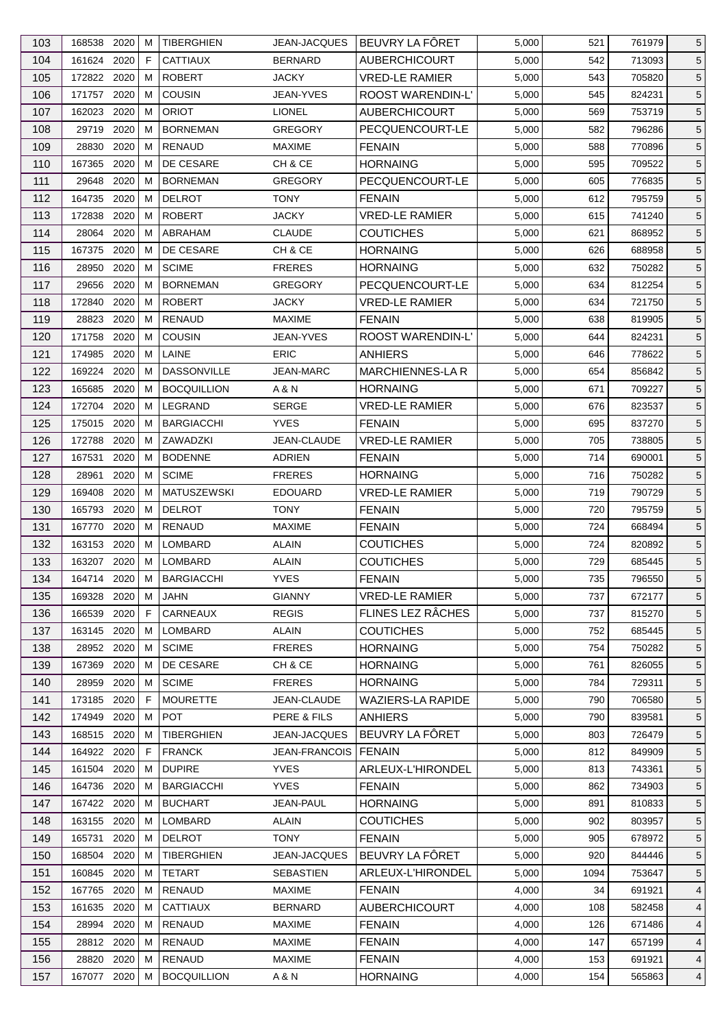| 103        | 168538 2020           |      | м      | <b>TIBERGHIEN</b>                   | JEAN-JACQUES                  | BEUVRY LA FÔRET                        | 5,000          | 521        | 761979           | 5               |
|------------|-----------------------|------|--------|-------------------------------------|-------------------------------|----------------------------------------|----------------|------------|------------------|-----------------|
| 104        | 161624 2020           |      | F      | <b>CATTIAUX</b>                     | <b>BERNARD</b>                | <b>AUBERCHICOURT</b>                   | 5,000          | 542        | 713093           | $5\overline{)}$ |
| 105        | 172822 2020           |      | м      | <b>ROBERT</b>                       | <b>JACKY</b>                  | <b>VRED-LE RAMIER</b>                  | 5,000          | 543        | 705820           | $5\overline{)}$ |
| 106        | 171757 2020           |      | м      | <b>COUSIN</b>                       | JEAN-YVES                     | ROOST WARENDIN-L'                      | 5,000          | 545        | 824231           | $5\overline{)}$ |
| 107        | 162023                | 2020 | М      | <b>ORIOT</b>                        | <b>LIONEL</b>                 | <b>AUBERCHICOURT</b>                   | 5,000          | 569        | 753719           | $5\overline{)}$ |
| 108        | 29719                 | 2020 | м      | <b>BORNEMAN</b>                     | <b>GREGORY</b>                | PECQUENCOURT-LE                        | 5,000          | 582        | 796286           | $5\overline{)}$ |
| 109        | 28830                 | 2020 | м      | RENAUD                              | <b>MAXIME</b>                 | <b>FENAIN</b>                          | 5,000          | 588        | 770896           | $5\overline{)}$ |
| 110        | 167365                | 2020 | М      | DE CESARE                           | CH & CE                       | <b>HORNAING</b>                        | 5,000          | 595        | 709522           | $5\overline{)}$ |
| 111        | 29648 2020            |      | м      | <b>BORNEMAN</b>                     | <b>GREGORY</b>                | PECQUENCOURT-LE                        | 5,000          | 605        | 776835           | $5\overline{)}$ |
| 112        | 164735                | 2020 | М      | <b>DELROT</b>                       | TONY                          | <b>FENAIN</b>                          | 5,000          | 612        | 795759           | $5\phantom{.0}$ |
| 113        | 172838                | 2020 | м      | <b>ROBERT</b>                       | <b>JACKY</b>                  | <b>VRED-LE RAMIER</b>                  | 5,000          | 615        | 741240           | $5\overline{)}$ |
| 114        | 28064 2020            |      | м      | ABRAHAM                             | <b>CLAUDE</b>                 | <b>COUTICHES</b>                       | 5,000          | 621        | 868952           | $5\overline{)}$ |
| 115        | 167375 2020           |      | м      | DE CESARE                           | CH & CE                       | <b>HORNAING</b>                        | 5,000          | 626        | 688958           | $5\overline{)}$ |
| 116        | 28950                 | 2020 | м      | <b>SCIME</b>                        | <b>FRERES</b>                 | <b>HORNAING</b>                        | 5,000          | 632        | 750282           | $5\overline{)}$ |
| 117        | 29656                 | 2020 | м      | <b>BORNEMAN</b>                     | <b>GREGORY</b>                | PECQUENCOURT-LE                        | 5,000          | 634        | 812254           | $5\overline{)}$ |
| 118        | 172840                | 2020 | M      | <b>ROBERT</b>                       | <b>JACKY</b>                  | <b>VRED-LE RAMIER</b>                  | 5,000          | 634        | 721750           | $5\phantom{.0}$ |
| 119        | 28823                 | 2020 | м      | <b>RENAUD</b>                       | <b>MAXIME</b>                 | <b>FENAIN</b>                          | 5,000          | 638        | 819905           | $5\overline{)}$ |
| 120        | 171758 2020           |      | м      | <b>COUSIN</b>                       | <b>JEAN-YVES</b>              | ROOST WARENDIN-L'                      | 5,000          | 644        | 824231           | $5\overline{)}$ |
| 121        | 174985                | 2020 | М      | LAINE                               | <b>ERIC</b>                   | <b>ANHIERS</b>                         | 5,000          | 646        | 778622           | $5\phantom{.0}$ |
| 122        | 169224 2020           |      | м      | <b>DASSONVILLE</b>                  | <b>JEAN-MARC</b>              | <b>MARCHIENNES-LA R</b>                | 5,000          | 654        | 856842           | $5\overline{)}$ |
| 123        | 165685                | 2020 | м      | <b>BOCQUILLION</b>                  | A & N                         | <b>HORNAING</b>                        | 5,000          | 671        | 709227           | $5\phantom{.0}$ |
| 124        | 172704                | 2020 | М      | LEGRAND                             | <b>SERGE</b>                  | <b>VRED-LE RAMIER</b>                  | 5,000          | 676        | 823537           | $5\phantom{.0}$ |
| 125        | 175015 2020           |      | м      | <b>BARGIACCHI</b>                   | <b>YVES</b>                   | <b>FENAIN</b>                          | 5,000          | 695        | 837270           | $5\overline{)}$ |
| 126        | 172788                | 2020 | м      | ZAWADZKI                            | JEAN-CLAUDE                   | <b>VRED-LE RAMIER</b>                  | 5,000          | 705        | 738805           | $5\overline{)}$ |
| 127        | 167531                | 2020 | м      | <b>BODENNE</b>                      | ADRIEN                        | <b>FENAIN</b>                          | 5,000          | 714        | 690001           | $5\overline{)}$ |
| 128        | 28961                 | 2020 | М      | <b>SCIME</b>                        | <b>FRERES</b>                 | <b>HORNAING</b>                        | 5,000          | 716        | 750282           | $5\overline{)}$ |
|            | 169408                | 2020 |        |                                     |                               |                                        |                |            |                  |                 |
| 129<br>130 | 165793 2020           |      | M<br>M | <b>MATUSZEWSKI</b><br><b>DELROT</b> | <b>EDOUARD</b><br><b>TONY</b> | <b>VRED-LE RAMIER</b><br><b>FENAIN</b> | 5,000<br>5,000 | 719<br>720 | 790729<br>795759 | $5\phantom{.0}$ |
| 131        | 167770 2020           |      | м      | RENAUD                              | <b>MAXIME</b>                 | <b>FENAIN</b>                          | 5,000          | 724        | 668494           | 5<br>5          |
| 132        | 163153 2020           |      | М      | LOMBARD                             | <b>ALAIN</b>                  | <b>COUTICHES</b>                       | 5,000          | 724        | 820892           | $5\phantom{.0}$ |
| 133        | 163207 2020           |      | M      | LOMBARD                             | <b>ALAIN</b>                  | <b>COUTICHES</b>                       | 5,000          | 729        | 685445           | $5\overline{)}$ |
|            |                       |      |        |                                     |                               |                                        |                |            |                  |                 |
| 134        | 164714 2020 M         |      |        | <b>BARGIACCHI</b>                   | <b>YVES</b>                   | <b>FENAIN</b>                          | 5,000          | 735        | 796550           | $5\phantom{.0}$ |
| 135        | 169328 2020           |      | М      | JAHN                                | <b>GIANNY</b>                 | <b>VRED-LE RAMIER</b>                  | 5,000          | 737        | 672177           | 5               |
| 136        | 166539 2020<br>163145 |      | F      | CARNEAUX                            | <b>REGIS</b>                  | FLINES LEZ RÂCHES                      | 5,000          | 737        | 815270           | 5               |
| 137        |                       | 2020 | м      | <b>LOMBARD</b>                      | <b>ALAIN</b>                  | <b>COUTICHES</b>                       | 5,000          | 752        | 685445           | $5\overline{)}$ |
| 138        | 28952 2020            |      | м      | <b>SCIME</b>                        | <b>FRERES</b>                 | <b>HORNAING</b>                        | 5,000          | 754        | 750282           | 5               |
| 139        | 167369                | 2020 | м      | DE CESARE                           | CH & CE                       | <b>HORNAING</b>                        | 5,000          | 761        | 826055           | $5\overline{)}$ |
| 140        | 28959                 | 2020 | м      | <b>SCIME</b>                        | <b>FRERES</b>                 | <b>HORNAING</b>                        | 5,000          | 784        | 729311           | $5\overline{)}$ |
| 141        | 173185                | 2020 | F      | <b>MOURETTE</b>                     | JEAN-CLAUDE                   | <b>WAZIERS-LA RAPIDE</b>               | 5,000          | 790        | 706580           | $5\overline{)}$ |
| 142        | 174949                | 2020 | м      | <b>POT</b>                          | PERE & FILS                   | <b>ANHIERS</b>                         | 5,000          | 790        | 839581           | 5               |
| 143        | 168515 2020           |      | м      | <b>TIBERGHIEN</b>                   | <b>JEAN-JACQUES</b>           | BEUVRY LA FÔRET                        | 5,000          | 803        | 726479           | $5\overline{)}$ |
| 144        | 164922 2020           |      | F      | <b>FRANCK</b>                       | <b>JEAN-FRANCOIS</b>          | <b>FENAIN</b>                          | 5,000          | 812        | 849909           | $5\overline{)}$ |
| 145        | 161504                | 2020 | M      | <b>DUPIRE</b>                       | <b>YVES</b>                   | ARLEUX-L'HIRONDEL                      | 5,000          | 813        | 743361           | 5               |
| 146        | 164736                | 2020 | м      | <b>BARGIACCHI</b>                   | <b>YVES</b>                   | <b>FENAIN</b>                          | 5,000          | 862        | 734903           | $5\overline{)}$ |
| 147        | 167422 2020           |      | M      | <b>BUCHART</b>                      | JEAN-PAUL                     | <b>HORNAING</b>                        | 5,000          | 891        | 810833           | 5               |
| 148        | 163155                | 2020 | м      | LOMBARD                             | <b>ALAIN</b>                  | <b>COUTICHES</b>                       | 5,000          | 902        | 803957           | $5\overline{)}$ |
| 149        | 165731                | 2020 | м      | <b>DELROT</b>                       | <b>TONY</b>                   | <b>FENAIN</b>                          | 5,000          | 905        | 678972           | 5               |
| 150        | 168504                | 2020 | M      | <b>TIBERGHIEN</b>                   | JEAN-JACQUES                  | BEUVRY LA FÔRET                        | 5,000          | 920        | 844446           | $5\overline{)}$ |
| 151        | 160845 2020           |      | м      | <b>TETART</b>                       | <b>SEBASTIEN</b>              | ARLEUX-L'HIRONDEL                      | 5,000          | 1094       | 753647           | $5\overline{)}$ |
| 152        | 167765                | 2020 | м      | <b>RENAUD</b>                       | <b>MAXIME</b>                 | <b>FENAIN</b>                          | 4,000          | 34         | 691921           | $\overline{4}$  |
| 153        | 161635                | 2020 | м      | <b>CATTIAUX</b>                     | <b>BERNARD</b>                | <b>AUBERCHICOURT</b>                   | 4,000          | 108        | 582458           | 4               |
| 154        | 28994                 | 2020 | м      | <b>RENAUD</b>                       | <b>MAXIME</b>                 | <b>FENAIN</b>                          | 4,000          | 126        | 671486           | $\overline{4}$  |
| 155        | 28812 2020            |      | M      | RENAUD                              | <b>MAXIME</b>                 | <b>FENAIN</b>                          | 4,000          | 147        | 657199           | $\overline{4}$  |
| 156        | 28820                 | 2020 | M      | RENAUD                              | <b>MAXIME</b>                 | <b>FENAIN</b>                          | 4,000          | 153        | 691921           | 4               |
| 157        | 167077 2020           |      | м      | <b>BOCQUILLION</b>                  | A & N                         | <b>HORNAING</b>                        | 4,000          | 154        | 565863           | $\overline{4}$  |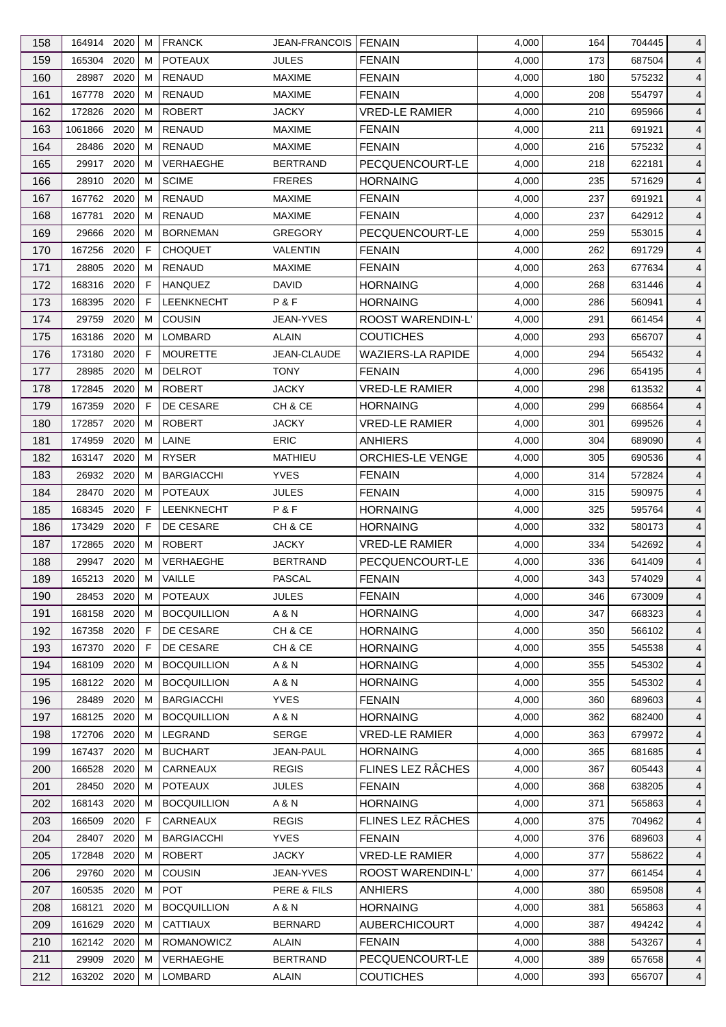| 158 | 164914 2020 |      | м  | <b>FRANCK</b>      | JEAN-FRANCOIS   FENAIN |                          | 4,000 | 164 | 704445 | 4              |
|-----|-------------|------|----|--------------------|------------------------|--------------------------|-------|-----|--------|----------------|
| 159 | 165304      | 2020 | м  | <b>POTEAUX</b>     | <b>JULES</b>           | <b>FENAIN</b>            | 4,000 | 173 | 687504 | 4              |
| 160 | 28987       | 2020 | м  | RENAUD             | <b>MAXIME</b>          | <b>FENAIN</b>            | 4,000 | 180 | 575232 | 4              |
| 161 | 167778      | 2020 | м  | <b>RENAUD</b>      | <b>MAXIME</b>          | <b>FENAIN</b>            | 4,000 | 208 | 554797 | 4              |
| 162 | 172826      | 2020 | м  | <b>ROBERT</b>      | <b>JACKY</b>           | <b>VRED-LE RAMIER</b>    | 4,000 | 210 | 695966 | 4              |
| 163 | 1061866     | 2020 | м  | <b>RENAUD</b>      | <b>MAXIME</b>          | <b>FENAIN</b>            | 4,000 | 211 | 691921 | 4              |
| 164 | 28486       | 2020 | м  | RENAUD             | <b>MAXIME</b>          | <b>FENAIN</b>            | 4,000 | 216 | 575232 | 4              |
| 165 | 29917       | 2020 | м  | <b>VERHAEGHE</b>   | <b>BERTRAND</b>        | PECQUENCOURT-LE          | 4,000 | 218 | 622181 | 4              |
| 166 | 28910       | 2020 | м  | <b>SCIME</b>       | <b>FRERES</b>          | <b>HORNAING</b>          | 4,000 | 235 | 571629 | 4              |
| 167 | 167762      | 2020 | м  | RENAUD             | <b>MAXIME</b>          | <b>FENAIN</b>            | 4,000 | 237 | 691921 | 4              |
| 168 | 167781      | 2020 | м  | <b>RENAUD</b>      | <b>MAXIME</b>          | <b>FENAIN</b>            | 4,000 | 237 | 642912 | 4              |
| 169 | 29666       | 2020 | м  | <b>BORNEMAN</b>    | <b>GREGORY</b>         | PECQUENCOURT-LE          | 4,000 | 259 | 553015 | 4              |
| 170 | 167256      | 2020 | F  | <b>CHOQUET</b>     | VALENTIN               | <b>FENAIN</b>            | 4,000 | 262 | 691729 | 4              |
| 171 | 28805       | 2020 | м  | RENAUD             | <b>MAXIME</b>          | <b>FENAIN</b>            | 4,000 | 263 | 677634 | 4              |
| 172 | 168316 2020 |      | F  | <b>HANQUEZ</b>     | <b>DAVID</b>           | <b>HORNAING</b>          | 4,000 | 268 | 631446 | 4              |
| 173 | 168395      | 2020 | F  | <b>LEENKNECHT</b>  | P&F                    | <b>HORNAING</b>          | 4,000 | 286 | 560941 | 4              |
| 174 | 29759       | 2020 | м  | <b>COUSIN</b>      | JEAN-YVES              | ROOST WARENDIN-L'        | 4,000 | 291 | 661454 | 4              |
| 175 | 163186      | 2020 | м  | LOMBARD            | ALAIN                  | <b>COUTICHES</b>         | 4,000 | 293 | 656707 | 4              |
| 176 | 173180      | 2020 | F  | <b>MOURETTE</b>    | <b>JEAN-CLAUDE</b>     | <b>WAZIERS-LA RAPIDE</b> | 4,000 | 294 | 565432 | 4              |
| 177 | 28985       | 2020 | м  | <b>DELROT</b>      | TONY                   | <b>FENAIN</b>            | 4,000 | 296 | 654195 | 4              |
| 178 | 172845      | 2020 | м  | <b>ROBERT</b>      | <b>JACKY</b>           | <b>VRED-LE RAMIER</b>    | 4,000 | 298 | 613532 | 4              |
|     | 167359      | 2020 | F  | DE CESARE          | CH & CE                | <b>HORNAING</b>          |       | 299 |        |                |
| 179 |             |      |    |                    |                        |                          | 4,000 |     | 668564 | 4              |
| 180 | 172857      | 2020 | м  | <b>ROBERT</b>      | <b>JACKY</b>           | <b>VRED-LE RAMIER</b>    | 4,000 | 301 | 699526 | 4              |
| 181 | 174959      | 2020 | м  | LAINE              | <b>ERIC</b>            | <b>ANHIERS</b>           | 4,000 | 304 | 689090 | 4              |
| 182 | 163147      | 2020 | м  | <b>RYSER</b>       | <b>MATHIEU</b>         | ORCHIES-LE VENGE         | 4,000 | 305 | 690536 | 4              |
| 183 | 26932 2020  |      | м  | <b>BARGIACCHI</b>  | <b>YVES</b>            | <b>FENAIN</b>            | 4,000 | 314 | 572824 | 4              |
| 184 | 28470       | 2020 | м  | <b>POTEAUX</b>     | <b>JULES</b>           | <b>FENAIN</b>            | 4,000 | 315 | 590975 | 4              |
| 185 | 168345      | 2020 | F  | LEENKNECHT         | P&F                    | <b>HORNAING</b>          | 4,000 | 325 | 595764 | 4              |
| 186 | 173429      | 2020 | F. | DE CESARE          | CH & CE                | <b>HORNAING</b>          | 4,000 | 332 | 580173 | 4              |
| 187 | 172865      | 2020 | м  | <b>ROBERT</b>      | <b>JACKY</b>           | <b>VRED-LE RAMIER</b>    | 4,000 | 334 | 542692 | 4              |
| 188 | 29947       | 2020 | м  | VERHAEGHE          | <b>BERTRAND</b>        | PECQUENCOURT-LE          | 4,000 | 336 | 641409 | $\overline{4}$ |
| 189 | 165213      | 2020 | M  | VAILLE             | <b>PASCAL</b>          | <b>FENAIN</b>            | 4,000 | 343 | 574029 | $\overline{4}$ |
| 190 | 28453 2020  |      | М  | <b>POTEAUX</b>     | <b>JULES</b>           | <b>FENAIN</b>            | 4,000 | 346 | 673009 | $\overline{4}$ |
| 191 | 168158 2020 |      | м  | <b>BOCQUILLION</b> | A & N                  | <b>HORNAING</b>          | 4,000 | 347 | 668323 | 4              |
| 192 | 167358      | 2020 | F  | DE CESARE          | CH & CE                | <b>HORNAING</b>          | 4,000 | 350 | 566102 | 4              |
| 193 | 167370      | 2020 | F  | DE CESARE          | CH & CE                | <b>HORNAING</b>          | 4,000 | 355 | 545538 | 4              |
| 194 | 168109 2020 |      | м  | <b>BOCQUILLION</b> | A & N                  | <b>HORNAING</b>          | 4,000 | 355 | 545302 | 4              |
| 195 | 168122 2020 |      | м  | <b>BOCQUILLION</b> | A & N                  | <b>HORNAING</b>          | 4,000 | 355 | 545302 | 4              |
| 196 | 28489       | 2020 | M  | <b>BARGIACCHI</b>  | <b>YVES</b>            | <b>FENAIN</b>            | 4,000 | 360 | 689603 | 4              |
| 197 | 168125      | 2020 | м  | <b>BOCQUILLION</b> | A & N                  | <b>HORNAING</b>          | 4,000 | 362 | 682400 | 4              |
| 198 | 172706 2020 |      | м  | LEGRAND            | <b>SERGE</b>           | <b>VRED-LE RAMIER</b>    | 4,000 | 363 | 679972 | 4              |
| 199 | 167437      | 2020 | M  | <b>BUCHART</b>     | <b>JEAN-PAUL</b>       | <b>HORNAING</b>          | 4,000 | 365 | 681685 | 4              |
| 200 | 166528      | 2020 | м  | CARNEAUX           | <b>REGIS</b>           | FLINES LEZ RÂCHES        | 4,000 | 367 | 605443 | 4              |
| 201 | 28450       | 2020 | м  | <b>POTEAUX</b>     | <b>JULES</b>           | <b>FENAIN</b>            | 4,000 | 368 | 638205 | 4              |
| 202 | 168143 2020 |      | м  | <b>BOCQUILLION</b> | A & N                  | <b>HORNAING</b>          | 4,000 | 371 | 565863 | 4              |
| 203 | 166509      | 2020 | F  | CARNEAUX           | <b>REGIS</b>           | FLINES LEZ RÂCHES        | 4,000 | 375 | 704962 | 4              |
| 204 | 28407       | 2020 | м  | <b>BARGIACCHI</b>  | <b>YVES</b>            | <b>FENAIN</b>            | 4,000 | 376 | 689603 | 4              |
| 205 | 172848 2020 |      | м  | <b>ROBERT</b>      | <b>JACKY</b>           | <b>VRED-LE RAMIER</b>    | 4,000 | 377 | 558622 | 4              |
| 206 | 29760       | 2020 | м  | COUSIN             | JEAN-YVES              | ROOST WARENDIN-L'        | 4,000 | 377 | 661454 | 4              |
| 207 | 160535      | 2020 | м  | <b>POT</b>         | PERE & FILS            | <b>ANHIERS</b>           | 4,000 | 380 | 659508 | 4              |
| 208 | 168121      | 2020 | м  | <b>BOCQUILLION</b> | A & N                  | <b>HORNAING</b>          | 4,000 | 381 | 565863 | 4              |
| 209 | 161629      | 2020 | м  | <b>CATTIAUX</b>    | <b>BERNARD</b>         | <b>AUBERCHICOURT</b>     | 4,000 | 387 | 494242 | 4              |
| 210 | 162142 2020 |      | M  | ROMANOWICZ         | <b>ALAIN</b>           | <b>FENAIN</b>            | 4,000 | 388 | 543267 | 4              |
| 211 | 29909       | 2020 | м  | VERHAEGHE          | <b>BERTRAND</b>        | PECQUENCOURT-LE          | 4,000 | 389 | 657658 | 4              |
| 212 | 163202 2020 |      | м  | LOMBARD            | <b>ALAIN</b>           | <b>COUTICHES</b>         | 4,000 | 393 | 656707 | $\overline{4}$ |
|     |             |      |    |                    |                        |                          |       |     |        |                |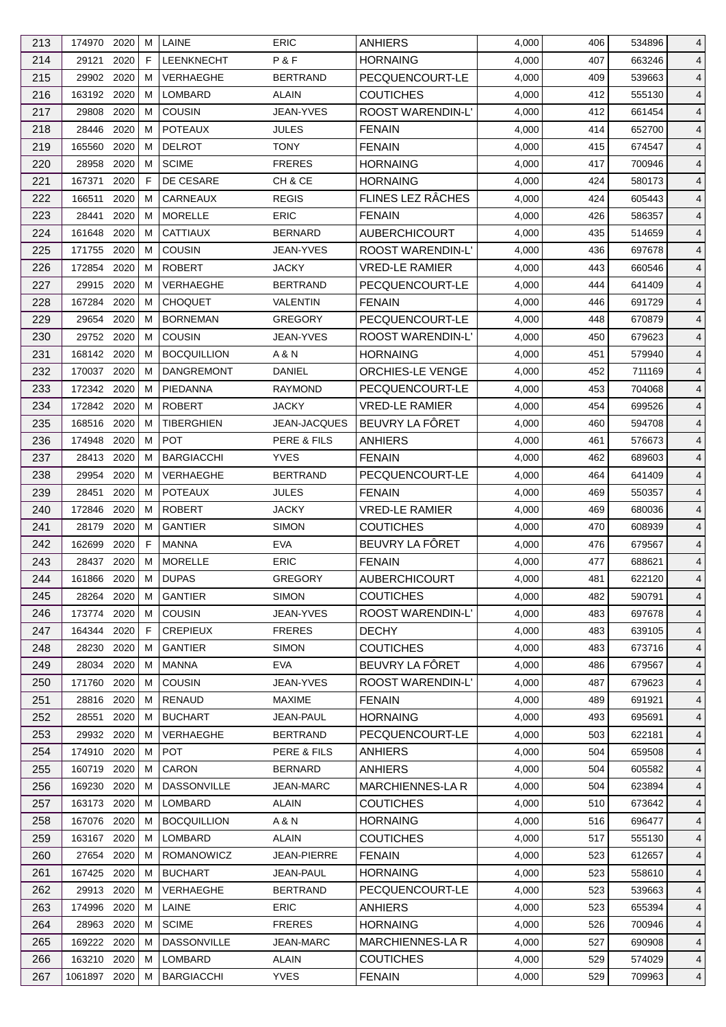| 213 | 174970 2020  |      | м | LAINE              | <b>ERIC</b>      | <b>ANHIERS</b>           | 4,000 | 406 | 534896 | 4              |
|-----|--------------|------|---|--------------------|------------------|--------------------------|-------|-----|--------|----------------|
| 214 | 29121        | 2020 | F | LEENKNECHT         | P&F              | <b>HORNAING</b>          | 4,000 | 407 | 663246 | 4              |
| 215 | 29902        | 2020 | м | VERHAEGHE          | <b>BERTRAND</b>  | PECQUENCOURT-LE          | 4,000 | 409 | 539663 | 4              |
| 216 | 163192 2020  |      | м | <b>LOMBARD</b>     | ALAIN            | <b>COUTICHES</b>         | 4,000 | 412 | 555130 | 4              |
| 217 | 29808        | 2020 | м | <b>COUSIN</b>      | JEAN-YVES        | <b>ROOST WARENDIN-L'</b> | 4,000 | 412 | 661454 | 4              |
| 218 | 28446        | 2020 | м | <b>POTEAUX</b>     | <b>JULES</b>     | <b>FENAIN</b>            | 4,000 | 414 | 652700 | 4              |
| 219 | 165560       | 2020 | м | <b>DELROT</b>      | TONY             | <b>FENAIN</b>            | 4,000 | 415 | 674547 | 4              |
| 220 | 28958        | 2020 | м | <b>SCIME</b>       | <b>FRERES</b>    | <b>HORNAING</b>          | 4,000 | 417 | 700946 | 4              |
| 221 | 167371       | 2020 | F | DE CESARE          | CH & CE          | <b>HORNAING</b>          | 4,000 | 424 | 580173 | $\overline{4}$ |
| 222 | 166511       | 2020 | м | CARNEAUX           | <b>REGIS</b>     | FLINES LEZ RÂCHES        | 4,000 | 424 | 605443 | 4              |
| 223 | 28441        | 2020 | м | <b>MORELLE</b>     | <b>ERIC</b>      | <b>FENAIN</b>            | 4,000 | 426 | 586357 | 4              |
| 224 | 161648       | 2020 | м | <b>CATTIAUX</b>    | <b>BERNARD</b>   | AUBERCHICOURT            | 4,000 | 435 | 514659 | 4              |
| 225 | 171755       | 2020 | м | <b>COUSIN</b>      | <b>JEAN-YVES</b> | ROOST WARENDIN-L'        | 4,000 | 436 | 697678 | 4              |
| 226 | 172854       | 2020 | м | <b>ROBERT</b>      | <b>JACKY</b>     | <b>VRED-LE RAMIER</b>    | 4,000 | 443 | 660546 | 4              |
| 227 | 29915        | 2020 | м | <b>VERHAEGHE</b>   | <b>BERTRAND</b>  | PECQUENCOURT-LE          | 4,000 | 444 | 641409 | 4              |
| 228 | 167284       | 2020 | м | <b>CHOQUET</b>     | VALENTIN         | <b>FENAIN</b>            | 4,000 | 446 | 691729 | 4              |
| 229 | 29654        | 2020 | м | <b>BORNEMAN</b>    | <b>GREGORY</b>   | PECQUENCOURT-LE          | 4,000 | 448 | 670879 | 4              |
| 230 | 29752 2020   |      | м | <b>COUSIN</b>      | <b>JEAN-YVES</b> | <b>ROOST WARENDIN-L'</b> | 4,000 | 450 | 679623 | $\overline{4}$ |
| 231 | 168142 2020  |      | м | <b>BOCQUILLION</b> | A & N            | <b>HORNAING</b>          | 4,000 | 451 | 579940 | 4              |
|     |              | 2020 |   |                    |                  |                          |       |     |        |                |
| 232 | 170037       |      | M | <b>DANGREMONT</b>  | DANIEL           | ORCHIES-LE VENGE         | 4,000 | 452 | 711169 | $\overline{4}$ |
| 233 | 172342 2020  |      | м | PIEDANNA           | <b>RAYMOND</b>   | PECQUENCOURT-LE          | 4,000 | 453 | 704068 | 4              |
| 234 | 172842       | 2020 | м | <b>ROBERT</b>      | <b>JACKY</b>     | <b>VRED-LE RAMIER</b>    | 4,000 | 454 | 699526 | 4              |
| 235 | 168516 2020  |      | м | <b>TIBERGHIEN</b>  | JEAN-JACQUES     | BEUVRY LA FÔRET          | 4,000 | 460 | 594708 | 4              |
| 236 | 174948       | 2020 | м | <b>POT</b>         | PERE & FILS      | <b>ANHIERS</b>           | 4,000 | 461 | 576673 | 4              |
| 237 | 28413        | 2020 | м | <b>BARGIACCHI</b>  | <b>YVES</b>      | <b>FENAIN</b>            | 4,000 | 462 | 689603 | 4              |
| 238 | 29954        | 2020 | м | <b>VERHAEGHE</b>   | <b>BERTRAND</b>  | PECQUENCOURT-LE          | 4,000 | 464 | 641409 | 4              |
| 239 | 28451        | 2020 | M | <b>POTEAUX</b>     | <b>JULES</b>     | <b>FENAIN</b>            | 4,000 | 469 | 550357 | 4              |
| 240 | 172846       | 2020 | м | <b>ROBERT</b>      | <b>JACKY</b>     | <b>VRED-LE RAMIER</b>    | 4,000 | 469 | 680036 | 4              |
| 241 | 28179        | 2020 | м | <b>GANTIER</b>     | <b>SIMON</b>     | <b>COUTICHES</b>         | 4,000 | 470 | 608939 | $\overline{4}$ |
| 242 | 162699       | 2020 | F | <b>MANNA</b>       | <b>EVA</b>       | BEUVRY LA FÔRET          | 4,000 | 476 | 679567 | $\overline{4}$ |
| 243 | 28437        | 2020 | M | <b>MORELLE</b>     | <b>ERIC</b>      | <b>FENAIN</b>            | 4,000 | 477 | 688621 | $\overline{4}$ |
| 244 | 161866       | 2020 | M | <b>DUPAS</b>       | <b>GREGORY</b>   | <b>AUBERCHICOURT</b>     | 4,000 | 481 | 622120 | $\overline{4}$ |
| 245 | 28264 2020   |      | М | <b>GANTIER</b>     | <b>SIMON</b>     | <b>COUTICHES</b>         | 4,000 | 482 | 590791 | $\overline{4}$ |
| 246 | 173774 2020  |      | м | <b>COUSIN</b>      | <b>JEAN-YVES</b> | ROOST WARENDIN-L'        | 4,000 | 483 | 697678 | 4              |
| 247 | 164344       | 2020 | F | <b>CREPIEUX</b>    | <b>FRERES</b>    | <b>DECHY</b>             | 4,000 | 483 | 639105 | 4              |
| 248 | 28230        | 2020 | м | <b>GANTIER</b>     | <b>SIMON</b>     | <b>COUTICHES</b>         | 4,000 | 483 | 673716 | 4              |
| 249 | 28034 2020   |      | м | <b>MANNA</b>       | <b>EVA</b>       | BEUVRY LA FÔRET          | 4,000 | 486 | 679567 | 4              |
| 250 | 171760 2020  |      | м | COUSIN             | JEAN-YVES        | ROOST WARENDIN-L'        | 4,000 | 487 | 679623 | 4              |
| 251 | 28816        | 2020 | м | <b>RENAUD</b>      | <b>MAXIME</b>    | <b>FENAIN</b>            | 4,000 | 489 | 691921 | 4              |
| 252 | 28551        | 2020 | м | <b>BUCHART</b>     | JEAN-PAUL        | <b>HORNAING</b>          | 4,000 | 493 | 695691 | 4              |
| 253 | 29932        | 2020 | м | VERHAEGHE          | <b>BERTRAND</b>  | PECQUENCOURT-LE          | 4,000 | 503 | 622181 | 4              |
| 254 | 174910       | 2020 | м | <b>POT</b>         | PERE & FILS      | <b>ANHIERS</b>           | 4,000 | 504 | 659508 | 4              |
| 255 | 160719       | 2020 | м | CARON              | <b>BERNARD</b>   | <b>ANHIERS</b>           | 4,000 | 504 | 605582 | 4              |
| 256 | 169230       | 2020 | м | <b>DASSONVILLE</b> | <b>JEAN-MARC</b> | MARCHIENNES-LA R         | 4,000 | 504 | 623894 | 4              |
| 257 | 163173 2020  |      | м | LOMBARD            | <b>ALAIN</b>     | <b>COUTICHES</b>         | 4,000 | 510 | 673642 | 4              |
| 258 | 167076       | 2020 | м | <b>BOCQUILLION</b> | A & N            | <b>HORNAING</b>          | 4,000 | 516 | 696477 | 4              |
| 259 | 163167       | 2020 | м | LOMBARD            | <b>ALAIN</b>     | <b>COUTICHES</b>         | 4,000 | 517 | 555130 | 4              |
| 260 | 27654 2020   |      | м | <b>ROMANOWICZ</b>  | JEAN-PIERRE      | <b>FENAIN</b>            | 4,000 | 523 | 612657 | 4              |
|     |              |      |   |                    |                  |                          |       |     |        |                |
| 261 | 167425 2020  |      | м | <b>BUCHART</b>     | JEAN-PAUL        | <b>HORNAING</b>          | 4,000 | 523 | 558610 | 4              |
| 262 | 29913        | 2020 | M | VERHAEGHE          | <b>BERTRAND</b>  | PECQUENCOURT-LE          | 4,000 | 523 | 539663 | 4              |
| 263 | 174996       | 2020 | м | LAINE              | <b>ERIC</b>      | <b>ANHIERS</b>           | 4,000 | 523 | 655394 | 4              |
| 264 | 28963        | 2020 | м | <b>SCIME</b>       | <b>FRERES</b>    | <b>HORNAING</b>          | 4,000 | 526 | 700946 | 4              |
| 265 | 169222 2020  |      | M | <b>DASSONVILLE</b> | <b>JEAN-MARC</b> | <b>MARCHIENNES-LA R</b>  | 4,000 | 527 | 690908 | 4              |
| 266 | 163210 2020  |      | м | LOMBARD            | ALAIN            | <b>COUTICHES</b>         | 4,000 | 529 | 574029 | 4              |
| 267 | 1061897 2020 |      | м | <b>BARGIACCHI</b>  | <b>YVES</b>      | <b>FENAIN</b>            | 4,000 | 529 | 709963 | $\overline{4}$ |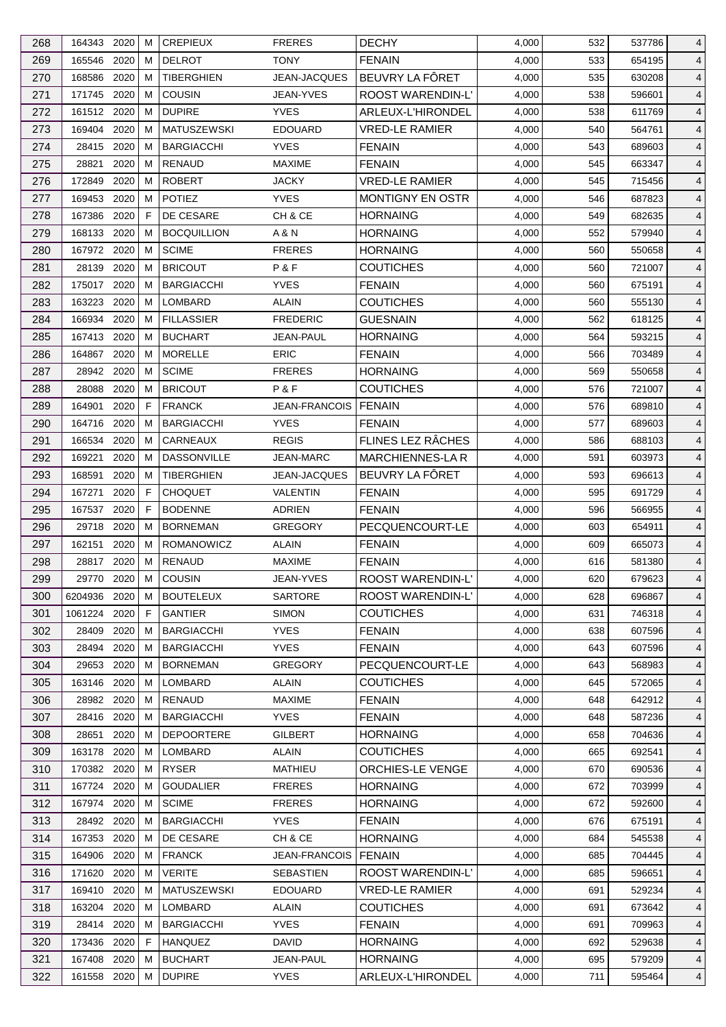| 268 | 164343 2020  |          | м | <b>CREPIEUX</b>    | <b>FRERES</b>        | <b>DECHY</b>             | 4,000 | 532 | 537786           | 4              |
|-----|--------------|----------|---|--------------------|----------------------|--------------------------|-------|-----|------------------|----------------|
| 269 | 165546       | 2020     | м | <b>DELROT</b>      | <b>TONY</b>          | <b>FENAIN</b>            | 4,000 | 533 | 654195           | $\overline{4}$ |
| 270 | 168586       | 2020     | M | <b>TIBERGHIEN</b>  | JEAN-JACQUES         | BEUVRY LA FÔRET          | 4,000 | 535 | 630208           | 4              |
| 271 | 171745       | 2020     | м | <b>COUSIN</b>      | <b>JEAN-YVES</b>     | ROOST WARENDIN-L'        | 4,000 | 538 | 596601           | 4              |
| 272 | 161512 2020  |          | M | <b>DUPIRE</b>      | <b>YVES</b>          | ARLEUX-L'HIRONDEL        | 4,000 | 538 | 611769           | 4              |
| 273 | 169404       | 2020     | м | <b>MATUSZEWSKI</b> | <b>EDOUARD</b>       | <b>VRED-LE RAMIER</b>    | 4,000 | 540 | 564761           | $\overline{4}$ |
| 274 | 28415        | 2020     | м | <b>BARGIACCHI</b>  | <b>YVES</b>          | <b>FENAIN</b>            | 4,000 | 543 | 689603           | $\overline{4}$ |
| 275 | 28821        | 2020     | м | <b>RENAUD</b>      | <b>MAXIME</b>        | <b>FENAIN</b>            | 4,000 | 545 | 663347           | $\overline{4}$ |
| 276 | 172849       | 2020     | м | <b>ROBERT</b>      | <b>JACKY</b>         | <b>VRED-LE RAMIER</b>    | 4,000 | 545 | 715456           | $\overline{4}$ |
| 277 | 169453       | 2020     | м | <b>POTIEZ</b>      | <b>YVES</b>          | <b>MONTIGNY EN OSTR</b>  | 4,000 | 546 | 687823           | $\overline{4}$ |
| 278 | 167386       | 2020     | F | DE CESARE          | CH & CE              | <b>HORNAING</b>          | 4,000 | 549 | 682635           | 4              |
| 279 | 168133       | 2020     | м | <b>BOCQUILLION</b> | A & N                | <b>HORNAING</b>          | 4,000 | 552 | 579940           | $\overline{4}$ |
| 280 | 167972 2020  |          | м | <b>SCIME</b>       | <b>FRERES</b>        | <b>HORNAING</b>          | 4,000 | 560 | 550658           | $\overline{4}$ |
| 281 | 28139        | 2020     | M | <b>BRICOUT</b>     | P&F                  | <b>COUTICHES</b>         | 4,000 | 560 | 721007           | 4              |
| 282 | 175017       | 2020     | м | <b>BARGIACCHI</b>  | <b>YVES</b>          | <b>FENAIN</b>            | 4,000 | 560 | 675191           | 4              |
| 283 | 163223       | 2020     | M | <b>LOMBARD</b>     | ALAIN                | <b>COUTICHES</b>         | 4,000 | 560 | 555130           | 4              |
| 284 | 166934       | 2020     | м | <b>FILLASSIER</b>  | <b>FREDERIC</b>      | <b>GUESNAIN</b>          | 4,000 | 562 | 618125           |                |
|     | 167413 2020  |          |   |                    | <b>JEAN-PAUL</b>     |                          |       |     |                  | $\overline{4}$ |
| 285 |              |          | м | <b>BUCHART</b>     |                      | <b>HORNAING</b>          | 4,000 | 564 | 593215<br>703489 | 4              |
| 286 | 164867       | 2020     | м | <b>MORELLE</b>     | <b>ERIC</b>          | <b>FENAIN</b>            | 4,000 | 566 |                  | $\overline{4}$ |
| 287 | 28942 2020   |          | м | <b>SCIME</b>       | <b>FRERES</b>        | <b>HORNAING</b>          | 4,000 | 569 | 550658           | $\overline{4}$ |
| 288 | 28088        | 2020     | м | <b>BRICOUT</b>     | <b>P&amp;F</b>       | COUTICHES                | 4,000 | 576 | 721007           | $\overline{4}$ |
| 289 | 164901       | 2020     | F | <b>FRANCK</b>      | <b>JEAN-FRANCOIS</b> | <b>FENAIN</b>            | 4,000 | 576 | 689810           | 4              |
| 290 | 164716       | 2020     | м | <b>BARGIACCHI</b>  | <b>YVES</b>          | <b>FENAIN</b>            | 4,000 | 577 | 689603           | $\overline{4}$ |
| 291 | 166534       | 2020     | м | CARNEAUX           | <b>REGIS</b>         | FLINES LEZ RÂCHES        | 4,000 | 586 | 688103           | $\overline{4}$ |
| 292 | 169221       | 2020     | M | <b>DASSONVILLE</b> | <b>JEAN-MARC</b>     | <b>MARCHIENNES-LAR</b>   | 4,000 | 591 | 603973           | 4              |
| 293 | 168591       | 2020     | м | <b>TIBERGHIEN</b>  | JEAN-JACQUES         | BEUVRY LA FÔRET          | 4,000 | 593 | 696613           | $\overline{4}$ |
| 294 | 167271       | 2020     | F | <b>CHOQUET</b>     | VALENTIN             | <b>FENAIN</b>            | 4,000 | 595 | 691729           | $\overline{4}$ |
| 295 | 167537       | 2020     | F | <b>BODENNE</b>     | <b>ADRIEN</b>        | <b>FENAIN</b>            | 4,000 | 596 | 566955           | $\overline{4}$ |
| 296 | 29718        | 2020     | м | <b>BORNEMAN</b>    | <b>GREGORY</b>       | PECQUENCOURT-LE          | 4,000 | 603 | 654911           | 4              |
| 297 | 162151       | 2020     | м | ROMANOWICZ         | <b>ALAIN</b>         | <b>FENAIN</b>            | 4,000 | 609 | 665073           | $\overline{4}$ |
| 298 | 28817        | 2020     | М | <b>RENAUD</b>      | <b>MAXIME</b>        | <b>FENAIN</b>            | 4,000 | 616 | 581380           | $\overline{4}$ |
| 299 | 29770        | $2020$ M |   | <b>COUSIN</b>      | JEAN-YVES            | <b>ROOST WARENDIN-L'</b> | 4,000 | 620 | 679623           | $\overline{4}$ |
| 300 | 6204936 2020 |          | M | <b>BOUTELEUX</b>   | <b>SARTORE</b>       | ROOST WARENDIN-L'        | 4,000 | 628 | 696867           | 4              |
| 301 | 1061224 2020 |          | F | <b>GANTIER</b>     | <b>SIMON</b>         | <b>COUTICHES</b>         | 4,000 | 631 | 746318           | 4              |
| 302 | 28409        | 2020     | м | <b>BARGIACCHI</b>  | <b>YVES</b>          | <b>FENAIN</b>            | 4,000 | 638 | 607596           | 4              |
| 303 | 28494        | 2020     | M | <b>BARGIACCHI</b>  | <b>YVES</b>          | <b>FENAIN</b>            | 4,000 | 643 | 607596           | 4              |
| 304 | 29653 2020   |          | м | <b>BORNEMAN</b>    | <b>GREGORY</b>       | PECQUENCOURT-LE          | 4,000 | 643 | 568983           | 4              |
| 305 | 163146 2020  |          | м | <b>LOMBARD</b>     | <b>ALAIN</b>         | <b>COUTICHES</b>         | 4,000 | 645 | 572065           | 4              |
| 306 | 28982 2020   |          | M | <b>RENAUD</b>      | <b>MAXIME</b>        | <b>FENAIN</b>            | 4,000 | 648 | 642912           | 4              |
| 307 | 28416 2020   |          | м | <b>BARGIACCHI</b>  | <b>YVES</b>          | <b>FENAIN</b>            | 4,000 | 648 | 587236           | 4              |
| 308 | 28651        | 2020     | м | <b>DEPOORTERE</b>  | <b>GILBERT</b>       | <b>HORNAING</b>          | 4,000 | 658 | 704636           | 4              |
| 309 | 163178 2020  |          | M | LOMBARD            | <b>ALAIN</b>         | <b>COUTICHES</b>         | 4,000 | 665 | 692541           | 4              |
| 310 | 170382 2020  |          | м | <b>RYSER</b>       | <b>MATHIEU</b>       | ORCHIES-LE VENGE         | 4,000 | 670 | 690536           | 4              |
| 311 | 167724       | 2020     | м | <b>GOUDALIER</b>   | <b>FRERES</b>        | <b>HORNAING</b>          | 4,000 | 672 | 703999           | 4              |
| 312 | 167974 2020  |          | M | <b>SCIME</b>       | <b>FRERES</b>        | <b>HORNAING</b>          | 4,000 | 672 | 592600           | 4              |
| 313 | 28492 2020   |          | м | <b>BARGIACCHI</b>  | <b>YVES</b>          | <b>FENAIN</b>            | 4,000 | 676 | 675191           | $\overline{4}$ |
| 314 | 167353       | 2020     | M | DE CESARE          | CH & CE              | <b>HORNAING</b>          | 4,000 | 684 | 545538           | 4              |
| 315 | 164906 2020  |          | м | <b>FRANCK</b>      | <b>JEAN-FRANCOIS</b> | <b>FENAIN</b>            | 4,000 | 685 | 704445           | 4              |
| 316 | 171620 2020  |          | м | <b>VERITE</b>      | <b>SEBASTIEN</b>     | ROOST WARENDIN-L'        | 4,000 | 685 | 596651           | 4              |
| 317 | 169410       | 2020     | M | <b>MATUSZEWSKI</b> | <b>EDOUARD</b>       | <b>VRED-LE RAMIER</b>    | 4,000 | 691 | 529234           | 4              |
| 318 | 163204       | 2020     | м | LOMBARD            | <b>ALAIN</b>         | <b>COUTICHES</b>         | 4,000 | 691 | 673642           | 4              |
| 319 | 28414 2020   |          | м | <b>BARGIACCHI</b>  | <b>YVES</b>          | <b>FENAIN</b>            | 4,000 | 691 | 709963           | 4              |
| 320 | 173436 2020  |          | F | <b>HANQUEZ</b>     | <b>DAVID</b>         | <b>HORNAING</b>          | 4,000 | 692 | 529638           | 4              |
| 321 | 167408       | 2020     | M | <b>BUCHART</b>     | JEAN-PAUL            | <b>HORNAING</b>          | 4,000 | 695 | 579209           | 4              |
| 322 | 161558 2020  |          | М | <b>DUPIRE</b>      | <b>YVES</b>          | ARLEUX-L'HIRONDEL        | 4,000 | 711 | 595464           | $\overline{4}$ |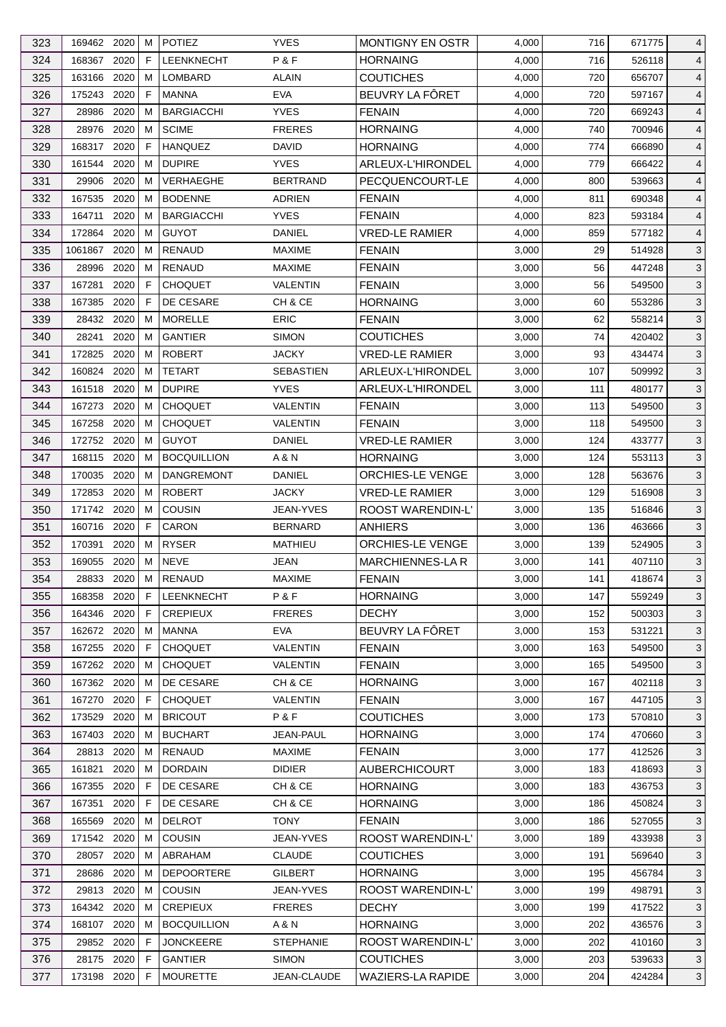| 323 | 169462 2020 |      | м  | <b>POTIEZ</b>      | <b>YVES</b>      | <b>MONTIGNY EN OSTR</b>  | 4,000 | 716 | 671775 | 4              |
|-----|-------------|------|----|--------------------|------------------|--------------------------|-------|-----|--------|----------------|
| 324 | 168367      | 2020 | F  | <b>LEENKNECHT</b>  | P&F              | <b>HORNAING</b>          | 4,000 | 716 | 526118 | 4              |
| 325 | 163166      | 2020 | м  | LOMBARD            | ALAIN            | <b>COUTICHES</b>         | 4,000 | 720 | 656707 | 4              |
| 326 | 175243 2020 |      | F  | <b>MANNA</b>       | <b>EVA</b>       | BEUVRY LA FÖRET          | 4,000 | 720 | 597167 | 4              |
| 327 | 28986       | 2020 | м  | <b>BARGIACCHI</b>  | <b>YVES</b>      | <b>FENAIN</b>            | 4,000 | 720 | 669243 | 4              |
| 328 | 28976       | 2020 | м  | <b>SCIME</b>       | <b>FRERES</b>    | <b>HORNAING</b>          | 4,000 | 740 | 700946 | 4              |
| 329 | 168317      | 2020 | F  | <b>HANQUEZ</b>     | DAVID            | <b>HORNAING</b>          | 4,000 | 774 | 666890 | 4              |
| 330 | 161544      | 2020 | м  | <b>DUPIRE</b>      | <b>YVES</b>      | ARLEUX-L'HIRONDEL        | 4,000 | 779 | 666422 | 4              |
| 331 | 29906       | 2020 | M  | <b>VERHAEGHE</b>   | <b>BERTRAND</b>  | PECQUENCOURT-LE          | 4,000 | 800 | 539663 | $\overline{4}$ |
| 332 | 167535      | 2020 | м  | <b>BODENNE</b>     | ADRIEN           | <b>FENAIN</b>            | 4,000 | 811 | 690348 | 4              |
| 333 | 164711      | 2020 | м  | <b>BARGIACCHI</b>  | <b>YVES</b>      | <b>FENAIN</b>            | 4,000 | 823 | 593184 | 4              |
| 334 | 172864 2020 |      | м  | <b>GUYOT</b>       | DANIEL           | <b>VRED-LE RAMIER</b>    | 4,000 | 859 | 577182 | 4              |
| 335 | 1061867     | 2020 | м  | <b>RENAUD</b>      | <b>MAXIME</b>    | <b>FENAIN</b>            | 3,000 | 29  | 514928 | 3              |
| 336 | 28996       | 2020 | м  | RENAUD             | <b>MAXIME</b>    | <b>FENAIN</b>            | 3,000 | 56  | 447248 | 3              |
| 337 | 167281      | 2020 | F  | <b>CHOQUET</b>     | VALENTIN         | <b>FENAIN</b>            | 3,000 | 56  | 549500 | 3              |
| 338 | 167385      | 2020 | F  | DE CESARE          | CH & CE          | <b>HORNAING</b>          | 3,000 | 60  | 553286 | $\mathbf{3}$   |
| 339 | 28432 2020  |      | м  | <b>MORELLE</b>     | <b>ERIC</b>      | <b>FENAIN</b>            | 3,000 | 62  | 558214 | 3              |
| 340 | 28241       | 2020 | м  | <b>GANTIER</b>     | <b>SIMON</b>     | <b>COUTICHES</b>         | 3,000 | 74  | 420402 | 3              |
| 341 | 172825      | 2020 | M  | <b>ROBERT</b>      | <b>JACKY</b>     | <b>VRED-LE RAMIER</b>    | 3,000 | 93  | 434474 | 3              |
|     |             | 2020 | M  |                    |                  |                          |       |     |        |                |
| 342 | 160824      |      |    | <b>TETART</b>      | <b>SEBASTIEN</b> | ARLEUX-L'HIRONDEL        | 3,000 | 107 | 509992 | 3              |
| 343 | 161518      | 2020 | м  | <b>DUPIRE</b>      | <b>YVES</b>      | ARLEUX-L'HIRONDEL        | 3,000 | 111 | 480177 | 3              |
| 344 | 167273      | 2020 | м  | <b>CHOQUET</b>     | <b>VALENTIN</b>  | <b>FENAIN</b>            | 3,000 | 113 | 549500 | 3              |
| 345 | 167258      | 2020 | м  | <b>CHOQUET</b>     | VALENTIN         | <b>FENAIN</b>            | 3,000 | 118 | 549500 | 3              |
| 346 | 172752 2020 |      | м  | <b>GUYOT</b>       | DANIEL           | <b>VRED-LE RAMIER</b>    | 3,000 | 124 | 433777 | 3              |
| 347 | 168115      | 2020 | м  | <b>BOCQUILLION</b> | A & N            | <b>HORNAING</b>          | 3,000 | 124 | 553113 | 3              |
| 348 | 170035      | 2020 | м  | <b>DANGREMONT</b>  | DANIEL           | ORCHIES-LE VENGE         | 3,000 | 128 | 563676 | 3              |
| 349 | 172853      | 2020 | м  | <b>ROBERT</b>      | <b>JACKY</b>     | <b>VRED-LE RAMIER</b>    | 3,000 | 129 | 516908 | $\mathbf{3}$   |
| 350 | 171742 2020 |      | м  | <b>COUSIN</b>      | JEAN-YVES        | ROOST WARENDIN-L'        | 3,000 | 135 | 516846 | 3              |
| 351 | 160716      | 2020 | F. | CARON              | <b>BERNARD</b>   | <b>ANHIERS</b>           | 3,000 | 136 | 463666 | 3              |
| 352 | 170391      | 2020 | м  | <b>RYSER</b>       | MATHIEU          | ORCHIES-LE VENGE         | 3,000 | 139 | 524905 | 3              |
| 353 | 169055      | 2020 | м  | <b>NEVE</b>        | JEAN             | MARCHIENNES-LA R         | 3,000 | 141 | 407110 | 3              |
| 354 | 28833 2020  |      | M  | RENAUD             | MAXIME           | <b>FENAIN</b>            | 3,000 | 141 | 418674 | $\sqrt{3}$     |
| 355 | 168358 2020 |      | F  | <b>LEENKNECHT</b>  | P&F              | <b>HORNAING</b>          | 3,000 | 147 | 559249 | 3              |
| 356 | 164346 2020 |      | F  | <b>CREPIEUX</b>    | <b>FRERES</b>    | <b>DECHY</b>             | 3,000 | 152 | 500303 | 3              |
| 357 | 162672 2020 |      | м  | MANNA              | <b>EVA</b>       | BEUVRY LA FÔRET          | 3,000 | 153 | 531221 | 3              |
| 358 | 167255      | 2020 | F  | <b>CHOQUET</b>     | <b>VALENTIN</b>  | <b>FENAIN</b>            | 3,000 | 163 | 549500 | 3              |
| 359 | 167262 2020 |      | м  | <b>CHOQUET</b>     | VALENTIN         | <b>FENAIN</b>            | 3,000 | 165 | 549500 | 3              |
| 360 | 167362 2020 |      | м  | DE CESARE          | CH & CE          | <b>HORNAING</b>          | 3,000 | 167 | 402118 | 3              |
| 361 | 167270      | 2020 | F  | <b>CHOQUET</b>     | <b>VALENTIN</b>  | <b>FENAIN</b>            | 3,000 | 167 | 447105 | 3              |
| 362 | 173529      | 2020 | м  | <b>BRICOUT</b>     | P&F              | <b>COUTICHES</b>         | 3,000 | 173 | 570810 | 3              |
| 363 | 167403      | 2020 | м  | <b>BUCHART</b>     | JEAN-PAUL        | <b>HORNAING</b>          | 3,000 | 174 | 470660 | 3              |
| 364 | 28813       | 2020 | м  | RENAUD             | <b>MAXIME</b>    | <b>FENAIN</b>            | 3,000 | 177 | 412526 | $\mathbf{3}$   |
|     |             |      |    |                    |                  | <b>AUBERCHICOURT</b>     |       |     |        |                |
| 365 | 161821      | 2020 | м  | <b>DORDAIN</b>     | <b>DIDIER</b>    |                          | 3,000 | 183 | 418693 | 3              |
| 366 | 167355      | 2020 | F  | DE CESARE          | CH & CE          | <b>HORNAING</b>          | 3,000 | 183 | 436753 | 3              |
| 367 | 167351      | 2020 | F  | DE CESARE          | CH & CE          | <b>HORNAING</b>          | 3,000 | 186 | 450824 | 3              |
| 368 | 165569      | 2020 | м  | <b>DELROT</b>      | <b>TONY</b>      | <b>FENAIN</b>            | 3,000 | 186 | 527055 | 3              |
| 369 | 171542      | 2020 | м  | <b>COUSIN</b>      | JEAN-YVES        | ROOST WARENDIN-L'        | 3,000 | 189 | 433938 | 3              |
| 370 | 28057 2020  |      | м  | ABRAHAM            | <b>CLAUDE</b>    | <b>COUTICHES</b>         | 3,000 | 191 | 569640 | 3              |
| 371 | 28686       | 2020 | м  | <b>DEPOORTERE</b>  | GILBERT          | <b>HORNAING</b>          | 3,000 | 195 | 456784 | 3              |
| 372 | 29813       | 2020 | м  | <b>COUSIN</b>      | JEAN-YVES        | ROOST WARENDIN-L'        | 3,000 | 199 | 498791 | 3              |
| 373 | 164342 2020 |      | м  | <b>CREPIEUX</b>    | <b>FRERES</b>    | <b>DECHY</b>             | 3,000 | 199 | 417522 | 3              |
| 374 | 168107 2020 |      | м  | <b>BOCQUILLION</b> | A & N            | <b>HORNAING</b>          | 3,000 | 202 | 436576 | 3              |
| 375 | 29852 2020  |      | F  | <b>JONCKEERE</b>   | <b>STEPHANIE</b> | <b>ROOST WARENDIN-L'</b> | 3,000 | 202 | 410160 | 3              |
| 376 | 28175 2020  |      | F  | <b>GANTIER</b>     | <b>SIMON</b>     | <b>COUTICHES</b>         | 3,000 | 203 | 539633 | 3              |
| 377 | 173198 2020 |      | F. | <b>MOURETTE</b>    | JEAN-CLAUDE      | WAZIERS-LA RAPIDE        | 3,000 | 204 | 424284 | 3              |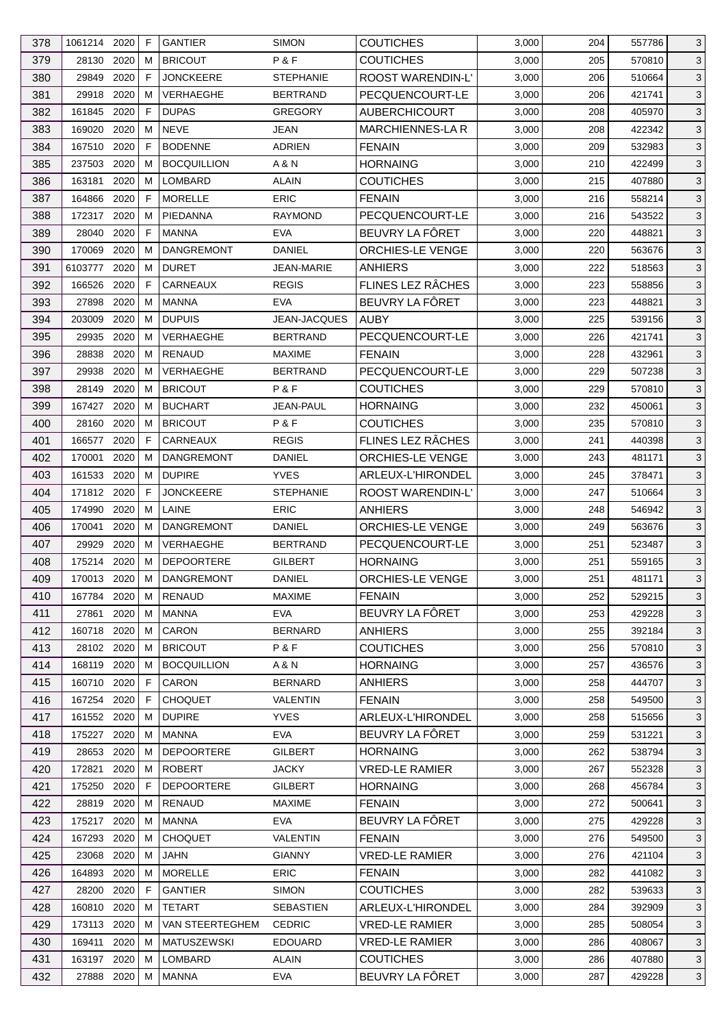| 378 | 1061214 2020 |              | F  | <b>GANTIER</b>     | <b>SIMON</b>           | <b>COUTICHES</b>         | 3,000 | 204 | 557786 | 3            |
|-----|--------------|--------------|----|--------------------|------------------------|--------------------------|-------|-----|--------|--------------|
| 379 | 28130        | 2020         | м  | <b>BRICOUT</b>     | P&F                    | <b>COUTICHES</b>         | 3,000 | 205 | 570810 | $\mathbf{3}$ |
| 380 | 29849        | 2020         | F  | <b>JONCKEERE</b>   | <b>STEPHANIE</b>       | ROOST WARENDIN-L'        | 3,000 | 206 | 510664 | 3            |
| 381 | 29918        | 2020         | м  | VERHAEGHE          | <b>BERTRAND</b>        | PECQUENCOURT-LE          | 3,000 | 206 | 421741 | 3            |
| 382 | 161845       | 2020         | F  | <b>DUPAS</b>       | <b>GREGORY</b>         | <b>AUBERCHICOURT</b>     | 3,000 | 208 | 405970 | 3            |
| 383 | 169020       | 2020         | м  | <b>NEVE</b>        | JEAN                   | <b>MARCHIENNES-LA R</b>  | 3,000 | 208 | 422342 | $\mathbf{3}$ |
| 384 | 167510       | 2020         | F  | <b>BODENNE</b>     | ADRIEN                 | <b>FENAIN</b>            | 3,000 | 209 | 532983 | 3            |
| 385 | 237503       | 2020         | M  | <b>BOCQUILLION</b> | A & N                  | <b>HORNAING</b>          | 3,000 | 210 | 422499 | 3            |
| 386 | 163181       | 2020         | м  | <b>LOMBARD</b>     | <b>ALAIN</b>           | <b>COUTICHES</b>         | 3,000 | 215 | 407880 | 3            |
| 387 | 164866       | 2020         | F  | <b>MORELLE</b>     | <b>ERIC</b>            | <b>FENAIN</b>            | 3,000 | 216 | 558214 | 3            |
| 388 | 172317       | 2020         | м  | PIEDANNA           | <b>RAYMOND</b>         | PECQUENCOURT-LE          | 3,000 | 216 | 543522 | 3            |
| 389 | 28040        | 2020         | F  | <b>MANNA</b>       | <b>EVA</b>             | BEUVRY LA FÔRET          | 3,000 | 220 | 448821 | 3            |
| 390 | 170069       | 2020         | м  | <b>DANGREMONT</b>  | <b>DANIEL</b>          | ORCHIES-LE VENGE         | 3,000 | 220 | 563676 | $\mathbf{3}$ |
| 391 | 6103777      | 2020         | м  | <b>DURET</b>       | <b>JEAN-MARIE</b>      | <b>ANHIERS</b>           | 3,000 | 222 | 518563 | 3            |
| 392 | 166526       | 2020         | F  | CARNEAUX           | <b>REGIS</b>           | <b>FLINES LEZ RÂCHES</b> | 3,000 | 223 | 558856 | 3            |
| 393 | 27898        | 2020         | м  | <b>MANNA</b>       | <b>EVA</b>             | BEUVRY LA FÔRET          | 3,000 | 223 | 448821 | 3            |
| 394 | 203009       | 2020         | M  | <b>DUPUIS</b>      | JEAN-JACQUES           | <b>AUBY</b>              | 3,000 | 225 | 539156 | $\mathbf{3}$ |
| 395 | 29935        | 2020         | м  | <b>VERHAEGHE</b>   | <b>BERTRAND</b>        | PECQUENCOURT-LE          | 3,000 | 226 | 421741 | 3            |
| 396 | 28838        | 2020         | м  | <b>RENAUD</b>      | <b>MAXIME</b>          | <b>FENAIN</b>            | 3,000 | 228 | 432961 | 3            |
|     |              |              | м  |                    |                        |                          |       |     |        | 3            |
| 397 | 29938        | 2020<br>2020 | м  | <b>VERHAEGHE</b>   | <b>BERTRAND</b><br>P&F | PECQUENCOURT-LE          | 3,000 | 229 | 507238 |              |
| 398 | 28149        |              |    | <b>BRICOUT</b>     |                        | <b>COUTICHES</b>         | 3,000 | 229 | 570810 | 3            |
| 399 | 167427       | 2020         | м  | <b>BUCHART</b>     | <b>JEAN-PAUL</b>       | <b>HORNAING</b>          | 3,000 | 232 | 450061 | 3            |
| 400 | 28160        | 2020         | м  | <b>BRICOUT</b>     | P&F                    | <b>COUTICHES</b>         | 3,000 | 235 | 570810 | 3            |
| 401 | 166577       | 2020         | F  | CARNEAUX           | <b>REGIS</b>           | FLINES LEZ RÂCHES        | 3,000 | 241 | 440398 | $\mathbf{3}$ |
| 402 | 170001       | 2020         | M  | <b>DANGREMONT</b>  | DANIEL                 | ORCHIES-LE VENGE         | 3,000 | 243 | 481171 | 3            |
| 403 | 161533       | 2020         | м  | <b>DUPIRE</b>      | <b>YVES</b>            | ARLEUX-L'HIRONDEL        | 3,000 | 245 | 378471 | 3            |
| 404 | 171812 2020  |              | F  | <b>JONCKEERE</b>   | <b>STEPHANIE</b>       | ROOST WARENDIN-L'        | 3,000 | 247 | 510664 | 3            |
| 405 | 174990       | 2020         | м  | LAINE              | <b>ERIC</b>            | ANHIERS                  | 3,000 | 248 | 546942 | 3            |
| 406 | 170041       | 2020         | м  | <b>DANGREMONT</b>  | DANIEL                 | ORCHIES-LE VENGE         | 3,000 | 249 | 563676 | 3            |
| 407 | 29929        | 2020         | м  | VERHAEGHE          | <b>BERTRAND</b>        | PECQUENCOURT-LE          | 3,000 | 251 | 523487 | 3            |
| 408 | 175214       | 2020         | м  | <b>DEPOORTERE</b>  | <b>GILBERT</b>         | <b>HORNAING</b>          | 3,000 | 251 | 559165 | 3            |
| 409 | 170013       | 2020         | M  | DANGREMONT         | <b>DANIEL</b>          | ORCHIES-LE VENGE         | 3,000 | 251 | 481171 | $\mathbf{3}$ |
| 410 | 167784 2020  |              | м  | RENAUD             | <b>MAXIME</b>          | <b>FENAIN</b>            | 3,000 | 252 | 529215 | 3            |
| 411 | 27861        | 2020         | м  | MANNA              | <b>EVA</b>             | BEUVRY LA FÔRET          | 3,000 | 253 | 429228 | 3            |
| 412 | 160718       | 2020         | м  | CARON              | <b>BERNARD</b>         | <b>ANHIERS</b>           | 3,000 | 255 | 392184 | 3            |
| 413 | 28102 2020   |              | M  | <b>BRICOUT</b>     | P&F                    | <b>COUTICHES</b>         | 3,000 | 256 | 570810 | 3            |
| 414 | 168119 2020  |              | м  | <b>BOCQUILLION</b> | A & N                  | <b>HORNAING</b>          | 3,000 | 257 | 436576 | 3            |
| 415 | 160710 2020  |              | F. | <b>CARON</b>       | <b>BERNARD</b>         | <b>ANHIERS</b>           | 3,000 | 258 | 444707 | 3            |
| 416 | 167254 2020  |              | F  | <b>CHOQUET</b>     | VALENTIN               | <b>FENAIN</b>            | 3,000 | 258 | 549500 | 3            |
| 417 | 161552 2020  |              | м  | <b>DUPIRE</b>      | <b>YVES</b>            | <b>ARLEUX-L'HIRONDEL</b> | 3,000 | 258 | 515656 | 3            |
| 418 | 175227 2020  |              | м  | <b>MANNA</b>       | <b>EVA</b>             | BEUVRY LA FÔRET          | 3,000 | 259 | 531221 | 3            |
| 419 | 28653        | 2020         | м  | <b>DEPOORTERE</b>  | <b>GILBERT</b>         | <b>HORNAING</b>          | 3,000 | 262 | 538794 | 3            |
| 420 | 172821       | 2020         | м  | <b>ROBERT</b>      | <b>JACKY</b>           | <b>VRED-LE RAMIER</b>    | 3,000 | 267 | 552328 | 3            |
| 421 | 175250       | 2020         | F  | <b>DEPOORTERE</b>  | <b>GILBERT</b>         | <b>HORNAING</b>          | 3,000 | 268 | 456784 | 3            |
| 422 | 28819        | 2020         | м  | <b>RENAUD</b>      | <b>MAXIME</b>          | <b>FENAIN</b>            | 3,000 | 272 | 500641 | 3            |
| 423 | 175217 2020  |              | м  | <b>MANNA</b>       | <b>EVA</b>             | BEUVRY LA FÔRET          | 3,000 | 275 | 429228 | 3            |
| 424 | 167293       | 2020         | M  | <b>CHOQUET</b>     | <b>VALENTIN</b>        | <b>FENAIN</b>            | 3,000 | 276 | 549500 | 3            |
| 425 | 23068        | 2020         | м  | JAHN               | <b>GIANNY</b>          | <b>VRED-LE RAMIER</b>    | 3,000 | 276 | 421104 | 3            |
| 426 | 164893 2020  |              | м  | <b>MORELLE</b>     | <b>ERIC</b>            | <b>FENAIN</b>            | 3,000 | 282 | 441082 | 3            |
| 427 | 28200        | 2020         | F  | <b>GANTIER</b>     | <b>SIMON</b>           | <b>COUTICHES</b>         | 3,000 | 282 | 539633 | 3            |
| 428 | 160810       | 2020         | м  | TETART             | <b>SEBASTIEN</b>       | ARLEUX-L'HIRONDEL        | 3,000 | 284 | 392909 | 3            |
| 429 | 173113 2020  |              | м  | VAN STEERTEGHEM    | <b>CEDRIC</b>          | <b>VRED-LE RAMIER</b>    | 3,000 | 285 | 508054 | 3            |
| 430 | 169411       | 2020         | м  | <b>MATUSZEWSKI</b> | <b>EDOUARD</b>         | <b>VRED-LE RAMIER</b>    | 3,000 | 286 | 408067 | 3            |
| 431 | 163197       | 2020         | м  | LOMBARD            | ALAIN                  | <b>COUTICHES</b>         | 3,000 | 286 | 407880 | 3            |
| 432 | 27888 2020   |              | М  | <b>MANNA</b>       | EVA                    | BEUVRY LA FÔRET          | 3,000 | 287 | 429228 | 3            |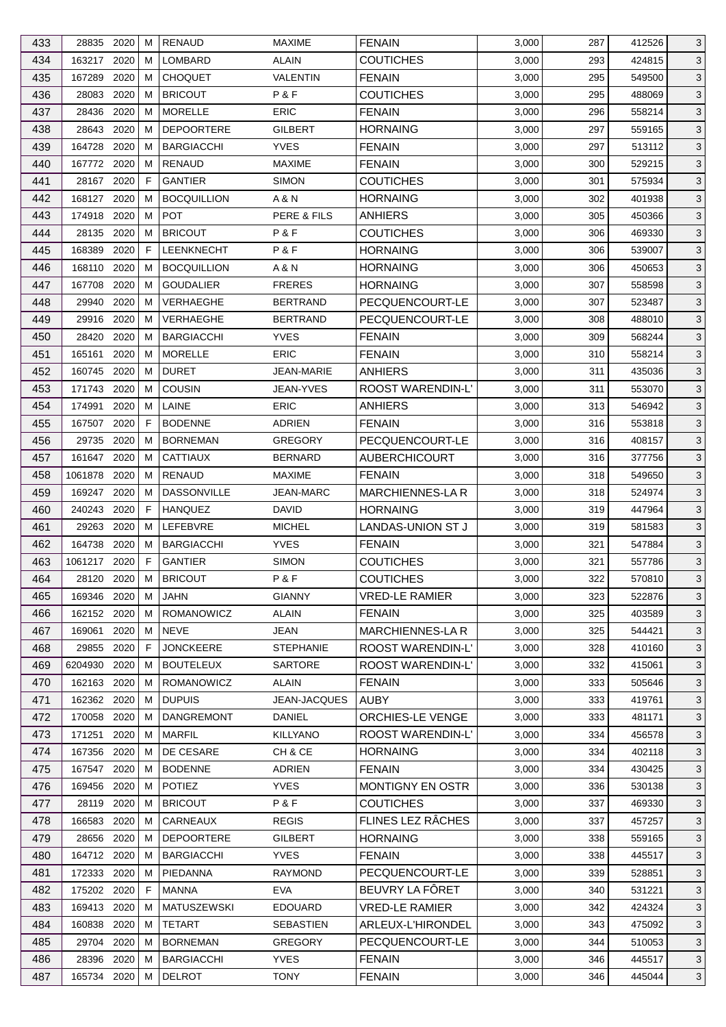| 433 | 28835 2020   |      | м | <b>RENAUD</b>      | <b>MAXIME</b>       | <b>FENAIN</b>          | 3,000 | 287 | 412526 | 3            |
|-----|--------------|------|---|--------------------|---------------------|------------------------|-------|-----|--------|--------------|
| 434 | 163217       | 2020 | м | LOMBARD            | <b>ALAIN</b>        | <b>COUTICHES</b>       | 3,000 | 293 | 424815 | $\mathbf{3}$ |
| 435 | 167289       | 2020 | м | <b>CHOQUET</b>     | <b>VALENTIN</b>     | <b>FENAIN</b>          | 3,000 | 295 | 549500 | 3            |
| 436 | 28083        | 2020 | м | <b>BRICOUT</b>     | P&F                 | <b>COUTICHES</b>       | 3,000 | 295 | 488069 | 3            |
| 437 | 28436        | 2020 | м | <b>MORELLE</b>     | <b>ERIC</b>         | <b>FENAIN</b>          | 3,000 | 296 | 558214 | 3            |
| 438 | 28643        | 2020 | м | <b>DEPOORTERE</b>  | <b>GILBERT</b>      | <b>HORNAING</b>        | 3,000 | 297 | 559165 | $\mathbf{3}$ |
| 439 | 164728       | 2020 | м | <b>BARGIACCHI</b>  | <b>YVES</b>         | <b>FENAIN</b>          | 3,000 | 297 | 513112 | 3            |
| 440 | 167772       | 2020 | м | <b>RENAUD</b>      | <b>MAXIME</b>       | <b>FENAIN</b>          | 3,000 | 300 | 529215 | 3            |
| 441 | 28167 2020   |      | F | <b>GANTIER</b>     | <b>SIMON</b>        | <b>COUTICHES</b>       | 3,000 | 301 | 575934 | 3            |
| 442 | 168127       | 2020 | м | <b>BOCQUILLION</b> | A & N               | <b>HORNAING</b>        | 3,000 | 302 | 401938 | 3            |
| 443 | 174918       | 2020 | м | <b>POT</b>         | PERE & FILS         | <b>ANHIERS</b>         | 3,000 | 305 | 450366 | 3            |
| 444 | 28135        | 2020 | м | <b>BRICOUT</b>     | P&F                 | <b>COUTICHES</b>       | 3,000 | 306 | 469330 | 3            |
| 445 | 168389       | 2020 | F | LEENKNECHT         | P&F                 | <b>HORNAING</b>        | 3,000 | 306 | 539007 | $\mathbf{3}$ |
| 446 | 168110       | 2020 | м | <b>BOCQUILLION</b> | A & N               | <b>HORNAING</b>        | 3,000 | 306 | 450653 | 3            |
| 447 | 167708       | 2020 | м | <b>GOUDALIER</b>   | <b>FRERES</b>       | <b>HORNAING</b>        | 3,000 | 307 | 558598 | $\mathbf{3}$ |
| 448 | 29940        | 2020 | м | VERHAEGHE          | <b>BERTRAND</b>     | PECQUENCOURT-LE        | 3,000 | 307 | 523487 | 3            |
| 449 | 29916        | 2020 | м | VERHAEGHE          | <b>BERTRAND</b>     | PECQUENCOURT-LE        | 3,000 | 308 | 488010 | $\mathbf{3}$ |
| 450 | 28420        | 2020 | м | <b>BARGIACCHI</b>  | <b>YVES</b>         | <b>FENAIN</b>          | 3,000 | 309 | 568244 | 3            |
|     |              |      |   |                    |                     |                        |       |     |        |              |
| 451 | 165161       | 2020 | м | <b>MORELLE</b>     | <b>ERIC</b>         | <b>FENAIN</b>          | 3,000 | 310 | 558214 | 3            |
| 452 | 160745       | 2020 | м | <b>DURET</b>       | <b>JEAN-MARIE</b>   | ANHIERS                | 3,000 | 311 | 435036 | 3            |
| 453 | 171743       | 2020 | м | <b>COUSIN</b>      | <b>JEAN-YVES</b>    | ROOST WARENDIN-L'      | 3,000 | 311 | 553070 | 3            |
| 454 | 174991       | 2020 | м | LAINE              | ERIC                | <b>ANHIERS</b>         | 3,000 | 313 | 546942 | 3            |
| 455 | 167507       | 2020 | F | <b>BODENNE</b>     | <b>ADRIEN</b>       | <b>FENAIN</b>          | 3,000 | 316 | 553818 | 3            |
| 456 | 29735        | 2020 | м | <b>BORNEMAN</b>    | <b>GREGORY</b>      | PECQUENCOURT-LE        | 3,000 | 316 | 408157 | $\mathbf{3}$ |
| 457 | 161647       | 2020 | M | <b>CATTIAUX</b>    | <b>BERNARD</b>      | <b>AUBERCHICOURT</b>   | 3,000 | 316 | 377756 | 3            |
| 458 | 1061878      | 2020 | м | RENAUD             | <b>MAXIME</b>       | <b>FENAIN</b>          | 3,000 | 318 | 549650 | $\mathbf{3}$ |
| 459 | 169247 2020  |      | м | <b>DASSONVILLE</b> | <b>JEAN-MARC</b>    | MARCHIENNES-LA R       | 3,000 | 318 | 524974 | 3            |
| 460 | 240243       | 2020 | F | <b>HANQUEZ</b>     | <b>DAVID</b>        | <b>HORNAING</b>        | 3,000 | 319 | 447964 | 3            |
| 461 | 29263        | 2020 | м | LEFEBVRE           | <b>MICHEL</b>       | LANDAS-UNION ST J      | 3,000 | 319 | 581583 | 3            |
| 462 | 164738       | 2020 | м | <b>BARGIACCHI</b>  | <b>YVES</b>         | <b>FENAIN</b>          | 3,000 | 321 | 547884 | 3            |
| 463 | 1061217      | 2020 | F | <b>GANTIER</b>     | <b>SIMON</b>        | <b>COUTICHES</b>       | 3,000 | 321 | 557786 | 3            |
| 464 | 28120 2020 M |      |   | <b>BRICOUT</b>     | P&F                 | <b>COUTICHES</b>       | 3,000 | 322 | 570810 | $\mathbf{3}$ |
| 465 | 169346 2020  |      | м | <b>JAHN</b>        | <b>GIANNY</b>       | <b>VRED-LE RAMIER</b>  | 3,000 | 323 | 522876 | 3            |
| 466 | 162152 2020  |      | м | ROMANOWICZ         | <b>ALAIN</b>        | <b>FENAIN</b>          | 3,000 | 325 | 403589 | 3            |
| 467 | 169061       | 2020 | м | <b>NEVE</b>        | JEAN                | <b>MARCHIENNES-LAR</b> | 3,000 | 325 | 544421 | 3            |
| 468 | 29855        | 2020 | F | <b>JONCKEERE</b>   | <b>STEPHANIE</b>    | ROOST WARENDIN-L'      | 3,000 | 328 | 410160 | 3            |
| 469 | 6204930      | 2020 | м | <b>BOUTELEUX</b>   | <b>SARTORE</b>      | ROOST WARENDIN-L'      | 3,000 | 332 | 415061 | 3            |
| 470 | 162163 2020  |      | м | ROMANOWICZ         | <b>ALAIN</b>        | <b>FENAIN</b>          | 3,000 | 333 | 505646 | 3            |
| 471 | 162362 2020  |      | м | <b>DUPUIS</b>      | <b>JEAN-JACQUES</b> | AUBY                   | 3,000 | 333 | 419761 | 3            |
| 472 | 170058       | 2020 | м | <b>DANGREMONT</b>  | DANIEL              | ORCHIES-LE VENGE       | 3,000 | 333 | 481171 | 3            |
| 473 | 171251       | 2020 | м | <b>MARFIL</b>      | <b>KILLYANO</b>     | ROOST WARENDIN-L'      | 3,000 | 334 | 456578 | 3            |
| 474 | 167356 2020  |      | м | DE CESARE          | CH & CE             | <b>HORNAING</b>        | 3,000 | 334 | 402118 | 3            |
| 475 | 167547       | 2020 | м | <b>BODENNE</b>     | <b>ADRIEN</b>       | <b>FENAIN</b>          | 3,000 | 334 | 430425 | 3            |
| 476 | 169456       | 2020 | м | <b>POTIEZ</b>      | <b>YVES</b>         | MONTIGNY EN OSTR       | 3,000 | 336 | 530138 | 3            |
| 477 | 28119 2020   |      | м | <b>BRICOUT</b>     | P&F                 | <b>COUTICHES</b>       | 3,000 | 337 | 469330 | 3            |
| 478 | 166583       | 2020 | м | CARNEAUX           | <b>REGIS</b>        | FLINES LEZ RÂCHES      | 3,000 | 337 | 457257 | 3            |
| 479 | 28656        | 2020 | M | <b>DEPOORTERE</b>  | <b>GILBERT</b>      | <b>HORNAING</b>        | 3,000 | 338 | 559165 | 3            |
| 480 | 164712 2020  |      | м | <b>BARGIACCHI</b>  | <b>YVES</b>         | <b>FENAIN</b>          | 3,000 | 338 | 445517 | 3            |
| 481 | 172333 2020  |      | м | PIEDANNA           | <b>RAYMOND</b>      | PECQUENCOURT-LE        | 3,000 | 339 | 528851 | 3            |
| 482 | 175202 2020  |      | F | <b>MANNA</b>       | <b>EVA</b>          | BEUVRY LA FÖRET        | 3,000 | 340 | 531221 | 3            |
| 483 | 169413       | 2020 | м | <b>MATUSZEWSKI</b> | <b>EDOUARD</b>      | <b>VRED-LE RAMIER</b>  | 3,000 | 342 | 424324 | 3            |
| 484 | 160838 2020  |      | м | <b>TETART</b>      | <b>SEBASTIEN</b>    | ARLEUX-L'HIRONDEL      | 3,000 | 343 | 475092 | 3            |
| 485 |              |      |   |                    |                     |                        |       |     |        | 3            |
|     | 29704 2020   |      | м | <b>BORNEMAN</b>    | <b>GREGORY</b>      | PECQUENCOURT-LE        | 3,000 | 344 | 510053 |              |
| 486 | 28396 2020   |      | м | <b>BARGIACCHI</b>  | <b>YVES</b>         | <b>FENAIN</b>          | 3,000 | 346 | 445517 | 3            |
| 487 | 165734 2020  |      | м | <b>DELROT</b>      | <b>TONY</b>         | <b>FENAIN</b>          | 3,000 | 346 | 445044 | 3            |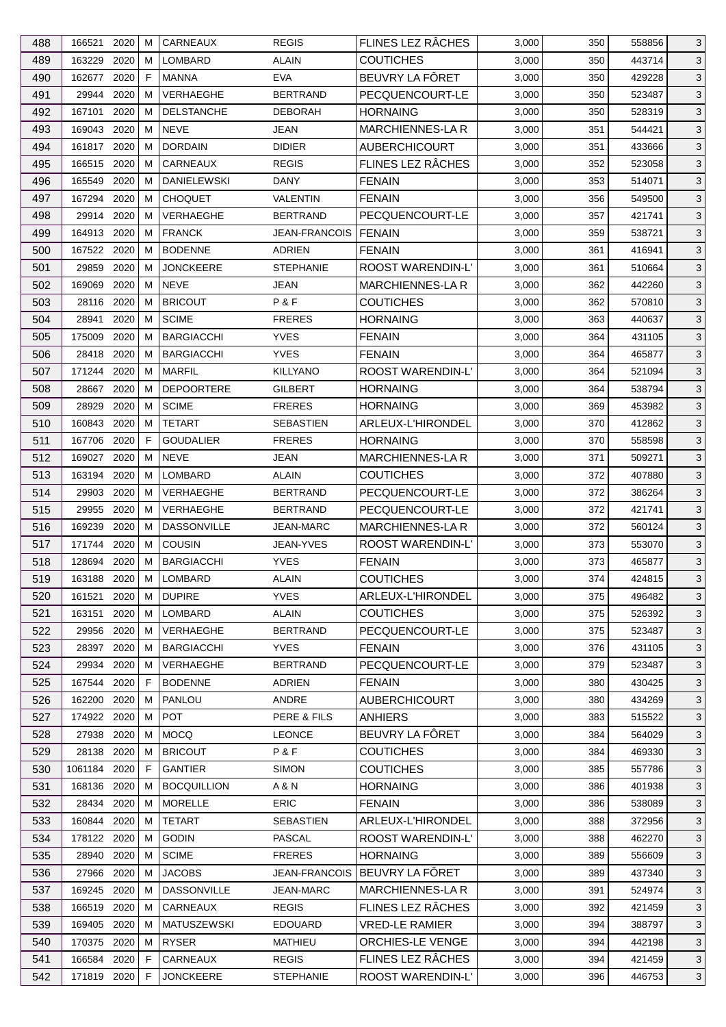| 488 | 166521       | 2020 | м           | <b>CARNEAUX</b>    | <b>REGIS</b>         | FLINES LEZ RÂCHES       | 3,000 | 350 | 558856 | 3            |
|-----|--------------|------|-------------|--------------------|----------------------|-------------------------|-------|-----|--------|--------------|
| 489 | 163229       | 2020 | м           | <b>LOMBARD</b>     | <b>ALAIN</b>         | <b>COUTICHES</b>        | 3,000 | 350 | 443714 | 3            |
| 490 | 162677       | 2020 | $\mathsf F$ | <b>MANNA</b>       | <b>EVA</b>           | BEUVRY LA FÔRET         | 3,000 | 350 | 429228 | 3            |
| 491 | 29944 2020   |      | м           | VERHAEGHE          | <b>BERTRAND</b>      | PECQUENCOURT-LE         | 3,000 | 350 | 523487 | 3            |
| 492 | 167101       | 2020 | м           | <b>DELSTANCHE</b>  | <b>DEBORAH</b>       | <b>HORNAING</b>         | 3,000 | 350 | 528319 | $\mathbf{3}$ |
| 493 | 169043       | 2020 | м           | <b>NEVE</b>        | <b>JEAN</b>          | <b>MARCHIENNES-LAR</b>  | 3,000 | 351 | 544421 | 3            |
| 494 | 161817 2020  |      | м           | <b>DORDAIN</b>     | <b>DIDIER</b>        | <b>AUBERCHICOURT</b>    | 3,000 | 351 | 433666 | 3            |
| 495 | 166515       | 2020 | м           | CARNEAUX           | <b>REGIS</b>         | FLINES LEZ RÂCHES       | 3,000 | 352 | 523058 | 3            |
|     |              |      |             |                    |                      |                         |       |     |        |              |
| 496 | 165549       | 2020 | м           | <b>DANIELEWSKI</b> | DANY                 | <b>FENAIN</b>           | 3,000 | 353 | 514071 | 3            |
| 497 | 167294       | 2020 | м           | <b>CHOQUET</b>     | <b>VALENTIN</b>      | <b>FENAIN</b>           | 3,000 | 356 | 549500 | 3            |
| 498 | 29914        | 2020 | м           | VERHAEGHE          | <b>BERTRAND</b>      | PECQUENCOURT-LE         | 3,000 | 357 | 421741 | $\mathbf{3}$ |
| 499 | 164913 2020  |      | м           | <b>FRANCK</b>      | <b>JEAN-FRANCOIS</b> | I FENAIN                | 3,000 | 359 | 538721 | 3            |
| 500 | 167522 2020  |      | м           | <b>BODENNE</b>     | <b>ADRIEN</b>        | <b>FENAIN</b>           | 3,000 | 361 | 416941 | 3            |
| 501 | 29859        | 2020 | м           | <b>JONCKEERE</b>   | <b>STEPHANIE</b>     | ROOST WARENDIN-L'       | 3,000 | 361 | 510664 | 3            |
| 502 | 169069       | 2020 | м           | <b>NEVE</b>        | JEAN                 | MARCHIENNES-LA R        | 3,000 | 362 | 442260 | 3            |
| 503 | 28116        | 2020 | M           | <b>BRICOUT</b>     | P&F                  | <b>COUTICHES</b>        | 3,000 | 362 | 570810 | $\mathbf{3}$ |
| 504 | 28941        | 2020 | м           | <b>SCIME</b>       | <b>FRERES</b>        | <b>HORNAING</b>         | 3,000 | 363 | 440637 | 3            |
| 505 | 175009       | 2020 | м           | <b>BARGIACCHI</b>  | <b>YVES</b>          | <b>FENAIN</b>           | 3,000 | 364 | 431105 | 3            |
| 506 | 28418 2020   |      | м           | <b>BARGIACCHI</b>  | <b>YVES</b>          | <b>FENAIN</b>           | 3,000 | 364 | 465877 | 3            |
| 507 | 171244       | 2020 | м           | <b>MARFIL</b>      | <b>KILLYANO</b>      | ROOST WARENDIN-L'       | 3,000 | 364 | 521094 | 3            |
| 508 | 28667        | 2020 | м           | <b>DEPOORTERE</b>  | <b>GILBERT</b>       | <b>HORNAING</b>         | 3,000 | 364 | 538794 | 3            |
| 509 | 28929        | 2020 | м           | <b>SCIME</b>       | <b>FRERES</b>        | <b>HORNAING</b>         | 3,000 | 369 | 453982 | $\mathbf{3}$ |
| 510 | 160843 2020  |      | м           | <b>TETART</b>      | <b>SEBASTIEN</b>     | ARLEUX-L'HIRONDEL       | 3,000 | 370 | 412862 | 3            |
| 511 | 167706 2020  |      | F           | <b>GOUDALIER</b>   | <b>FRERES</b>        | <b>HORNAING</b>         | 3,000 | 370 | 558598 | 3            |
| 512 | 169027       | 2020 | м           | <b>NEVE</b>        | JEAN                 | MARCHIENNES-LA R        | 3,000 | 371 | 509271 | 3            |
| 513 | 163194 2020  |      | м           | LOMBARD            | ALAIN                | <b>COUTICHES</b>        | 3,000 | 372 | 407880 | 3            |
| 514 | 29903        | 2020 | м           | VERHAEGHE          | <b>BERTRAND</b>      | PECQUENCOURT-LE         | 3,000 | 372 | 386264 | $\mathbf{3}$ |
| 515 | 29955        | 2020 | м           | <b>VERHAEGHE</b>   | <b>BERTRAND</b>      | PECQUENCOURT-LE         | 3,000 | 372 | 421741 | 3            |
| 516 | 169239       | 2020 | м           | <b>DASSONVILLE</b> | <b>JEAN-MARC</b>     | MARCHIENNES-LA R        | 3,000 | 372 | 560124 | 3            |
| 517 | 171744 2020  |      | м           | COUSIN             | <b>JEAN-YVES</b>     | ROOST WARENDIN-L'       | 3,000 | 373 | 553070 | 3            |
| 518 | 128694       | 2020 | м           | <b>BARGIACCHI</b>  | <b>YVES</b>          | <b>FENAIN</b>           | 3,000 | 373 | 465877 | 3            |
| 519 | 163188 2020  |      | M           | LOMBARD            | ALAIN                | <b>COUTICHES</b>        | 3,000 | 374 | 424815 | $\sqrt{3}$   |
| 520 | 161521       | 2020 | м           | <b>DUPIRE</b>      | <b>YVES</b>          | ARLEUX-L'HIRONDEL       | 3,000 | 375 | 496482 | 3            |
| 521 | 163151       | 2020 | м           | LOMBARD            | <b>ALAIN</b>         | <b>COUTICHES</b>        | 3,000 | 375 | 526392 | 3            |
| 522 | 29956        | 2020 | м           | VERHAEGHE          | <b>BERTRAND</b>      | PECQUENCOURT-LE         | 3,000 | 375 | 523487 | 3            |
| 523 | 28397        | 2020 | м           | <b>BARGIACCHI</b>  | <b>YVES</b>          | <b>FENAIN</b>           | 3,000 | 376 | 431105 | 3            |
| 524 | 29934 2020   |      | м           | <b>VERHAEGHE</b>   | <b>BERTRAND</b>      | PECQUENCOURT-LE         | 3,000 | 379 | 523487 | 3            |
| 525 | 167544 2020  |      | F           | <b>BODENNE</b>     | <b>ADRIEN</b>        | <b>FENAIN</b>           | 3,000 | 380 | 430425 | $\mathbf{3}$ |
| 526 | 162200       | 2020 | м           | PANLOU             | ANDRE                | <b>AUBERCHICOURT</b>    | 3,000 | 380 | 434269 | 3            |
| 527 | 174922       | 2020 | м           | <b>POT</b>         | PERE & FILS          | <b>ANHIERS</b>          | 3,000 | 383 | 515522 | 3            |
| 528 | 27938        | 2020 | м           | <b>MOCQ</b>        | <b>LEONCE</b>        | BEUVRY LA FÔRET         | 3,000 | 384 | 564029 | 3            |
| 529 | 28138        | 2020 | M           | <b>BRICOUT</b>     | P&F                  | <b>COUTICHES</b>        | 3,000 | 384 | 469330 | $\mathbf{3}$ |
| 530 | 1061184 2020 |      | F           | <b>GANTIER</b>     | <b>SIMON</b>         | <b>COUTICHES</b>        | 3,000 | 385 | 557786 | 3            |
| 531 | 168136       | 2020 | м           | <b>BOCQUILLION</b> | A & N                | <b>HORNAING</b>         | 3,000 | 386 | 401938 | 3            |
| 532 | 28434 2020   |      | м           | MORELLE            | <b>ERIC</b>          | <b>FENAIN</b>           | 3,000 | 386 | 538089 | 3            |
|     | 160844       | 2020 | м           | <b>TETART</b>      | <b>SEBASTIEN</b>     | ARLEUX-L'HIRONDEL       | 3,000 | 388 | 372956 | 3            |
| 533 |              |      |             | <b>GODIN</b>       | <b>PASCAL</b>        |                         |       |     |        |              |
| 534 | 178122       | 2020 | м           |                    |                      | ROOST WARENDIN-L'       | 3,000 | 388 | 462270 | 3            |
| 535 | 28940 2020   |      | м           | <b>SCIME</b>       | <b>FRERES</b>        | <b>HORNAING</b>         | 3,000 | 389 | 556609 | 3            |
| 536 | 27966 2020   |      | м           | <b>JACOBS</b>      | <b>JEAN-FRANCOIS</b> | BEUVRY LA FÔRET         | 3,000 | 389 | 437340 | 3            |
| 537 | 169245       | 2020 | M           | <b>DASSONVILLE</b> | <b>JEAN-MARC</b>     | <b>MARCHIENNES-LA R</b> | 3,000 | 391 | 524974 | 3            |
| 538 | 166519 2020  |      | м           | CARNEAUX           | <b>REGIS</b>         | FLINES LEZ RÂCHES       | 3,000 | 392 | 421459 | 3            |
| 539 | 169405       | 2020 | м           | <b>MATUSZEWSKI</b> | <b>EDOUARD</b>       | <b>VRED-LE RAMIER</b>   | 3,000 | 394 | 388797 | 3            |
| 540 | 170375 2020  |      | м           | <b>RYSER</b>       | <b>MATHIEU</b>       | ORCHIES-LE VENGE        | 3,000 | 394 | 442198 | 3            |
| 541 | 166584 2020  |      | F           | CARNEAUX           | <b>REGIS</b>         | FLINES LEZ RÂCHES       | 3,000 | 394 | 421459 | 3            |
| 542 | 171819 2020  |      | F           | <b>JONCKEERE</b>   | <b>STEPHANIE</b>     | ROOST WARENDIN-L'       | 3,000 | 396 | 446753 | 3            |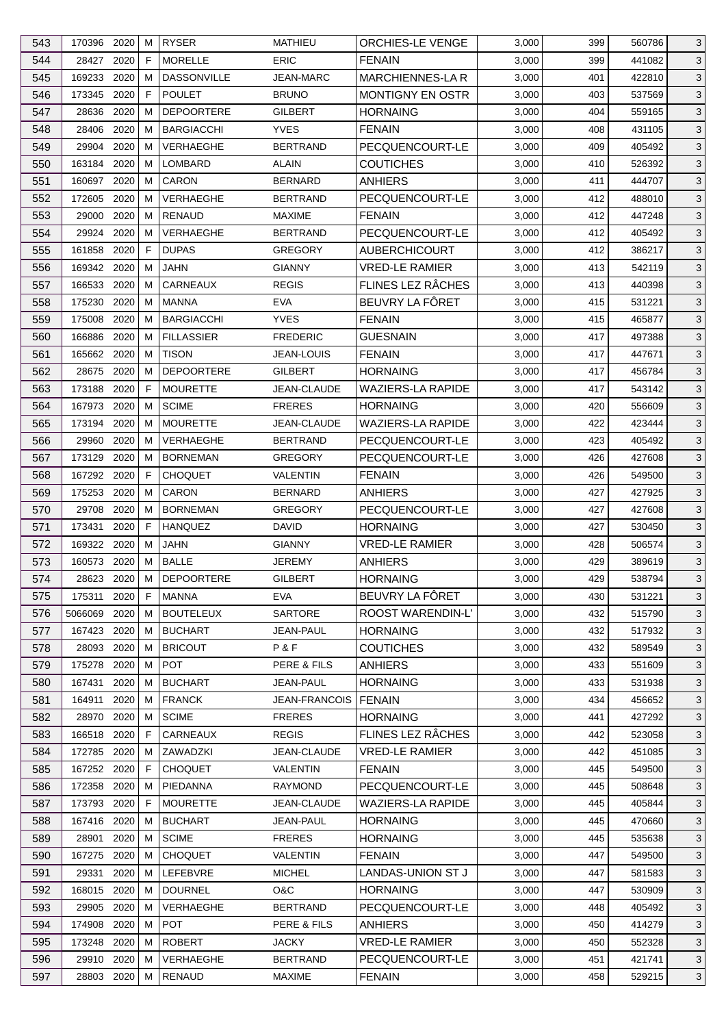| 543 | 170396 2020 |      | м  | <b>RYSER</b>              | MATHIEU                      | <b>ORCHIES-LE VENGE</b>            | 3,000 | 399 | 560786 | 3            |
|-----|-------------|------|----|---------------------------|------------------------------|------------------------------------|-------|-----|--------|--------------|
| 544 | 28427       | 2020 | F  | <b>MORELLE</b>            | <b>ERIC</b>                  | <b>FENAIN</b>                      | 3,000 | 399 | 441082 | 3            |
| 545 | 169233      | 2020 | м  | <b>DASSONVILLE</b>        | <b>JEAN-MARC</b>             | <b>MARCHIENNES-LAR</b>             | 3,000 | 401 | 422810 | 3            |
| 546 | 173345 2020 |      | F  | <b>POULET</b>             | <b>BRUNO</b>                 | <b>MONTIGNY EN OSTR</b>            | 3,000 | 403 | 537569 | 3            |
| 547 | 28636       | 2020 | м  | <b>DEPOORTERE</b>         | GILBERT                      | <b>HORNAING</b>                    | 3,000 | 404 | 559165 | 3            |
| 548 | 28406       | 2020 | м  | <b>BARGIACCHI</b>         | <b>YVES</b>                  | <b>FENAIN</b>                      | 3,000 | 408 | 431105 | 3            |
| 549 | 29904       | 2020 | м  | <b>VERHAEGHE</b>          | <b>BERTRAND</b>              | PECQUENCOURT-LE                    | 3,000 | 409 | 405492 | 3            |
| 550 | 163184 2020 |      | м  | <b>LOMBARD</b>            | ALAIN                        | <b>COUTICHES</b>                   | 3,000 | 410 | 526392 | 3            |
| 551 | 160697      | 2020 | м  | CARON                     | <b>BERNARD</b>               | ANHIERS                            | 3,000 | 411 | 444707 | 3            |
| 552 | 172605      | 2020 | м  | <b>VERHAEGHE</b>          | <b>BERTRAND</b>              | PECQUENCOURT-LE                    | 3,000 | 412 | 488010 | 3            |
| 553 | 29000       | 2020 | М  | <b>RENAUD</b>             | <b>MAXIME</b>                | <b>FENAIN</b>                      | 3,000 | 412 | 447248 | 3            |
| 554 | 29924 2020  |      | м  | <b>VERHAEGHE</b>          | <b>BERTRAND</b>              | PECQUENCOURT-LE                    | 3,000 | 412 | 405492 | 3            |
| 555 | 161858      | 2020 | F  | <b>DUPAS</b>              | <b>GREGORY</b>               | <b>AUBERCHICOURT</b>               | 3,000 | 412 | 386217 | 3            |
| 556 | 169342      | 2020 | м  | JAHN                      | <b>GIANNY</b>                | <b>VRED-LE RAMIER</b>              | 3,000 | 413 | 542119 | 3            |
| 557 | 166533      | 2020 | м  | <b>CARNEAUX</b>           | <b>REGIS</b>                 | FLINES LEZ RÂCHES                  | 3,000 | 413 | 440398 | 3            |
| 558 | 175230      | 2020 | м  | <b>MANNA</b>              | <b>EVA</b>                   | BEUVRY LA FÔRET                    | 3,000 | 415 | 531221 | $\mathbf{3}$ |
| 559 | 175008      | 2020 | м  | <b>BARGIACCHI</b>         | <b>YVES</b>                  | <b>FENAIN</b>                      | 3,000 | 415 | 465877 | 3            |
| 560 | 166886      | 2020 | м  | <b>FILLASSIER</b>         | <b>FREDERIC</b>              | <b>GUESNAIN</b>                    | 3,000 | 417 | 497388 | 3            |
| 561 | 165662 2020 |      | м  | <b>TISON</b>              | <b>JEAN-LOUIS</b>            | <b>FENAIN</b>                      | 3,000 | 417 | 447671 | 3            |
| 562 | 28675       | 2020 | M  | <b>DEPOORTERE</b>         | GILBERT                      | <b>HORNAING</b>                    | 3,000 | 417 | 456784 | 3            |
| 563 | 173188      | 2020 | F  | <b>MOURETTE</b>           | JEAN-CLAUDE                  | <b>WAZIERS-LA RAPIDE</b>           | 3,000 | 417 | 543142 | 3            |
| 564 | 167973      | 2020 | м  | <b>SCIME</b>              | <b>FRERES</b>                | <b>HORNAING</b>                    | 3,000 | 420 | 556609 | $\mathbf{3}$ |
| 565 | 173194 2020 |      | м  | <b>MOURETTE</b>           | JEAN-CLAUDE                  | WAZIERS-LA RAPIDE                  | 3,000 | 422 | 423444 | 3            |
| 566 | 29960       | 2020 | м  | <b>VERHAEGHE</b>          | <b>BERTRAND</b>              | PECQUENCOURT-LE                    | 3,000 | 423 | 405492 | 3            |
| 567 | 173129      | 2020 | м  | <b>BORNEMAN</b>           | <b>GREGORY</b>               | PECQUENCOURT-LE                    | 3,000 | 426 | 427608 | 3            |
| 568 | 167292 2020 |      | F  | <b>CHOQUET</b>            | VALENTIN                     | <b>FENAIN</b>                      | 3,000 | 426 | 549500 | 3            |
| 569 | 175253      | 2020 | м  | CARON                     | <b>BERNARD</b>               | <b>ANHIERS</b>                     | 3,000 | 427 | 427925 | $\mathbf{3}$ |
| 570 | 29708       | 2020 | м  | <b>BORNEMAN</b>           | <b>GREGORY</b>               | PECQUENCOURT-LE                    | 3,000 | 427 | 427608 | 3            |
| 571 | 173431      | 2020 | F. | <b>HANQUEZ</b>            | DAVID                        | <b>HORNAING</b>                    | 3,000 | 427 | 530450 | 3            |
| 572 | 169322 2020 |      | м  | <b>JAHN</b>               | <b>GIANNY</b>                | <b>VRED-LE RAMIER</b>              | 3,000 | 428 | 506574 | 3            |
| 573 | 160573 2020 |      | M  | <b>BALLE</b>              | <b>JEREMY</b>                | <b>ANHIERS</b>                     | 3,000 | 429 | 389619 | 3            |
|     |             |      | M  |                           |                              |                                    |       |     |        |              |
| 574 | 28623 2020  |      |    | <b>DEPOORTERE</b>         | <b>GILBERT</b><br><b>EVA</b> | <b>HORNAING</b><br>BEUVRY LA FÔRET | 3,000 | 429 | 538794 | $\sqrt{3}$   |
| 575 | 175311 2020 |      | F  | MANNA<br><b>BOUTELEUX</b> | <b>SARTORE</b>               | <b>ROOST WARENDIN-L'</b>           | 3,000 | 430 | 531221 | 3            |
| 576 | 5066069     | 2020 | м  |                           |                              |                                    | 3,000 | 432 | 515790 | 3            |
| 577 | 167423      | 2020 | м  | <b>BUCHART</b>            | <b>JEAN-PAUL</b>             | <b>HORNAING</b>                    | 3,000 | 432 | 517932 | 3            |
| 578 | 28093       | 2020 | м  | <b>BRICOUT</b>            | P&F                          | <b>COUTICHES</b>                   | 3,000 | 432 | 589549 | 3            |
| 579 | 175278 2020 |      | м  | <b>POT</b>                | PERE & FILS                  | <b>ANHIERS</b>                     | 3,000 | 433 | 551609 | 3            |
| 580 | 167431      | 2020 | м  | <b>BUCHART</b>            | JEAN-PAUL                    | <b>HORNAING</b>                    | 3,000 | 433 | 531938 | 3            |
| 581 | 164911      | 2020 | м  | <b>FRANCK</b>             | JEAN-FRANCOIS                | <b>FENAIN</b>                      | 3,000 | 434 | 456652 | 3            |
| 582 | 28970       | 2020 | м  | <b>SCIME</b>              | <b>FRERES</b>                | <b>HORNAING</b>                    | 3,000 | 441 | 427292 | 3            |
| 583 | 166518 2020 |      | F  | <b>CARNEAUX</b>           | <b>REGIS</b>                 | FLINES LEZ RÂCHES                  | 3,000 | 442 | 523058 | 3            |
| 584 | 172785 2020 |      | M  | ZAWADZKI                  | JEAN-CLAUDE                  | <b>VRED-LE RAMIER</b>              | 3,000 | 442 | 451085 | $\mathbf{3}$ |
| 585 | 167252 2020 |      | F  | <b>CHOQUET</b>            | <b>VALENTIN</b>              | <b>FENAIN</b>                      | 3,000 | 445 | 549500 | 3            |
| 586 | 172358      | 2020 | м  | PIEDANNA                  | <b>RAYMOND</b>               | PECQUENCOURT-LE                    | 3,000 | 445 | 508648 | 3            |
| 587 | 173793 2020 |      | F  | <b>MOURETTE</b>           | JEAN-CLAUDE                  | <b>WAZIERS-LA RAPIDE</b>           | 3,000 | 445 | 405844 | 3            |
| 588 | 167416      | 2020 | м  | <b>BUCHART</b>            | JEAN-PAUL                    | <b>HORNAING</b>                    | 3,000 | 445 | 470660 | 3            |
| 589 | 28901       | 2020 | м  | <b>SCIME</b>              | <b>FRERES</b>                | <b>HORNAING</b>                    | 3,000 | 445 | 535638 | 3            |
| 590 | 167275      | 2020 | м  | <b>CHOQUET</b>            | VALENTIN                     | <b>FENAIN</b>                      | 3,000 | 447 | 549500 | 3            |
| 591 | 29331       | 2020 | м  | LEFEBVRE                  | <b>MICHEL</b>                | LANDAS-UNION ST J                  | 3,000 | 447 | 581583 | 3            |
| 592 | 168015      | 2020 | м  | <b>DOURNEL</b>            | O&C                          | <b>HORNAING</b>                    | 3,000 | 447 | 530909 | 3            |
| 593 | 29905 2020  |      | м  | <b>VERHAEGHE</b>          | <b>BERTRAND</b>              | PECQUENCOURT-LE                    | 3,000 | 448 | 405492 | 3            |
| 594 | 174908      | 2020 | м  | <b>POT</b>                | PERE & FILS                  | <b>ANHIERS</b>                     | 3,000 | 450 | 414279 | 3            |
| 595 | 173248 2020 |      | м  | <b>ROBERT</b>             | <b>JACKY</b>                 | <b>VRED-LE RAMIER</b>              | 3,000 | 450 | 552328 | 3            |
| 596 | 29910 2020  |      | м  | VERHAEGHE                 | <b>BERTRAND</b>              | PECQUENCOURT-LE                    | 3,000 | 451 | 421741 | 3            |
| 597 | 28803 2020  |      | М  | RENAUD                    | <b>MAXIME</b>                | <b>FENAIN</b>                      | 3,000 | 458 | 529215 | 3            |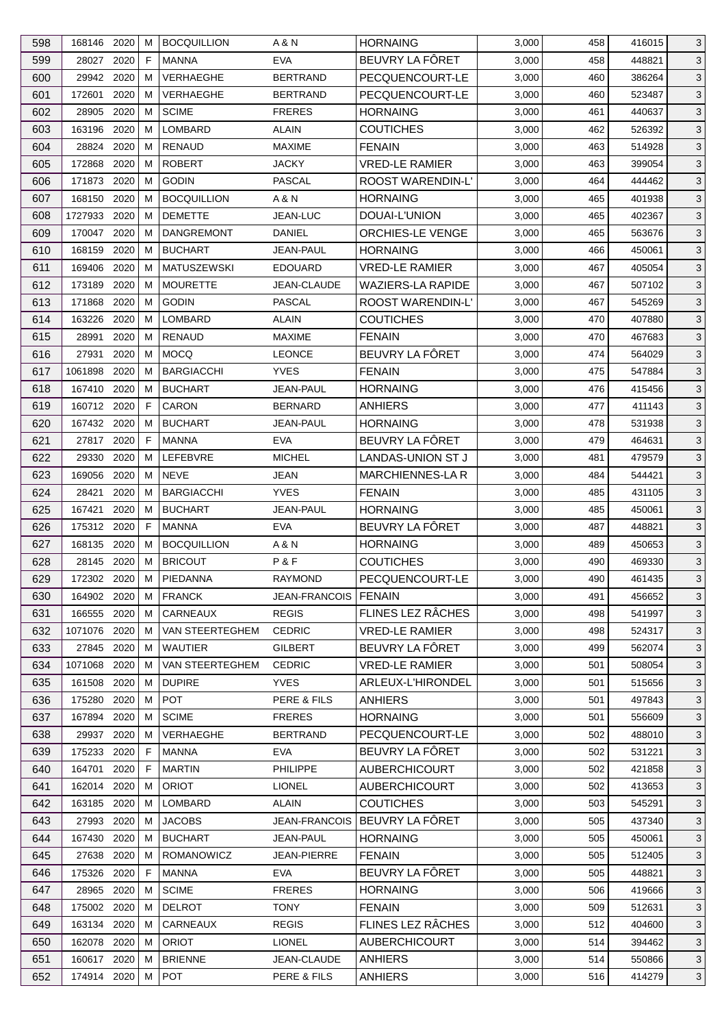| 598 | 168146 2020  |      | м  | <b>BOCQUILLION</b> | A & N                  | <b>HORNAING</b>          | 3,000 | 458 | 416015 | 3            |
|-----|--------------|------|----|--------------------|------------------------|--------------------------|-------|-----|--------|--------------|
| 599 | 28027        | 2020 | F  | <b>MANNA</b>       | <b>EVA</b>             | BEUVRY LA FÔRET          | 3,000 | 458 | 448821 | 3            |
| 600 | 29942        | 2020 | м  | VERHAEGHE          | <b>BERTRAND</b>        | PECQUENCOURT-LE          | 3,000 | 460 | 386264 | 3            |
| 601 | 172601       | 2020 | м  | VERHAEGHE          | <b>BERTRAND</b>        | PECQUENCOURT-LE          | 3,000 | 460 | 523487 | 3            |
| 602 | 28905        | 2020 | м  | <b>SCIME</b>       | <b>FRERES</b>          | <b>HORNAING</b>          | 3,000 | 461 | 440637 | $\mathbf{3}$ |
| 603 | 163196       | 2020 | м  | <b>LOMBARD</b>     | <b>ALAIN</b>           | <b>COUTICHES</b>         | 3,000 | 462 | 526392 | 3            |
| 604 | 28824        | 2020 | м  | <b>RENAUD</b>      | <b>MAXIME</b>          | <b>FENAIN</b>            | 3,000 | 463 | 514928 | 3            |
| 605 | 172868       | 2020 | м  | <b>ROBERT</b>      | <b>JACKY</b>           | <b>VRED-LE RAMIER</b>    | 3,000 | 463 | 399054 | 3            |
| 606 | 171873       | 2020 | м  | <b>GODIN</b>       | PASCAL                 | <b>ROOST WARENDIN-L'</b> | 3,000 | 464 | 444462 | 3            |
| 607 | 168150       | 2020 | м  | <b>BOCQUILLION</b> | A & N                  | <b>HORNAING</b>          | 3,000 | 465 | 401938 | 3            |
| 608 | 1727933      | 2020 | м  | <b>DEMETTE</b>     | <b>JEAN-LUC</b>        | DOUAI-L'UNION            | 3,000 | 465 | 402367 | $\mathbf{3}$ |
| 609 | 170047 2020  |      | м  | <b>DANGREMONT</b>  | DANIEL                 | <b>ORCHIES-LE VENGE</b>  | 3,000 | 465 | 563676 | 3            |
| 610 | 168159       | 2020 | м  | <b>BUCHART</b>     | <b>JEAN-PAUL</b>       | <b>HORNAING</b>          | 3,000 | 466 | 450061 | 3            |
| 611 | 169406       | 2020 | м  | <b>MATUSZEWSKI</b> | <b>EDOUARD</b>         | <b>VRED-LE RAMIER</b>    | 3,000 | 467 | 405054 | 3            |
| 612 | 173189       | 2020 | м  | <b>MOURETTE</b>    | JEAN-CLAUDE            | <b>WAZIERS-LA RAPIDE</b> | 3,000 | 467 | 507102 | 3            |
| 613 | 171868       | 2020 | м  | <b>GODIN</b>       | <b>PASCAL</b>          | ROOST WARENDIN-L'        | 3,000 | 467 | 545269 | $\mathbf{3}$ |
| 614 | 163226       | 2020 | м  | <b>LOMBARD</b>     | <b>ALAIN</b>           | <b>COUTICHES</b>         | 3,000 | 470 | 407880 | 3            |
| 615 | 28991        | 2020 | м  | <b>RENAUD</b>      | <b>MAXIME</b>          | <b>FENAIN</b>            | 3,000 | 470 | 467683 | 3            |
|     |              |      |    |                    |                        |                          |       |     |        |              |
| 616 | 27931        | 2020 | м  | <b>MOCQ</b>        | <b>LEONCE</b>          | BEUVRY LA FÔRET          | 3,000 | 474 | 564029 | 3            |
| 617 | 1061898      | 2020 | M  | <b>BARGIACCHI</b>  | <b>YVES</b>            | <b>FENAIN</b>            | 3,000 | 475 | 547884 | $\mathbf{3}$ |
| 618 | 167410 2020  |      | м  | <b>BUCHART</b>     | JEAN-PAUL              | <b>HORNAING</b>          | 3,000 | 476 | 415456 | 3            |
| 619 | 160712       | 2020 | F  | <b>CARON</b>       | <b>BERNARD</b>         | <b>ANHIERS</b>           | 3,000 | 477 | 411143 | $\mathbf{3}$ |
| 620 | 167432 2020  |      | м  | <b>BUCHART</b>     | JEAN-PAUL              | <b>HORNAING</b>          | 3,000 | 478 | 531938 | 3            |
| 621 | 27817        | 2020 | F  | <b>MANNA</b>       | <b>EVA</b>             | BEUVRY LA FÔRET          | 3,000 | 479 | 464631 | 3            |
| 622 | 29330        | 2020 | м  | LEFEBVRE           | <b>MICHEL</b>          | LANDAS-UNION ST J        | 3,000 | 481 | 479579 | 3            |
| 623 | 169056       | 2020 | м  | <b>NEVE</b>        | JEAN                   | MARCHIENNES-LA R         | 3,000 | 484 | 544421 | 3            |
| 624 | 28421        | 2020 | M  | <b>BARGIACCHI</b>  | <b>YVES</b>            | <b>FENAIN</b>            | 3,000 | 485 | 431105 | $\mathbf{3}$ |
| 625 | 167421       | 2020 | м  | <b>BUCHART</b>     | <b>JEAN-PAUL</b>       | <b>HORNAING</b>          | 3,000 | 485 | 450061 | 3            |
| 626 | 175312 2020  |      | F. | MANNA              | <b>EVA</b>             | BEUVRY LA FÔRET          | 3,000 | 487 | 448821 | 3            |
| 627 | 168135       | 2020 | м  | <b>BOCQUILLION</b> | A & N                  | <b>HORNAING</b>          | 3,000 | 489 | 450653 | 3            |
| 628 | 28145 2020   |      | м  | <b>BRICOUT</b>     | P&F                    | <b>COUTICHES</b>         | 3,000 | 490 | 469330 | 3            |
| 629 | 172302 2020  |      | M  | PIEDANNA           | <b>RAYMOND</b>         | PECQUENCOURT-LE          | 3,000 | 490 | 461435 | $\sqrt{3}$   |
| 630 | 164902 2020  |      | М  | <b>FRANCK</b>      | JEAN-FRANCOIS   FENAIN |                          | 3,000 | 491 | 456652 | 3            |
| 631 | 166555 2020  |      | м  | CARNEAUX           | <b>REGIS</b>           | FLINES LEZ RÂCHES        | 3,000 | 498 | 541997 | 3            |
| 632 | 1071076 2020 |      | м  | VAN STEERTEGHEM    | <b>CEDRIC</b>          | <b>VRED-LE RAMIER</b>    | 3,000 | 498 | 524317 | 3            |
| 633 | 27845        | 2020 | м  | <b>WAUTIER</b>     | <b>GILBERT</b>         | BEUVRY LA FÔRET          | 3,000 | 499 | 562074 | 3            |
| 634 | 1071068 2020 |      | м  | VAN STEERTEGHEM    | <b>CEDRIC</b>          | <b>VRED-LE RAMIER</b>    | 3,000 | 501 | 508054 | 3            |
| 635 | 161508 2020  |      | м  | <b>DUPIRE</b>      | <b>YVES</b>            | ARLEUX-L'HIRONDEL        | 3,000 | 501 | 515656 | $\mathbf{3}$ |
| 636 | 175280       | 2020 | м  | <b>POT</b>         | PERE & FILS            | <b>ANHIERS</b>           | 3,000 | 501 | 497843 | 3            |
| 637 | 167894       | 2020 | м  | <b>SCIME</b>       | <b>FRERES</b>          | <b>HORNAING</b>          | 3,000 | 501 | 556609 | 3            |
| 638 | 29937        | 2020 | м  | VERHAEGHE          | <b>BERTRAND</b>        | PECQUENCOURT-LE          | 3,000 | 502 | 488010 | 3            |
| 639 | 175233       | 2020 | F  | <b>MANNA</b>       | <b>EVA</b>             | BEUVRY LA FÔRET          | 3,000 | 502 | 531221 | $\mathbf{3}$ |
| 640 | 164701       | 2020 | F  | <b>MARTIN</b>      | <b>PHILIPPE</b>        | <b>AUBERCHICOURT</b>     | 3,000 | 502 | 421858 | 3            |
| 641 | 162014       | 2020 | м  | <b>ORIOT</b>       | <b>LIONEL</b>          | <b>AUBERCHICOURT</b>     | 3,000 | 502 | 413653 | 3            |
| 642 | 163185 2020  |      | м  | LOMBARD            | <b>ALAIN</b>           | <b>COUTICHES</b>         | 3,000 | 503 | 545291 | 3            |
|     |              |      |    |                    |                        |                          |       |     |        |              |
| 643 | 27993        | 2020 | м  | <b>JACOBS</b>      | <b>JEAN-FRANCOIS</b>   | l BEUVRY LA FÖRET.       | 3,000 | 505 | 437340 | 3            |
| 644 | 167430       | 2020 | м  | <b>BUCHART</b>     | JEAN-PAUL              | <b>HORNAING</b>          | 3,000 | 505 | 450061 | 3            |
| 645 | 27638 2020   |      | м  | ROMANOWICZ         | JEAN-PIERRE            | <b>FENAIN</b>            | 3,000 | 505 | 512405 | 3            |
| 646 | 175326       | 2020 | F  | <b>MANNA</b>       | <b>EVA</b>             | BEUVRY LA FÔRET          | 3,000 | 505 | 448821 | $\mathbf{3}$ |
| 647 | 28965        | 2020 | M  | <b>SCIME</b>       | <b>FRERES</b>          | <b>HORNAING</b>          | 3,000 | 506 | 419666 | 3            |
| 648 | 175002 2020  |      | M  | <b>DELROT</b>      | <b>TONY</b>            | <b>FENAIN</b>            | 3,000 | 509 | 512631 | 3            |
| 649 | 163134 2020  |      | м  | CARNEAUX           | <b>REGIS</b>           | FLINES LEZ RÂCHES        | 3,000 | 512 | 404600 | 3            |
| 650 | 162078 2020  |      | м  | <b>ORIOT</b>       | <b>LIONEL</b>          | <b>AUBERCHICOURT</b>     | 3,000 | 514 | 394462 | $\mathbf{3}$ |
| 651 | 160617 2020  |      | м  | <b>BRIENNE</b>     | JEAN-CLAUDE            | <b>ANHIERS</b>           | 3,000 | 514 | 550866 | 3            |
| 652 | 174914 2020  |      | м  | <b>POT</b>         | PERE & FILS            | <b>ANHIERS</b>           | 3,000 | 516 | 414279 | 3            |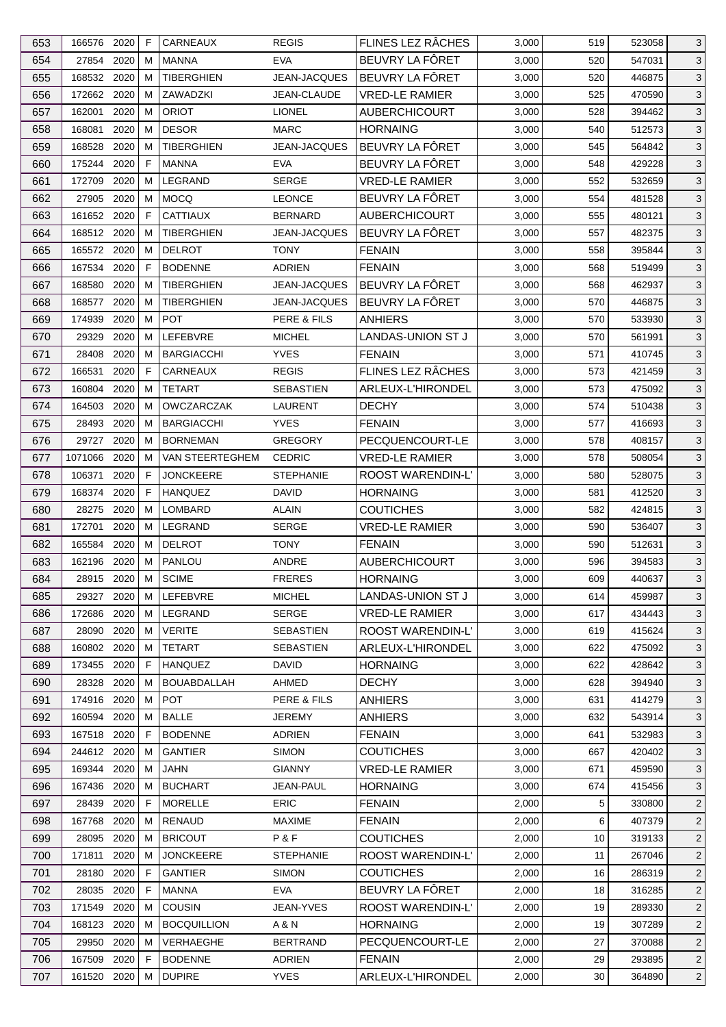| 653 | 166576 2020     |              | F      | CARNEAUX           | <b>REGIS</b>          | FLINES LEZ RÂCHES                         | 3,000 | 519 | 523058 | 3              |
|-----|-----------------|--------------|--------|--------------------|-----------------------|-------------------------------------------|-------|-----|--------|----------------|
| 654 | 27854           | 2020         | м      | <b>MANNA</b>       | <b>EVA</b>            | BEUVRY LA FÔRET                           | 3,000 | 520 | 547031 | 3              |
| 655 | 168532 2020     |              | м      | <b>TIBERGHIEN</b>  | JEAN-JACQUES          | BEUVRY LA FÔRET                           | 3,000 | 520 | 446875 | 3              |
| 656 | 172662 2020     |              | м      | ZAWADZKI           | JEAN-CLAUDE           | <b>VRED-LE RAMIER</b>                     | 3,000 | 525 | 470590 | 3              |
| 657 | 162001          | 2020         | м      | <b>ORIOT</b>       | <b>LIONEL</b>         | <b>AUBERCHICOURT</b>                      | 3,000 | 528 | 394462 | $\mathbf{3}$   |
| 658 | 168081          | 2020         | м      | <b>DESOR</b>       | <b>MARC</b>           | <b>HORNAING</b>                           | 3,000 | 540 | 512573 | 3              |
| 659 | 168528          | 2020         | м      | <b>TIBERGHIEN</b>  | JEAN-JACQUES          | BEUVRY LA FÔRET                           | 3,000 | 545 | 564842 | 3              |
| 660 | 175244 2020     |              | F      | <b>MANNA</b>       | <b>EVA</b>            | BEUVRY LA FÔRET                           | 3,000 | 548 | 429228 | $\mathbf{3}$   |
| 661 | 172709          | 2020         | M      | LEGRAND            | <b>SERGE</b>          | <b>VRED-LE RAMIER</b>                     | 3,000 | 552 | 532659 | $\mathbf{3}$   |
| 662 | 27905           | 2020         | м      | MOCQ               | <b>LEONCE</b>         | BEUVRY LA FÔRET                           | 3,000 | 554 | 481528 | 3              |
| 663 | 161652          | 2020         | F.     | <b>CATTIAUX</b>    | <b>BERNARD</b>        | <b>AUBERCHICOURT</b>                      | 3,000 | 555 | 480121 | $\mathbf{3}$   |
| 664 | 168512 2020     |              | м      | <b>TIBERGHIEN</b>  | <b>JEAN-JACQUES</b>   | BEUVRY LA FÔRET                           | 3,000 | 557 | 482375 | 3              |
| 665 | 165572 2020     |              | м      | <b>DELROT</b>      | <b>TONY</b>           | <b>FENAIN</b>                             | 3,000 | 558 | 395844 | 3              |
| 666 | 167534          | 2020         | F      | <b>BODENNE</b>     | ADRIEN                | <b>FENAIN</b>                             | 3,000 | 568 | 519499 | 3              |
| 667 | 168580          | 2020         | м      | <b>TIBERGHIEN</b>  | <b>JEAN-JACQUES</b>   | BEUVRY LA FÔRET                           | 3,000 | 568 | 462937 | 3              |
| 668 | 168577          | 2020         | м      | <b>TIBERGHIEN</b>  | <b>JEAN-JACQUES</b>   | BEUVRY LA FÔRET                           | 3,000 | 570 | 446875 | $\mathbf{3}$   |
| 669 | 174939          | 2020         | M      | <b>POT</b>         | PERE & FILS           | <b>ANHIERS</b>                            | 3,000 | 570 | 533930 | 3              |
| 670 | 29329           | 2020         | м      | LEFEBVRE           | <b>MICHEL</b>         | LANDAS-UNION ST J                         | 3,000 | 570 | 561991 | 3              |
| 671 | 28408           | 2020         | м      | <b>BARGIACCHI</b>  | <b>YVES</b>           | <b>FENAIN</b>                             | 3,000 | 571 | 410745 | 3              |
| 672 | 166531          | 2020         | F      | CARNEAUX           | <b>REGIS</b>          | FLINES LEZ RÂCHES                         | 3,000 | 573 | 421459 | $\mathbf{3}$   |
| 673 | 160804          | 2020         | м      | <b>TETART</b>      | <b>SEBASTIEN</b>      | ARLEUX-L'HIRONDEL                         | 3,000 | 573 | 475092 | 3              |
| 674 | 164503          | 2020         | м      | <b>OWCZARCZAK</b>  | <b>LAURENT</b>        | <b>DECHY</b>                              | 3,000 | 574 | 510438 | $\mathbf{3}$   |
| 675 | 28493 2020      |              | м      | <b>BARGIACCHI</b>  | <b>YVES</b>           | <b>FENAIN</b>                             | 3,000 | 577 | 416693 | $\mathbf{3}$   |
| 676 | 29727           | 2020         | м      | <b>BORNEMAN</b>    | <b>GREGORY</b>        | PECQUENCOURT-LE                           | 3,000 | 578 | 408157 | 3              |
| 677 | 1071066         | 2020         | м      | VAN STEERTEGHEM    | <b>CEDRIC</b>         | <b>VRED-LE RAMIER</b>                     | 3,000 | 578 | 508054 | 3              |
|     |                 | 2020         | F      | <b>JONCKEERE</b>   | <b>STEPHANIE</b>      |                                           |       |     |        |                |
| 678 | 106371          |              |        |                    |                       | ROOST WARENDIN-L'                         | 3,000 | 580 | 528075 | 3              |
| 679 | 168374          | 2020         | F      | <b>HANQUEZ</b>     | DAVID                 | <b>HORNAING</b>                           | 3,000 | 581 | 412520 | $\mathbf{3}$   |
| 680 | 28275<br>172701 | 2020<br>2020 | м      | LOMBARD<br>LEGRAND | ALAIN<br><b>SERGE</b> | <b>COUTICHES</b><br><b>VRED-LE RAMIER</b> | 3,000 | 582 | 424815 | 3<br>3         |
| 681 | 165584          | 2020         | м<br>м | <b>DELROT</b>      | <b>TONY</b>           |                                           | 3,000 | 590 | 536407 |                |
| 682 |                 |              | M      |                    |                       | <b>FENAIN</b>                             | 3,000 | 590 | 512631 | 3              |
| 683 | 162196 2020     |              |        | PANLOU             | ANDRE                 | <b>AUBERCHICOURT</b>                      | 3,000 | 596 | 394583 | 3              |
| 684 | 28915 2020 M    |              |        | <b>SCIME</b>       | <b>FRERES</b>         | <b>HORNAING</b>                           | 3,000 | 609 | 440637 | $\sqrt{3}$     |
| 685 | 29327 2020      |              | М      | LEFEBVRE           | <b>MICHEL</b>         | LANDAS-UNION ST J                         | 3,000 | 614 | 459987 | 3              |
| 686 | 172686          | 2020         | м      | LEGRAND            | <b>SERGE</b>          | <b>VRED-LE RAMIER</b>                     | 3,000 | 617 | 434443 | 3              |
| 687 | 28090           | 2020         | м      | <b>VERITE</b>      | <b>SEBASTIEN</b>      | <b>ROOST WARENDIN-L'</b>                  | 3,000 | 619 | 415624 | 3              |
| 688 | 160802 2020     |              | м      | <b>TETART</b>      | <b>SEBASTIEN</b>      | ARLEUX-L'HIRONDEL                         | 3,000 | 622 | 475092 | 3              |
| 689 | 173455 2020     |              | F      | <b>HANQUEZ</b>     | DAVID                 | <b>HORNAING</b>                           | 3,000 | 622 | 428642 | 3              |
| 690 | 28328 2020      |              | м      | <b>BOUABDALLAH</b> | AHMED                 | <b>DECHY</b>                              | 3,000 | 628 | 394940 | 3              |
| 691 | 174916 2020     |              | м      | <b>POT</b>         | PERE & FILS           | <b>ANHIERS</b>                            | 3,000 | 631 | 414279 | 3              |
| 692 | 160594          | 2020         | м      | <b>BALLE</b>       | <b>JEREMY</b>         | <b>ANHIERS</b>                            | 3,000 | 632 | 543914 | 3              |
| 693 | 167518 2020     |              | F.     | <b>BODENNE</b>     | ADRIEN                | <b>FENAIN</b>                             | 3,000 | 641 | 532983 | 3              |
| 694 | 244612 2020     |              | м      | <b>GANTIER</b>     | <b>SIMON</b>          | <b>COUTICHES</b>                          | 3,000 | 667 | 420402 | $\mathbf{3}$   |
| 695 | 169344 2020     |              | м      | JAHN               | <b>GIANNY</b>         | VRED-LE RAMIER                            | 3,000 | 671 | 459590 | 3              |
| 696 | 167436          | 2020         | м      | <b>BUCHART</b>     | JEAN-PAUL             | <b>HORNAING</b>                           | 3,000 | 674 | 415456 | 3              |
| 697 | 28439 2020      |              | F      | <b>MORELLE</b>     | <b>ERIC</b>           | <b>FENAIN</b>                             | 2,000 | 5   | 330800 | $\overline{c}$ |
| 698 | 167768          | 2020         | м      | RENAUD             | <b>MAXIME</b>         | <b>FENAIN</b>                             | 2,000 | 6   | 407379 | $\overline{2}$ |
| 699 | 28095           | 2020         | м      | <b>BRICOUT</b>     | P&F                   | <b>COUTICHES</b>                          | 2,000 | 10  | 319133 | $\overline{2}$ |
| 700 | 171811          | 2020         | м      | <b>JONCKEERE</b>   | <b>STEPHANIE</b>      | ROOST WARENDIN-L'                         | 2,000 | 11  | 267046 | $\overline{2}$ |
| 701 | 28180           | 2020         | F      | <b>GANTIER</b>     | <b>SIMON</b>          | <b>COUTICHES</b>                          | 2,000 | 16  | 286319 | $\overline{2}$ |
| 702 | 28035           | 2020         | F      | <b>MANNA</b>       | <b>EVA</b>            | BEUVRY LA FÖRET                           | 2,000 | 18  | 316285 | $\overline{2}$ |
| 703 | 171549          | 2020         | м      | <b>COUSIN</b>      | JEAN-YVES             | ROOST WARENDIN-L'                         | 2,000 | 19  | 289330 | $\overline{2}$ |
| 704 | 168123 2020     |              | м      | <b>BOCQUILLION</b> | A & N                 | <b>HORNAING</b>                           | 2,000 | 19  | 307289 | $\overline{2}$ |
| 705 | 29950           | 2020         | м      | VERHAEGHE          | <b>BERTRAND</b>       | PECQUENCOURT-LE                           | 2,000 | 27  | 370088 | $\overline{2}$ |
| 706 | 167509          | 2020         | F      | <b>BODENNE</b>     | ADRIEN                | <b>FENAIN</b>                             | 2,000 | 29  | 293895 | $\overline{c}$ |
| 707 | 161520 2020     |              | М      | <b>DUPIRE</b>      | <b>YVES</b>           | ARLEUX-L'HIRONDEL                         | 2,000 | 30  | 364890 | $\overline{2}$ |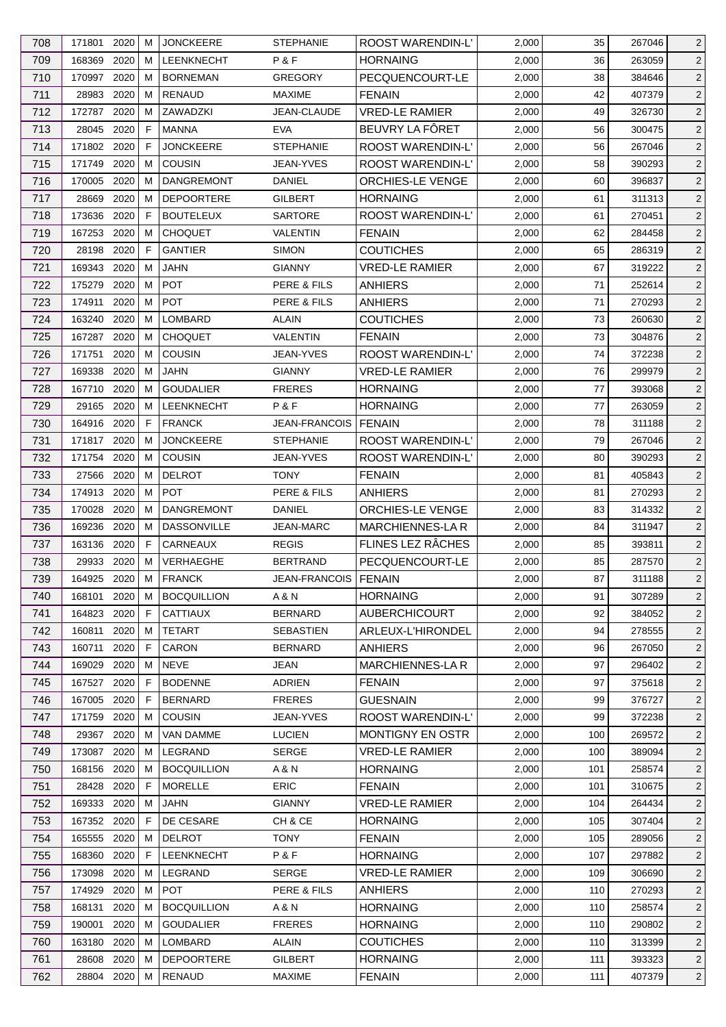| 708 | 171801        | 2020 | м | <b>JONCKEERE</b>   | <b>STEPHANIE</b>       | ROOST WARENDIN-L'        | 2,000 | 35  | 267046 | $\overline{2}$ |
|-----|---------------|------|---|--------------------|------------------------|--------------------------|-------|-----|--------|----------------|
| 709 | 168369        | 2020 | м | LEENKNECHT         | P&F                    | <b>HORNAING</b>          | 2,000 | 36  | 263059 | $\overline{2}$ |
| 710 | 170997        | 2020 | м | <b>BORNEMAN</b>    | <b>GREGORY</b>         | PECQUENCOURT-LE          | 2,000 | 38  | 384646 | $\overline{2}$ |
| 711 | 28983         | 2020 | м | <b>RENAUD</b>      | <b>MAXIME</b>          | <b>FENAIN</b>            | 2,000 | 42  | 407379 | $\overline{2}$ |
| 712 | 172787        | 2020 | M | ZAWADZKI           | JEAN-CLAUDE            | <b>VRED-LE RAMIER</b>    | 2,000 | 49  | 326730 | $\overline{2}$ |
| 713 | 28045         | 2020 | F | <b>MANNA</b>       | <b>EVA</b>             | BEUVRY LA FÔRET          | 2,000 | 56  | 300475 | $\overline{c}$ |
| 714 | 171802        | 2020 | F | <b>JONCKEERE</b>   | <b>STEPHANIE</b>       | ROOST WARENDIN-L'        | 2,000 | 56  | 267046 | $\overline{2}$ |
| 715 | 171749        | 2020 | M | <b>COUSIN</b>      | JEAN-YVES              | <b>ROOST WARENDIN-L'</b> | 2,000 | 58  | 390293 | $\overline{2}$ |
| 716 | 170005        | 2020 | м | <b>DANGREMONT</b>  | DANIEL                 | <b>ORCHIES-LE VENGE</b>  | 2,000 | 60  | 396837 | $\overline{2}$ |
| 717 | 28669         | 2020 | м | <b>DEPOORTERE</b>  | GILBERT                | <b>HORNAING</b>          | 2,000 | 61  | 311313 | $\overline{2}$ |
| 718 | 173636        | 2020 | F | <b>BOUTELEUX</b>   | <b>SARTORE</b>         | ROOST WARENDIN-L'        | 2,000 | 61  | 270451 | $\overline{2}$ |
| 719 | 167253        | 2020 | м | <b>CHOQUET</b>     | <b>VALENTIN</b>        | <b>FENAIN</b>            | 2,000 | 62  | 284458 | $\overline{2}$ |
| 720 | 28198         | 2020 | F | <b>GANTIER</b>     | <b>SIMON</b>           | <b>COUTICHES</b>         | 2,000 | 65  | 286319 | $\overline{2}$ |
| 721 | 169343        | 2020 | м | JAHN               | <b>GIANNY</b>          | <b>VRED-LE RAMIER</b>    | 2,000 | 67  | 319222 | $\overline{2}$ |
|     |               | 2020 | м | <b>POT</b>         |                        |                          |       | 71  |        |                |
| 722 | 175279        |      |   |                    | <b>PERE &amp; FILS</b> | <b>ANHIERS</b>           | 2,000 |     | 252614 | $\overline{2}$ |
| 723 | 174911        | 2020 | м | <b>POT</b>         | PERE & FILS            | ANHIERS                  | 2,000 | 71  | 270293 | $\overline{2}$ |
| 724 | 163240        | 2020 | м | <b>LOMBARD</b>     | <b>ALAIN</b>           | <b>COUTICHES</b>         | 2,000 | 73  | 260630 | $\overline{2}$ |
| 725 | 167287        | 2020 | м | <b>CHOQUET</b>     | VALENTIN               | <b>FENAIN</b>            | 2,000 | 73  | 304876 | $\overline{2}$ |
| 726 | 171751        | 2020 | M | COUSIN             | JEAN-YVES              | ROOST WARENDIN-L'        | 2,000 | 74  | 372238 | $\overline{2}$ |
| 727 | 169338        | 2020 | м | <b>JAHN</b>        | <b>GIANNY</b>          | <b>VRED-LE RAMIER</b>    | 2,000 | 76  | 299979 | $\overline{2}$ |
| 728 | 167710        | 2020 | м | <b>GOUDALIER</b>   | <b>FRERES</b>          | <b>HORNAING</b>          | 2,000 | 77  | 393068 | $\overline{2}$ |
| 729 | 29165         | 2020 | м | <b>LEENKNECHT</b>  | P&F                    | <b>HORNAING</b>          | 2,000 | 77  | 263059 | $\overline{2}$ |
| 730 | 164916 2020   |      | F | <b>FRANCK</b>      | <b>JEAN-FRANCOIS</b>   | <b>FENAIN</b>            | 2,000 | 78  | 311188 | $\overline{2}$ |
| 731 | 171817        | 2020 | м | <b>JONCKEERE</b>   | <b>STEPHANIE</b>       | ROOST WARENDIN-L'        | 2,000 | 79  | 267046 | $\overline{2}$ |
| 732 | 171754        | 2020 | м | <b>COUSIN</b>      | JEAN-YVES              | ROOST WARENDIN-L'        | 2,000 | 80  | 390293 | $\overline{2}$ |
| 733 | 27566         | 2020 | м | <b>DELROT</b>      | <b>TONY</b>            | <b>FENAIN</b>            | 2,000 | 81  | 405843 | $\overline{2}$ |
| 734 | 174913        | 2020 | м | <b>POT</b>         | PERE & FILS            | ANHIERS                  | 2,000 | 81  | 270293 | $\overline{c}$ |
| 735 | 170028        | 2020 | M | <b>DANGREMONT</b>  | <b>DANIEL</b>          | <b>ORCHIES-LE VENGE</b>  | 2,000 | 83  | 314332 | $\overline{2}$ |
| 736 | 169236        | 2020 | M | <b>DASSONVILLE</b> | <b>JEAN-MARC</b>       | <b>MARCHIENNES-LA R</b>  | 2,000 | 84  | 311947 | $\overline{2}$ |
| 737 | 163136        | 2020 | F | <b>CARNEAUX</b>    | <b>REGIS</b>           | FLINES LEZ RÂCHES        | 2,000 | 85  | 393811 | $\overline{2}$ |
| 738 | 29933         | 2020 | м | VERHAEGHE          | <b>BERTRAND</b>        | PECQUENCOURT-LE          | 2,000 | 85  | 287570 | $\overline{c}$ |
| 739 | 164925 2020 M |      |   | <b>FRANCK</b>      | JEAN-FRANCOIS   FENAIN |                          | 2,000 | 87  | 311188 | $2 \mid$       |
| 740 | 168101        | 2020 | М | <b>BOCQUILLION</b> | A & N                  | <b>HORNAING</b>          | 2,000 | 91  | 307289 | $\overline{2}$ |
| 741 | 164823        | 2020 | F | <b>CATTIAUX</b>    | <b>BERNARD</b>         | <b>AUBERCHICOURT</b>     | 2,000 | 92  | 384052 | $\overline{2}$ |
| 742 | 160811        | 2020 | M | <b>TETART</b>      | <b>SEBASTIEN</b>       | ARLEUX-L'HIRONDEL        | 2,000 | 94  | 278555 | $\overline{2}$ |
| 743 | 160711        | 2020 | F | CARON              | BERNARD                | <b>ANHIERS</b>           | 2,000 | 96  | 267050 | $\overline{2}$ |
| 744 | 169029        | 2020 | м | <b>NEVE</b>        | <b>JEAN</b>            | MARCHIENNES-LA R         | 2,000 | 97  | 296402 | $\overline{2}$ |
| 745 | 167527 2020   |      | F | <b>BODENNE</b>     | ADRIEN                 | <b>FENAIN</b>            | 2,000 | 97  | 375618 | $\overline{2}$ |
| 746 | 167005        | 2020 | F | <b>BERNARD</b>     | <b>FRERES</b>          | <b>GUESNAIN</b>          | 2,000 | 99  | 376727 | $\overline{c}$ |
| 747 | 171759        | 2020 | M | <b>COUSIN</b>      | <b>JEAN-YVES</b>       | ROOST WARENDIN-L'        | 2,000 | 99  | 372238 | $\overline{2}$ |
| 748 | 29367         | 2020 | м | <b>VAN DAMME</b>   | <b>LUCIEN</b>          | MONTIGNY EN OSTR         | 2,000 | 100 | 269572 | $\overline{2}$ |
| 749 | 173087        | 2020 | м | LEGRAND            | <b>SERGE</b>           | VRED-LE RAMIER           | 2,000 | 100 | 389094 | $\overline{2}$ |
| 750 | 168156 2020   |      | M | <b>BOCQUILLION</b> | A & N                  | <b>HORNAING</b>          | 2,000 | 101 | 258574 | $\overline{2}$ |
| 751 | 28428         | 2020 | E | <b>MORELLE</b>     | ERIC                   | <b>FENAIN</b>            | 2,000 | 101 | 310675 | $\overline{2}$ |
| 752 | 169333        | 2020 | M | JAHN               | <b>GIANNY</b>          | VRED-LE RAMIER           | 2,000 | 104 | 264434 | $\overline{2}$ |
| 753 | 167352 2020   |      | F | DE CESARE          | CH & CE                | <b>HORNAING</b>          | 2,000 | 105 | 307404 | $\overline{2}$ |
| 754 | 165555        | 2020 | м | <b>DELROT</b>      | <b>TONY</b>            | <b>FENAIN</b>            | 2,000 | 105 | 289056 | $\overline{2}$ |
| 755 | 168360        | 2020 | F | LEENKNECHT         | P&F                    | <b>HORNAING</b>          | 2,000 | 107 | 297882 | $\overline{2}$ |
| 756 | 173098        | 2020 | M | LEGRAND            | <b>SERGE</b>           | <b>VRED-LE RAMIER</b>    | 2,000 | 109 | 306690 | $\overline{2}$ |
| 757 | 174929        | 2020 | м | <b>POT</b>         | PERE & FILS            | <b>ANHIERS</b>           | 2,000 | 110 | 270293 | $\overline{2}$ |
| 758 | 168131        | 2020 | м | <b>BOCQUILLION</b> | A & N                  | <b>HORNAING</b>          | 2,000 | 110 | 258574 | $\overline{2}$ |
| 759 | 190001        | 2020 | м | <b>GOUDALIER</b>   | <b>FRERES</b>          | <b>HORNAING</b>          | 2,000 | 110 | 290802 | $\overline{2}$ |
| 760 | 163180        | 2020 | м | LOMBARD            | <b>ALAIN</b>           | <b>COUTICHES</b>         | 2,000 | 110 | 313399 | $\overline{2}$ |
| 761 | 28608         | 2020 | M | <b>DEPOORTERE</b>  | <b>GILBERT</b>         | <b>HORNAING</b>          | 2,000 | 111 | 393323 | $\overline{2}$ |
| 762 | 28804 2020    |      | М | RENAUD             | <b>MAXIME</b>          | <b>FENAIN</b>            | 2,000 | 111 | 407379 | $\overline{2}$ |
|     |               |      |   |                    |                        |                          |       |     |        |                |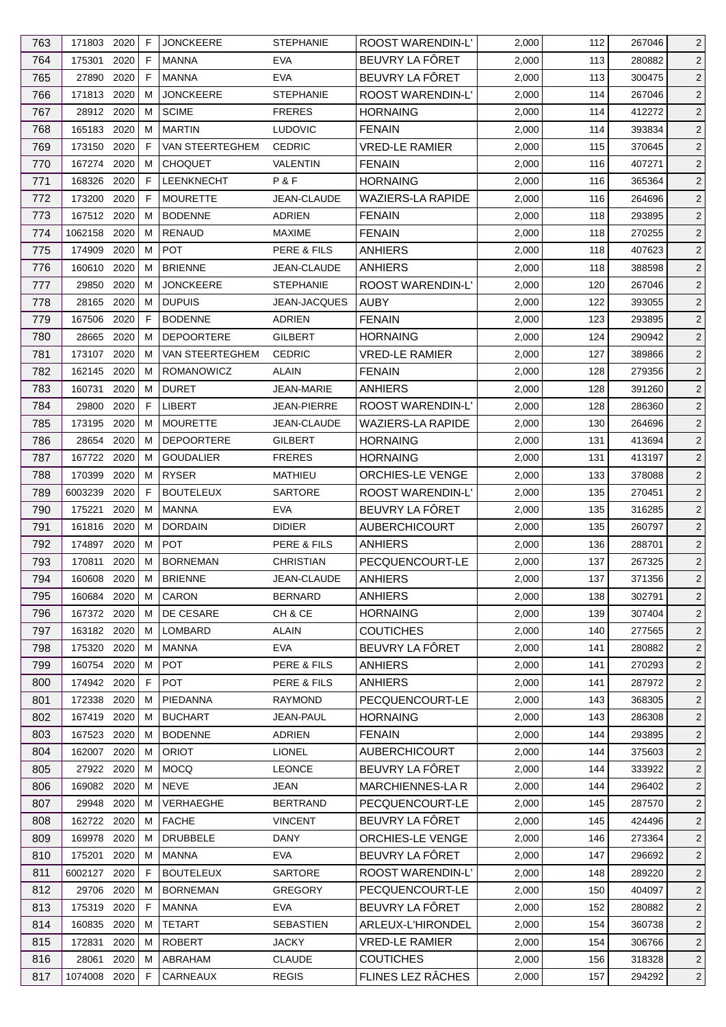| 763 | 171803 2020  |      | F            | <b>JONCKEERE</b>          | <b>STEPHANIE</b>                  | ROOST WARENDIN-L'                  | 2,000 | 112 | 267046 | $\overline{2}$ |
|-----|--------------|------|--------------|---------------------------|-----------------------------------|------------------------------------|-------|-----|--------|----------------|
| 764 | 175301       | 2020 | F            | <b>MANNA</b>              | <b>EVA</b>                        | BEUVRY LA FÔRET                    | 2,000 | 113 | 280882 | $\overline{2}$ |
| 765 | 27890        | 2020 | F            | <b>MANNA</b>              | <b>EVA</b>                        | BEUVRY LA FÔRET                    | 2,000 | 113 | 300475 | $\overline{2}$ |
| 766 | 171813 2020  |      | м            | <b>JONCKEERE</b>          | <b>STEPHANIE</b>                  | <b>ROOST WARENDIN-L'</b>           | 2,000 | 114 | 267046 | $\overline{2}$ |
| 767 | 28912 2020   |      | м            | <b>SCIME</b>              | <b>FRERES</b>                     | <b>HORNAING</b>                    | 2,000 | 114 | 412272 | $\overline{c}$ |
| 768 | 165183       | 2020 | м            | <b>MARTIN</b>             | <b>LUDOVIC</b>                    | <b>FENAIN</b>                      | 2,000 | 114 | 393834 | $\overline{2}$ |
| 769 | 173150       | 2020 | F            | VAN STEERTEGHEM           | <b>CEDRIC</b>                     | <b>VRED-LE RAMIER</b>              | 2,000 | 115 | 370645 | 2              |
| 770 | 167274 2020  |      | м            | <b>CHOQUET</b>            | VALENTIN                          | <b>FENAIN</b>                      | 2,000 | 116 | 407271 | $\overline{c}$ |
| 771 | 168326       | 2020 | $\mathsf{F}$ | <b>LEENKNECHT</b>         | P&F                               | <b>HORNAING</b>                    | 2,000 | 116 | 365364 | 2              |
| 772 | 173200       | 2020 | F            | <b>MOURETTE</b>           | JEAN-CLAUDE                       | WAZIERS-LA RAPIDE                  | 2,000 | 116 | 264696 | $\overline{2}$ |
| 773 | 167512       | 2020 | M            | <b>BODENNE</b>            | <b>ADRIEN</b>                     | <b>FENAIN</b>                      | 2,000 | 118 | 293895 | $\overline{2}$ |
| 774 | 1062158 2020 |      | м            | RENAUD                    | <b>MAXIME</b>                     | <b>FENAIN</b>                      | 2,000 | 118 | 270255 | 2              |
| 775 | 174909       | 2020 | м            | <b>POT</b>                | PERE & FILS                       | <b>ANHIERS</b>                     | 2,000 | 118 | 407623 | $\overline{2}$ |
| 776 | 160610       | 2020 | м            | <b>BRIENNE</b>            | JEAN-CLAUDE                       | <b>ANHIERS</b>                     | 2,000 | 118 | 388598 | $\overline{2}$ |
| 777 | 29850        | 2020 | м            | <b>JONCKEERE</b>          | <b>STEPHANIE</b>                  | ROOST WARENDIN-L'                  | 2,000 | 120 | 267046 | $\overline{c}$ |
| 778 | 28165        | 2020 | м            | <b>DUPUIS</b>             | <b>JEAN-JACQUES</b>               | <b>AUBY</b>                        | 2,000 | 122 | 393055 | $\overline{c}$ |
|     |              | 2020 | F            | <b>BODENNE</b>            | <b>ADRIEN</b>                     | <b>FENAIN</b>                      |       | 123 |        |                |
| 779 | 167506       |      |              |                           |                                   |                                    | 2,000 |     | 293895 | $\overline{2}$ |
| 780 | 28665        | 2020 | м            | <b>DEPOORTERE</b>         | <b>GILBERT</b>                    | <b>HORNAING</b>                    | 2,000 | 124 | 290942 | $\overline{c}$ |
| 781 | 173107 2020  |      | м            | VAN STEERTEGHEM           | <b>CEDRIC</b>                     | <b>VRED-LE RAMIER</b>              | 2,000 | 127 | 389866 | $\overline{2}$ |
| 782 | 162145       | 2020 | м            | ROMANOWICZ                | ALAIN                             | <b>FENAIN</b>                      | 2,000 | 128 | 279356 | $\overline{c}$ |
| 783 | 160731       | 2020 | м            | <b>DURET</b>              | <b>JEAN-MARIE</b>                 | ANHIERS                            | 2,000 | 128 | 391260 | $\overline{2}$ |
| 784 | 29800        | 2020 | F            | <b>LIBERT</b>             | JEAN-PIERRE                       | ROOST WARENDIN-L'                  | 2,000 | 128 | 286360 | $\overline{c}$ |
| 785 | 173195       | 2020 | м            | <b>MOURETTE</b>           | JEAN-CLAUDE                       | <b>WAZIERS-LA RAPIDE</b>           | 2,000 | 130 | 264696 | $\overline{c}$ |
| 786 | 28654        | 2020 | м            | <b>DEPOORTERE</b>         | GILBERT                           | <b>HORNAING</b>                    | 2,000 | 131 | 413694 | $\overline{2}$ |
| 787 | 167722       | 2020 | м            | <b>GOUDALIER</b>          | <b>FRERES</b>                     | <b>HORNAING</b>                    | 2,000 | 131 | 413197 | $\overline{2}$ |
| 788 | 170399       | 2020 | м            | <b>RYSER</b>              | MATHIEU                           | ORCHIES-LE VENGE                   | 2,000 | 133 | 378088 | $\overline{2}$ |
| 789 | 6003239      | 2020 | F            | <b>BOUTELEUX</b>          | <b>SARTORE</b>                    | <b>ROOST WARENDIN-L'</b>           | 2,000 | 135 | 270451 | $\overline{c}$ |
| 790 | 175221       | 2020 | м            | <b>MANNA</b>              | <b>EVA</b>                        | BEUVRY LA FÔRET                    | 2,000 | 135 | 316285 | $\overline{2}$ |
| 791 | 161816 2020  |      | м            | <b>DORDAIN</b>            | <b>DIDIER</b>                     | <b>AUBERCHICOURT</b>               | 2,000 | 135 | 260797 | 2              |
| 792 | 174897       | 2020 | м            | <b>POT</b>                | PERE & FILS                       | <b>ANHIERS</b>                     | 2,000 | 136 | 288701 | $\overline{2}$ |
| 793 | 170811       | 2020 | M            | <b>BORNEMAN</b>           | <b>CHRISTIAN</b>                  | PECQUENCOURT-LE                    | 2,000 | 137 | 267325 | $\overline{c}$ |
| 794 | 160608       | 2020 | M            | <b>BRIENNE</b>            | JEAN-CLAUDE                       | <b>ANHIERS</b>                     | 2,000 | 137 | 371356 | $\overline{c}$ |
| 795 | 160684 2020  |      | М            | CARON                     | <b>BERNARD</b>                    | <b>ANHIERS</b>                     | 2,000 | 138 | 302791 | $\overline{2}$ |
| 796 | 167372 2020  |      | м            | DE CESARE                 | CH & CE                           | <b>HORNAING</b>                    | 2,000 | 139 | 307404 | $\overline{2}$ |
| 797 | 163182 2020  |      | м            | LOMBARD                   | ALAIN                             | <b>COUTICHES</b>                   | 2,000 | 140 | 277565 | $\overline{2}$ |
| 798 | 175320       | 2020 | м            | <b>MANNA</b>              | <b>EVA</b>                        | BEUVRY LA FÔRET                    | 2,000 | 141 | 280882 | $\overline{2}$ |
| 799 | 160754 2020  |      | м            | <b>POT</b>                | PERE & FILS                       | <b>ANHIERS</b>                     | 2,000 | 141 | 270293 | $\overline{2}$ |
| 800 | 174942 2020  |      | F            | <b>POT</b>                | PERE & FILS                       | <b>ANHIERS</b>                     | 2,000 | 141 | 287972 | $\overline{c}$ |
| 801 | 172338       | 2020 | м            | PIEDANNA                  | <b>RAYMOND</b>                    | PECQUENCOURT-LE                    | 2,000 | 143 | 368305 | $\overline{2}$ |
| 802 | 167419       | 2020 | м            | <b>BUCHART</b>            | <b>JEAN-PAUL</b>                  | <b>HORNAING</b>                    | 2,000 | 143 | 286308 | $\overline{2}$ |
| 803 | 167523 2020  |      | м            | <b>BODENNE</b>            | ADRIEN                            | <b>FENAIN</b>                      | 2,000 | 144 | 293895 | $\overline{2}$ |
| 804 | 162007       | 2020 | м            | <b>ORIOT</b>              | <b>LIONEL</b>                     | <b>AUBERCHICOURT</b>               | 2,000 | 144 | 375603 | $\overline{c}$ |
|     |              |      |              | <b>MOCQ</b>               |                                   | BEUVRY LA FÖRET                    |       |     |        |                |
| 805 | 27922 2020   |      | м            |                           | <b>LEONCE</b>                     |                                    | 2,000 | 144 | 333922 | $\overline{2}$ |
| 806 | 169082       | 2020 | м            | <b>NEVE</b>               | <b>JEAN</b>                       | MARCHIENNES-LA R                   | 2,000 | 144 | 296402 | $\overline{2}$ |
| 807 | 29948 2020   | 2020 | м            | VERHAEGHE<br><b>FACHE</b> | <b>BERTRAND</b><br><b>VINCENT</b> | PECQUENCOURT-LE<br>BEUVRY LA FÖRET | 2,000 | 145 | 287570 | 2              |
| 808 | 162722       |      | м            |                           |                                   |                                    | 2,000 | 145 | 424496 | $\overline{2}$ |
| 809 | 169978       | 2020 | м            | <b>DRUBBELE</b>           | DANY                              | <b>ORCHIES-LE VENGE</b>            | 2,000 | 146 | 273364 | $\overline{2}$ |
| 810 | 175201       | 2020 | м            | <b>MANNA</b>              | <b>EVA</b>                        | BEUVRY LA FÖRET                    | 2,000 | 147 | 296692 | $\overline{2}$ |
| 811 | 6002127 2020 |      | F            | <b>BOUTELEUX</b>          | <b>SARTORE</b>                    | <b>ROOST WARENDIN-L'</b>           | 2,000 | 148 | 289220 | $\overline{2}$ |
| 812 | 29706        | 2020 | M            | <b>BORNEMAN</b>           | <b>GREGORY</b>                    | PECQUENCOURT-LE                    | 2,000 | 150 | 404097 | $\overline{2}$ |
| 813 | 175319       | 2020 | F            | MANNA                     | <b>EVA</b>                        | BEUVRY LA FÔRET                    | 2,000 | 152 | 280882 | $\overline{2}$ |
| 814 | 160835       | 2020 | м            | TETART                    | <b>SEBASTIEN</b>                  | <b>ARLEUX-L'HIRONDEL</b>           | 2,000 | 154 | 360738 | $\overline{2}$ |
| 815 | 172831       | 2020 | м            | <b>ROBERT</b>             | <b>JACKY</b>                      | <b>VRED-LE RAMIER</b>              | 2,000 | 154 | 306766 | $\overline{2}$ |
| 816 | 28061        | 2020 | м            | ABRAHAM                   | <b>CLAUDE</b>                     | <b>COUTICHES</b>                   | 2,000 | 156 | 318328 | $\overline{2}$ |
| 817 | 1074008 2020 |      | F.           | CARNEAUX                  | <b>REGIS</b>                      | FLINES LEZ RÂCHES                  | 2,000 | 157 | 294292 | $\overline{2}$ |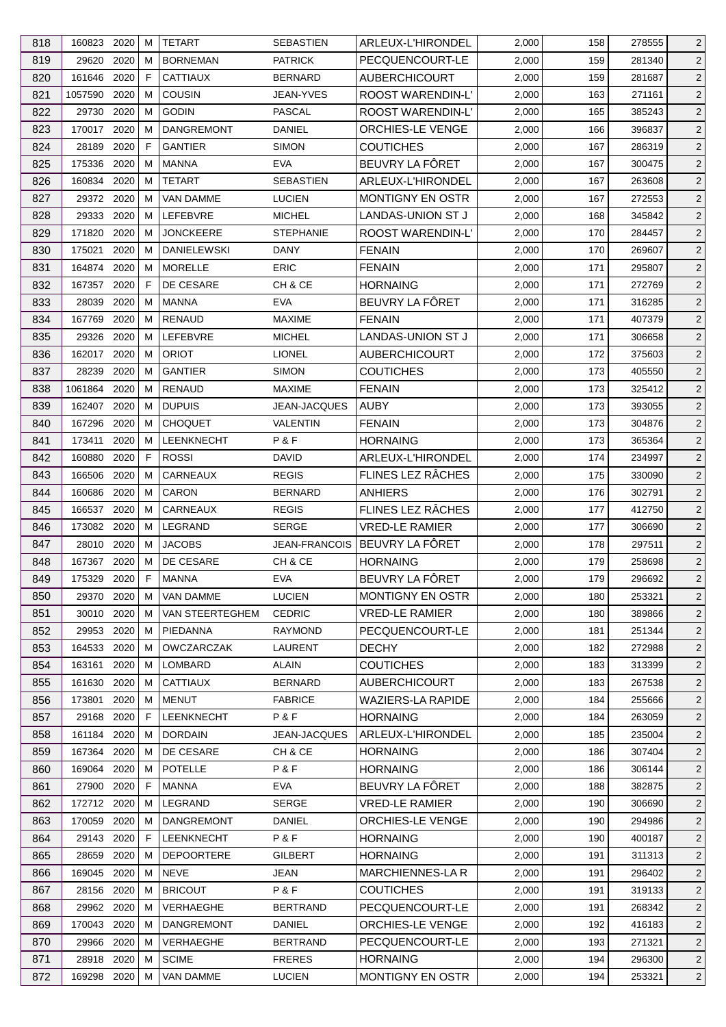| 818 | 160823 2020 |      | м           | <b>TETART</b>      | <b>SEBASTIEN</b>     | ARLEUX-L'HIRONDEL        | 2,000 | 158 | 278555 | $\overline{2}$ |
|-----|-------------|------|-------------|--------------------|----------------------|--------------------------|-------|-----|--------|----------------|
| 819 | 29620       | 2020 | м           | <b>BORNEMAN</b>    | <b>PATRICK</b>       | PECQUENCOURT-LE          | 2,000 | 159 | 281340 | $\overline{2}$ |
| 820 | 161646      | 2020 | F           | <b>CATTIAUX</b>    | <b>BERNARD</b>       | <b>AUBERCHICOURT</b>     | 2,000 | 159 | 281687 | $\overline{2}$ |
| 821 | 1057590     | 2020 | м           | <b>COUSIN</b>      | <b>JEAN-YVES</b>     | <b>ROOST WARENDIN-L'</b> | 2,000 | 163 | 271161 | $\overline{2}$ |
| 822 | 29730       | 2020 | м           | <b>GODIN</b>       | <b>PASCAL</b>        | <b>ROOST WARENDIN-L'</b> | 2,000 | 165 | 385243 | $\overline{2}$ |
| 823 | 170017      | 2020 | M           | <b>DANGREMONT</b>  | <b>DANIEL</b>        | ORCHIES-LE VENGE         | 2,000 | 166 | 396837 | $\overline{2}$ |
| 824 | 28189       | 2020 | F           | <b>GANTIER</b>     | <b>SIMON</b>         | <b>COUTICHES</b>         | 2,000 | 167 | 286319 | $\overline{2}$ |
| 825 | 175336      | 2020 | м           | <b>MANNA</b>       | <b>EVA</b>           | BEUVRY LA FÔRET          | 2,000 | 167 | 300475 | $\overline{2}$ |
| 826 | 160834      | 2020 | M           | <b>TETART</b>      | <b>SEBASTIEN</b>     | ARLEUX-L'HIRONDEL        | 2,000 | 167 | 263608 | $\overline{2}$ |
| 827 | 29372 2020  |      | M           | VAN DAMME          | <b>LUCIEN</b>        | <b>MONTIGNY EN OSTR</b>  | 2,000 | 167 | 272553 | $\overline{2}$ |
| 828 | 29333       | 2020 | М           | LEFEBVRE           | <b>MICHEL</b>        | LANDAS-UNION ST J        | 2,000 | 168 | 345842 | $\overline{2}$ |
| 829 | 171820      | 2020 | м           | <b>JONCKEERE</b>   | <b>STEPHANIE</b>     | <b>ROOST WARENDIN-L'</b> | 2,000 | 170 | 284457 | $\overline{2}$ |
| 830 | 175021      | 2020 | м           | <b>DANIELEWSKI</b> | <b>DANY</b>          | <b>FENAIN</b>            | 2,000 | 170 | 269607 | $\overline{2}$ |
| 831 | 164874      | 2020 | м           | <b>MORELLE</b>     | <b>ERIC</b>          | <b>FENAIN</b>            | 2,000 | 171 | 295807 | $\overline{2}$ |
| 832 | 167357 2020 |      | F           | DE CESARE          | CH & CE              | <b>HORNAING</b>          | 2,000 | 171 | 272769 | $\overline{2}$ |
| 833 | 28039       | 2020 | м           | <b>MANNA</b>       | <b>EVA</b>           | BEUVRY LA FÔRET          | 2,000 | 171 | 316285 | $\overline{2}$ |
| 834 | 167769      | 2020 | м           | <b>RENAUD</b>      | <b>MAXIME</b>        | <b>FENAIN</b>            | 2,000 | 171 | 407379 | $\overline{2}$ |
| 835 | 29326       | 2020 | м           | LEFEBVRE           | <b>MICHEL</b>        | LANDAS-UNION ST J        | 2,000 | 171 | 306658 | $\overline{2}$ |
| 836 | 162017      | 2020 | м           | <b>ORIOT</b>       | <b>LIONEL</b>        | <b>AUBERCHICOURT</b>     | 2,000 | 172 | 375603 | $\overline{2}$ |
| 837 | 28239       | 2020 | M           | <b>GANTIER</b>     | <b>SIMON</b>         | <b>COUTICHES</b>         | 2,000 | 173 | 405550 | $\overline{2}$ |
| 838 | 1061864     | 2020 | м           | RENAUD             | <b>MAXIME</b>        | <b>FENAIN</b>            | 2,000 | 173 | 325412 | $\overline{2}$ |
| 839 | 162407      | 2020 | м           | <b>DUPUIS</b>      | JEAN-JACQUES         | <b>AUBY</b>              | 2,000 | 173 | 393055 | $\overline{2}$ |
| 840 | 167296      | 2020 | м           | <b>CHOQUET</b>     | VALENTIN             | <b>FENAIN</b>            | 2,000 | 173 | 304876 | $\overline{2}$ |
| 841 | 173411      | 2020 | м           | LEENKNECHT         | P&F                  | <b>HORNAING</b>          | 2,000 | 173 | 365364 | $\overline{2}$ |
| 842 | 160880      | 2020 | $\mathsf F$ | <b>ROSSI</b>       | DAVID                | ARLEUX-L'HIRONDEL        | 2,000 | 174 | 234997 | $\overline{2}$ |
| 843 | 166506      | 2020 | м           | CARNEAUX           | <b>REGIS</b>         | FLINES LEZ RÂCHES        | 2,000 | 175 | 330090 | $\overline{2}$ |
| 844 | 160686      | 2020 | м           | CARON              | <b>BERNARD</b>       | <b>ANHIERS</b>           | 2,000 | 176 | 302791 | $\overline{2}$ |
| 845 | 166537      | 2020 | м           | CARNEAUX           | <b>REGIS</b>         | FLINES LEZ RÂCHES        | 2,000 | 177 | 412750 | $\overline{2}$ |
| 846 | 173082 2020 |      | м           | LEGRAND            | <b>SERGE</b>         | <b>VRED-LE RAMIER</b>    | 2,000 | 177 | 306690 | $\overline{2}$ |
| 847 | 28010 2020  |      | м           | <b>JACOBS</b>      | <b>JEAN-FRANCOIS</b> | BEUVRY LA FÔRET          | 2,000 | 178 | 297511 | $\overline{2}$ |
| 848 | 167367      | 2020 | м           | DE CESARE          | CH & CE              | <b>HORNAING</b>          | 2,000 | 179 | 258698 | $\overline{2}$ |
| 849 | 175329 2020 |      | -F          | <b>MANNA</b>       | EVA                  | BEUVRY LA FÔRET          | 2,000 | 179 | 296692 | $\sqrt{2}$     |
| 850 | 29370 2020  |      | М           | VAN DAMME          | <b>LUCIEN</b>        | MONTIGNY EN OSTR         | 2,000 | 180 | 253321 | $\overline{2}$ |
| 851 | 30010 2020  |      | M           | VAN STEERTEGHEM    | <b>CEDRIC</b>        | <b>VRED-LE RAMIER</b>    | 2,000 | 180 | 389866 | $\overline{2}$ |
| 852 | 29953       | 2020 | M           | PIEDANNA           | <b>RAYMOND</b>       | PECQUENCOURT-LE          | 2,000 | 181 | 251344 | $\overline{2}$ |
| 853 | 164533      | 2020 | м           | <b>OWCZARCZAK</b>  | <b>LAURENT</b>       | <b>DECHY</b>             | 2,000 | 182 | 272988 | $\overline{2}$ |
| 854 | 163161 2020 |      | M           | LOMBARD            | <b>ALAIN</b>         | <b>COUTICHES</b>         | 2,000 | 183 | 313399 | $\overline{2}$ |
| 855 | 161630      | 2020 | м           | <b>CATTIAUX</b>    | <b>BERNARD</b>       | <b>AUBERCHICOURT</b>     | 2,000 | 183 | 267538 | $\overline{2}$ |
| 856 | 173801      | 2020 | м           | <b>MENUT</b>       | <b>FABRICE</b>       | <b>WAZIERS-LA RAPIDE</b> | 2,000 | 184 | 255666 | $\overline{2}$ |
| 857 | 29168       | 2020 | F.          | <b>LEENKNECHT</b>  | P&F                  | <b>HORNAING</b>          | 2,000 | 184 | 263059 | $\overline{2}$ |
| 858 | 161184 2020 |      | M           | <b>DORDAIN</b>     | <b>JEAN-JACQUES</b>  | ARLEUX-L'HIRONDEL        | 2,000 | 185 | 235004 | $\overline{2}$ |
| 859 | 167364 2020 |      | м           | DE CESARE          | CH & CE              | <b>HORNAING</b>          | 2,000 | 186 | 307404 | $\overline{2}$ |
| 860 | 169064      | 2020 | м           | <b>POTELLE</b>     | P&F                  | <b>HORNAING</b>          | 2,000 | 186 | 306144 | $\overline{2}$ |
| 861 | 27900       | 2020 | $\mathsf F$ | <b>MANNA</b>       | <b>EVA</b>           | BEUVRY LA FÔRET          | 2,000 | 188 | 382875 | $\overline{2}$ |
| 862 | 172712 2020 |      | м           | LEGRAND            | <b>SERGE</b>         | <b>VRED-LE RAMIER</b>    | 2,000 | 190 | 306690 | $\overline{2}$ |
| 863 | 170059      | 2020 | м           | <b>DANGREMONT</b>  | DANIEL               | ORCHIES-LE VENGE         | 2,000 | 190 | 294986 | $\overline{2}$ |
| 864 | 29143       | 2020 | F.          | <b>LEENKNECHT</b>  | P&F                  | <b>HORNAING</b>          | 2,000 | 190 | 400187 | $\overline{2}$ |
| 865 | 28659 2020  |      | M           | <b>DEPOORTERE</b>  | <b>GILBERT</b>       | <b>HORNAING</b>          | 2,000 | 191 | 311313 | $\overline{2}$ |
| 866 | 169045 2020 |      | м           | NEVE               | <b>JEAN</b>          | <b>MARCHIENNES-LA R</b>  | 2,000 | 191 | 296402 | $\overline{2}$ |
| 867 | 28156 2020  |      | M           | <b>BRICOUT</b>     | P&F                  | <b>COUTICHES</b>         | 2,000 | 191 | 319133 | $\overline{2}$ |
| 868 | 29962 2020  |      | м           | VERHAEGHE          | <b>BERTRAND</b>      | PECQUENCOURT-LE          | 2,000 | 191 | 268342 | $\overline{2}$ |
| 869 | 170043 2020 |      | м           | <b>DANGREMONT</b>  | DANIEL               | <b>ORCHIES-LE VENGE</b>  | 2,000 | 192 | 416183 | $\overline{2}$ |
| 870 | 29966 2020  |      | м           | VERHAEGHE          | <b>BERTRAND</b>      | PECQUENCOURT-LE          | 2,000 | 193 | 271321 | $\overline{2}$ |
| 871 | 28918 2020  |      | м           | <b>SCIME</b>       | <b>FRERES</b>        | <b>HORNAING</b>          | 2,000 | 194 | 296300 | $\overline{2}$ |
| 872 | 169298 2020 |      | М           | <b>VAN DAMME</b>   | <b>LUCIEN</b>        | MONTIGNY EN OSTR         | 2,000 | 194 | 253321 | $\overline{2}$ |
|     |             |      |             |                    |                      |                          |       |     |        |                |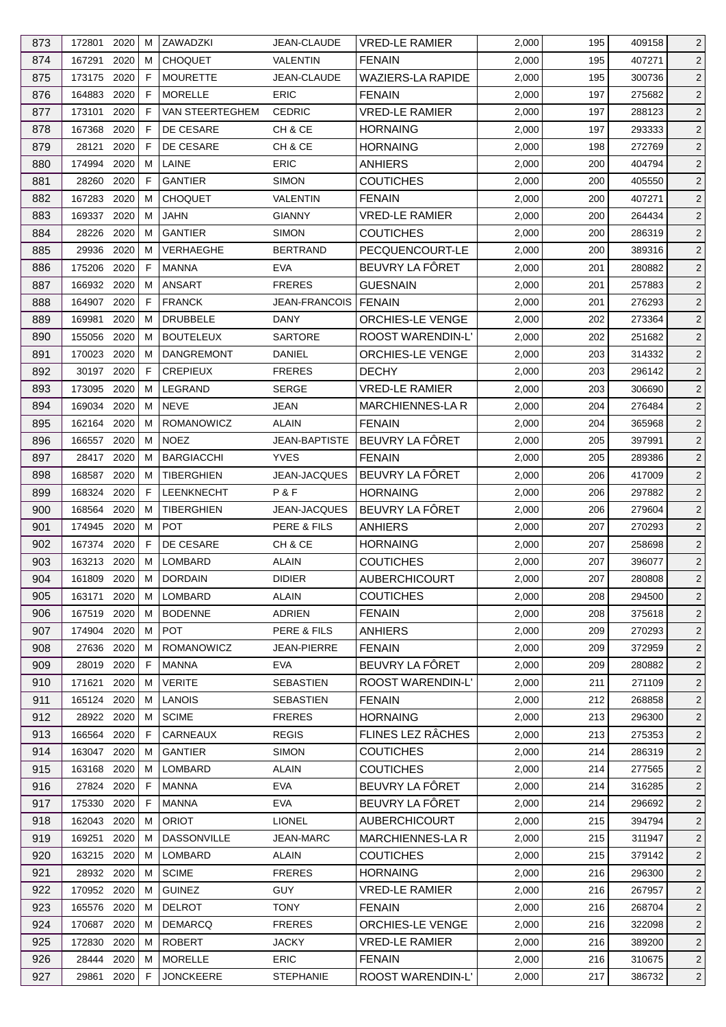| 873        | 172801                     | 2020 | м      | ZAWADZKI                  | JEAN-CLAUDE                   | <b>VRED-LE RAMIER</b>             | 2,000          | 195        | 409158           | 2              |
|------------|----------------------------|------|--------|---------------------------|-------------------------------|-----------------------------------|----------------|------------|------------------|----------------|
| 874        | 167291                     | 2020 | м      | <b>CHOQUET</b>            | <b>VALENTIN</b>               | <b>FENAIN</b>                     | 2,000          | 195        | 407271           | $\overline{2}$ |
| 875        | 173175                     | 2020 | F      | <b>MOURETTE</b>           | JEAN-CLAUDE                   | <b>WAZIERS-LA RAPIDE</b>          | 2,000          | 195        | 300736           | $\overline{2}$ |
| 876        | 164883 2020                |      | F      | <b>MORELLE</b>            | <b>ERIC</b>                   | <b>FENAIN</b>                     | 2,000          | 197        | 275682           | $\overline{2}$ |
| 877        | 173101                     | 2020 | F      | VAN STEERTEGHEM           | <b>CEDRIC</b>                 | <b>VRED-LE RAMIER</b>             | 2,000          | 197        | 288123           | $\overline{c}$ |
| 878        | 167368                     | 2020 | F      | DE CESARE                 | CH & CE                       | <b>HORNAING</b>                   | 2,000          | 197        | 293333           | $\overline{2}$ |
| 879        | 28121                      | 2020 | F      | DE CESARE                 | CH & CE                       | <b>HORNAING</b>                   | 2,000          | 198        | 272769           | 2              |
| 880        | 174994 2020                |      | м      | LAINE                     | <b>ERIC</b>                   | <b>ANHIERS</b>                    | 2,000          | 200        | 404794           | $\overline{c}$ |
| 881        | 28260                      | 2020 | F      | <b>GANTIER</b>            | <b>SIMON</b>                  | <b>COUTICHES</b>                  | 2,000          | 200        | 405550           | 2              |
| 882        | 167283                     | 2020 | м      | <b>CHOQUET</b>            | <b>VALENTIN</b>               | <b>FENAIN</b>                     | 2,000          | 200        | 407271           | $\overline{2}$ |
| 883        | 169337 2020                |      | м      | <b>JAHN</b>               | <b>GIANNY</b>                 | <b>VRED-LE RAMIER</b>             | 2,000          | 200        | 264434           | $\overline{c}$ |
| 884        | 28226 2020                 |      | м      | <b>GANTIER</b>            | <b>SIMON</b>                  | <b>COUTICHES</b>                  | 2,000          | 200        | 286319           | $\overline{c}$ |
| 885        | 29936                      | 2020 | м      | VERHAEGHE                 | <b>BERTRAND</b>               | PECQUENCOURT-LE                   | 2,000          | 200        | 389316           | $\overline{2}$ |
| 886        | 175206                     | 2020 | F      | <b>MANNA</b>              | <b>EVA</b>                    | BEUVRY LA FÔRET                   | 2,000          | 201        | 280882           | $\overline{2}$ |
| 887        | 166932 2020                |      | м      | ANSART                    | <b>FRERES</b>                 | <b>GUESNAIN</b>                   | 2,000          | 201        | 257883           | $\overline{c}$ |
| 888        | 164907 2020                |      | F      | <b>FRANCK</b>             | <b>JEAN-FRANCOIS</b>          | <b>FENAIN</b>                     | 2,000          | 201        | 276293           | $\overline{c}$ |
| 889        | 169981                     | 2020 | м      | <b>DRUBBELE</b>           | <b>DANY</b>                   | <b>ORCHIES-LE VENGE</b>           | 2,000          | 202        | 273364           | $\overline{2}$ |
| 890        | 155056                     | 2020 | м      | <b>BOUTELEUX</b>          | <b>SARTORE</b>                | ROOST WARENDIN-L'                 | 2,000          | 202        | 251682           | $\overline{2}$ |
| 891        | 170023 2020                |      | м      | <b>DANGREMONT</b>         | DANIEL                        | ORCHIES-LE VENGE                  | 2,000          | 203        | 314332           | $\overline{2}$ |
| 892        | 30197                      | 2020 | F      | <b>CREPIEUX</b>           | <b>FRERES</b>                 | <b>DECHY</b>                      | 2,000          | 203        | 296142           | $\overline{c}$ |
| 893        | 173095                     | 2020 | м      | LEGRAND                   | <b>SERGE</b>                  | <b>VRED-LE RAMIER</b>             | 2,000          | 203        | 306690           | $\overline{2}$ |
| 894        | 169034                     | 2020 | м      | <b>NEVE</b>               | <b>JEAN</b>                   | MARCHIENNES-LA R                  | 2,000          | 204        | 276484           | $\overline{c}$ |
| 895        | 162164 2020                |      | м      | ROMANOWICZ                | ALAIN                         | <b>FENAIN</b>                     | 2,000          | 204        | 365968           | $\overline{c}$ |
| 896        | 166557 2020                |      | м      | <b>NOEZ</b>               | <b>JEAN-BAPTISTE</b>          | BEUVRY LA FÔRET                   | 2,000          | 205        | 397991           | $\overline{2}$ |
| 897        | 28417                      | 2020 | м      | <b>BARGIACCHI</b>         | <b>YVES</b>                   | <b>FENAIN</b>                     | 2,000          | 205        | 289386           | $\overline{2}$ |
| 898        | 168587 2020                |      | м      | <b>TIBERGHIEN</b>         | <b>JEAN-JACQUES</b>           | BEUVRY LA FÔRET                   | 2,000          | 206        | 417009           | 2              |
| 899        | 168324                     | 2020 | F      | LEENKNECHT                | P&F                           | <b>HORNAING</b>                   | 2,000          | 206        | 297882           | $\overline{c}$ |
| 900        | 168564 2020                |      | м      | TIBERGHIEN                | JEAN-JACQUES                  | BEUVRY LA FÔRET                   | 2,000          | 206        | 279604           | $\overline{2}$ |
| 901        | 174945 2020                |      | м      | <b>POT</b>                | PERE & FILS                   | <b>ANHIERS</b>                    | 2,000          | 207        | 270293           | $\overline{c}$ |
| 902        | 167374 2020                |      | F.     | DE CESARE                 | CH & CE                       | <b>HORNAING</b>                   | 2,000          | 207        | 258698           | $\overline{2}$ |
| 903        | 163213 2020                |      | M      | LOMBARD                   | <b>ALAIN</b>                  | <b>COUTICHES</b>                  | 2,000          | 207        | 396077           | $\overline{c}$ |
| 904        |                            |      |        |                           |                               |                                   |                | 207        |                  |                |
|            | 161809 2020 M              |      |        | <b>DORDAIN</b><br>LOMBARD | <b>DIDIER</b><br><b>ALAIN</b> | <b>AUBERCHICOURT</b>              | 2,000          |            | 280808<br>294500 | $\overline{c}$ |
| 905<br>906 | 163171 2020<br>167519 2020 |      | M<br>м | <b>BODENNE</b>            | <b>ADRIEN</b>                 | <b>COUTICHES</b><br><b>FENAIN</b> | 2,000<br>2,000 | 208<br>208 | 375618           | $\overline{2}$ |
|            | 174904                     | 2020 | м      | <b>POT</b>                | PERE & FILS                   |                                   |                |            |                  | $\overline{2}$ |
| 907        |                            |      |        | ROMANOWICZ                |                               | <b>ANHIERS</b>                    | 2,000          | 209        | 270293           | $\overline{2}$ |
| 908        | 27636                      | 2020 | м      |                           | JEAN-PIERRE                   | <b>FENAIN</b>                     | 2,000          | 209        | 372959           | $\overline{2}$ |
| 909        | 28019 2020                 |      | F      | <b>MANNA</b>              | <b>EVA</b>                    | BEUVRY LA FÔRET                   | 2,000          | 209        | 280882           | $\overline{2}$ |
| 910        | 171621                     | 2020 | м      | <b>VERITE</b>             | <b>SEBASTIEN</b>              | ROOST WARENDIN-L'                 | 2,000          | 211        | 271109           | $\overline{c}$ |
| 911        | 165124 2020                |      | м      | <b>LANOIS</b>             | <b>SEBASTIEN</b>              | <b>FENAIN</b>                     | 2,000          | 212        | 268858           | $\overline{2}$ |
| 912        | 28922 2020                 |      | м      | <b>SCIME</b>              | <b>FRERES</b>                 | <b>HORNAING</b>                   | 2,000          | 213        | 296300           | $\overline{2}$ |
| 913        | 166564 2020                |      | F      | CARNEAUX                  | <b>REGIS</b>                  | FLINES LEZ RÂCHES                 | 2,000          | 213        | 275353           | $\overline{2}$ |
| 914        | 163047                     | 2020 | M      | <b>GANTIER</b>            | <b>SIMON</b>                  | <b>COUTICHES</b>                  | 2,000          | 214        | 286319           | $\overline{c}$ |
| 915        | 163168 2020                |      | м      | LOMBARD                   | ALAIN                         | <b>COUTICHES</b>                  | 2,000          | 214        | 277565           | 2              |
| 916        | 27824                      | 2020 | F.     | <b>MANNA</b>              | <b>EVA</b>                    | BEUVRY LA FÔRET                   | 2,000          | 214        | 316285           | $\overline{2}$ |
| 917        | 175330                     | 2020 | F      | <b>MANNA</b>              | <b>EVA</b>                    | BEUVRY LA FÔRET                   | 2,000          | 214        | 296692           | 2              |
| 918        | 162043                     | 2020 | м      | <b>ORIOT</b>              | <b>LIONEL</b>                 | <b>AUBERCHICOURT</b>              | 2,000          | 215        | 394794           | $\overline{2}$ |
| 919        | 169251                     | 2020 | м      | <b>DASSONVILLE</b>        | JEAN-MARC                     | <b>MARCHIENNES-LAR</b>            | 2,000          | 215        | 311947           | $\overline{2}$ |
| 920        | 163215 2020                |      | м      | LOMBARD                   | <b>ALAIN</b>                  | <b>COUTICHES</b>                  | 2,000          | 215        | 379142           | $\overline{2}$ |
| 921        | 28932 2020                 |      | м      | <b>SCIME</b>              | <b>FRERES</b>                 | <b>HORNAING</b>                   | 2,000          | 216        | 296300           | $\overline{2}$ |
| 922        | 170952 2020                |      | м      | <b>GUINEZ</b>             | <b>GUY</b>                    | <b>VRED-LE RAMIER</b>             | 2,000          | 216        | 267957           | $\overline{2}$ |
| 923        | 165576 2020                |      | м      | <b>DELROT</b>             | <b>TONY</b>                   | <b>FENAIN</b>                     | 2,000          | 216        | 268704           | $\overline{2}$ |
| 924        | 170687                     | 2020 | м      | <b>DEMARCQ</b>            | <b>FRERES</b>                 | <b>ORCHIES-LE VENGE</b>           | 2,000          | 216        | 322098           | $\overline{2}$ |
| 925        | 172830 2020                |      | м      | <b>ROBERT</b>             | <b>JACKY</b>                  | <b>VRED-LE RAMIER</b>             | 2,000          | 216        | 389200           | $\overline{2}$ |
| 926        | 28444                      | 2020 | м      | <b>MORELLE</b>            | <b>ERIC</b>                   | <b>FENAIN</b>                     | 2,000          | 216        | 310675           | $\overline{2}$ |
| 927        | 29861 2020                 |      | F      | <b>JONCKEERE</b>          | <b>STEPHANIE</b>              | ROOST WARENDIN-L'                 | 2,000          | 217        | 386732           | $\overline{2}$ |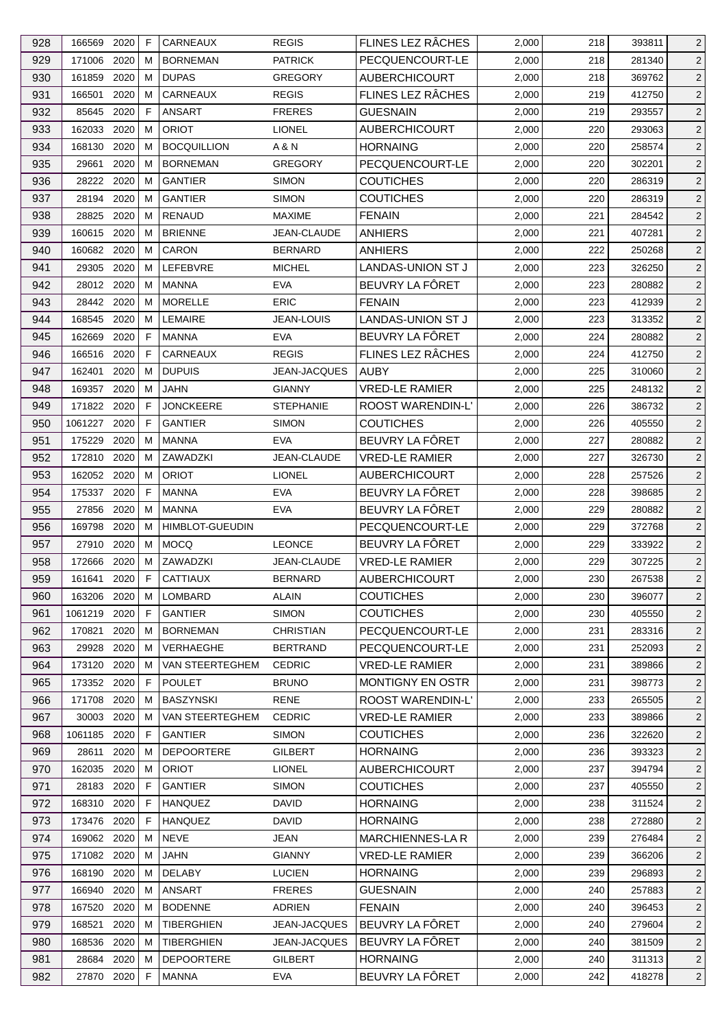| 928        | 166569                      | 2020 | F           | CARNEAUX                  | <b>REGIS</b>                   | FLINES LEZ RÂCHES                    | 2,000          | 218        | 393811           | 2                                |
|------------|-----------------------------|------|-------------|---------------------------|--------------------------------|--------------------------------------|----------------|------------|------------------|----------------------------------|
| 929        | 171006 2020                 |      | м           | <b>BORNEMAN</b>           | <b>PATRICK</b>                 | PECQUENCOURT-LE                      | 2,000          | 218        | 281340           | $\overline{2}$                   |
| 930        | 161859                      | 2020 | м           | <b>DUPAS</b>              | <b>GREGORY</b>                 | <b>AUBERCHICOURT</b>                 | 2,000          | 218        | 369762           | $\overline{2}$                   |
| 931        | 166501                      | 2020 | м           | <b>CARNEAUX</b>           | <b>REGIS</b>                   | FLINES LEZ RÂCHES                    | 2,000          | 219        | 412750           | $\overline{2}$                   |
| 932        | 85645                       | 2020 | F           | <b>ANSART</b>             | <b>FRERES</b>                  | <b>GUESNAIN</b>                      | 2,000          | 219        | 293557           | $\overline{c}$                   |
| 933        | 162033                      | 2020 | M           | <b>ORIOT</b>              | <b>LIONEL</b>                  | <b>AUBERCHICOURT</b>                 | 2,000          | 220        | 293063           | $\overline{2}$                   |
| 934        | 168130                      | 2020 | м           | <b>BOCQUILLION</b>        | A & N                          | <b>HORNAING</b>                      | 2,000          | 220        | 258574           | 2                                |
| 935        | 29661                       | 2020 | м           | <b>BORNEMAN</b>           | <b>GREGORY</b>                 | PECQUENCOURT-LE                      | 2,000          | 220        | 302201           | $\overline{c}$                   |
| 936        | 28222 2020                  |      | M           | <b>GANTIER</b>            | <b>SIMON</b>                   | <b>COUTICHES</b>                     | 2,000          | 220        | 286319           | 2                                |
| 937        | 28194                       | 2020 | м           | <b>GANTIER</b>            | <b>SIMON</b>                   | <b>COUTICHES</b>                     | 2,000          | 220        | 286319           | $\overline{2}$                   |
| 938        | 28825                       | 2020 | м           | <b>RENAUD</b>             | <b>MAXIME</b>                  | <b>FENAIN</b>                        | 2,000          | 221        | 284542           | $\overline{c}$                   |
| 939        | 160615 2020                 |      | м           | <b>BRIENNE</b>            | JEAN-CLAUDE                    | <b>ANHIERS</b>                       | 2,000          | 221        | 407281           | 2                                |
| 940        | 160682 2020                 |      | м           | CARON                     | <b>BERNARD</b>                 | <b>ANHIERS</b>                       | 2,000          | 222        | 250268           | $\overline{2}$                   |
| 941        | 29305                       | 2020 | м           | LEFEBVRE                  | <b>MICHEL</b>                  | LANDAS-UNION ST J                    | 2,000          | 223        | 326250           | $\overline{2}$                   |
| 942        | 28012 2020                  |      | м           | <b>MANNA</b>              | <b>EVA</b>                     | BEUVRY LA FÔRET                      | 2,000          | 223        | 280882           | $\overline{c}$                   |
| 943        | 28442 2020                  |      | м           | <b>MORELLE</b>            | <b>ERIC</b>                    | <b>FENAIN</b>                        | 2,000          | 223        | 412939           | $\overline{c}$                   |
| 944        | 168545                      | 2020 | M           | <b>LEMAIRE</b>            | <b>JEAN-LOUIS</b>              | <b>LANDAS-UNION ST J</b>             | 2,000          | 223        | 313352           | $\overline{2}$                   |
| 945        | 162669                      | 2020 | F           | MANNA                     | <b>EVA</b>                     | BEUVRY LA FÔRET                      | 2,000          | 224        | 280882           | $\overline{c}$                   |
| 946        | 166516 2020                 |      | F           | CARNEAUX                  | <b>REGIS</b>                   | FLINES LEZ RÂCHES                    | 2,000          | 224        | 412750           | $\overline{2}$                   |
| 947        | 162401                      | 2020 | M           | <b>DUPUIS</b>             | <b>JEAN-JACQUES</b>            | AUBY                                 | 2,000          | 225        | 310060           | $\overline{c}$                   |
| 948        | 169357 2020                 |      | м           | <b>JAHN</b>               | <b>GIANNY</b>                  | <b>VRED-LE RAMIER</b>                | 2,000          | 225        | 248132           | $\overline{2}$                   |
| 949        | 171822                      | 2020 | F           | <b>JONCKEERE</b>          | <b>STEPHANIE</b>               | ROOST WARENDIN-L'                    | 2,000          | 226        | 386732           | $\overline{c}$                   |
| 950        | 1061227 2020                |      | F           | <b>GANTIER</b>            | <b>SIMON</b>                   | <b>COUTICHES</b>                     | 2,000          | 226        | 405550           | $\overline{c}$                   |
| 951        | 175229                      | 2020 | м           | <b>MANNA</b>              | <b>EVA</b>                     | BEUVRY LA FÔRET                      | 2,000          | 227        | 280882           | $\overline{2}$                   |
| 952        | 172810                      | 2020 | м           | ZAWADZKI                  | JEAN-CLAUDE                    | <b>VRED-LE RAMIER</b>                | 2,000          | 227        | 326730           | $\overline{2}$                   |
| 953        | 162052 2020                 |      | м           | <b>ORIOT</b>              | <b>LIONEL</b>                  | <b>AUBERCHICOURT</b>                 | 2,000          | 228        | 257526           | $\overline{2}$                   |
| 954        | 175337 2020                 |      | F           | <b>MANNA</b>              | <b>EVA</b>                     | BEUVRY LA FÔRET                      | 2,000          | 228        | 398685           | $\overline{c}$                   |
| 955        | 27856 2020                  |      | м           | MANNA                     | <b>EVA</b>                     | BEUVRY LA FÔRET                      | 2,000          | 229        | 280882           | $\overline{2}$                   |
| 956        | 169798                      | 2020 | м           | <b>HIMBLOT-GUEUDIN</b>    |                                | PECQUENCOURT-LE                      | 2,000          | 229        | 372768           | $\overline{c}$                   |
| 957        | 27910 2020                  |      | м           | <b>MOCQ</b>               | <b>LEONCE</b>                  | BEUVRY LA FÔRET                      | 2,000          | 229        | 333922           | $\overline{2}$                   |
| 958        | 172666                      | 2020 | M           | ZAWADZKI                  | JEAN-CLAUDE                    | <b>VRED-LE RAMIER</b>                | 2,000          | 229        | 307225           | $\overline{c}$                   |
|            |                             |      | $\mathsf F$ |                           |                                |                                      |                |            |                  |                                  |
| 959        | 161641                      | 2020 |             | CATTIAUX                  | <b>BERNARD</b><br><b>ALAIN</b> | <b>AUBERCHICOURT</b>                 | 2,000          | 230        | 267538<br>396077 | $\overline{c}$                   |
| 960<br>961 | 163206 2020<br>1061219 2020 |      | М<br>F      | LOMBARD<br><b>GANTIER</b> | <b>SIMON</b>                   | <b>COUTICHES</b><br><b>COUTICHES</b> | 2,000<br>2,000 | 230<br>230 | 405550           | $\overline{2}$<br>$\overline{2}$ |
|            |                             | 2020 | м           | <b>BORNEMAN</b>           |                                |                                      |                |            |                  |                                  |
| 962        | 170821<br>29928             | 2020 |             | <b>VERHAEGHE</b>          | <b>CHRISTIAN</b>               | PECQUENCOURT-LE                      | 2,000          | 231        | 283316<br>252093 | $\overline{2}$                   |
| 963        |                             |      | м           |                           | <b>BERTRAND</b>                | PECQUENCOURT-LE                      | 2,000          | 231        |                  | $\overline{2}$                   |
| 964        | 173120 2020                 |      | м           | VAN STEERTEGHEM           | <b>CEDRIC</b>                  | <b>VRED-LE RAMIER</b>                | 2,000          | 231        | 389866           | $\overline{2}$                   |
| 965        | 173352 2020                 |      | F           | <b>POULET</b>             | <b>BRUNO</b>                   | MONTIGNY EN OSTR                     | 2,000          | 231        | 398773           | $\overline{c}$                   |
| 966        | 171708                      | 2020 | м           | <b>BASZYNSKI</b>          | <b>RENE</b>                    | ROOST WARENDIN-L'                    | 2,000          | 233        | 265505           | $\overline{2}$                   |
| 967        | 30003                       | 2020 | м           | VAN STEERTEGHEM           | <b>CEDRIC</b>                  | <b>VRED-LE RAMIER</b>                | 2,000          | 233        | 389866           | $\overline{2}$                   |
| 968        | 1061185                     | 2020 | F.          | <b>GANTIER</b>            | <b>SIMON</b>                   | <b>COUTICHES</b>                     | 2,000          | 236        | 322620           | $\overline{2}$                   |
| 969        | 28611                       | 2020 | M           | <b>DEPOORTERE</b>         | GILBERT                        | <b>HORNAING</b>                      | 2,000          | 236        | 393323           | $\overline{c}$                   |
| 970        | 162035                      | 2020 | м           | <b>ORIOT</b>              | <b>LIONEL</b>                  | <b>AUBERCHICOURT</b>                 | 2,000          | 237        | 394794           | 2                                |
| 971        | 28183                       | 2020 | F           | <b>GANTIER</b>            | <b>SIMON</b>                   | <b>COUTICHES</b>                     | 2,000          | 237        | 405550           | $\overline{2}$                   |
| 972        | 168310 2020                 |      | F           | <b>HANQUEZ</b>            | <b>DAVID</b>                   | <b>HORNAING</b>                      | 2,000          | 238        | 311524           | $\overline{2}$                   |
| 973        | 173476                      | 2020 | F           | <b>HANQUEZ</b>            | <b>DAVID</b>                   | <b>HORNAING</b>                      | 2,000          | 238        | 272880           | $\overline{2}$                   |
| 974        | 169062                      | 2020 | м           | <b>NEVE</b>               | JEAN                           | <b>MARCHIENNES-LAR</b>               | 2,000          | 239        | 276484           | $\overline{2}$                   |
| 975        | 171082 2020                 |      | м           | JAHN                      | <b>GIANNY</b>                  | <b>VRED-LE RAMIER</b>                | 2,000          | 239        | 366206           | $\overline{2}$                   |
| 976        | 168190                      | 2020 | м           | <b>DELABY</b>             | <b>LUCIEN</b>                  | <b>HORNAING</b>                      | 2,000          | 239        | 296893           | $\overline{2}$                   |
| 977        | 166940                      | 2020 | M           | <b>ANSART</b>             | <b>FRERES</b>                  | <b>GUESNAIN</b>                      | 2,000          | 240        | 257883           | $\overline{2}$                   |
| 978        | 167520                      | 2020 | м           | <b>BODENNE</b>            | ADRIEN                         | <b>FENAIN</b>                        | 2,000          | 240        | 396453           | $\overline{2}$                   |
| 979        | 168521                      | 2020 | м           | <b>TIBERGHIEN</b>         | JEAN-JACQUES                   | BEUVRY LA FÔRET                      | 2,000          | 240        | 279604           | $\overline{2}$                   |
| 980        | 168536 2020                 |      | M           | TIBERGHIEN                | JEAN-JACQUES                   | BEUVRY LA FÔRET                      | 2,000          | 240        | 381509           | $\overline{2}$                   |
| 981        | 28684                       | 2020 | м           | <b>DEPOORTERE</b>         | GILBERT                        | <b>HORNAING</b>                      | 2,000          | 240        | 311313           | $\overline{2}$                   |
| 982        | 27870 2020                  |      | F           | <b>MANNA</b>              | <b>EVA</b>                     | BEUVRY LA FÔRET                      | 2,000          | 242        | 418278           | $\overline{2}$                   |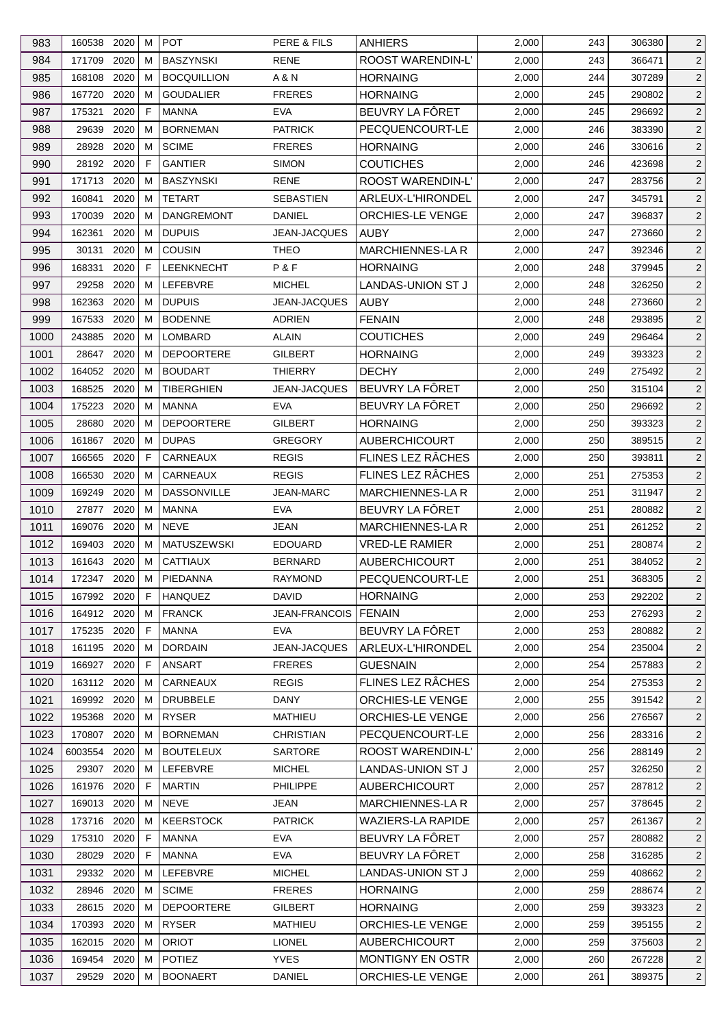| 983  | 160538           | 2020 | м      | <b>POT</b>         | PERE & FILS         | ANHIERS                  | 2,000 | 243 | 306380           | $\overline{2}$ |
|------|------------------|------|--------|--------------------|---------------------|--------------------------|-------|-----|------------------|----------------|
| 984  | 171709           | 2020 | м      | <b>BASZYNSKI</b>   | <b>RENE</b>         | ROOST WARENDIN-L'        | 2,000 | 243 | 366471           | $\overline{2}$ |
| 985  | 168108           | 2020 | м      | <b>BOCQUILLION</b> | A & N               | <b>HORNAING</b>          | 2,000 | 244 | 307289           | $\overline{2}$ |
| 986  | 167720           | 2020 | м      | <b>GOUDALIER</b>   | <b>FRERES</b>       | <b>HORNAING</b>          | 2,000 | 245 | 290802           | $\overline{2}$ |
| 987  | 175321           | 2020 | F      | <b>MANNA</b>       | <b>EVA</b>          | BEUVRY LA FÔRET          | 2,000 | 245 | 296692           | $\overline{c}$ |
| 988  | 29639            | 2020 | м      | <b>BORNEMAN</b>    | <b>PATRICK</b>      | PECQUENCOURT-LE          | 2,000 | 246 | 383390           | 2              |
| 989  | 28928            | 2020 | м      | <b>SCIME</b>       | <b>FRERES</b>       | <b>HORNAING</b>          | 2,000 | 246 | 330616           | $\overline{2}$ |
| 990  | 28192            | 2020 | F      | <b>GANTIER</b>     | <b>SIMON</b>        | <b>COUTICHES</b>         | 2,000 | 246 | 423698           | $\overline{2}$ |
| 991  | 171713           | 2020 | M      | <b>BASZYNSKI</b>   | RENE                | <b>ROOST WARENDIN-L'</b> | 2,000 | 247 | 283756           | $\overline{2}$ |
| 992  | 160841           | 2020 | м      | <b>TETART</b>      | SEBASTIEN           | ARLEUX-L'HIRONDEL        | 2,000 | 247 | 345791           | 2              |
| 993  | 170039           | 2020 | м      | <b>DANGREMONT</b>  | <b>DANIEL</b>       | ORCHIES-LE VENGE         | 2,000 | 247 | 396837           | $\overline{c}$ |
| 994  | 162361           | 2020 | м      | <b>DUPUIS</b>      | JEAN-JACQUES        | <b>AUBY</b>              | 2,000 | 247 | 273660           | $\overline{2}$ |
| 995  | 30131            | 2020 | м      | <b>COUSIN</b>      | THEO                | <b>MARCHIENNES-LAR</b>   | 2,000 | 247 | 392346           | $\overline{c}$ |
| 996  | 168331           | 2020 | F      | LEENKNECHT         | P&F                 | <b>HORNAING</b>          | 2,000 | 248 | 379945           | $\overline{c}$ |
| 997  | 29258            | 2020 | м      | <b>LEFEBVRE</b>    | <b>MICHEL</b>       | <b>LANDAS-UNION ST J</b> | 2,000 | 248 | 326250           | $\overline{2}$ |
| 998  | 162363           | 2020 | м      | <b>DUPUIS</b>      | JEAN-JACQUES        | <b>AUBY</b>              | 2,000 | 248 | 273660           | $\overline{c}$ |
| 999  | 167533           | 2020 | м      | <b>BODENNE</b>     | <b>ADRIEN</b>       | <b>FENAIN</b>            | 2,000 | 248 | 293895           | $\overline{c}$ |
| 1000 | 243885           | 2020 | м      | <b>LOMBARD</b>     | <b>ALAIN</b>        | <b>COUTICHES</b>         | 2,000 | 249 | 296464           | $\overline{c}$ |
| 1001 | 28647            | 2020 | м      | <b>DEPOORTERE</b>  | <b>GILBERT</b>      | <b>HORNAING</b>          | 2,000 | 249 | 393323           | $\overline{2}$ |
| 1002 | 164052 2020      |      | M      | <b>BOUDART</b>     | <b>THIERRY</b>      | <b>DECHY</b>             | 2,000 | 249 | 275492           | $\overline{2}$ |
| 1003 | 168525           | 2020 | M      | <b>TIBERGHIEN</b>  | <b>JEAN-JACQUES</b> | BEUVRY LA FÔRET          | 2,000 | 250 | 315104           | 2              |
| 1004 | 175223           | 2020 | м      | <b>MANNA</b>       | <b>EVA</b>          | BEUVRY LA FÔRET          | 2,000 | 250 | 296692           | $\overline{c}$ |
| 1005 | 28680            | 2020 | м      | <b>DEPOORTERE</b>  | <b>GILBERT</b>      | <b>HORNAING</b>          | 2,000 | 250 | 393323           | $\overline{2}$ |
| 1006 | 161867           | 2020 | м      | <b>DUPAS</b>       | GREGORY             | <b>AUBERCHICOURT</b>     | 2,000 | 250 | 389515           | $\overline{c}$ |
| 1007 | 166565           | 2020 | F      | CARNEAUX           | <b>REGIS</b>        | FLINES LEZ RÂCHES        | 2,000 | 250 | 393811           | $\overline{2}$ |
| 1008 |                  | 2020 | м      | CARNEAUX           | <b>REGIS</b>        | FLINES LEZ RÂCHES        | 2,000 |     |                  |                |
|      | 166530<br>169249 | 2020 |        | <b>DASSONVILLE</b> | <b>JEAN-MARC</b>    | <b>MARCHIENNES-LA R</b>  |       | 251 | 275353           | $\overline{2}$ |
| 1009 |                  | 2020 | м<br>м | <b>MANNA</b>       | <b>EVA</b>          | BEUVRY LA FÔRET          | 2,000 | 251 | 311947<br>280882 | $\overline{c}$ |
| 1010 | 27877            |      |        | <b>NEVE</b>        |                     | <b>MARCHIENNES-LA R</b>  | 2,000 | 251 |                  | $\overline{c}$ |
| 1011 | 169076           | 2020 | м      |                    | JEAN                |                          | 2,000 | 251 | 261252           | $\overline{c}$ |
| 1012 | 169403           | 2020 | м      | <b>MATUSZEWSKI</b> | <b>EDOUARD</b>      | <b>VRED-LE RAMIER</b>    | 2,000 | 251 | 280874           | $\overline{2}$ |
| 1013 | 161643           | 2020 | м      | <b>CATTIAUX</b>    | <b>BERNARD</b>      | <b>AUBERCHICOURT</b>     | 2,000 | 251 | 384052           | $\overline{c}$ |
| 1014 | 172347 2020      |      | M      | PIEDANNA           | <b>RAYMOND</b>      | PECQUENCOURT-LE          | 2,000 | 251 | 368305           | $\overline{2}$ |
| 1015 | 167992 2020      |      | -F     | HANQUEZ            | <b>DAVID</b>        | <b>HORNAING</b>          | 2,000 | 253 | 292202           | 2              |
| 1016 | 164912 2020      |      | м      | <b>FRANCK</b>      | JEAN-FRANCOIS       | <b>FENAIN</b>            | 2,000 | 253 | 276293           | $\overline{2}$ |
| 1017 | 175235 2020      |      | F      | <b>MANNA</b>       | EVA                 | BEUVRY LA FÔRET          | 2,000 | 253 | 280882           | $\overline{2}$ |
| 1018 | 161195           | 2020 | M      | <b>DORDAIN</b>     | JEAN-JACQUES        | ARLEUX-L'HIRONDEL        | 2,000 | 254 | 235004           | $\overline{2}$ |
| 1019 | 166927 2020      |      | F      | ANSART             | <b>FRERES</b>       | <b>GUESNAIN</b>          | 2,000 | 254 | 257883           | $\overline{2}$ |
| 1020 | 163112 2020      |      | м      | CARNEAUX           | <b>REGIS</b>        | FLINES LEZ RÂCHES        | 2,000 | 254 | 275353           | $\overline{2}$ |
| 1021 | 169992 2020      |      | м      | <b>DRUBBELE</b>    | <b>DANY</b>         | ORCHIES-LE VENGE         | 2,000 | 255 | 391542           | $\overline{2}$ |
| 1022 | 195368           | 2020 | M      | <b>RYSER</b>       | MATHIEU             | <b>ORCHIES-LE VENGE</b>  | 2,000 | 256 | 276567           | $\overline{2}$ |
| 1023 | 170807           | 2020 | M      | <b>BORNEMAN</b>    | <b>CHRISTIAN</b>    | PECQUENCOURT-LE          | 2,000 | 256 | 283316           | $\overline{2}$ |
| 1024 | 6003554 2020     |      | M      | <b>BOUTELEUX</b>   | <b>SARTORE</b>      | ROOST WARENDIN-L'        | 2,000 | 256 | 288149           | $\overline{2}$ |
| 1025 | 29307            | 2020 | M      | LEFEBVRE           | <b>MICHEL</b>       | LANDAS-UNION ST J        | 2,000 | 257 | 326250           | $\overline{2}$ |
| 1026 | 161976           | 2020 | E      | <b>MARTIN</b>      | <b>PHILIPPE</b>     | <b>AUBERCHICOURT</b>     | 2,000 | 257 | 287812           | $\overline{2}$ |
| 1027 | 169013 2020      |      | м      | <b>NEVE</b>        | <b>JEAN</b>         | <b>MARCHIENNES-LAR</b>   | 2,000 | 257 | 378645           | $\overline{2}$ |
| 1028 | 173716 2020      |      | M      | <b>KEERSTOCK</b>   | <b>PATRICK</b>      | <b>WAZIERS-LA RAPIDE</b> | 2,000 | 257 | 261367           | $\overline{2}$ |
| 1029 | 175310 2020      |      | F      | <b>MANNA</b>       | <b>EVA</b>          | BEUVRY LA FÔRET          | 2,000 | 257 | 280882           | $\overline{2}$ |
| 1030 | 28029            | 2020 | F      | MANNA              | <b>EVA</b>          | BEUVRY LA FÖRET          | 2,000 | 258 | 316285           | $\overline{2}$ |
| 1031 | 29332 2020       |      | м      | LEFEBVRE           | <b>MICHEL</b>       | LANDAS-UNION ST J        | 2,000 | 259 | 408662           | $\overline{2}$ |
| 1032 | 28946            | 2020 | м      | <b>SCIME</b>       | <b>FRERES</b>       | <b>HORNAING</b>          | 2,000 | 259 | 288674           | $\overline{2}$ |
| 1033 | 28615            | 2020 | M      | <b>DEPOORTERE</b>  | GILBERT             | <b>HORNAING</b>          | 2,000 | 259 | 393323           | $\overline{2}$ |
| 1034 | 170393 2020      |      | м      | <b>RYSER</b>       | <b>MATHIEU</b>      | ORCHIES-LE VENGE         | 2,000 | 259 | 395155           | $\overline{2}$ |
| 1035 | 162015 2020      |      | M      | <b>ORIOT</b>       | <b>LIONEL</b>       | <b>AUBERCHICOURT</b>     | 2,000 | 259 | 375603           | $\overline{2}$ |
| 1036 | 169454           | 2020 | M      | <b>POTIEZ</b>      | <b>YVES</b>         | MONTIGNY EN OSTR         | 2,000 | 260 | 267228           | 2 <sup>1</sup> |
| 1037 | 29529 2020       |      | М      | <b>BOONAERT</b>    | DANIEL              | ORCHIES-LE VENGE         | 2,000 | 261 | 389375           | $\overline{2}$ |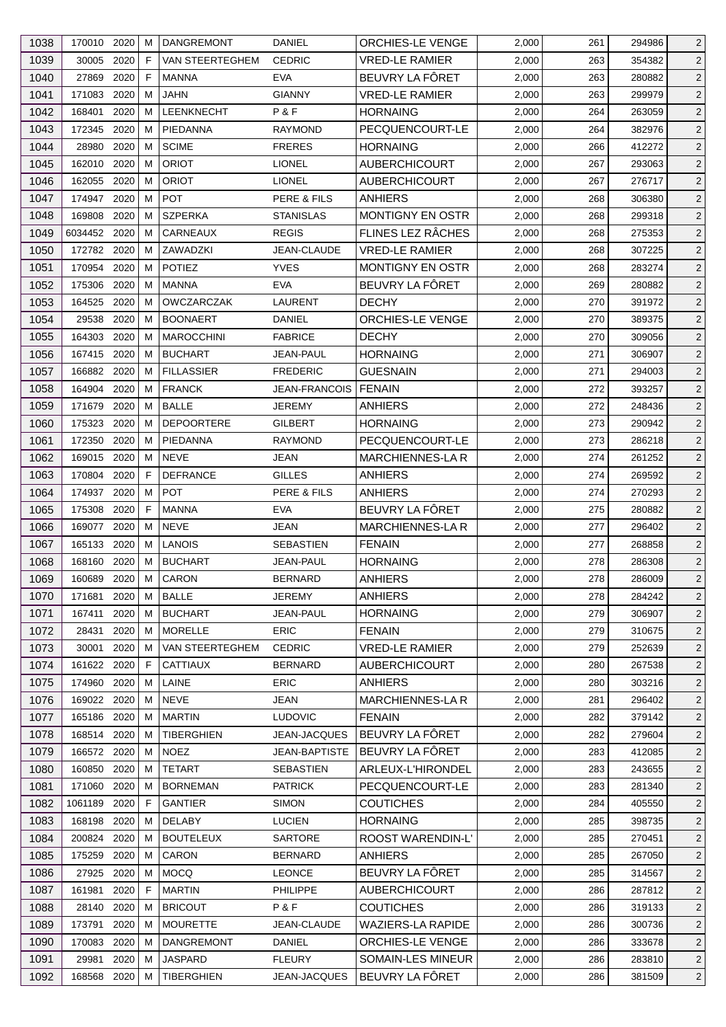| 1038 | 170010 2020  |      | M | <b>DANGREMONT</b>      | <b>DANIEL</b>        | <b>ORCHIES-LE VENGE</b>  | 2,000 | 261 | 294986 | $\overline{2}$ |
|------|--------------|------|---|------------------------|----------------------|--------------------------|-------|-----|--------|----------------|
| 1039 | 30005        | 2020 | F | VAN STEERTEGHEM        | <b>CEDRIC</b>        | <b>VRED-LE RAMIER</b>    | 2,000 | 263 | 354382 | $\overline{2}$ |
| 1040 | 27869        | 2020 | F | <b>MANNA</b>           | EVA                  | BEUVRY LA FÔRET          | 2,000 | 263 | 280882 | $\overline{2}$ |
| 1041 | 171083       | 2020 | м | JAHN                   | <b>GIANNY</b>        | <b>VRED-LE RAMIER</b>    | 2,000 | 263 | 299979 | $\overline{2}$ |
| 1042 | 168401       | 2020 | м | LEENKNECHT             | P&F                  | <b>HORNAING</b>          | 2,000 | 264 | 263059 | $\overline{c}$ |
| 1043 | 172345       | 2020 | м | PIEDANNA               | <b>RAYMOND</b>       | PECQUENCOURT-LE          | 2,000 | 264 | 382976 | $\overline{2}$ |
| 1044 | 28980        | 2020 | м | <b>SCIME</b>           | <b>FRERES</b>        | <b>HORNAING</b>          | 2,000 | 266 | 412272 | $\overline{2}$ |
| 1045 | 162010       | 2020 | м | <b>ORIOT</b>           | <b>LIONEL</b>        | <b>AUBERCHICOURT</b>     | 2,000 | 267 | 293063 | $\overline{c}$ |
| 1046 | 162055       | 2020 | м | <b>ORIOT</b>           | <b>LIONEL</b>        | <b>AUBERCHICOURT</b>     | 2,000 | 267 | 276717 | $\overline{c}$ |
| 1047 | 174947       | 2020 | м | <b>POT</b>             | PERE & FILS          | <b>ANHIERS</b>           | 2,000 | 268 | 306380 | $\overline{2}$ |
| 1048 | 169808       | 2020 | м | <b>SZPERKA</b>         | <b>STANISLAS</b>     | <b>MONTIGNY EN OSTR</b>  | 2,000 | 268 | 299318 | $\overline{2}$ |
| 1049 | 6034452 2020 |      | м | CARNEAUX               | <b>REGIS</b>         | FLINES LEZ RÂCHES        | 2,000 | 268 | 275353 | $\overline{c}$ |
| 1050 | 172782 2020  |      | м | ZAWADZKI               | JEAN-CLAUDE          | <b>VRED-LE RAMIER</b>    | 2,000 | 268 | 307225 | $\overline{2}$ |
| 1051 | 170954       | 2020 | м | <b>POTIEZ</b>          | <b>YVES</b>          | <b>MONTIGNY EN OSTR</b>  | 2,000 | 268 | 283274 | $\overline{2}$ |
| 1052 | 175306       | 2020 | м | <b>MANNA</b>           | <b>EVA</b>           | BEUVRY LA FÔRET          | 2,000 | 269 | 280882 | $\overline{2}$ |
| 1053 | 164525       | 2020 | м | OWCZARCZAK             | LAURENT              | <b>DECHY</b>             | 2,000 | 270 | 391972 | $\overline{c}$ |
| 1054 | 29538        | 2020 | M | <b>BOONAERT</b>        | <b>DANIEL</b>        | <b>ORCHIES-LE VENGE</b>  | 2,000 | 270 | 389375 | $\overline{2}$ |
| 1055 | 164303       | 2020 | м | <b>MAROCCHINI</b>      | <b>FABRICE</b>       | <b>DECHY</b>             | 2,000 | 270 | 309056 | $\overline{2}$ |
| 1056 | 167415 2020  |      | M | <b>BUCHART</b>         | JEAN-PAUL            | <b>HORNAING</b>          | 2,000 | 271 | 306907 | $\overline{2}$ |
| 1057 | 166882       | 2020 | м | <b>FILLASSIER</b>      | <b>FREDERIC</b>      | <b>GUESNAIN</b>          | 2,000 | 271 | 294003 | 2              |
| 1058 | 164904       | 2020 | M | <b>FRANCK</b>          | JEAN-FRANCOIS        | <b>FENAIN</b>            | 2,000 | 272 | 393257 | $\overline{2}$ |
| 1059 | 171679       | 2020 | м | <b>BALLE</b>           | <b>JEREMY</b>        | <b>ANHIERS</b>           | 2,000 | 272 | 248436 | $\overline{c}$ |
| 1060 | 175323       | 2020 | м | <b>DEPOORTERE</b>      | <b>GILBERT</b>       | <b>HORNAING</b>          | 2,000 | 273 | 290942 | 2              |
|      |              | 2020 | м | PIEDANNA               |                      |                          |       |     |        |                |
| 1061 | 172350       |      |   |                        | <b>RAYMOND</b>       | PECQUENCOURT-LE          | 2,000 | 273 | 286218 | $\overline{2}$ |
| 1062 | 169015       | 2020 | м | <b>NEVE</b>            | JEAN                 | <b>MARCHIENNES-LAR</b>   | 2,000 | 274 | 261252 | $\overline{2}$ |
| 1063 | 170804 2020  |      | F | <b>DEFRANCE</b>        | <b>GILLES</b>        | <b>ANHIERS</b>           | 2,000 | 274 | 269592 | $\overline{2}$ |
| 1064 | 174937       | 2020 | М | <b>POT</b>             | PERE & FILS          | <b>ANHIERS</b>           | 2,000 | 274 | 270293 | $\overline{c}$ |
| 1065 | 175308       | 2020 | E | <b>MANNA</b>           | <b>EVA</b>           | BEUVRY LA FÔRET          | 2,000 | 275 | 280882 | $\overline{2}$ |
| 1066 | 169077       | 2020 | м | <b>NEVE</b>            | JEAN                 | <b>MARCHIENNES-LAR</b>   | 2,000 | 277 | 296402 | $\overline{2}$ |
| 1067 | 165133       | 2020 | м | LANOIS                 | <b>SEBASTIEN</b>     | <b>FENAIN</b>            | 2,000 | 277 | 268858 | $\overline{2}$ |
| 1068 | 168160       | 2020 | м | <b>BUCHART</b>         | JEAN-PAUL            | <b>HORNAING</b>          | 2,000 | 278 | 286308 | 2              |
| 1069 | 160689       | 2020 | M | CARON                  | <b>BERNARD</b>       | <b>ANHIERS</b>           | 2,000 | 278 | 286009 | $\overline{a}$ |
| 1070 | 171681       | 2020 | М | <b>BALLE</b>           | <b>JEREMY</b>        | <b>ANHIERS</b>           | 2,000 | 278 | 284242 | $\overline{c}$ |
| 1071 | 167411       | 2020 | м | <b>BUCHART</b>         | JEAN-PAUL            | <b>HORNAING</b>          | 2,000 | 279 | 306907 | $\overline{2}$ |
| 1072 | 28431        | 2020 | м | <b>MORELLE</b>         | ERIC                 | <b>FENAIN</b>            | 2,000 | 279 | 310675 | $\overline{2}$ |
| 1073 | 30001        | 2020 | м | <b>VAN STEERTEGHEM</b> | <b>CEDRIC</b>        | <b>VRED-LE RAMIER</b>    | 2,000 | 279 | 252639 | $\overline{2}$ |
| 1074 | 161622 2020  |      | F | <b>CATTIAUX</b>        | BERNARD              | <b>AUBERCHICOURT</b>     | 2,000 | 280 | 267538 | $\overline{2}$ |
| 1075 | 174960       | 2020 | м | LAINE                  | <b>ERIC</b>          | <b>ANHIERS</b>           | 2,000 | 280 | 303216 | $\overline{2}$ |
| 1076 | 169022       | 2020 | м | <b>NEVE</b>            | <b>JEAN</b>          | <b>MARCHIENNES-LAR</b>   | 2,000 | 281 | 296402 | $\overline{2}$ |
| 1077 | 165186       | 2020 | м | <b>MARTIN</b>          | <b>LUDOVIC</b>       | <b>FENAIN</b>            | 2,000 | 282 | 379142 | $\overline{2}$ |
| 1078 | 168514       | 2020 | M | TIBERGHIEN             | JEAN-JACQUES         | BEUVRY LA FÔRET          | 2,000 | 282 | 279604 | $\overline{2}$ |
| 1079 | 166572 2020  |      | м | <b>NOEZ</b>            | <b>JEAN-BAPTISTE</b> | BEUVRY LA FÔRET          | 2,000 | 283 | 412085 | $\overline{2}$ |
| 1080 | 160850       | 2020 | M | <b>TETART</b>          | SEBASTIEN            | ARLEUX-L'HIRONDEL        | 2,000 | 283 | 243655 | $\overline{2}$ |
| 1081 | 171060       | 2020 | м | <b>BORNEMAN</b>        | <b>PATRICK</b>       | PECQUENCOURT-LE          | 2,000 | 283 | 281340 | $\overline{2}$ |
| 1082 | 1061189      | 2020 | F | <b>GANTIER</b>         | <b>SIMON</b>         | <b>COUTICHES</b>         | 2,000 | 284 | 405550 | $\overline{2}$ |
| 1083 | 168198       | 2020 | M | <b>DELABY</b>          | <b>LUCIEN</b>        | <b>HORNAING</b>          | 2,000 | 285 | 398735 | $\overline{2}$ |
| 1084 | 200824       | 2020 | M | <b>BOUTELEUX</b>       | <b>SARTORE</b>       | ROOST WARENDIN-L'        | 2,000 | 285 | 270451 | $\overline{2}$ |
| 1085 | 175259       | 2020 | м | CARON                  | <b>BERNARD</b>       | <b>ANHIERS</b>           | 2,000 | 285 | 267050 | $\overline{2}$ |
| 1086 | 27925        | 2020 | м | <b>MOCQ</b>            | <b>LEONCE</b>        | BEUVRY LA FÔRET          | 2,000 | 285 | 314567 | $\overline{2}$ |
| 1087 | 161981       | 2020 | F | <b>MARTIN</b>          | <b>PHILIPPE</b>      | <b>AUBERCHICOURT</b>     | 2,000 | 286 | 287812 | $\overline{2}$ |
| 1088 | 28140        | 2020 | м | <b>BRICOUT</b>         | P&F                  | <b>COUTICHES</b>         | 2,000 | 286 | 319133 | $\overline{2}$ |
| 1089 | 173791       | 2020 | M | <b>MOURETTE</b>        | JEAN-CLAUDE          | <b>WAZIERS-LA RAPIDE</b> | 2,000 | 286 | 300736 | $\overline{2}$ |
| 1090 | 170083       | 2020 | м | <b>DANGREMONT</b>      | <b>DANIEL</b>        | ORCHIES-LE VENGE         | 2,000 | 286 | 333678 | $\overline{c}$ |
| 1091 | 29981        | 2020 | M | <b>JASPARD</b>         | <b>FLEURY</b>        | SOMAIN-LES MINEUR        | 2,000 | 286 | 283810 | 2 <sup>1</sup> |
| 1092 | 168568 2020  |      | М | <b>TIBERGHIEN</b>      | JEAN-JACQUES         | BEUVRY LA FÔRET          | 2,000 | 286 | 381509 | $\overline{2}$ |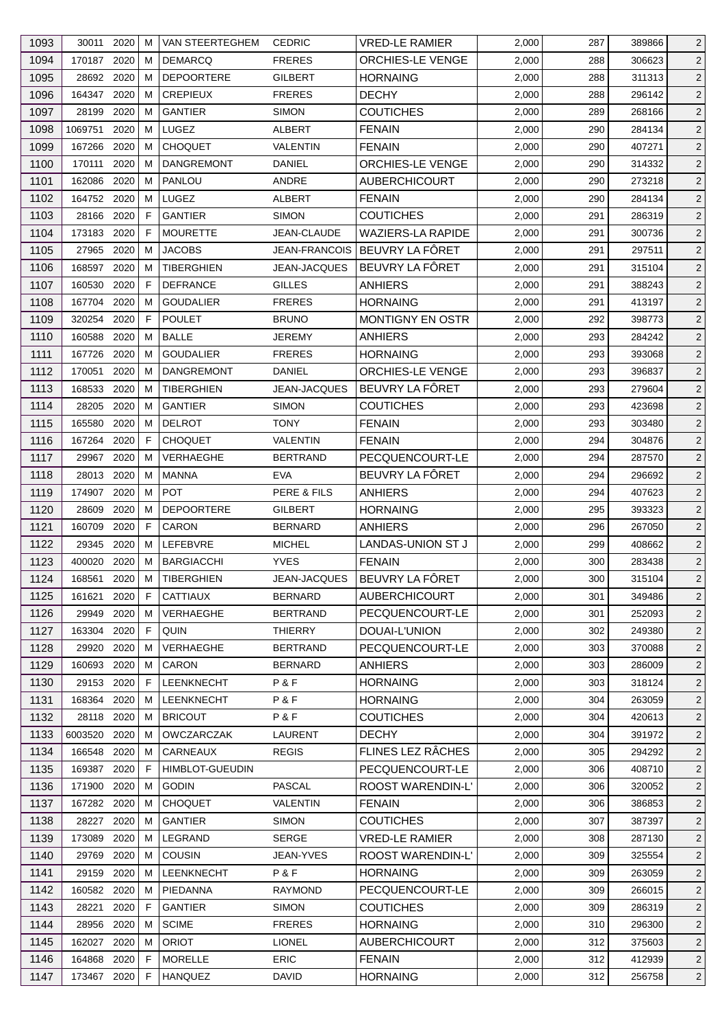| 1093 | 30011 2020  |          | м  | VAN STEERTEGHEM CEDRIC |                      | <b>VRED-LE RAMIER</b>    | 2,000 | 287 | 389866 | 2              |
|------|-------------|----------|----|------------------------|----------------------|--------------------------|-------|-----|--------|----------------|
| 1094 | 170187 2020 |          | м  | <b>DEMARCQ</b>         | <b>FRERES</b>        | <b>ORCHIES-LE VENGE</b>  | 2,000 | 288 | 306623 | $\overline{2}$ |
| 1095 | 28692 2020  |          | м  | <b>DEPOORTERE</b>      | <b>GILBERT</b>       | <b>HORNAING</b>          | 2,000 | 288 | 311313 | $\overline{2}$ |
| 1096 | 164347 2020 |          | м  | <b>CREPIEUX</b>        | <b>FRERES</b>        | <b>DECHY</b>             | 2,000 | 288 | 296142 | $\overline{2}$ |
| 1097 | 28199       | 2020     | м  | <b>GANTIER</b>         | <b>SIMON</b>         | <b>COUTICHES</b>         | 2,000 | 289 | 268166 | $\overline{c}$ |
| 1098 | 1069751     | 2020     | M  | <b>LUGEZ</b>           | ALBERT               | <b>FENAIN</b>            | 2,000 | 290 | 284134 | $\overline{2}$ |
| 1099 | 167266      | 2020     | м  | <b>CHOQUET</b>         | VALENTIN             | <b>FENAIN</b>            | 2,000 | 290 | 407271 | $\overline{c}$ |
| 1100 | 170111      | 2020     | м  | <b>DANGREMONT</b>      | <b>DANIEL</b>        | ORCHIES-LE VENGE         | 2,000 | 290 | 314332 | $\overline{c}$ |
| 1101 | 162086      | 2020     | M  | PANLOU                 | ANDRE                | <b>AUBERCHICOURT</b>     | 2,000 | 290 | 273218 | 2              |
| 1102 | 164752 2020 |          | м  | LUGEZ                  | ALBERT               | <b>FENAIN</b>            | 2,000 | 290 | 284134 | $\overline{2}$ |
| 1103 | 28166       | 2020     | F  | <b>GANTIER</b>         | <b>SIMON</b>         | <b>COUTICHES</b>         | 2,000 | 291 | 286319 | $\overline{c}$ |
| 1104 | 173183 2020 |          | F  | <b>MOURETTE</b>        | JEAN-CLAUDE          | <b>WAZIERS-LA RAPIDE</b> | 2,000 | 291 | 300736 | $\overline{c}$ |
| 1105 | 27965 2020  |          | м  | <b>JACOBS</b>          | <b>JEAN-FRANCOIS</b> | BEUVRY LA FÖRET          | 2,000 | 291 | 297511 | $\overline{2}$ |
| 1106 | 168597      | 2020     | м  | <b>TIBERGHIEN</b>      | <b>JEAN-JACQUES</b>  | BEUVRY LA FÔRET          | 2,000 | 291 | 315104 | $\overline{2}$ |
| 1107 | 160530      | 2020     | F  | <b>DEFRANCE</b>        | <b>GILLES</b>        | <b>ANHIERS</b>           | 2,000 | 291 | 388243 | $\overline{c}$ |
| 1108 | 167704 2020 |          | м  | <b>GOUDALIER</b>       | <b>FRERES</b>        | <b>HORNAING</b>          | 2,000 | 291 | 413197 | $\overline{c}$ |
| 1109 | 320254      | 2020     | F  | <b>POULET</b>          | <b>BRUNO</b>         | MONTIGNY EN OSTR         | 2,000 | 292 | 398773 | $\overline{2}$ |
| 1110 | 160588      | 2020     | м  | <b>BALLE</b>           | <b>JEREMY</b>        | <b>ANHIERS</b>           | 2,000 | 293 | 284242 | $\overline{c}$ |
|      |             |          |    |                        |                      |                          |       |     |        |                |
| 1111 | 167726      | 2020     | м  | <b>GOUDALIER</b>       | <b>FRERES</b>        | <b>HORNAING</b>          | 2,000 | 293 | 393068 | $\overline{2}$ |
| 1112 | 170051      | 2020     | M  | <b>DANGREMONT</b>      | DANIEL               | ORCHIES-LE VENGE         | 2,000 | 293 | 396837 | $\overline{c}$ |
| 1113 | 168533      | 2020     | м  | TIBERGHIEN             | <b>JEAN-JACQUES</b>  | BEUVRY LA FÖRET          | 2,000 | 293 | 279604 | $\overline{2}$ |
| 1114 | 28205       | 2020     | м  | <b>GANTIER</b>         | <b>SIMON</b>         | <b>COUTICHES</b>         | 2,000 | 293 | 423698 | $\overline{c}$ |
| 1115 | 165580      | 2020     | м  | <b>DELROT</b>          | <b>TONY</b>          | <b>FENAIN</b>            | 2,000 | 293 | 303480 | $\overline{c}$ |
| 1116 | 167264      | 2020     | F  | <b>CHOQUET</b>         | <b>VALENTIN</b>      | <b>FENAIN</b>            | 2,000 | 294 | 304876 | $\overline{2}$ |
| 1117 | 29967       | 2020     | м  | VERHAEGHE              | <b>BERTRAND</b>      | PECQUENCOURT-LE          | 2,000 | 294 | 287570 | $\overline{2}$ |
| 1118 | 28013 2020  |          | м  | <b>MANNA</b>           | <b>EVA</b>           | BEUVRY LA FÖRET          | 2,000 | 294 | 296692 | $\overline{2}$ |
| 1119 | 174907      | 2020     | м  | <b>POT</b>             | PERE & FILS          | <b>ANHIERS</b>           | 2,000 | 294 | 407623 | $\overline{c}$ |
| 1120 | 28609       | 2020     | м  | <b>DEPOORTERE</b>      | <b>GILBERT</b>       | <b>HORNAING</b>          | 2,000 | 295 | 393323 | $\overline{2}$ |
| 1121 | 160709      | 2020     | F. | CARON                  | <b>BERNARD</b>       | <b>ANHIERS</b>           | 2,000 | 296 | 267050 | 2              |
| 1122 | 29345       | 2020     | м  | LEFEBVRE               | <b>MICHEL</b>        | LANDAS-UNION ST J        | 2,000 | 299 | 408662 | $\overline{2}$ |
| 1123 | 400020      | 2020     | M  | <b>BARGIACCHI</b>      | <b>YVES</b>          | <b>FENAIN</b>            | 2,000 | 300 | 283438 | $\overline{c}$ |
| 1124 | 168561      | $2020$ M |    | <b>TIBERGHIEN</b>      | JEAN-JACQUES         | BEUVRY LA FÔRET          | 2,000 | 300 | 315104 | $\overline{c}$ |
| 1125 | 161621      | 2020     | F  | <b>CATTIAUX</b>        | <b>BERNARD</b>       | <b>AUBERCHICOURT</b>     | 2,000 | 301 | 349486 | $\overline{2}$ |
| 1126 | 29949       | 2020     | м  | <b>VERHAEGHE</b>       | <b>BERTRAND</b>      | PECQUENCOURT-LE          | 2,000 | 301 | 252093 | $\overline{2}$ |
| 1127 | 163304      | 2020     | F  | QUIN                   | <b>THIERRY</b>       | DOUAI-L'UNION            | 2,000 | 302 | 249380 | $\overline{2}$ |
|      |             |          |    |                        |                      |                          |       |     |        |                |
| 1128 | 29920       | 2020     | м  | VERHAEGHE              | <b>BERTRAND</b>      | PECQUENCOURT-LE          | 2,000 | 303 | 370088 | $\overline{2}$ |
| 1129 | 160693 2020 |          | м  | CARON                  | <b>BERNARD</b>       | <b>ANHIERS</b>           | 2,000 | 303 | 286009 | $\overline{2}$ |
| 1130 | 29153 2020  |          | F  | <b>LEENKNECHT</b>      | P&F                  | <b>HORNAING</b>          | 2,000 | 303 | 318124 | $\overline{2}$ |
| 1131 | 168364      | 2020     | м  | LEENKNECHT             | P&F                  | <b>HORNAING</b>          | 2,000 | 304 | 263059 | $\overline{2}$ |
| 1132 | 28118 2020  |          | м  | <b>BRICOUT</b>         | P&F                  | <b>COUTICHES</b>         | 2,000 | 304 | 420613 | $\overline{2}$ |
| 1133 | 6003520     | 2020     | м  | <b>OWCZARCZAK</b>      | LAURENT              | <b>DECHY</b>             | 2,000 | 304 | 391972 | $\overline{2}$ |
| 1134 | 166548      | 2020     | M  | CARNEAUX               | <b>REGIS</b>         | FLINES LEZ RÂCHES        | 2,000 | 305 | 294292 | $\overline{c}$ |
| 1135 | 169387      | 2020     | F  | <b>HIMBLOT-GUEUDIN</b> |                      | PECQUENCOURT-LE          | 2,000 | 306 | 408710 | 2              |
| 1136 | 171900      | 2020     | м  | <b>GODIN</b>           | <b>PASCAL</b>        | ROOST WARENDIN-L'        | 2,000 | 306 | 320052 | $\overline{2}$ |
| 1137 | 167282 2020 |          | м  | <b>CHOQUET</b>         | VALENTIN             | <b>FENAIN</b>            | 2,000 | 306 | 386853 | 2              |
| 1138 | 28227       | 2020     | м  | <b>GANTIER</b>         | <b>SIMON</b>         | <b>COUTICHES</b>         | 2,000 | 307 | 387397 | $\overline{2}$ |
| 1139 | 173089      | 2020     | м  | LEGRAND                | <b>SERGE</b>         | <b>VRED-LE RAMIER</b>    | 2,000 | 308 | 287130 | $\overline{2}$ |
| 1140 | 29769       | 2020     | м  | COUSIN                 | JEAN-YVES            | ROOST WARENDIN-L'        | 2,000 | 309 | 325554 | $\overline{2}$ |
| 1141 | 29159       | 2020     | м  | LEENKNECHT             | P&F                  | <b>HORNAING</b>          | 2,000 | 309 | 263059 | $\overline{2}$ |
| 1142 | 160582      | 2020     | M  | PIEDANNA               | <b>RAYMOND</b>       | PECQUENCOURT-LE          | 2,000 | 309 | 266015 | $\overline{2}$ |
| 1143 | 28221       | 2020     | F. | <b>GANTIER</b>         | <b>SIMON</b>         | <b>COUTICHES</b>         | 2,000 | 309 | 286319 | $\overline{2}$ |
| 1144 | 28956       | 2020     | м  | <b>SCIME</b>           | <b>FRERES</b>        | <b>HORNAING</b>          | 2,000 | 310 | 296300 | $\overline{2}$ |
| 1145 | 162027      | 2020     | M  | <b>ORIOT</b>           | <b>LIONEL</b>        | <b>AUBERCHICOURT</b>     | 2,000 | 312 | 375603 | $\overline{2}$ |
| 1146 | 164868      | 2020     | F  | <b>MORELLE</b>         | <b>ERIC</b>          | <b>FENAIN</b>            | 2,000 | 312 | 412939 | $\overline{2}$ |
| 1147 | 173467 2020 |          | F. | <b>HANQUEZ</b>         | <b>DAVID</b>         | <b>HORNAING</b>          | 2,000 | 312 | 256758 | $\overline{2}$ |
|      |             |          |    |                        |                      |                          |       |     |        |                |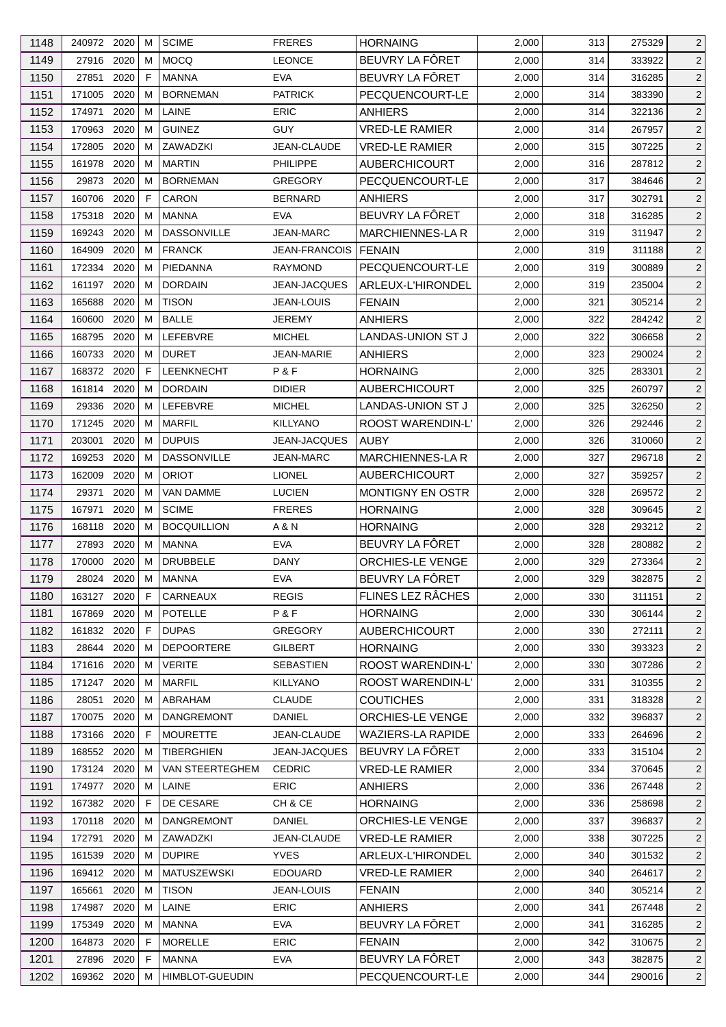| BEUVRY LA FÔRET<br>1149<br>27916 2020<br><b>MOCQ</b><br><b>LEONCE</b><br>$\overline{2}$<br>M<br>2,000<br>314<br>333922<br>BEUVRY LA FÔRET<br>1150<br>27851<br>2020<br>E<br><b>MANNA</b><br><b>EVA</b><br>2,000<br>$\overline{2}$<br>314<br>316285<br>1151<br><b>PATRICK</b><br>PECQUENCOURT-LE<br>$\overline{2}$<br>171005<br>2020<br><b>BORNEMAN</b><br>2,000<br>м<br>314<br>383390<br>1152<br>174971<br>2020<br>LAINE<br><b>ERIC</b><br><b>ANHIERS</b><br>$\overline{2}$<br>M<br>2,000<br>314<br>322136<br>1153<br>2020<br><b>GUINEZ</b><br>GUY<br><b>VRED-LE RAMIER</b><br>$\overline{2}$<br>170963<br>м<br>2,000<br>314<br>267957<br>1154<br>2020<br>ZAWADZKI<br>$\overline{2}$<br>172805<br>м<br>JEAN-CLAUDE<br><b>VRED-LE RAMIER</b><br>2,000<br>315<br>307225<br>1155<br>161978<br>2020<br><b>MARTIN</b><br>PHILIPPE<br><b>AUBERCHICOURT</b><br>287812<br>$\overline{2}$<br>м<br>2,000<br>316<br>1156<br>29873<br>2020<br><b>BORNEMAN</b><br><b>GREGORY</b><br>PECQUENCOURT-LE<br>2,000<br>317<br>384646<br>$\overline{2}$<br>м<br>1157<br>160706<br>2020<br>F<br><b>CARON</b><br>$\overline{2}$<br><b>BERNARD</b><br><b>ANHIERS</b><br>2,000<br>317<br>302791<br>BEUVRY LA FÔRET<br>1158<br>2020<br>175318<br><b>MANNA</b><br><b>EVA</b><br>2,000<br>318<br>316285<br>$\overline{2}$<br>M<br>1159<br>2020<br><b>DASSONVILLE</b><br><b>JEAN-MARC</b><br>MARCHIENNES-LA R<br>$\overline{2}$<br>169243<br>м<br>2,000<br>319<br>311947<br>1160<br>164909<br>2020<br><b>FRANCK</b><br>$\overline{2}$<br><b>JEAN-FRANCOIS</b><br><b>FENAIN</b><br>2,000<br>319<br>311188<br>M<br>1161<br>2020<br>PIEDANNA<br>PECQUENCOURT-LE<br>172334<br>M<br><b>RAYMOND</b><br>2,000<br>319<br>300889<br>$\overline{2}$<br>1162<br>ARLEUX-L'HIRONDEL<br>$\overline{2}$<br>161197<br>2020<br><b>DORDAIN</b><br><b>JEAN-JACQUES</b><br>2,000<br>м<br>319<br>235004<br>1163<br>165688<br>2020<br><b>TISON</b><br><b>FENAIN</b><br>$\overline{2}$<br>м<br><b>JEAN-LOUIS</b><br>2,000<br>321<br>305214<br><b>BALLE</b><br>1164<br>2020<br>$\overline{2}$<br>160600<br>M<br><b>JEREMY</b><br>ANHIERS<br>2,000<br>322<br>284242<br>1165<br>LEFEBVRE<br>168795<br>2020<br><b>MICHEL</b><br>LANDAS-UNION ST J<br>2,000<br>322<br>306658<br>$\overline{2}$<br>м<br><b>DURET</b><br>1166<br>2020<br><b>ANHIERS</b><br>$\overline{2}$<br>160733<br>м<br>JEAN-MARIE<br>2,000<br>323<br>290024<br>1167<br>168372 2020<br>F<br><b>LEENKNECHT</b><br>P&F<br><b>HORNAING</b><br>2,000<br>325<br>283301<br>$\overline{2}$<br>1168<br>2020<br><b>DORDAIN</b><br><b>AUBERCHICOURT</b><br>325<br>$\overline{2}$<br>161814<br>м<br><b>DIDIER</b><br>2,000<br>260797<br>1169<br>LEFEBVRE<br>LANDAS-UNION ST J<br>29336<br>2020<br><b>MICHEL</b><br>2,000<br>325<br>326250<br>$\overline{2}$<br>M<br>1170<br>171245 2020<br><b>MARFIL</b><br>ROOST WARENDIN-L'<br>$\overline{2}$<br>м<br><b>KILLYANO</b><br>2,000<br>326<br>292446<br>1171<br>203001<br>2020<br><b>DUPUIS</b><br><b>AUBY</b><br>$\overline{2}$<br>м<br><b>JEAN-JACQUES</b><br>2,000<br>326<br>310060<br>1172<br>169253<br>2020<br><b>DASSONVILLE</b><br><b>MARCHIENNES-LAR</b><br>327<br>M<br>JEAN-MARC<br>2,000<br>296718<br>$\overline{2}$<br>$\overline{2}$<br>1173<br>162009<br>2020<br><b>ORIOT</b><br><b>LIONEL</b><br><b>AUBERCHICOURT</b><br>2,000<br>359257<br>м<br>327<br>1174<br>29371<br>2020<br><b>VAN DAMME</b><br><b>LUCIEN</b><br><b>MONTIGNY EN OSTR</b><br>$\overline{2}$<br>м<br>2,000<br>328<br>269572<br>2020<br><b>SCIME</b><br><b>HORNAING</b><br>328<br>$\overline{2}$<br>1175<br>167971<br>м<br><b>FRERES</b><br>2,000<br>309645<br><b>BOCQUILLION</b><br>1176<br>168118<br>2020<br>A & N<br><b>HORNAING</b><br>2,000<br>328<br>293212<br>$\overline{2}$<br>м<br>BEUVRY LA FÔRET<br>1177<br>27893<br>2020<br><b>EVA</b><br>280882<br>$\overline{2}$<br>м<br><b>MANNA</b><br>2,000<br>328<br>ORCHIES-LE VENGE<br>1178<br>2020<br><b>DRUBBELE</b><br>$\overline{2}$<br>170000<br>м<br>DANY<br>2,000<br>329<br>273364<br>BEUVRY LA FÔRET<br>$\overline{2}$<br>1179<br>28024 2020 M<br><b>MANNA</b><br><b>EVA</b><br>2,000<br>329<br>382875<br>FLINES LEZ RÂCHES<br><b>REGIS</b><br>1180<br>163127 2020<br>CARNEAUX<br>2,000<br>330<br>311151<br>$\overline{2}$<br>-F<br>1181<br>167869 2020<br><b>POTELLE</b><br>P&F<br>2,000<br>м<br><b>HORNAING</b><br>330<br>306144<br>$\overline{2}$<br>1182<br>161832 2020<br><b>DUPAS</b><br><b>GREGORY</b><br><b>AUBERCHICOURT</b><br>272111<br>$\overline{2}$<br>F.<br>2,000<br>330<br>1183<br>28644<br>2020<br><b>DEPOORTERE</b><br><b>GILBERT</b><br><b>HORNAING</b><br>330<br>393323<br>M<br>2,000<br>$\overline{2}$<br>1184<br>ROOST WARENDIN-L'<br>171616 2020<br><b>VERITE</b><br>SEBASTIEN<br>2,000<br>307286<br>$\overline{2}$<br>м<br>330<br>1185<br>ROOST WARENDIN-L'<br><b>MARFIL</b><br><b>KILLYANO</b><br>2,000<br>310355<br>171247 2020<br>331<br>$\overline{2}$<br>M<br>ABRAHAM<br><b>CLAUDE</b><br>$\overline{2}$<br>1186<br>28051<br>2020<br><b>COUTICHES</b><br>2,000<br>331<br>318328<br>м<br>1187<br>ORCHIES-LE VENGE<br>170075<br>2020<br><b>DANGREMONT</b><br>DANIEL<br>2,000<br>332<br>396837<br>$\overline{2}$<br>м<br><b>WAZIERS-LA RAPIDE</b><br>1188<br>173166<br>2020<br><b>MOURETTE</b><br>JEAN-CLAUDE<br>2,000<br>333<br>264696<br>F.<br>$\overline{2}$<br>BEUVRY LA FÖRET<br>1189<br>168552 2020<br>TIBERGHIEN<br><b>JEAN-JACQUES</b><br>2,000<br>333<br>315104<br>$\overline{2}$<br>M<br>1190<br>173124 2020<br><b>VRED-LE RAMIER</b><br>334<br>370645<br>$\overline{2}$<br>VAN STEERTEGHEM<br><b>CEDRIC</b><br>2,000<br>M<br>1191<br><b>ANHIERS</b><br><b>ERIC</b><br>174977<br>2020<br>LAINE<br>2,000<br>336<br>267448<br>$\overline{2}$<br>M<br>1192<br>167382 2020<br>DE CESARE<br>CH & CE<br><b>HORNAING</b><br>2,000<br>F<br>336<br>258698<br>$\overline{2}$<br>1193<br>170118 2020<br>DANGREMONT<br><b>DANIEL</b><br>ORCHIES-LE VENGE<br>$\overline{2}$<br>2,000<br>337<br>396837<br>M<br>1194<br>172791 2020<br>ZAWADZKI<br><b>VRED-LE RAMIER</b><br>338<br>M<br>JEAN-CLAUDE<br>2,000<br>307225<br>$\overline{2}$<br>1195<br><b>DUPIRE</b><br><b>YVES</b><br>ARLEUX-L'HIRONDEL<br>161539<br>2020<br>2,000<br>340<br>$\overline{2}$<br>м<br>301532<br><b>EDOUARD</b><br>1196<br>169412 2020<br><b>MATUSZEWSKI</b><br><b>VRED-LE RAMIER</b><br>2,000<br>264617<br>340<br>$\overline{2}$<br>м<br>1197<br><b>TISON</b><br><b>FENAIN</b><br>2,000<br>$\overline{2}$<br>165661<br>2020<br>JEAN-LOUIS<br>340<br>305214<br>м<br>1198<br>174987<br>2020<br>LAINE<br><b>ERIC</b><br><b>ANHIERS</b><br>2,000<br>341<br>267448<br>$\overline{2}$<br>м<br>BEUVRY LA FÔRET<br><b>EVA</b><br>1199<br>175349<br>2020<br>2,000<br>316285<br>MANNA<br>341<br>$\overline{2}$<br>M<br><b>ERIC</b><br>1200<br>164873 2020<br><b>MORELLE</b><br><b>FENAIN</b><br>2,000<br>342<br>310675<br>$\overline{2}$<br>F<br>BEUVRY LA FÔRET<br>1201<br>27896 2020<br><b>MANNA</b><br><b>EVA</b><br>382875<br>F.<br>2,000<br>343<br>$\overline{2}$<br>1202<br><b>HIMBLOT-GUEUDIN</b><br>PECQUENCOURT-LE<br>2,000<br>290016<br>$\overline{2}$<br>169362 2020 M<br>344 | 1148 | 240972 2020 | м | <b>SCIME</b> | <b>FRERES</b> | <b>HORNAING</b> | 2,000 | 313 | 275329 | $\overline{2}$ |
|-----------------------------------------------------------------------------------------------------------------------------------------------------------------------------------------------------------------------------------------------------------------------------------------------------------------------------------------------------------------------------------------------------------------------------------------------------------------------------------------------------------------------------------------------------------------------------------------------------------------------------------------------------------------------------------------------------------------------------------------------------------------------------------------------------------------------------------------------------------------------------------------------------------------------------------------------------------------------------------------------------------------------------------------------------------------------------------------------------------------------------------------------------------------------------------------------------------------------------------------------------------------------------------------------------------------------------------------------------------------------------------------------------------------------------------------------------------------------------------------------------------------------------------------------------------------------------------------------------------------------------------------------------------------------------------------------------------------------------------------------------------------------------------------------------------------------------------------------------------------------------------------------------------------------------------------------------------------------------------------------------------------------------------------------------------------------------------------------------------------------------------------------------------------------------------------------------------------------------------------------------------------------------------------------------------------------------------------------------------------------------------------------------------------------------------------------------------------------------------------------------------------------------------------------------------------------------------------------------------------------------------------------------------------------------------------------------------------------------------------------------------------------------------------------------------------------------------------------------------------------------------------------------------------------------------------------------------------------------------------------------------------------------------------------------------------------------------------------------------------------------------------------------------------------------------------------------------------------------------------------------------------------------------------------------------------------------------------------------------------------------------------------------------------------------------------------------------------------------------------------------------------------------------------------------------------------------------------------------------------------------------------------------------------------------------------------------------------------------------------------------------------------------------------------------------------------------------------------------------------------------------------------------------------------------------------------------------------------------------------------------------------------------------------------------------------------------------------------------------------------------------------------------------------------------------------------------------------------------------------------------------------------------------------------------------------------------------------------------------------------------------------------------------------------------------------------------------------------------------------------------------------------------------------------------------------------------------------------------------------------------------------------------------------------------------------------------------------------------------------------------------------------------------------------------------------------------------------------------------------------------------------------------------------------------------------------------------------------------------------------------------------------------------------------------------------------------------------------------------------------------------------------------------------------------------------------------------------------------------------------------------------------------------------------------------------------------------------------------------------------------------------------------------------------------------------------------------------------------------------------------------------------------------------------------------------------------------------------------------------------------------------------------------------------------------------------------------------------------------------------------------------------------------------------------------------------------------------------------------------------------------------------------------------------------------------------------------------------------------------------------------------------------------------------------------------------------------------------------------------------------------------------------------------------------------------------------------------------------------------------------------------------------------------------------------------------------------------------------------------------------------------------------------------------------------------------------------------------------------------------------------------------------------------------------------------------------------------------------------------------------------------------------------------------------------------------------------------------------------------------------------------------------------------------------------------------------------------------------------------------------------------------------------------------------------------------------------------------------------------------------------------------------------------------------------------------|------|-------------|---|--------------|---------------|-----------------|-------|-----|--------|----------------|
|                                                                                                                                                                                                                                                                                                                                                                                                                                                                                                                                                                                                                                                                                                                                                                                                                                                                                                                                                                                                                                                                                                                                                                                                                                                                                                                                                                                                                                                                                                                                                                                                                                                                                                                                                                                                                                                                                                                                                                                                                                                                                                                                                                                                                                                                                                                                                                                                                                                                                                                                                                                                                                                                                                                                                                                                                                                                                                                                                                                                                                                                                                                                                                                                                                                                                                                                                                                                                                                                                                                                                                                                                                                                                                                                                                                                                                                                                                                                                                                                                                                                                                                                                                                                                                                                                                                                                                                                                                                                                                                                                                                                                                                                                                                                                                                                                                                                                                                                                                                                                                                                                                                                                                                                                                                                                                                                                                                                                                                                                                                                                                                                                                                                                                                                                                                                                                                                                                                                                                                                                                                                                                                                                                                                                                                                                                                                                                                                                                                                                                                                                                                                                                                                                                                                                                                                                                                                                                                                                                                                                                                                       |      |             |   |              |               |                 |       |     |        |                |
|                                                                                                                                                                                                                                                                                                                                                                                                                                                                                                                                                                                                                                                                                                                                                                                                                                                                                                                                                                                                                                                                                                                                                                                                                                                                                                                                                                                                                                                                                                                                                                                                                                                                                                                                                                                                                                                                                                                                                                                                                                                                                                                                                                                                                                                                                                                                                                                                                                                                                                                                                                                                                                                                                                                                                                                                                                                                                                                                                                                                                                                                                                                                                                                                                                                                                                                                                                                                                                                                                                                                                                                                                                                                                                                                                                                                                                                                                                                                                                                                                                                                                                                                                                                                                                                                                                                                                                                                                                                                                                                                                                                                                                                                                                                                                                                                                                                                                                                                                                                                                                                                                                                                                                                                                                                                                                                                                                                                                                                                                                                                                                                                                                                                                                                                                                                                                                                                                                                                                                                                                                                                                                                                                                                                                                                                                                                                                                                                                                                                                                                                                                                                                                                                                                                                                                                                                                                                                                                                                                                                                                                                       |      |             |   |              |               |                 |       |     |        |                |
|                                                                                                                                                                                                                                                                                                                                                                                                                                                                                                                                                                                                                                                                                                                                                                                                                                                                                                                                                                                                                                                                                                                                                                                                                                                                                                                                                                                                                                                                                                                                                                                                                                                                                                                                                                                                                                                                                                                                                                                                                                                                                                                                                                                                                                                                                                                                                                                                                                                                                                                                                                                                                                                                                                                                                                                                                                                                                                                                                                                                                                                                                                                                                                                                                                                                                                                                                                                                                                                                                                                                                                                                                                                                                                                                                                                                                                                                                                                                                                                                                                                                                                                                                                                                                                                                                                                                                                                                                                                                                                                                                                                                                                                                                                                                                                                                                                                                                                                                                                                                                                                                                                                                                                                                                                                                                                                                                                                                                                                                                                                                                                                                                                                                                                                                                                                                                                                                                                                                                                                                                                                                                                                                                                                                                                                                                                                                                                                                                                                                                                                                                                                                                                                                                                                                                                                                                                                                                                                                                                                                                                                                       |      |             |   |              |               |                 |       |     |        |                |
|                                                                                                                                                                                                                                                                                                                                                                                                                                                                                                                                                                                                                                                                                                                                                                                                                                                                                                                                                                                                                                                                                                                                                                                                                                                                                                                                                                                                                                                                                                                                                                                                                                                                                                                                                                                                                                                                                                                                                                                                                                                                                                                                                                                                                                                                                                                                                                                                                                                                                                                                                                                                                                                                                                                                                                                                                                                                                                                                                                                                                                                                                                                                                                                                                                                                                                                                                                                                                                                                                                                                                                                                                                                                                                                                                                                                                                                                                                                                                                                                                                                                                                                                                                                                                                                                                                                                                                                                                                                                                                                                                                                                                                                                                                                                                                                                                                                                                                                                                                                                                                                                                                                                                                                                                                                                                                                                                                                                                                                                                                                                                                                                                                                                                                                                                                                                                                                                                                                                                                                                                                                                                                                                                                                                                                                                                                                                                                                                                                                                                                                                                                                                                                                                                                                                                                                                                                                                                                                                                                                                                                                                       |      |             |   |              |               |                 |       |     |        |                |
|                                                                                                                                                                                                                                                                                                                                                                                                                                                                                                                                                                                                                                                                                                                                                                                                                                                                                                                                                                                                                                                                                                                                                                                                                                                                                                                                                                                                                                                                                                                                                                                                                                                                                                                                                                                                                                                                                                                                                                                                                                                                                                                                                                                                                                                                                                                                                                                                                                                                                                                                                                                                                                                                                                                                                                                                                                                                                                                                                                                                                                                                                                                                                                                                                                                                                                                                                                                                                                                                                                                                                                                                                                                                                                                                                                                                                                                                                                                                                                                                                                                                                                                                                                                                                                                                                                                                                                                                                                                                                                                                                                                                                                                                                                                                                                                                                                                                                                                                                                                                                                                                                                                                                                                                                                                                                                                                                                                                                                                                                                                                                                                                                                                                                                                                                                                                                                                                                                                                                                                                                                                                                                                                                                                                                                                                                                                                                                                                                                                                                                                                                                                                                                                                                                                                                                                                                                                                                                                                                                                                                                                                       |      |             |   |              |               |                 |       |     |        |                |
|                                                                                                                                                                                                                                                                                                                                                                                                                                                                                                                                                                                                                                                                                                                                                                                                                                                                                                                                                                                                                                                                                                                                                                                                                                                                                                                                                                                                                                                                                                                                                                                                                                                                                                                                                                                                                                                                                                                                                                                                                                                                                                                                                                                                                                                                                                                                                                                                                                                                                                                                                                                                                                                                                                                                                                                                                                                                                                                                                                                                                                                                                                                                                                                                                                                                                                                                                                                                                                                                                                                                                                                                                                                                                                                                                                                                                                                                                                                                                                                                                                                                                                                                                                                                                                                                                                                                                                                                                                                                                                                                                                                                                                                                                                                                                                                                                                                                                                                                                                                                                                                                                                                                                                                                                                                                                                                                                                                                                                                                                                                                                                                                                                                                                                                                                                                                                                                                                                                                                                                                                                                                                                                                                                                                                                                                                                                                                                                                                                                                                                                                                                                                                                                                                                                                                                                                                                                                                                                                                                                                                                                                       |      |             |   |              |               |                 |       |     |        |                |
|                                                                                                                                                                                                                                                                                                                                                                                                                                                                                                                                                                                                                                                                                                                                                                                                                                                                                                                                                                                                                                                                                                                                                                                                                                                                                                                                                                                                                                                                                                                                                                                                                                                                                                                                                                                                                                                                                                                                                                                                                                                                                                                                                                                                                                                                                                                                                                                                                                                                                                                                                                                                                                                                                                                                                                                                                                                                                                                                                                                                                                                                                                                                                                                                                                                                                                                                                                                                                                                                                                                                                                                                                                                                                                                                                                                                                                                                                                                                                                                                                                                                                                                                                                                                                                                                                                                                                                                                                                                                                                                                                                                                                                                                                                                                                                                                                                                                                                                                                                                                                                                                                                                                                                                                                                                                                                                                                                                                                                                                                                                                                                                                                                                                                                                                                                                                                                                                                                                                                                                                                                                                                                                                                                                                                                                                                                                                                                                                                                                                                                                                                                                                                                                                                                                                                                                                                                                                                                                                                                                                                                                                       |      |             |   |              |               |                 |       |     |        |                |
|                                                                                                                                                                                                                                                                                                                                                                                                                                                                                                                                                                                                                                                                                                                                                                                                                                                                                                                                                                                                                                                                                                                                                                                                                                                                                                                                                                                                                                                                                                                                                                                                                                                                                                                                                                                                                                                                                                                                                                                                                                                                                                                                                                                                                                                                                                                                                                                                                                                                                                                                                                                                                                                                                                                                                                                                                                                                                                                                                                                                                                                                                                                                                                                                                                                                                                                                                                                                                                                                                                                                                                                                                                                                                                                                                                                                                                                                                                                                                                                                                                                                                                                                                                                                                                                                                                                                                                                                                                                                                                                                                                                                                                                                                                                                                                                                                                                                                                                                                                                                                                                                                                                                                                                                                                                                                                                                                                                                                                                                                                                                                                                                                                                                                                                                                                                                                                                                                                                                                                                                                                                                                                                                                                                                                                                                                                                                                                                                                                                                                                                                                                                                                                                                                                                                                                                                                                                                                                                                                                                                                                                                       |      |             |   |              |               |                 |       |     |        |                |
|                                                                                                                                                                                                                                                                                                                                                                                                                                                                                                                                                                                                                                                                                                                                                                                                                                                                                                                                                                                                                                                                                                                                                                                                                                                                                                                                                                                                                                                                                                                                                                                                                                                                                                                                                                                                                                                                                                                                                                                                                                                                                                                                                                                                                                                                                                                                                                                                                                                                                                                                                                                                                                                                                                                                                                                                                                                                                                                                                                                                                                                                                                                                                                                                                                                                                                                                                                                                                                                                                                                                                                                                                                                                                                                                                                                                                                                                                                                                                                                                                                                                                                                                                                                                                                                                                                                                                                                                                                                                                                                                                                                                                                                                                                                                                                                                                                                                                                                                                                                                                                                                                                                                                                                                                                                                                                                                                                                                                                                                                                                                                                                                                                                                                                                                                                                                                                                                                                                                                                                                                                                                                                                                                                                                                                                                                                                                                                                                                                                                                                                                                                                                                                                                                                                                                                                                                                                                                                                                                                                                                                                                       |      |             |   |              |               |                 |       |     |        |                |
|                                                                                                                                                                                                                                                                                                                                                                                                                                                                                                                                                                                                                                                                                                                                                                                                                                                                                                                                                                                                                                                                                                                                                                                                                                                                                                                                                                                                                                                                                                                                                                                                                                                                                                                                                                                                                                                                                                                                                                                                                                                                                                                                                                                                                                                                                                                                                                                                                                                                                                                                                                                                                                                                                                                                                                                                                                                                                                                                                                                                                                                                                                                                                                                                                                                                                                                                                                                                                                                                                                                                                                                                                                                                                                                                                                                                                                                                                                                                                                                                                                                                                                                                                                                                                                                                                                                                                                                                                                                                                                                                                                                                                                                                                                                                                                                                                                                                                                                                                                                                                                                                                                                                                                                                                                                                                                                                                                                                                                                                                                                                                                                                                                                                                                                                                                                                                                                                                                                                                                                                                                                                                                                                                                                                                                                                                                                                                                                                                                                                                                                                                                                                                                                                                                                                                                                                                                                                                                                                                                                                                                                                       |      |             |   |              |               |                 |       |     |        |                |
|                                                                                                                                                                                                                                                                                                                                                                                                                                                                                                                                                                                                                                                                                                                                                                                                                                                                                                                                                                                                                                                                                                                                                                                                                                                                                                                                                                                                                                                                                                                                                                                                                                                                                                                                                                                                                                                                                                                                                                                                                                                                                                                                                                                                                                                                                                                                                                                                                                                                                                                                                                                                                                                                                                                                                                                                                                                                                                                                                                                                                                                                                                                                                                                                                                                                                                                                                                                                                                                                                                                                                                                                                                                                                                                                                                                                                                                                                                                                                                                                                                                                                                                                                                                                                                                                                                                                                                                                                                                                                                                                                                                                                                                                                                                                                                                                                                                                                                                                                                                                                                                                                                                                                                                                                                                                                                                                                                                                                                                                                                                                                                                                                                                                                                                                                                                                                                                                                                                                                                                                                                                                                                                                                                                                                                                                                                                                                                                                                                                                                                                                                                                                                                                                                                                                                                                                                                                                                                                                                                                                                                                                       |      |             |   |              |               |                 |       |     |        |                |
|                                                                                                                                                                                                                                                                                                                                                                                                                                                                                                                                                                                                                                                                                                                                                                                                                                                                                                                                                                                                                                                                                                                                                                                                                                                                                                                                                                                                                                                                                                                                                                                                                                                                                                                                                                                                                                                                                                                                                                                                                                                                                                                                                                                                                                                                                                                                                                                                                                                                                                                                                                                                                                                                                                                                                                                                                                                                                                                                                                                                                                                                                                                                                                                                                                                                                                                                                                                                                                                                                                                                                                                                                                                                                                                                                                                                                                                                                                                                                                                                                                                                                                                                                                                                                                                                                                                                                                                                                                                                                                                                                                                                                                                                                                                                                                                                                                                                                                                                                                                                                                                                                                                                                                                                                                                                                                                                                                                                                                                                                                                                                                                                                                                                                                                                                                                                                                                                                                                                                                                                                                                                                                                                                                                                                                                                                                                                                                                                                                                                                                                                                                                                                                                                                                                                                                                                                                                                                                                                                                                                                                                                       |      |             |   |              |               |                 |       |     |        |                |
|                                                                                                                                                                                                                                                                                                                                                                                                                                                                                                                                                                                                                                                                                                                                                                                                                                                                                                                                                                                                                                                                                                                                                                                                                                                                                                                                                                                                                                                                                                                                                                                                                                                                                                                                                                                                                                                                                                                                                                                                                                                                                                                                                                                                                                                                                                                                                                                                                                                                                                                                                                                                                                                                                                                                                                                                                                                                                                                                                                                                                                                                                                                                                                                                                                                                                                                                                                                                                                                                                                                                                                                                                                                                                                                                                                                                                                                                                                                                                                                                                                                                                                                                                                                                                                                                                                                                                                                                                                                                                                                                                                                                                                                                                                                                                                                                                                                                                                                                                                                                                                                                                                                                                                                                                                                                                                                                                                                                                                                                                                                                                                                                                                                                                                                                                                                                                                                                                                                                                                                                                                                                                                                                                                                                                                                                                                                                                                                                                                                                                                                                                                                                                                                                                                                                                                                                                                                                                                                                                                                                                                                                       |      |             |   |              |               |                 |       |     |        |                |
|                                                                                                                                                                                                                                                                                                                                                                                                                                                                                                                                                                                                                                                                                                                                                                                                                                                                                                                                                                                                                                                                                                                                                                                                                                                                                                                                                                                                                                                                                                                                                                                                                                                                                                                                                                                                                                                                                                                                                                                                                                                                                                                                                                                                                                                                                                                                                                                                                                                                                                                                                                                                                                                                                                                                                                                                                                                                                                                                                                                                                                                                                                                                                                                                                                                                                                                                                                                                                                                                                                                                                                                                                                                                                                                                                                                                                                                                                                                                                                                                                                                                                                                                                                                                                                                                                                                                                                                                                                                                                                                                                                                                                                                                                                                                                                                                                                                                                                                                                                                                                                                                                                                                                                                                                                                                                                                                                                                                                                                                                                                                                                                                                                                                                                                                                                                                                                                                                                                                                                                                                                                                                                                                                                                                                                                                                                                                                                                                                                                                                                                                                                                                                                                                                                                                                                                                                                                                                                                                                                                                                                                                       |      |             |   |              |               |                 |       |     |        |                |
|                                                                                                                                                                                                                                                                                                                                                                                                                                                                                                                                                                                                                                                                                                                                                                                                                                                                                                                                                                                                                                                                                                                                                                                                                                                                                                                                                                                                                                                                                                                                                                                                                                                                                                                                                                                                                                                                                                                                                                                                                                                                                                                                                                                                                                                                                                                                                                                                                                                                                                                                                                                                                                                                                                                                                                                                                                                                                                                                                                                                                                                                                                                                                                                                                                                                                                                                                                                                                                                                                                                                                                                                                                                                                                                                                                                                                                                                                                                                                                                                                                                                                                                                                                                                                                                                                                                                                                                                                                                                                                                                                                                                                                                                                                                                                                                                                                                                                                                                                                                                                                                                                                                                                                                                                                                                                                                                                                                                                                                                                                                                                                                                                                                                                                                                                                                                                                                                                                                                                                                                                                                                                                                                                                                                                                                                                                                                                                                                                                                                                                                                                                                                                                                                                                                                                                                                                                                                                                                                                                                                                                                                       |      |             |   |              |               |                 |       |     |        |                |
|                                                                                                                                                                                                                                                                                                                                                                                                                                                                                                                                                                                                                                                                                                                                                                                                                                                                                                                                                                                                                                                                                                                                                                                                                                                                                                                                                                                                                                                                                                                                                                                                                                                                                                                                                                                                                                                                                                                                                                                                                                                                                                                                                                                                                                                                                                                                                                                                                                                                                                                                                                                                                                                                                                                                                                                                                                                                                                                                                                                                                                                                                                                                                                                                                                                                                                                                                                                                                                                                                                                                                                                                                                                                                                                                                                                                                                                                                                                                                                                                                                                                                                                                                                                                                                                                                                                                                                                                                                                                                                                                                                                                                                                                                                                                                                                                                                                                                                                                                                                                                                                                                                                                                                                                                                                                                                                                                                                                                                                                                                                                                                                                                                                                                                                                                                                                                                                                                                                                                                                                                                                                                                                                                                                                                                                                                                                                                                                                                                                                                                                                                                                                                                                                                                                                                                                                                                                                                                                                                                                                                                                                       |      |             |   |              |               |                 |       |     |        |                |
|                                                                                                                                                                                                                                                                                                                                                                                                                                                                                                                                                                                                                                                                                                                                                                                                                                                                                                                                                                                                                                                                                                                                                                                                                                                                                                                                                                                                                                                                                                                                                                                                                                                                                                                                                                                                                                                                                                                                                                                                                                                                                                                                                                                                                                                                                                                                                                                                                                                                                                                                                                                                                                                                                                                                                                                                                                                                                                                                                                                                                                                                                                                                                                                                                                                                                                                                                                                                                                                                                                                                                                                                                                                                                                                                                                                                                                                                                                                                                                                                                                                                                                                                                                                                                                                                                                                                                                                                                                                                                                                                                                                                                                                                                                                                                                                                                                                                                                                                                                                                                                                                                                                                                                                                                                                                                                                                                                                                                                                                                                                                                                                                                                                                                                                                                                                                                                                                                                                                                                                                                                                                                                                                                                                                                                                                                                                                                                                                                                                                                                                                                                                                                                                                                                                                                                                                                                                                                                                                                                                                                                                                       |      |             |   |              |               |                 |       |     |        |                |
|                                                                                                                                                                                                                                                                                                                                                                                                                                                                                                                                                                                                                                                                                                                                                                                                                                                                                                                                                                                                                                                                                                                                                                                                                                                                                                                                                                                                                                                                                                                                                                                                                                                                                                                                                                                                                                                                                                                                                                                                                                                                                                                                                                                                                                                                                                                                                                                                                                                                                                                                                                                                                                                                                                                                                                                                                                                                                                                                                                                                                                                                                                                                                                                                                                                                                                                                                                                                                                                                                                                                                                                                                                                                                                                                                                                                                                                                                                                                                                                                                                                                                                                                                                                                                                                                                                                                                                                                                                                                                                                                                                                                                                                                                                                                                                                                                                                                                                                                                                                                                                                                                                                                                                                                                                                                                                                                                                                                                                                                                                                                                                                                                                                                                                                                                                                                                                                                                                                                                                                                                                                                                                                                                                                                                                                                                                                                                                                                                                                                                                                                                                                                                                                                                                                                                                                                                                                                                                                                                                                                                                                                       |      |             |   |              |               |                 |       |     |        |                |
|                                                                                                                                                                                                                                                                                                                                                                                                                                                                                                                                                                                                                                                                                                                                                                                                                                                                                                                                                                                                                                                                                                                                                                                                                                                                                                                                                                                                                                                                                                                                                                                                                                                                                                                                                                                                                                                                                                                                                                                                                                                                                                                                                                                                                                                                                                                                                                                                                                                                                                                                                                                                                                                                                                                                                                                                                                                                                                                                                                                                                                                                                                                                                                                                                                                                                                                                                                                                                                                                                                                                                                                                                                                                                                                                                                                                                                                                                                                                                                                                                                                                                                                                                                                                                                                                                                                                                                                                                                                                                                                                                                                                                                                                                                                                                                                                                                                                                                                                                                                                                                                                                                                                                                                                                                                                                                                                                                                                                                                                                                                                                                                                                                                                                                                                                                                                                                                                                                                                                                                                                                                                                                                                                                                                                                                                                                                                                                                                                                                                                                                                                                                                                                                                                                                                                                                                                                                                                                                                                                                                                                                                       |      |             |   |              |               |                 |       |     |        |                |
|                                                                                                                                                                                                                                                                                                                                                                                                                                                                                                                                                                                                                                                                                                                                                                                                                                                                                                                                                                                                                                                                                                                                                                                                                                                                                                                                                                                                                                                                                                                                                                                                                                                                                                                                                                                                                                                                                                                                                                                                                                                                                                                                                                                                                                                                                                                                                                                                                                                                                                                                                                                                                                                                                                                                                                                                                                                                                                                                                                                                                                                                                                                                                                                                                                                                                                                                                                                                                                                                                                                                                                                                                                                                                                                                                                                                                                                                                                                                                                                                                                                                                                                                                                                                                                                                                                                                                                                                                                                                                                                                                                                                                                                                                                                                                                                                                                                                                                                                                                                                                                                                                                                                                                                                                                                                                                                                                                                                                                                                                                                                                                                                                                                                                                                                                                                                                                                                                                                                                                                                                                                                                                                                                                                                                                                                                                                                                                                                                                                                                                                                                                                                                                                                                                                                                                                                                                                                                                                                                                                                                                                                       |      |             |   |              |               |                 |       |     |        |                |
|                                                                                                                                                                                                                                                                                                                                                                                                                                                                                                                                                                                                                                                                                                                                                                                                                                                                                                                                                                                                                                                                                                                                                                                                                                                                                                                                                                                                                                                                                                                                                                                                                                                                                                                                                                                                                                                                                                                                                                                                                                                                                                                                                                                                                                                                                                                                                                                                                                                                                                                                                                                                                                                                                                                                                                                                                                                                                                                                                                                                                                                                                                                                                                                                                                                                                                                                                                                                                                                                                                                                                                                                                                                                                                                                                                                                                                                                                                                                                                                                                                                                                                                                                                                                                                                                                                                                                                                                                                                                                                                                                                                                                                                                                                                                                                                                                                                                                                                                                                                                                                                                                                                                                                                                                                                                                                                                                                                                                                                                                                                                                                                                                                                                                                                                                                                                                                                                                                                                                                                                                                                                                                                                                                                                                                                                                                                                                                                                                                                                                                                                                                                                                                                                                                                                                                                                                                                                                                                                                                                                                                                                       |      |             |   |              |               |                 |       |     |        |                |
|                                                                                                                                                                                                                                                                                                                                                                                                                                                                                                                                                                                                                                                                                                                                                                                                                                                                                                                                                                                                                                                                                                                                                                                                                                                                                                                                                                                                                                                                                                                                                                                                                                                                                                                                                                                                                                                                                                                                                                                                                                                                                                                                                                                                                                                                                                                                                                                                                                                                                                                                                                                                                                                                                                                                                                                                                                                                                                                                                                                                                                                                                                                                                                                                                                                                                                                                                                                                                                                                                                                                                                                                                                                                                                                                                                                                                                                                                                                                                                                                                                                                                                                                                                                                                                                                                                                                                                                                                                                                                                                                                                                                                                                                                                                                                                                                                                                                                                                                                                                                                                                                                                                                                                                                                                                                                                                                                                                                                                                                                                                                                                                                                                                                                                                                                                                                                                                                                                                                                                                                                                                                                                                                                                                                                                                                                                                                                                                                                                                                                                                                                                                                                                                                                                                                                                                                                                                                                                                                                                                                                                                                       |      |             |   |              |               |                 |       |     |        |                |
|                                                                                                                                                                                                                                                                                                                                                                                                                                                                                                                                                                                                                                                                                                                                                                                                                                                                                                                                                                                                                                                                                                                                                                                                                                                                                                                                                                                                                                                                                                                                                                                                                                                                                                                                                                                                                                                                                                                                                                                                                                                                                                                                                                                                                                                                                                                                                                                                                                                                                                                                                                                                                                                                                                                                                                                                                                                                                                                                                                                                                                                                                                                                                                                                                                                                                                                                                                                                                                                                                                                                                                                                                                                                                                                                                                                                                                                                                                                                                                                                                                                                                                                                                                                                                                                                                                                                                                                                                                                                                                                                                                                                                                                                                                                                                                                                                                                                                                                                                                                                                                                                                                                                                                                                                                                                                                                                                                                                                                                                                                                                                                                                                                                                                                                                                                                                                                                                                                                                                                                                                                                                                                                                                                                                                                                                                                                                                                                                                                                                                                                                                                                                                                                                                                                                                                                                                                                                                                                                                                                                                                                                       |      |             |   |              |               |                 |       |     |        |                |
|                                                                                                                                                                                                                                                                                                                                                                                                                                                                                                                                                                                                                                                                                                                                                                                                                                                                                                                                                                                                                                                                                                                                                                                                                                                                                                                                                                                                                                                                                                                                                                                                                                                                                                                                                                                                                                                                                                                                                                                                                                                                                                                                                                                                                                                                                                                                                                                                                                                                                                                                                                                                                                                                                                                                                                                                                                                                                                                                                                                                                                                                                                                                                                                                                                                                                                                                                                                                                                                                                                                                                                                                                                                                                                                                                                                                                                                                                                                                                                                                                                                                                                                                                                                                                                                                                                                                                                                                                                                                                                                                                                                                                                                                                                                                                                                                                                                                                                                                                                                                                                                                                                                                                                                                                                                                                                                                                                                                                                                                                                                                                                                                                                                                                                                                                                                                                                                                                                                                                                                                                                                                                                                                                                                                                                                                                                                                                                                                                                                                                                                                                                                                                                                                                                                                                                                                                                                                                                                                                                                                                                                                       |      |             |   |              |               |                 |       |     |        |                |
|                                                                                                                                                                                                                                                                                                                                                                                                                                                                                                                                                                                                                                                                                                                                                                                                                                                                                                                                                                                                                                                                                                                                                                                                                                                                                                                                                                                                                                                                                                                                                                                                                                                                                                                                                                                                                                                                                                                                                                                                                                                                                                                                                                                                                                                                                                                                                                                                                                                                                                                                                                                                                                                                                                                                                                                                                                                                                                                                                                                                                                                                                                                                                                                                                                                                                                                                                                                                                                                                                                                                                                                                                                                                                                                                                                                                                                                                                                                                                                                                                                                                                                                                                                                                                                                                                                                                                                                                                                                                                                                                                                                                                                                                                                                                                                                                                                                                                                                                                                                                                                                                                                                                                                                                                                                                                                                                                                                                                                                                                                                                                                                                                                                                                                                                                                                                                                                                                                                                                                                                                                                                                                                                                                                                                                                                                                                                                                                                                                                                                                                                                                                                                                                                                                                                                                                                                                                                                                                                                                                                                                                                       |      |             |   |              |               |                 |       |     |        |                |
|                                                                                                                                                                                                                                                                                                                                                                                                                                                                                                                                                                                                                                                                                                                                                                                                                                                                                                                                                                                                                                                                                                                                                                                                                                                                                                                                                                                                                                                                                                                                                                                                                                                                                                                                                                                                                                                                                                                                                                                                                                                                                                                                                                                                                                                                                                                                                                                                                                                                                                                                                                                                                                                                                                                                                                                                                                                                                                                                                                                                                                                                                                                                                                                                                                                                                                                                                                                                                                                                                                                                                                                                                                                                                                                                                                                                                                                                                                                                                                                                                                                                                                                                                                                                                                                                                                                                                                                                                                                                                                                                                                                                                                                                                                                                                                                                                                                                                                                                                                                                                                                                                                                                                                                                                                                                                                                                                                                                                                                                                                                                                                                                                                                                                                                                                                                                                                                                                                                                                                                                                                                                                                                                                                                                                                                                                                                                                                                                                                                                                                                                                                                                                                                                                                                                                                                                                                                                                                                                                                                                                                                                       |      |             |   |              |               |                 |       |     |        |                |
|                                                                                                                                                                                                                                                                                                                                                                                                                                                                                                                                                                                                                                                                                                                                                                                                                                                                                                                                                                                                                                                                                                                                                                                                                                                                                                                                                                                                                                                                                                                                                                                                                                                                                                                                                                                                                                                                                                                                                                                                                                                                                                                                                                                                                                                                                                                                                                                                                                                                                                                                                                                                                                                                                                                                                                                                                                                                                                                                                                                                                                                                                                                                                                                                                                                                                                                                                                                                                                                                                                                                                                                                                                                                                                                                                                                                                                                                                                                                                                                                                                                                                                                                                                                                                                                                                                                                                                                                                                                                                                                                                                                                                                                                                                                                                                                                                                                                                                                                                                                                                                                                                                                                                                                                                                                                                                                                                                                                                                                                                                                                                                                                                                                                                                                                                                                                                                                                                                                                                                                                                                                                                                                                                                                                                                                                                                                                                                                                                                                                                                                                                                                                                                                                                                                                                                                                                                                                                                                                                                                                                                                                       |      |             |   |              |               |                 |       |     |        |                |
|                                                                                                                                                                                                                                                                                                                                                                                                                                                                                                                                                                                                                                                                                                                                                                                                                                                                                                                                                                                                                                                                                                                                                                                                                                                                                                                                                                                                                                                                                                                                                                                                                                                                                                                                                                                                                                                                                                                                                                                                                                                                                                                                                                                                                                                                                                                                                                                                                                                                                                                                                                                                                                                                                                                                                                                                                                                                                                                                                                                                                                                                                                                                                                                                                                                                                                                                                                                                                                                                                                                                                                                                                                                                                                                                                                                                                                                                                                                                                                                                                                                                                                                                                                                                                                                                                                                                                                                                                                                                                                                                                                                                                                                                                                                                                                                                                                                                                                                                                                                                                                                                                                                                                                                                                                                                                                                                                                                                                                                                                                                                                                                                                                                                                                                                                                                                                                                                                                                                                                                                                                                                                                                                                                                                                                                                                                                                                                                                                                                                                                                                                                                                                                                                                                                                                                                                                                                                                                                                                                                                                                                                       |      |             |   |              |               |                 |       |     |        |                |
|                                                                                                                                                                                                                                                                                                                                                                                                                                                                                                                                                                                                                                                                                                                                                                                                                                                                                                                                                                                                                                                                                                                                                                                                                                                                                                                                                                                                                                                                                                                                                                                                                                                                                                                                                                                                                                                                                                                                                                                                                                                                                                                                                                                                                                                                                                                                                                                                                                                                                                                                                                                                                                                                                                                                                                                                                                                                                                                                                                                                                                                                                                                                                                                                                                                                                                                                                                                                                                                                                                                                                                                                                                                                                                                                                                                                                                                                                                                                                                                                                                                                                                                                                                                                                                                                                                                                                                                                                                                                                                                                                                                                                                                                                                                                                                                                                                                                                                                                                                                                                                                                                                                                                                                                                                                                                                                                                                                                                                                                                                                                                                                                                                                                                                                                                                                                                                                                                                                                                                                                                                                                                                                                                                                                                                                                                                                                                                                                                                                                                                                                                                                                                                                                                                                                                                                                                                                                                                                                                                                                                                                                       |      |             |   |              |               |                 |       |     |        |                |
|                                                                                                                                                                                                                                                                                                                                                                                                                                                                                                                                                                                                                                                                                                                                                                                                                                                                                                                                                                                                                                                                                                                                                                                                                                                                                                                                                                                                                                                                                                                                                                                                                                                                                                                                                                                                                                                                                                                                                                                                                                                                                                                                                                                                                                                                                                                                                                                                                                                                                                                                                                                                                                                                                                                                                                                                                                                                                                                                                                                                                                                                                                                                                                                                                                                                                                                                                                                                                                                                                                                                                                                                                                                                                                                                                                                                                                                                                                                                                                                                                                                                                                                                                                                                                                                                                                                                                                                                                                                                                                                                                                                                                                                                                                                                                                                                                                                                                                                                                                                                                                                                                                                                                                                                                                                                                                                                                                                                                                                                                                                                                                                                                                                                                                                                                                                                                                                                                                                                                                                                                                                                                                                                                                                                                                                                                                                                                                                                                                                                                                                                                                                                                                                                                                                                                                                                                                                                                                                                                                                                                                                                       |      |             |   |              |               |                 |       |     |        |                |
|                                                                                                                                                                                                                                                                                                                                                                                                                                                                                                                                                                                                                                                                                                                                                                                                                                                                                                                                                                                                                                                                                                                                                                                                                                                                                                                                                                                                                                                                                                                                                                                                                                                                                                                                                                                                                                                                                                                                                                                                                                                                                                                                                                                                                                                                                                                                                                                                                                                                                                                                                                                                                                                                                                                                                                                                                                                                                                                                                                                                                                                                                                                                                                                                                                                                                                                                                                                                                                                                                                                                                                                                                                                                                                                                                                                                                                                                                                                                                                                                                                                                                                                                                                                                                                                                                                                                                                                                                                                                                                                                                                                                                                                                                                                                                                                                                                                                                                                                                                                                                                                                                                                                                                                                                                                                                                                                                                                                                                                                                                                                                                                                                                                                                                                                                                                                                                                                                                                                                                                                                                                                                                                                                                                                                                                                                                                                                                                                                                                                                                                                                                                                                                                                                                                                                                                                                                                                                                                                                                                                                                                                       |      |             |   |              |               |                 |       |     |        |                |
|                                                                                                                                                                                                                                                                                                                                                                                                                                                                                                                                                                                                                                                                                                                                                                                                                                                                                                                                                                                                                                                                                                                                                                                                                                                                                                                                                                                                                                                                                                                                                                                                                                                                                                                                                                                                                                                                                                                                                                                                                                                                                                                                                                                                                                                                                                                                                                                                                                                                                                                                                                                                                                                                                                                                                                                                                                                                                                                                                                                                                                                                                                                                                                                                                                                                                                                                                                                                                                                                                                                                                                                                                                                                                                                                                                                                                                                                                                                                                                                                                                                                                                                                                                                                                                                                                                                                                                                                                                                                                                                                                                                                                                                                                                                                                                                                                                                                                                                                                                                                                                                                                                                                                                                                                                                                                                                                                                                                                                                                                                                                                                                                                                                                                                                                                                                                                                                                                                                                                                                                                                                                                                                                                                                                                                                                                                                                                                                                                                                                                                                                                                                                                                                                                                                                                                                                                                                                                                                                                                                                                                                                       |      |             |   |              |               |                 |       |     |        |                |
|                                                                                                                                                                                                                                                                                                                                                                                                                                                                                                                                                                                                                                                                                                                                                                                                                                                                                                                                                                                                                                                                                                                                                                                                                                                                                                                                                                                                                                                                                                                                                                                                                                                                                                                                                                                                                                                                                                                                                                                                                                                                                                                                                                                                                                                                                                                                                                                                                                                                                                                                                                                                                                                                                                                                                                                                                                                                                                                                                                                                                                                                                                                                                                                                                                                                                                                                                                                                                                                                                                                                                                                                                                                                                                                                                                                                                                                                                                                                                                                                                                                                                                                                                                                                                                                                                                                                                                                                                                                                                                                                                                                                                                                                                                                                                                                                                                                                                                                                                                                                                                                                                                                                                                                                                                                                                                                                                                                                                                                                                                                                                                                                                                                                                                                                                                                                                                                                                                                                                                                                                                                                                                                                                                                                                                                                                                                                                                                                                                                                                                                                                                                                                                                                                                                                                                                                                                                                                                                                                                                                                                                                       |      |             |   |              |               |                 |       |     |        |                |
|                                                                                                                                                                                                                                                                                                                                                                                                                                                                                                                                                                                                                                                                                                                                                                                                                                                                                                                                                                                                                                                                                                                                                                                                                                                                                                                                                                                                                                                                                                                                                                                                                                                                                                                                                                                                                                                                                                                                                                                                                                                                                                                                                                                                                                                                                                                                                                                                                                                                                                                                                                                                                                                                                                                                                                                                                                                                                                                                                                                                                                                                                                                                                                                                                                                                                                                                                                                                                                                                                                                                                                                                                                                                                                                                                                                                                                                                                                                                                                                                                                                                                                                                                                                                                                                                                                                                                                                                                                                                                                                                                                                                                                                                                                                                                                                                                                                                                                                                                                                                                                                                                                                                                                                                                                                                                                                                                                                                                                                                                                                                                                                                                                                                                                                                                                                                                                                                                                                                                                                                                                                                                                                                                                                                                                                                                                                                                                                                                                                                                                                                                                                                                                                                                                                                                                                                                                                                                                                                                                                                                                                                       |      |             |   |              |               |                 |       |     |        |                |
|                                                                                                                                                                                                                                                                                                                                                                                                                                                                                                                                                                                                                                                                                                                                                                                                                                                                                                                                                                                                                                                                                                                                                                                                                                                                                                                                                                                                                                                                                                                                                                                                                                                                                                                                                                                                                                                                                                                                                                                                                                                                                                                                                                                                                                                                                                                                                                                                                                                                                                                                                                                                                                                                                                                                                                                                                                                                                                                                                                                                                                                                                                                                                                                                                                                                                                                                                                                                                                                                                                                                                                                                                                                                                                                                                                                                                                                                                                                                                                                                                                                                                                                                                                                                                                                                                                                                                                                                                                                                                                                                                                                                                                                                                                                                                                                                                                                                                                                                                                                                                                                                                                                                                                                                                                                                                                                                                                                                                                                                                                                                                                                                                                                                                                                                                                                                                                                                                                                                                                                                                                                                                                                                                                                                                                                                                                                                                                                                                                                                                                                                                                                                                                                                                                                                                                                                                                                                                                                                                                                                                                                                       |      |             |   |              |               |                 |       |     |        |                |
|                                                                                                                                                                                                                                                                                                                                                                                                                                                                                                                                                                                                                                                                                                                                                                                                                                                                                                                                                                                                                                                                                                                                                                                                                                                                                                                                                                                                                                                                                                                                                                                                                                                                                                                                                                                                                                                                                                                                                                                                                                                                                                                                                                                                                                                                                                                                                                                                                                                                                                                                                                                                                                                                                                                                                                                                                                                                                                                                                                                                                                                                                                                                                                                                                                                                                                                                                                                                                                                                                                                                                                                                                                                                                                                                                                                                                                                                                                                                                                                                                                                                                                                                                                                                                                                                                                                                                                                                                                                                                                                                                                                                                                                                                                                                                                                                                                                                                                                                                                                                                                                                                                                                                                                                                                                                                                                                                                                                                                                                                                                                                                                                                                                                                                                                                                                                                                                                                                                                                                                                                                                                                                                                                                                                                                                                                                                                                                                                                                                                                                                                                                                                                                                                                                                                                                                                                                                                                                                                                                                                                                                                       |      |             |   |              |               |                 |       |     |        |                |
|                                                                                                                                                                                                                                                                                                                                                                                                                                                                                                                                                                                                                                                                                                                                                                                                                                                                                                                                                                                                                                                                                                                                                                                                                                                                                                                                                                                                                                                                                                                                                                                                                                                                                                                                                                                                                                                                                                                                                                                                                                                                                                                                                                                                                                                                                                                                                                                                                                                                                                                                                                                                                                                                                                                                                                                                                                                                                                                                                                                                                                                                                                                                                                                                                                                                                                                                                                                                                                                                                                                                                                                                                                                                                                                                                                                                                                                                                                                                                                                                                                                                                                                                                                                                                                                                                                                                                                                                                                                                                                                                                                                                                                                                                                                                                                                                                                                                                                                                                                                                                                                                                                                                                                                                                                                                                                                                                                                                                                                                                                                                                                                                                                                                                                                                                                                                                                                                                                                                                                                                                                                                                                                                                                                                                                                                                                                                                                                                                                                                                                                                                                                                                                                                                                                                                                                                                                                                                                                                                                                                                                                                       |      |             |   |              |               |                 |       |     |        |                |
|                                                                                                                                                                                                                                                                                                                                                                                                                                                                                                                                                                                                                                                                                                                                                                                                                                                                                                                                                                                                                                                                                                                                                                                                                                                                                                                                                                                                                                                                                                                                                                                                                                                                                                                                                                                                                                                                                                                                                                                                                                                                                                                                                                                                                                                                                                                                                                                                                                                                                                                                                                                                                                                                                                                                                                                                                                                                                                                                                                                                                                                                                                                                                                                                                                                                                                                                                                                                                                                                                                                                                                                                                                                                                                                                                                                                                                                                                                                                                                                                                                                                                                                                                                                                                                                                                                                                                                                                                                                                                                                                                                                                                                                                                                                                                                                                                                                                                                                                                                                                                                                                                                                                                                                                                                                                                                                                                                                                                                                                                                                                                                                                                                                                                                                                                                                                                                                                                                                                                                                                                                                                                                                                                                                                                                                                                                                                                                                                                                                                                                                                                                                                                                                                                                                                                                                                                                                                                                                                                                                                                                                                       |      |             |   |              |               |                 |       |     |        |                |
|                                                                                                                                                                                                                                                                                                                                                                                                                                                                                                                                                                                                                                                                                                                                                                                                                                                                                                                                                                                                                                                                                                                                                                                                                                                                                                                                                                                                                                                                                                                                                                                                                                                                                                                                                                                                                                                                                                                                                                                                                                                                                                                                                                                                                                                                                                                                                                                                                                                                                                                                                                                                                                                                                                                                                                                                                                                                                                                                                                                                                                                                                                                                                                                                                                                                                                                                                                                                                                                                                                                                                                                                                                                                                                                                                                                                                                                                                                                                                                                                                                                                                                                                                                                                                                                                                                                                                                                                                                                                                                                                                                                                                                                                                                                                                                                                                                                                                                                                                                                                                                                                                                                                                                                                                                                                                                                                                                                                                                                                                                                                                                                                                                                                                                                                                                                                                                                                                                                                                                                                                                                                                                                                                                                                                                                                                                                                                                                                                                                                                                                                                                                                                                                                                                                                                                                                                                                                                                                                                                                                                                                                       |      |             |   |              |               |                 |       |     |        |                |
|                                                                                                                                                                                                                                                                                                                                                                                                                                                                                                                                                                                                                                                                                                                                                                                                                                                                                                                                                                                                                                                                                                                                                                                                                                                                                                                                                                                                                                                                                                                                                                                                                                                                                                                                                                                                                                                                                                                                                                                                                                                                                                                                                                                                                                                                                                                                                                                                                                                                                                                                                                                                                                                                                                                                                                                                                                                                                                                                                                                                                                                                                                                                                                                                                                                                                                                                                                                                                                                                                                                                                                                                                                                                                                                                                                                                                                                                                                                                                                                                                                                                                                                                                                                                                                                                                                                                                                                                                                                                                                                                                                                                                                                                                                                                                                                                                                                                                                                                                                                                                                                                                                                                                                                                                                                                                                                                                                                                                                                                                                                                                                                                                                                                                                                                                                                                                                                                                                                                                                                                                                                                                                                                                                                                                                                                                                                                                                                                                                                                                                                                                                                                                                                                                                                                                                                                                                                                                                                                                                                                                                                                       |      |             |   |              |               |                 |       |     |        |                |
|                                                                                                                                                                                                                                                                                                                                                                                                                                                                                                                                                                                                                                                                                                                                                                                                                                                                                                                                                                                                                                                                                                                                                                                                                                                                                                                                                                                                                                                                                                                                                                                                                                                                                                                                                                                                                                                                                                                                                                                                                                                                                                                                                                                                                                                                                                                                                                                                                                                                                                                                                                                                                                                                                                                                                                                                                                                                                                                                                                                                                                                                                                                                                                                                                                                                                                                                                                                                                                                                                                                                                                                                                                                                                                                                                                                                                                                                                                                                                                                                                                                                                                                                                                                                                                                                                                                                                                                                                                                                                                                                                                                                                                                                                                                                                                                                                                                                                                                                                                                                                                                                                                                                                                                                                                                                                                                                                                                                                                                                                                                                                                                                                                                                                                                                                                                                                                                                                                                                                                                                                                                                                                                                                                                                                                                                                                                                                                                                                                                                                                                                                                                                                                                                                                                                                                                                                                                                                                                                                                                                                                                                       |      |             |   |              |               |                 |       |     |        |                |
|                                                                                                                                                                                                                                                                                                                                                                                                                                                                                                                                                                                                                                                                                                                                                                                                                                                                                                                                                                                                                                                                                                                                                                                                                                                                                                                                                                                                                                                                                                                                                                                                                                                                                                                                                                                                                                                                                                                                                                                                                                                                                                                                                                                                                                                                                                                                                                                                                                                                                                                                                                                                                                                                                                                                                                                                                                                                                                                                                                                                                                                                                                                                                                                                                                                                                                                                                                                                                                                                                                                                                                                                                                                                                                                                                                                                                                                                                                                                                                                                                                                                                                                                                                                                                                                                                                                                                                                                                                                                                                                                                                                                                                                                                                                                                                                                                                                                                                                                                                                                                                                                                                                                                                                                                                                                                                                                                                                                                                                                                                                                                                                                                                                                                                                                                                                                                                                                                                                                                                                                                                                                                                                                                                                                                                                                                                                                                                                                                                                                                                                                                                                                                                                                                                                                                                                                                                                                                                                                                                                                                                                                       |      |             |   |              |               |                 |       |     |        |                |
|                                                                                                                                                                                                                                                                                                                                                                                                                                                                                                                                                                                                                                                                                                                                                                                                                                                                                                                                                                                                                                                                                                                                                                                                                                                                                                                                                                                                                                                                                                                                                                                                                                                                                                                                                                                                                                                                                                                                                                                                                                                                                                                                                                                                                                                                                                                                                                                                                                                                                                                                                                                                                                                                                                                                                                                                                                                                                                                                                                                                                                                                                                                                                                                                                                                                                                                                                                                                                                                                                                                                                                                                                                                                                                                                                                                                                                                                                                                                                                                                                                                                                                                                                                                                                                                                                                                                                                                                                                                                                                                                                                                                                                                                                                                                                                                                                                                                                                                                                                                                                                                                                                                                                                                                                                                                                                                                                                                                                                                                                                                                                                                                                                                                                                                                                                                                                                                                                                                                                                                                                                                                                                                                                                                                                                                                                                                                                                                                                                                                                                                                                                                                                                                                                                                                                                                                                                                                                                                                                                                                                                                                       |      |             |   |              |               |                 |       |     |        |                |
|                                                                                                                                                                                                                                                                                                                                                                                                                                                                                                                                                                                                                                                                                                                                                                                                                                                                                                                                                                                                                                                                                                                                                                                                                                                                                                                                                                                                                                                                                                                                                                                                                                                                                                                                                                                                                                                                                                                                                                                                                                                                                                                                                                                                                                                                                                                                                                                                                                                                                                                                                                                                                                                                                                                                                                                                                                                                                                                                                                                                                                                                                                                                                                                                                                                                                                                                                                                                                                                                                                                                                                                                                                                                                                                                                                                                                                                                                                                                                                                                                                                                                                                                                                                                                                                                                                                                                                                                                                                                                                                                                                                                                                                                                                                                                                                                                                                                                                                                                                                                                                                                                                                                                                                                                                                                                                                                                                                                                                                                                                                                                                                                                                                                                                                                                                                                                                                                                                                                                                                                                                                                                                                                                                                                                                                                                                                                                                                                                                                                                                                                                                                                                                                                                                                                                                                                                                                                                                                                                                                                                                                                       |      |             |   |              |               |                 |       |     |        |                |
|                                                                                                                                                                                                                                                                                                                                                                                                                                                                                                                                                                                                                                                                                                                                                                                                                                                                                                                                                                                                                                                                                                                                                                                                                                                                                                                                                                                                                                                                                                                                                                                                                                                                                                                                                                                                                                                                                                                                                                                                                                                                                                                                                                                                                                                                                                                                                                                                                                                                                                                                                                                                                                                                                                                                                                                                                                                                                                                                                                                                                                                                                                                                                                                                                                                                                                                                                                                                                                                                                                                                                                                                                                                                                                                                                                                                                                                                                                                                                                                                                                                                                                                                                                                                                                                                                                                                                                                                                                                                                                                                                                                                                                                                                                                                                                                                                                                                                                                                                                                                                                                                                                                                                                                                                                                                                                                                                                                                                                                                                                                                                                                                                                                                                                                                                                                                                                                                                                                                                                                                                                                                                                                                                                                                                                                                                                                                                                                                                                                                                                                                                                                                                                                                                                                                                                                                                                                                                                                                                                                                                                                                       |      |             |   |              |               |                 |       |     |        |                |
|                                                                                                                                                                                                                                                                                                                                                                                                                                                                                                                                                                                                                                                                                                                                                                                                                                                                                                                                                                                                                                                                                                                                                                                                                                                                                                                                                                                                                                                                                                                                                                                                                                                                                                                                                                                                                                                                                                                                                                                                                                                                                                                                                                                                                                                                                                                                                                                                                                                                                                                                                                                                                                                                                                                                                                                                                                                                                                                                                                                                                                                                                                                                                                                                                                                                                                                                                                                                                                                                                                                                                                                                                                                                                                                                                                                                                                                                                                                                                                                                                                                                                                                                                                                                                                                                                                                                                                                                                                                                                                                                                                                                                                                                                                                                                                                                                                                                                                                                                                                                                                                                                                                                                                                                                                                                                                                                                                                                                                                                                                                                                                                                                                                                                                                                                                                                                                                                                                                                                                                                                                                                                                                                                                                                                                                                                                                                                                                                                                                                                                                                                                                                                                                                                                                                                                                                                                                                                                                                                                                                                                                                       |      |             |   |              |               |                 |       |     |        |                |
|                                                                                                                                                                                                                                                                                                                                                                                                                                                                                                                                                                                                                                                                                                                                                                                                                                                                                                                                                                                                                                                                                                                                                                                                                                                                                                                                                                                                                                                                                                                                                                                                                                                                                                                                                                                                                                                                                                                                                                                                                                                                                                                                                                                                                                                                                                                                                                                                                                                                                                                                                                                                                                                                                                                                                                                                                                                                                                                                                                                                                                                                                                                                                                                                                                                                                                                                                                                                                                                                                                                                                                                                                                                                                                                                                                                                                                                                                                                                                                                                                                                                                                                                                                                                                                                                                                                                                                                                                                                                                                                                                                                                                                                                                                                                                                                                                                                                                                                                                                                                                                                                                                                                                                                                                                                                                                                                                                                                                                                                                                                                                                                                                                                                                                                                                                                                                                                                                                                                                                                                                                                                                                                                                                                                                                                                                                                                                                                                                                                                                                                                                                                                                                                                                                                                                                                                                                                                                                                                                                                                                                                                       |      |             |   |              |               |                 |       |     |        |                |
|                                                                                                                                                                                                                                                                                                                                                                                                                                                                                                                                                                                                                                                                                                                                                                                                                                                                                                                                                                                                                                                                                                                                                                                                                                                                                                                                                                                                                                                                                                                                                                                                                                                                                                                                                                                                                                                                                                                                                                                                                                                                                                                                                                                                                                                                                                                                                                                                                                                                                                                                                                                                                                                                                                                                                                                                                                                                                                                                                                                                                                                                                                                                                                                                                                                                                                                                                                                                                                                                                                                                                                                                                                                                                                                                                                                                                                                                                                                                                                                                                                                                                                                                                                                                                                                                                                                                                                                                                                                                                                                                                                                                                                                                                                                                                                                                                                                                                                                                                                                                                                                                                                                                                                                                                                                                                                                                                                                                                                                                                                                                                                                                                                                                                                                                                                                                                                                                                                                                                                                                                                                                                                                                                                                                                                                                                                                                                                                                                                                                                                                                                                                                                                                                                                                                                                                                                                                                                                                                                                                                                                                                       |      |             |   |              |               |                 |       |     |        |                |
|                                                                                                                                                                                                                                                                                                                                                                                                                                                                                                                                                                                                                                                                                                                                                                                                                                                                                                                                                                                                                                                                                                                                                                                                                                                                                                                                                                                                                                                                                                                                                                                                                                                                                                                                                                                                                                                                                                                                                                                                                                                                                                                                                                                                                                                                                                                                                                                                                                                                                                                                                                                                                                                                                                                                                                                                                                                                                                                                                                                                                                                                                                                                                                                                                                                                                                                                                                                                                                                                                                                                                                                                                                                                                                                                                                                                                                                                                                                                                                                                                                                                                                                                                                                                                                                                                                                                                                                                                                                                                                                                                                                                                                                                                                                                                                                                                                                                                                                                                                                                                                                                                                                                                                                                                                                                                                                                                                                                                                                                                                                                                                                                                                                                                                                                                                                                                                                                                                                                                                                                                                                                                                                                                                                                                                                                                                                                                                                                                                                                                                                                                                                                                                                                                                                                                                                                                                                                                                                                                                                                                                                                       |      |             |   |              |               |                 |       |     |        |                |
|                                                                                                                                                                                                                                                                                                                                                                                                                                                                                                                                                                                                                                                                                                                                                                                                                                                                                                                                                                                                                                                                                                                                                                                                                                                                                                                                                                                                                                                                                                                                                                                                                                                                                                                                                                                                                                                                                                                                                                                                                                                                                                                                                                                                                                                                                                                                                                                                                                                                                                                                                                                                                                                                                                                                                                                                                                                                                                                                                                                                                                                                                                                                                                                                                                                                                                                                                                                                                                                                                                                                                                                                                                                                                                                                                                                                                                                                                                                                                                                                                                                                                                                                                                                                                                                                                                                                                                                                                                                                                                                                                                                                                                                                                                                                                                                                                                                                                                                                                                                                                                                                                                                                                                                                                                                                                                                                                                                                                                                                                                                                                                                                                                                                                                                                                                                                                                                                                                                                                                                                                                                                                                                                                                                                                                                                                                                                                                                                                                                                                                                                                                                                                                                                                                                                                                                                                                                                                                                                                                                                                                                                       |      |             |   |              |               |                 |       |     |        |                |
|                                                                                                                                                                                                                                                                                                                                                                                                                                                                                                                                                                                                                                                                                                                                                                                                                                                                                                                                                                                                                                                                                                                                                                                                                                                                                                                                                                                                                                                                                                                                                                                                                                                                                                                                                                                                                                                                                                                                                                                                                                                                                                                                                                                                                                                                                                                                                                                                                                                                                                                                                                                                                                                                                                                                                                                                                                                                                                                                                                                                                                                                                                                                                                                                                                                                                                                                                                                                                                                                                                                                                                                                                                                                                                                                                                                                                                                                                                                                                                                                                                                                                                                                                                                                                                                                                                                                                                                                                                                                                                                                                                                                                                                                                                                                                                                                                                                                                                                                                                                                                                                                                                                                                                                                                                                                                                                                                                                                                                                                                                                                                                                                                                                                                                                                                                                                                                                                                                                                                                                                                                                                                                                                                                                                                                                                                                                                                                                                                                                                                                                                                                                                                                                                                                                                                                                                                                                                                                                                                                                                                                                                       |      |             |   |              |               |                 |       |     |        |                |
|                                                                                                                                                                                                                                                                                                                                                                                                                                                                                                                                                                                                                                                                                                                                                                                                                                                                                                                                                                                                                                                                                                                                                                                                                                                                                                                                                                                                                                                                                                                                                                                                                                                                                                                                                                                                                                                                                                                                                                                                                                                                                                                                                                                                                                                                                                                                                                                                                                                                                                                                                                                                                                                                                                                                                                                                                                                                                                                                                                                                                                                                                                                                                                                                                                                                                                                                                                                                                                                                                                                                                                                                                                                                                                                                                                                                                                                                                                                                                                                                                                                                                                                                                                                                                                                                                                                                                                                                                                                                                                                                                                                                                                                                                                                                                                                                                                                                                                                                                                                                                                                                                                                                                                                                                                                                                                                                                                                                                                                                                                                                                                                                                                                                                                                                                                                                                                                                                                                                                                                                                                                                                                                                                                                                                                                                                                                                                                                                                                                                                                                                                                                                                                                                                                                                                                                                                                                                                                                                                                                                                                                                       |      |             |   |              |               |                 |       |     |        |                |
|                                                                                                                                                                                                                                                                                                                                                                                                                                                                                                                                                                                                                                                                                                                                                                                                                                                                                                                                                                                                                                                                                                                                                                                                                                                                                                                                                                                                                                                                                                                                                                                                                                                                                                                                                                                                                                                                                                                                                                                                                                                                                                                                                                                                                                                                                                                                                                                                                                                                                                                                                                                                                                                                                                                                                                                                                                                                                                                                                                                                                                                                                                                                                                                                                                                                                                                                                                                                                                                                                                                                                                                                                                                                                                                                                                                                                                                                                                                                                                                                                                                                                                                                                                                                                                                                                                                                                                                                                                                                                                                                                                                                                                                                                                                                                                                                                                                                                                                                                                                                                                                                                                                                                                                                                                                                                                                                                                                                                                                                                                                                                                                                                                                                                                                                                                                                                                                                                                                                                                                                                                                                                                                                                                                                                                                                                                                                                                                                                                                                                                                                                                                                                                                                                                                                                                                                                                                                                                                                                                                                                                                                       |      |             |   |              |               |                 |       |     |        |                |
|                                                                                                                                                                                                                                                                                                                                                                                                                                                                                                                                                                                                                                                                                                                                                                                                                                                                                                                                                                                                                                                                                                                                                                                                                                                                                                                                                                                                                                                                                                                                                                                                                                                                                                                                                                                                                                                                                                                                                                                                                                                                                                                                                                                                                                                                                                                                                                                                                                                                                                                                                                                                                                                                                                                                                                                                                                                                                                                                                                                                                                                                                                                                                                                                                                                                                                                                                                                                                                                                                                                                                                                                                                                                                                                                                                                                                                                                                                                                                                                                                                                                                                                                                                                                                                                                                                                                                                                                                                                                                                                                                                                                                                                                                                                                                                                                                                                                                                                                                                                                                                                                                                                                                                                                                                                                                                                                                                                                                                                                                                                                                                                                                                                                                                                                                                                                                                                                                                                                                                                                                                                                                                                                                                                                                                                                                                                                                                                                                                                                                                                                                                                                                                                                                                                                                                                                                                                                                                                                                                                                                                                                       |      |             |   |              |               |                 |       |     |        |                |
|                                                                                                                                                                                                                                                                                                                                                                                                                                                                                                                                                                                                                                                                                                                                                                                                                                                                                                                                                                                                                                                                                                                                                                                                                                                                                                                                                                                                                                                                                                                                                                                                                                                                                                                                                                                                                                                                                                                                                                                                                                                                                                                                                                                                                                                                                                                                                                                                                                                                                                                                                                                                                                                                                                                                                                                                                                                                                                                                                                                                                                                                                                                                                                                                                                                                                                                                                                                                                                                                                                                                                                                                                                                                                                                                                                                                                                                                                                                                                                                                                                                                                                                                                                                                                                                                                                                                                                                                                                                                                                                                                                                                                                                                                                                                                                                                                                                                                                                                                                                                                                                                                                                                                                                                                                                                                                                                                                                                                                                                                                                                                                                                                                                                                                                                                                                                                                                                                                                                                                                                                                                                                                                                                                                                                                                                                                                                                                                                                                                                                                                                                                                                                                                                                                                                                                                                                                                                                                                                                                                                                                                                       |      |             |   |              |               |                 |       |     |        |                |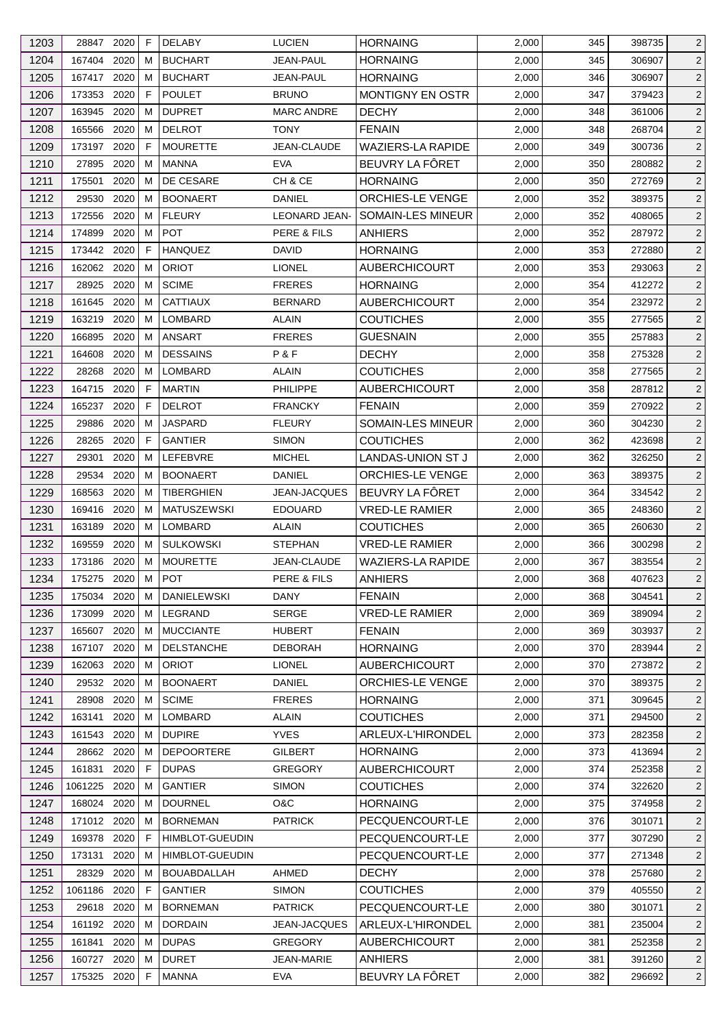| 1203 | 28847       | 2020 | F  | <b>DELABY</b>          | <b>LUCIEN</b>        | <b>HORNAING</b>          | 2,000 | 345 | 398735 | $\overline{2}$ |
|------|-------------|------|----|------------------------|----------------------|--------------------------|-------|-----|--------|----------------|
| 1204 | 167404      | 2020 | м  | <b>BUCHART</b>         | JEAN-PAUL            | <b>HORNAING</b>          | 2,000 | 345 | 306907 | $\overline{2}$ |
| 1205 | 167417      | 2020 | м  | <b>BUCHART</b>         | <b>JEAN-PAUL</b>     | <b>HORNAING</b>          | 2,000 | 346 | 306907 | $\overline{2}$ |
| 1206 | 173353      | 2020 | F  | <b>POULET</b>          | <b>BRUNO</b>         | <b>MONTIGNY EN OSTR</b>  | 2,000 | 347 | 379423 | $\overline{2}$ |
| 1207 | 163945      | 2020 | M  | <b>DUPRET</b>          | <b>MARC ANDRE</b>    | <b>DECHY</b>             | 2,000 | 348 | 361006 | $\overline{2}$ |
| 1208 | 165566      | 2020 | M  | <b>DELROT</b>          | <b>TONY</b>          | <b>FENAIN</b>            | 2,000 | 348 | 268704 | $\overline{2}$ |
| 1209 | 173197      | 2020 | F  | <b>MOURETTE</b>        | JEAN-CLAUDE          | <b>WAZIERS-LA RAPIDE</b> | 2,000 | 349 | 300736 | $\overline{2}$ |
| 1210 | 27895       | 2020 | м  | <b>MANNA</b>           | <b>EVA</b>           | BEUVRY LA FÔRET          | 2,000 | 350 | 280882 | $\overline{2}$ |
| 1211 | 175501      | 2020 | м  | DE CESARE              | CH & CE              | <b>HORNAING</b>          | 2,000 | 350 | 272769 | $\overline{2}$ |
| 1212 | 29530       | 2020 | м  | <b>BOONAERT</b>        | DANIEL               | <b>ORCHIES-LE VENGE</b>  | 2,000 | 352 | 389375 | $\overline{2}$ |
| 1213 | 172556      | 2020 | м  | <b>FLEURY</b>          | <b>LEONARD JEAN-</b> | SOMAIN-LES MINEUR        | 2,000 | 352 | 408065 | $\overline{2}$ |
| 1214 | 174899      | 2020 | м  | <b>POT</b>             | PERE & FILS          | <b>ANHIERS</b>           | 2,000 | 352 | 287972 | $\overline{2}$ |
| 1215 | 173442 2020 |      | F  | <b>HANQUEZ</b>         | <b>DAVID</b>         | <b>HORNAING</b>          | 2,000 | 353 | 272880 | $\overline{2}$ |
| 1216 | 162062      | 2020 | м  | <b>ORIOT</b>           | <b>LIONEL</b>        | <b>AUBERCHICOURT</b>     | 2,000 | 353 | 293063 | $\overline{2}$ |
| 1217 | 28925       | 2020 | м  | <b>SCIME</b>           | <b>FRERES</b>        | <b>HORNAING</b>          | 2,000 | 354 | 412272 | $\overline{2}$ |
| 1218 | 161645      | 2020 | M  | <b>CATTIAUX</b>        | <b>BERNARD</b>       | <b>AUBERCHICOURT</b>     | 2,000 | 354 | 232972 | $\overline{2}$ |
| 1219 | 163219      | 2020 | M  | <b>LOMBARD</b>         | <b>ALAIN</b>         | <b>COUTICHES</b>         | 2,000 | 355 | 277565 | $\overline{2}$ |
| 1220 | 166895      | 2020 | м  | <b>ANSART</b>          | <b>FRERES</b>        | <b>GUESNAIN</b>          | 2,000 | 355 | 257883 | $\overline{2}$ |
| 1221 | 164608      | 2020 | м  | <b>DESSAINS</b>        | P&F                  | <b>DECHY</b>             | 2,000 | 358 | 275328 | $\overline{2}$ |
| 1222 | 28268       | 2020 | м  | LOMBARD                | <b>ALAIN</b>         | <b>COUTICHES</b>         | 2,000 | 358 | 277565 | $\overline{2}$ |
| 1223 | 164715      | 2020 | F  | <b>MARTIN</b>          | <b>PHILIPPE</b>      | <b>AUBERCHICOURT</b>     | 2,000 | 358 | 287812 | $\overline{2}$ |
| 1224 | 165237      | 2020 | F  | <b>DELROT</b>          | <b>FRANCKY</b>       | <b>FENAIN</b>            | 2,000 | 359 | 270922 | $\overline{2}$ |
| 1225 | 29886       | 2020 | м  | <b>JASPARD</b>         | <b>FLEURY</b>        | <b>SOMAIN-LES MINEUR</b> | 2,000 | 360 | 304230 | $\overline{2}$ |
| 1226 | 28265       | 2020 | F  | <b>GANTIER</b>         | <b>SIMON</b>         | <b>COUTICHES</b>         | 2,000 | 362 | 423698 | $\overline{2}$ |
|      |             |      |    |                        |                      |                          |       |     |        |                |
| 1227 | 29301       | 2020 | м  | LEFEBVRE               | <b>MICHEL</b>        | LANDAS-UNION ST J        | 2,000 | 362 | 326250 | $\overline{2}$ |
| 1228 | 29534       | 2020 | м  | <b>BOONAERT</b>        | <b>DANIEL</b>        | ORCHIES-LE VENGE         | 2,000 | 363 | 389375 | $\overline{2}$ |
| 1229 | 168563      | 2020 | M  | <b>TIBERGHIEN</b>      | JEAN-JACQUES         | BEUVRY LA FÔRET          | 2,000 | 364 | 334542 | $\overline{2}$ |
| 1230 | 169416      | 2020 | M  | <b>MATUSZEWSKI</b>     | <b>EDOUARD</b>       | <b>VRED-LE RAMIER</b>    | 2,000 | 365 | 248360 | $\overline{2}$ |
| 1231 | 163189      | 2020 | м  | LOMBARD                | ALAIN                | <b>COUTICHES</b>         | 2,000 | 365 | 260630 | $\overline{2}$ |
| 1232 | 169559      | 2020 | M  | <b>SULKOWSKI</b>       | <b>STEPHAN</b>       | <b>VRED-LE RAMIER</b>    | 2,000 | 366 | 300298 | $\overline{2}$ |
| 1233 | 173186      | 2020 | M  | <b>MOURETTE</b>        | JEAN-CLAUDE          | WAZIERS-LA RAPIDE        | 2,000 | 367 | 383554 | $\overline{2}$ |
| 1234 | 175275 2020 |      | M  | <b>POT</b>             | PERE & FILS          | <b>ANHIERS</b>           | 2,000 | 368 | 407623 | $\overline{2}$ |
| 1235 | 175034      | 2020 | M  | <b>DANIELEWSKI</b>     | <b>DANY</b>          | <b>FENAIN</b>            | 2,000 | 368 | 304541 | $\overline{2}$ |
| 1236 | 173099      | 2020 | M  | LEGRAND                | <b>SERGE</b>         | <b>VRED-LE RAMIER</b>    | 2,000 | 369 | 389094 | $\overline{2}$ |
| 1237 | 165607      | 2020 | м  | <b>MUCCIANTE</b>       | <b>HUBERT</b>        | <b>FENAIN</b>            | 2,000 | 369 | 303937 | $\overline{a}$ |
| 1238 | 167107      | 2020 | м  | <b>DELSTANCHE</b>      | DEBORAH              | <b>HORNAING</b>          | 2,000 | 370 | 283944 | $\overline{2}$ |
| 1239 | 162063      | 2020 | м  | <b>ORIOT</b>           | <b>LIONEL</b>        | <b>AUBERCHICOURT</b>     | 2,000 | 370 | 273872 | $\overline{2}$ |
| 1240 | 29532       | 2020 | м  | <b>BOONAERT</b>        | <b>DANIEL</b>        | ORCHIES-LE VENGE         | 2,000 | 370 | 389375 | $\overline{2}$ |
| 1241 | 28908       | 2020 | M  | <b>SCIME</b>           | <b>FRERES</b>        | <b>HORNAING</b>          | 2,000 | 371 | 309645 | $\overline{2}$ |
| 1242 | 163141      | 2020 | м  | LOMBARD                | <b>ALAIN</b>         | <b>COUTICHES</b>         | 2,000 | 371 | 294500 | $\overline{2}$ |
| 1243 | 161543      | 2020 | м  | <b>DUPIRE</b>          | <b>YVES</b>          | ARLEUX-L'HIRONDEL        | 2,000 | 373 | 282358 | $\overline{2}$ |
| 1244 | 28662 2020  |      | м  | <b>DEPOORTERE</b>      | <b>GILBERT</b>       | <b>HORNAING</b>          | 2,000 | 373 | 413694 | $\overline{2}$ |
| 1245 | 161831      | 2020 | F  | <b>DUPAS</b>           | <b>GREGORY</b>       | <b>AUBERCHICOURT</b>     | 2,000 | 374 | 252358 | $\overline{2}$ |
| 1246 | 1061225     | 2020 | м  | <b>GANTIER</b>         | <b>SIMON</b>         | <b>COUTICHES</b>         | 2,000 | 374 | 322620 | $\overline{2}$ |
| 1247 | 168024 2020 |      | м  | <b>DOURNEL</b>         | O&C                  | <b>HORNAING</b>          | 2,000 | 375 | 374958 | $\overline{2}$ |
| 1248 | 171012 2020 |      | M  | <b>BORNEMAN</b>        | <b>PATRICK</b>       | PECQUENCOURT-LE          | 2,000 | 376 | 301071 | $\overline{2}$ |
| 1249 | 169378      | 2020 | F. | HIMBLOT-GUEUDIN        |                      | PECQUENCOURT-LE          | 2,000 | 377 | 307290 | $\overline{2}$ |
| 1250 | 173131      | 2020 | м  | <b>HIMBLOT-GUEUDIN</b> |                      | PECQUENCOURT-LE          | 2,000 | 377 | 271348 | $\overline{2}$ |
| 1251 | 28329       | 2020 | м  | <b>BOUABDALLAH</b>     | AHMED                | <b>DECHY</b>             | 2,000 | 378 | 257680 | $\overline{2}$ |
| 1252 | 1061186     | 2020 | F  | <b>GANTIER</b>         | <b>SIMON</b>         | <b>COUTICHES</b>         | 2,000 | 379 | 405550 | $\overline{2}$ |
| 1253 | 29618       | 2020 | м  | <b>BORNEMAN</b>        | <b>PATRICK</b>       | PECQUENCOURT-LE          | 2,000 | 380 | 301071 | $\overline{2}$ |
| 1254 | 161192      | 2020 | м  | <b>DORDAIN</b>         | JEAN-JACQUES         | ARLEUX-L'HIRONDEL        | 2,000 | 381 | 235004 | $\overline{2}$ |
| 1255 | 161841      | 2020 | м  | <b>DUPAS</b>           | <b>GREGORY</b>       | <b>AUBERCHICOURT</b>     | 2,000 | 381 | 252358 | $\overline{2}$ |
| 1256 | 160727      | 2020 | м  | <b>DURET</b>           | JEAN-MARIE           | <b>ANHIERS</b>           | 2,000 | 381 | 391260 | $\overline{2}$ |
| 1257 | 175325 2020 |      | F  | <b>MANNA</b>           | <b>EVA</b>           | BEUVRY LA FÔRET          | 2,000 | 382 | 296692 | $\overline{2}$ |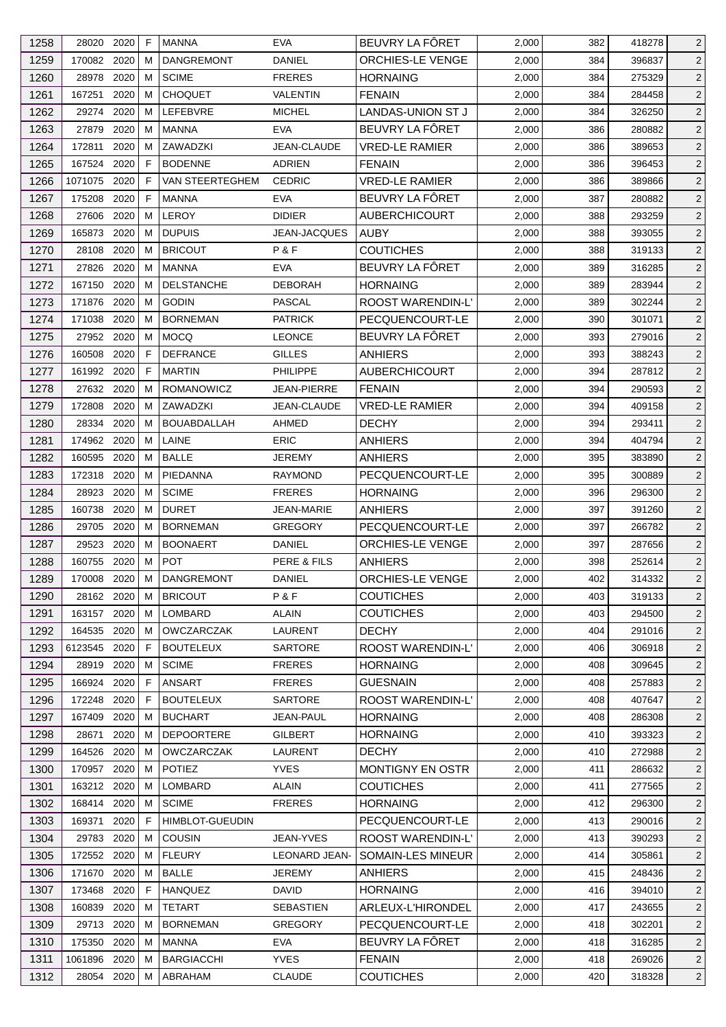| 1258 | 28020       | 2020 | F | <b>MANNA</b>           | <b>EVA</b>           | BEUVRY LA FÔRET          | 2,000 | 382 | 418278 | 2              |
|------|-------------|------|---|------------------------|----------------------|--------------------------|-------|-----|--------|----------------|
| 1259 | 170082 2020 |      | м | <b>DANGREMONT</b>      | DANIEL               | <b>ORCHIES-LE VENGE</b>  | 2,000 | 384 | 396837 | $\overline{2}$ |
| 1260 | 28978       | 2020 | м | <b>SCIME</b>           | <b>FRERES</b>        | <b>HORNAING</b>          | 2,000 | 384 | 275329 | $\overline{2}$ |
| 1261 | 167251      | 2020 | м | <b>CHOQUET</b>         | VALENTIN             | <b>FENAIN</b>            | 2,000 | 384 | 284458 | $\overline{2}$ |
| 1262 | 29274       | 2020 | м | <b>LEFEBVRE</b>        | <b>MICHEL</b>        | <b>LANDAS-UNION ST J</b> | 2,000 | 384 | 326250 | $\overline{c}$ |
| 1263 | 27879       | 2020 | м | <b>MANNA</b>           | <b>EVA</b>           | BEUVRY LA FÔRET          | 2,000 | 386 | 280882 | $\overline{2}$ |
| 1264 | 172811      | 2020 | м | ZAWADZKI               | JEAN-CLAUDE          | <b>VRED-LE RAMIER</b>    | 2,000 | 386 | 389653 | 2              |
| 1265 | 167524 2020 |      | F | <b>BODENNE</b>         | <b>ADRIEN</b>        | <b>FENAIN</b>            | 2,000 | 386 | 396453 | $\overline{2}$ |
| 1266 | 1071075     | 2020 | F | VAN STEERTEGHEM        | <b>CEDRIC</b>        | <b>VRED-LE RAMIER</b>    | 2,000 | 386 | 389866 | 2              |
| 1267 | 175208      | 2020 | F | MANNA                  | <b>EVA</b>           | BEUVRY LA FÖRET          | 2,000 | 387 | 280882 | $\overline{2}$ |
| 1268 | 27606       | 2020 | м | LEROY                  | <b>DIDIER</b>        | <b>AUBERCHICOURT</b>     | 2,000 | 388 | 293259 | $\overline{2}$ |
| 1269 | 165873      | 2020 | м | <b>DUPUIS</b>          | JEAN-JACQUES         | <b>AUBY</b>              | 2,000 | 388 | 393055 | 2              |
| 1270 | 28108       | 2020 | м | <b>BRICOUT</b>         | P&F                  | <b>COUTICHES</b>         | 2,000 | 388 | 319133 | $\overline{2}$ |
| 1271 | 27826       | 2020 | м | MANNA                  | <b>EVA</b>           | BEUVRY LA FÔRET          | 2,000 | 389 | 316285 | $\overline{2}$ |
| 1272 | 167150      | 2020 | м | <b>DELSTANCHE</b>      | <b>DEBORAH</b>       | <b>HORNAING</b>          | 2,000 | 389 | 283944 | $\overline{2}$ |
| 1273 | 171876      | 2020 | м | <b>GODIN</b>           | <b>PASCAL</b>        | <b>ROOST WARENDIN-L'</b> | 2,000 | 389 | 302244 | $\overline{c}$ |
| 1274 | 171038      | 2020 | м | <b>BORNEMAN</b>        | <b>PATRICK</b>       | PECQUENCOURT-LE          | 2,000 | 390 | 301071 | $\overline{2}$ |
| 1275 | 27952 2020  |      | м | <b>MOCQ</b>            | <b>LEONCE</b>        | BEUVRY LA FÔRET          | 2,000 | 393 | 279016 | $\overline{2}$ |
| 1276 | 160508      | 2020 | F | <b>DEFRANCE</b>        | <b>GILLES</b>        | <b>ANHIERS</b>           | 2,000 | 393 | 388243 | $\overline{2}$ |
| 1277 | 161992 2020 |      | F | <b>MARTIN</b>          | <b>PHILIPPE</b>      | <b>AUBERCHICOURT</b>     | 2,000 | 394 | 287812 | 2              |
| 1278 | 27632 2020  |      | м | ROMANOWICZ             | <b>JEAN-PIERRE</b>   | <b>FENAIN</b>            | 2,000 | 394 | 290593 | $\overline{2}$ |
| 1279 | 172808      | 2020 | м | ZAWADZKI               | JEAN-CLAUDE          | <b>VRED-LE RAMIER</b>    | 2,000 | 394 | 409158 | $\overline{c}$ |
| 1280 | 28334 2020  |      | м | <b>BOUABDALLAH</b>     | AHMED                | <b>DECHY</b>             | 2,000 | 394 | 293411 | 2              |
|      | 174962 2020 |      | м | LAINE                  | <b>ERIC</b>          |                          |       | 394 |        |                |
| 1281 |             |      |   |                        |                      | <b>ANHIERS</b>           | 2,000 |     | 404794 | $\overline{2}$ |
| 1282 | 160595      | 2020 | м | <b>BALLE</b>           | JEREMY               | <b>ANHIERS</b>           | 2,000 | 395 | 383890 | $\overline{2}$ |
| 1283 | 172318      | 2020 | м | PIEDANNA               | <b>RAYMOND</b>       | PECQUENCOURT-LE          | 2,000 | 395 | 300889 | $\overline{2}$ |
| 1284 | 28923       | 2020 | м | <b>SCIME</b>           | <b>FRERES</b>        | <b>HORNAING</b>          | 2,000 | 396 | 296300 | $\overline{c}$ |
| 1285 | 160738      | 2020 | м | <b>DURET</b>           | <b>JEAN-MARIE</b>    | <b>ANHIERS</b>           | 2,000 | 397 | 391260 | $\overline{2}$ |
| 1286 | 29705       | 2020 | м | <b>BORNEMAN</b>        | <b>GREGORY</b>       | PECQUENCOURT-LE          | 2,000 | 397 | 266782 | 2              |
| 1287 | 29523       | 2020 | м | <b>BOONAERT</b>        | DANIEL               | ORCHIES-LE VENGE         | 2,000 | 397 | 287656 | $\overline{2}$ |
| 1288 | 160755      | 2020 | M | <b>POT</b>             | PERE & FILS          | <b>ANHIERS</b>           | 2,000 | 398 | 252614 | $\overline{2}$ |
| 1289 | 170008 2020 |      | M | DANGREMONT             | <b>DANIEL</b>        | ORCHIES-LE VENGE         | 2,000 | 402 | 314332 | $\overline{c}$ |
| 1290 | 28162 2020  |      | М | <b>BRICOUT</b>         | P&F                  | <b>COUTICHES</b>         | 2,000 | 403 | 319133 | $\overline{2}$ |
| 1291 | 163157 2020 |      | м | LOMBARD                | <b>ALAIN</b>         | <b>COUTICHES</b>         | 2,000 | 403 | 294500 | $\overline{2}$ |
| 1292 | 164535      | 2020 | м | <b>OWCZARCZAK</b>      | LAURENT              | <b>DECHY</b>             | 2,000 | 404 | 291016 | $\overline{2}$ |
| 1293 | 6123545     | 2020 | F | <b>BOUTELEUX</b>       | <b>SARTORE</b>       | ROOST WARENDIN-L'        | 2,000 | 406 | 306918 | $\overline{2}$ |
| 1294 | 28919 2020  |      | м | <b>SCIME</b>           | <b>FRERES</b>        | <b>HORNAING</b>          | 2,000 | 408 | 309645 | $\overline{2}$ |
| 1295 | 166924      | 2020 | F | <b>ANSART</b>          | <b>FRERES</b>        | <b>GUESNAIN</b>          | 2,000 | 408 | 257883 | $\overline{2}$ |
| 1296 | 172248      | 2020 | F | <b>BOUTELEUX</b>       | SARTORE              | ROOST WARENDIN-L'        | 2,000 | 408 | 407647 | $\overline{2}$ |
| 1297 | 167409      | 2020 | м | <b>BUCHART</b>         | JEAN-PAUL            | <b>HORNAING</b>          | 2,000 | 408 | 286308 | $\overline{2}$ |
| 1298 | 28671       | 2020 | м | <b>DEPOORTERE</b>      | GILBERT              | <b>HORNAING</b>          | 2,000 | 410 | 393323 | $\overline{2}$ |
| 1299 | 164526      | 2020 | M | OWCZARCZAK             | LAURENT              | <b>DECHY</b>             | 2,000 | 410 | 272988 | $\overline{c}$ |
| 1300 | 170957 2020 |      | м | <b>POTIEZ</b>          | <b>YVES</b>          | MONTIGNY EN OSTR         | 2,000 | 411 | 286632 | 2              |
| 1301 | 163212 2020 |      | м | <b>LOMBARD</b>         | <b>ALAIN</b>         | <b>COUTICHES</b>         | 2,000 | 411 | 277565 | $\overline{2}$ |
| 1302 | 168414 2020 |      | м | <b>SCIME</b>           | <b>FRERES</b>        | <b>HORNAING</b>          | 2,000 | 412 | 296300 | $\overline{2}$ |
| 1303 | 169371      | 2020 | F | <b>HIMBLOT-GUEUDIN</b> |                      | PECQUENCOURT-LE          | 2,000 | 413 | 290016 | $\overline{2}$ |
| 1304 | 29783       | 2020 | м | <b>COUSIN</b>          | JEAN-YVES            | ROOST WARENDIN-L'        | 2,000 | 413 | 390293 | $\overline{2}$ |
| 1305 | 172552 2020 |      | м | <b>FLEURY</b>          | <b>LEONARD JEAN-</b> | SOMAIN-LES MINEUR        | 2,000 | 414 | 305861 | $\overline{2}$ |
| 1306 | 171670 2020 |      | м | <b>BALLE</b>           | <b>JEREMY</b>        | <b>ANHIERS</b>           | 2,000 | 415 | 248436 | $\overline{2}$ |
| 1307 | 173468      | 2020 | F | <b>HANQUEZ</b>         | <b>DAVID</b>         | <b>HORNAING</b>          | 2,000 | 416 | 394010 | $\overline{2}$ |
| 1308 | 160839      | 2020 | м | <b>TETART</b>          | <b>SEBASTIEN</b>     | ARLEUX-L'HIRONDEL        | 2,000 | 417 | 243655 | $\overline{2}$ |
| 1309 | 29713 2020  |      | м | <b>BORNEMAN</b>        | <b>GREGORY</b>       | PECQUENCOURT-LE          | 2,000 | 418 | 302201 | $\overline{2}$ |
| 1310 | 175350 2020 |      | м | <b>MANNA</b>           | <b>EVA</b>           | BEUVRY LA FÔRET          | 2,000 | 418 | 316285 | $\overline{2}$ |
| 1311 | 1061896     | 2020 | м | <b>BARGIACCHI</b>      | <b>YVES</b>          | <b>FENAIN</b>            | 2,000 | 418 | 269026 | 2              |
| 1312 | 28054 2020  |      | м | ABRAHAM                | <b>CLAUDE</b>        | <b>COUTICHES</b>         | 2,000 | 420 | 318328 | $\overline{2}$ |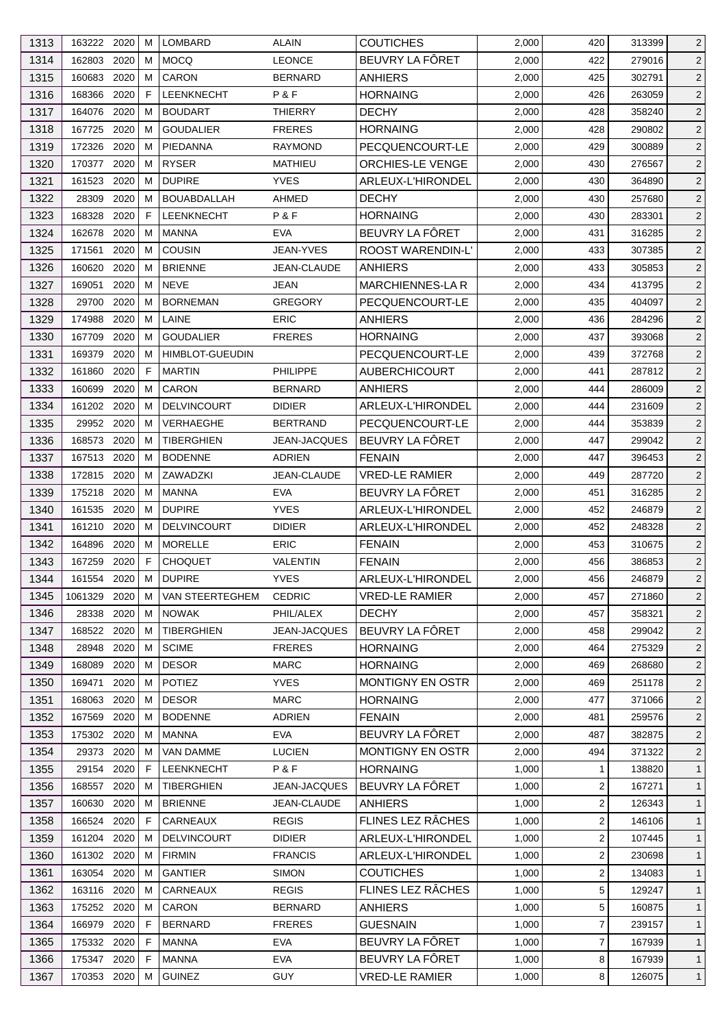| 1313         | 163222 2020      |      | M      | LOMBARD                              | <b>ALAIN</b>    | <b>COUTICHES</b>        | 2,000          | 420        | 313399           | $\overline{2}$                   |
|--------------|------------------|------|--------|--------------------------------------|-----------------|-------------------------|----------------|------------|------------------|----------------------------------|
| 1314         | 162803           | 2020 | M      | <b>MOCQ</b>                          | <b>LEONCE</b>   | BEUVRY LA FÔRET         | 2,000          | 422        | 279016           | $\overline{c}$                   |
| 1315         | 160683           | 2020 | M      | <b>CARON</b>                         | <b>BERNARD</b>  | <b>ANHIERS</b>          | 2,000          | 425        | 302791           | $\overline{2}$                   |
| 1316         | 168366           | 2020 | F      | LEENKNECHT                           | P&F             | <b>HORNAING</b>         | 2,000          | 426        | 263059           | $\overline{2}$                   |
| 1317         | 164076           | 2020 | M      | <b>BOUDART</b>                       | <b>THIERRY</b>  | <b>DECHY</b>            | 2,000          | 428        | 358240           | $\overline{2}$                   |
| 1318         | 167725           | 2020 | M      | <b>GOUDALIER</b>                     | <b>FRERES</b>   | <b>HORNAING</b>         | 2,000          | 428        | 290802           | $\overline{c}$                   |
| 1319         | 172326           | 2020 | M      | PIEDANNA                             | <b>RAYMOND</b>  | PECQUENCOURT-LE         | 2,000          | 429        | 300889           | $\overline{2}$                   |
| 1320         | 170377           | 2020 | M      | <b>RYSER</b>                         | <b>MATHIEU</b>  | ORCHIES-LE VENGE        | 2,000          | 430        | 276567           | $\overline{c}$                   |
| 1321         | 161523           | 2020 | M      | <b>DUPIRE</b>                        | <b>YVES</b>     | ARLEUX-L'HIRONDEL       | 2,000          | 430        | 364890           | 2                                |
| 1322         | 28309            | 2020 | M      | <b>BOUABDALLAH</b>                   | AHMED           | <b>DECHY</b>            | 2,000          | 430        | 257680           | $\overline{2}$                   |
| 1323         | 168328           | 2020 | F      | LEENKNECHT                           | P&F             | <b>HORNAING</b>         | 2,000          | 430        | 283301           | $\overline{c}$                   |
| 1324         | 162678           | 2020 | м      | <b>MANNA</b>                         | <b>EVA</b>      | BEUVRY LA FÔRET         | 2,000          | 431        | 316285           | $\overline{2}$                   |
| 1325         | 171561           | 2020 | м      | <b>COUSIN</b>                        | JEAN-YVES       | ROOST WARENDIN-L'       | 2,000          | 433        | 307385           | $\overline{c}$                   |
| 1326         | 160620           | 2020 | M      | <b>BRIENNE</b>                       | JEAN-CLAUDE     | <b>ANHIERS</b>          | 2,000          | 433        | 305853           | $\overline{2}$                   |
| 1327         | 169051           | 2020 | М      | <b>NEVE</b>                          | JEAN            | MARCHIENNES-LA R        | 2,000          | 434        | 413795           | $\overline{2}$                   |
| 1328         | 29700            | 2020 | M      | <b>BORNEMAN</b>                      | <b>GREGORY</b>  | PECQUENCOURT-LE         | 2,000          | 435        | 404097           | $\overline{2}$                   |
| 1329         | 174988           | 2020 | M      | LAINE                                | <b>ERIC</b>     | <b>ANHIERS</b>          | 2,000          | 436        | 284296           | $\overline{c}$                   |
| 1330         | 167709           | 2020 | м      | <b>GOUDALIER</b>                     | <b>FRERES</b>   | <b>HORNAING</b>         | 2,000          | 437        | 393068           | 2                                |
| 1331         | 169379           | 2020 | M      | <b>HIMBLOT-GUEUDIN</b>               |                 | PECQUENCOURT-LE         | 2,000          | 439        | 372768           | $\overline{2}$                   |
| 1332         | 161860           | 2020 | F      | <b>MARTIN</b>                        | <b>PHILIPPE</b> | <b>AUBERCHICOURT</b>    | 2,000          | 441        | 287812           | $\overline{2}$                   |
| 1333         | 160699           | 2020 | M      | <b>CARON</b>                         | <b>BERNARD</b>  | <b>ANHIERS</b>          | 2,000          | 444        | 286009           | $\overline{2}$                   |
| 1334         | 161202           | 2020 | M      | <b>DELVINCOURT</b>                   | <b>DIDIER</b>   | ARLEUX-L'HIRONDEL       | 2,000          | 444        | 231609           | $\overline{c}$                   |
| 1335         | 29952            | 2020 | М      | VERHAEGHE                            | <b>BERTRAND</b> | PECQUENCOURT-LE         | 2,000          | 444        | 353839           | $\overline{2}$                   |
| 1336         | 168573           | 2020 | M      | <b>TIBERGHIEN</b>                    | JEAN-JACQUES    | BEUVRY LA FÔRET         | 2,000          | 447        | 299042           | $\overline{c}$                   |
| 1337         | 167513           | 2020 | M      | <b>BODENNE</b>                       | <b>ADRIEN</b>   | <b>FENAIN</b>           | 2,000          | 447        | 396453           | $\overline{2}$                   |
| 1338         | 172815           | 2020 | м      | ZAWADZKI                             | JEAN-CLAUDE     | <b>VRED-LE RAMIER</b>   | 2,000          | 449        | 287720           | $\overline{2}$                   |
|              | 175218 2020      |      |        | MANNA                                | <b>EVA</b>      | BEUVRY LA FÔRET         |                |            |                  |                                  |
| 1339<br>1340 | 161535           | 2020 | M<br>M | <b>DUPIRE</b>                        | <b>YVES</b>     | ARLEUX-L'HIRONDEL       | 2,000<br>2,000 | 451<br>452 | 316285<br>246879 | $\overline{2}$<br>$\overline{2}$ |
|              |                  | 2020 |        |                                      | <b>DIDIER</b>   |                         |                |            |                  | 2                                |
| 1341         | 161210<br>164896 | 2020 | M      | <b>DELVINCOURT</b><br><b>MORELLE</b> | <b>ERIC</b>     | ARLEUX-L'HIRONDEL       | 2,000          | 452<br>453 | 248328<br>310675 |                                  |
| 1342         |                  |      | M      |                                      |                 | <b>FENAIN</b>           | 2,000          |            |                  | $\overline{2}$                   |
| 1343         | 167259           | 2020 | F.     | <b>CHOQUET</b>                       | VALENTIN        | <b>FENAIN</b>           | 2,000          | 456        | 386853           | $\overline{2}$                   |
| 1344         | 161554 2020 M    |      |        | <b>DUPIRE</b>                        | <b>YVES</b>     | ARLEUX-L'HIRONDEL       | 2,000          | 456        | 246879           | $\overline{2}$                   |
| 1345         | 1061329          | 2020 | M      | VAN STEERTEGHEM                      | <b>CEDRIC</b>   | <b>VRED-LE RAMIER</b>   | 2,000          | 457        | 271860           | $\overline{2}$                   |
| 1346         | 28338            | 2020 | M      | <b>NOWAK</b>                         | PHIL/ALEX       | <b>DECHY</b>            | 2,000          | 457        | 358321           | $\overline{2}$                   |
| 1347         | 168522           | 2020 | M      | <b>TIBERGHIEN</b>                    | JEAN-JACQUES    | BEUVRY LA FÔRET         | 2,000          | 458        | 299042           | $\overline{2}$                   |
| 1348         | 28948            | 2020 | M      | <b>SCIME</b>                         | <b>FRERES</b>   | <b>HORNAING</b>         | 2,000          | 464        | 275329           | 2                                |
| 1349         | 168089           | 2020 | M      | <b>DESOR</b>                         | <b>MARC</b>     | <b>HORNAING</b>         | 2,000          | 469        | 268680           | $\overline{2}$                   |
| 1350         | 169471           | 2020 | M      | <b>POTIEZ</b>                        | <b>YVES</b>     | <b>MONTIGNY EN OSTR</b> | 2,000          | 469        | 251178           | $\overline{2}$                   |
| 1351         | 168063           | 2020 | M      | <b>DESOR</b>                         | <b>MARC</b>     | <b>HORNAING</b>         | 2,000          | 477        | 371066           | $\overline{2}$                   |
| 1352         | 167569           | 2020 | M      | <b>BODENNE</b>                       | ADRIEN          | <b>FENAIN</b>           | 2,000          | 481        | 259576           | $\overline{2}$                   |
| 1353         | 175302           | 2020 | M      | <b>MANNA</b>                         | <b>EVA</b>      | BEUVRY LA FÔRET         | 2,000          | 487        | 382875           | $\overline{2}$                   |
| 1354         | 29373 2020       |      | M      | VAN DAMME                            | <b>LUCIEN</b>   | <b>MONTIGNY EN OSTR</b> | 2,000          | 494        | 371322           | $\overline{2}$                   |
| 1355         | 29154            | 2020 | F      | LEENKNECHT                           | P&F             | <b>HORNAING</b>         | 1,000          | 1          | 138820           | $\mathbf{1}$                     |
| 1356         | 168557           | 2020 | M      | <b>TIBERGHIEN</b>                    | JEAN-JACQUES    | BEUVRY LA FÔRET         | 1,000          | 2          | 167271           | $\mathbf{1}$                     |
| 1357         | 160630           | 2020 | M      | <b>BRIENNE</b>                       | JEAN-CLAUDE     | <b>ANHIERS</b>          | 1,000          | 2          | 126343           | $\mathbf{1}$                     |
| 1358         | 166524           | 2020 | F.     | CARNEAUX                             | <b>REGIS</b>    | FLINES LEZ RÂCHES       | 1,000          | 2          | 146106           | $\mathbf{1}$                     |
| 1359         | 161204           | 2020 | M      | <b>DELVINCOURT</b>                   | <b>DIDIER</b>   | ARLEUX-L'HIRONDEL       | 1,000          | 2          | 107445           | $\mathbf{1}$                     |
| 1360         | 161302 2020      |      | M      | <b>FIRMIN</b>                        | <b>FRANCIS</b>  | ARLEUX-L'HIRONDEL       | 1,000          | 2          | 230698           | $\mathbf{1}$                     |
| 1361         | 163054 2020      |      | M      | <b>GANTIER</b>                       | <b>SIMON</b>    | <b>COUTICHES</b>        | 1,000          | 2          | 134083           | $\mathbf{1}$                     |
| 1362         | 163116 2020      |      | M      | CARNEAUX                             | <b>REGIS</b>    | FLINES LEZ RÂCHES       | 1,000          | 5          | 129247           | $\mathbf{1}$                     |
| 1363         | 175252 2020      |      | M      | CARON                                | <b>BERNARD</b>  | <b>ANHIERS</b>          | 1,000          | 5          | 160875           | $\mathbf{1}$                     |
| 1364         | 166979           | 2020 | F.     | <b>BERNARD</b>                       | <b>FRERES</b>   | <b>GUESNAIN</b>         | 1,000          | 7          | 239157           | $\mathbf{1}$                     |
| 1365         | 175332 2020      |      | F      | <b>MANNA</b>                         | <b>EVA</b>      | BEUVRY LA FÔRET         | 1,000          | 7          | 167939           | $\mathbf{1}$                     |
| 1366         | 175347 2020      |      | F      | <b>MANNA</b>                         | <b>EVA</b>      | BEUVRY LA FÖRET         | 1,000          | 8          | 167939           | $\mathbf{1}$                     |
| 1367         | 170353 2020      |      | М      | <b>GUINEZ</b>                        | <b>GUY</b>      | <b>VRED-LE RAMIER</b>   | 1,000          | 8          | 126075           | $\mathbf{1}$                     |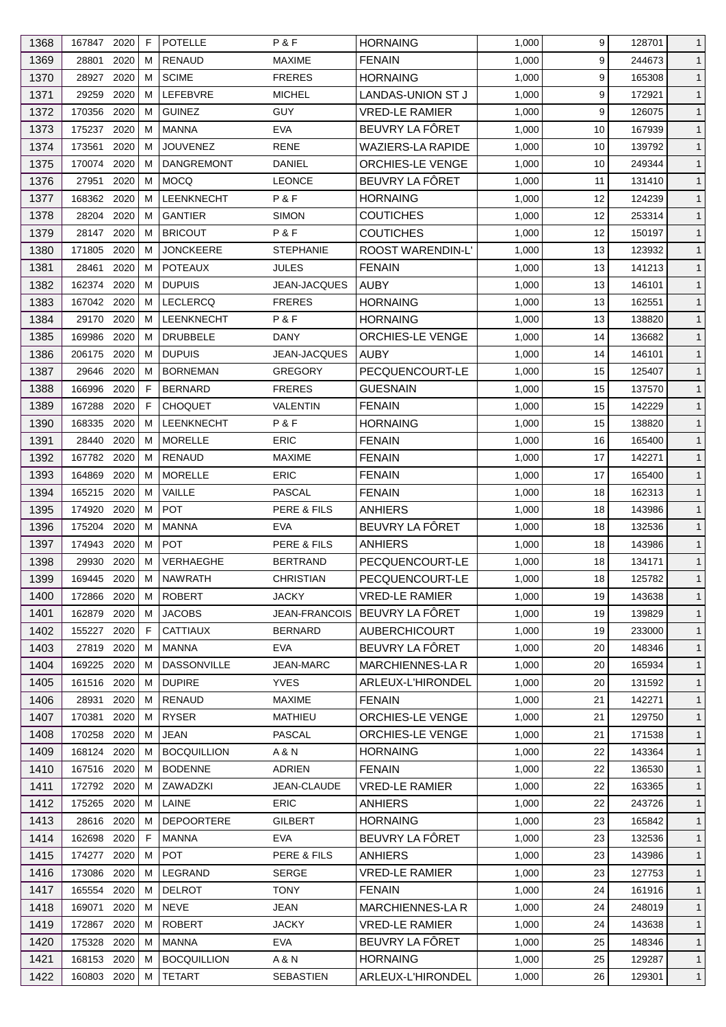| 1368 | 167847 2020 |      | F  | <b>POTELLE</b>     | P & F                | <b>HORNAING</b>          | 1,000 | 9  | 128701 | $\mathbf{1}$ |
|------|-------------|------|----|--------------------|----------------------|--------------------------|-------|----|--------|--------------|
| 1369 | 28801       | 2020 | M  | <b>RENAUD</b>      | <b>MAXIME</b>        | <b>FENAIN</b>            | 1,000 | 9  | 244673 | $\mathbf{1}$ |
| 1370 | 28927       | 2020 | М  | <b>SCIME</b>       | <b>FRERES</b>        | <b>HORNAING</b>          | 1,000 | 9  | 165308 | $\mathbf{1}$ |
| 1371 | 29259       | 2020 | м  | <b>LEFEBVRE</b>    | <b>MICHEL</b>        | <b>LANDAS-UNION ST J</b> | 1,000 | 9  | 172921 | $\mathbf{1}$ |
| 1372 | 170356      | 2020 | М  | <b>GUINEZ</b>      | <b>GUY</b>           | <b>VRED-LE RAMIER</b>    | 1,000 | 9  | 126075 | $\mathbf{1}$ |
| 1373 | 175237      | 2020 | M  | <b>MANNA</b>       | <b>EVA</b>           | BEUVRY LA FÔRET          | 1,000 | 10 | 167939 | $\mathbf{1}$ |
| 1374 | 173561      | 2020 | м  | <b>JOUVENEZ</b>    | <b>RENE</b>          | <b>WAZIERS-LA RAPIDE</b> | 1,000 | 10 | 139792 | $\mathbf{1}$ |
| 1375 | 170074      | 2020 | м  | <b>DANGREMONT</b>  | <b>DANIEL</b>        | ORCHIES-LE VENGE         | 1,000 | 10 | 249344 | $\mathbf{1}$ |
| 1376 | 27951       | 2020 | М  | <b>MOCQ</b>        | <b>LEONCE</b>        | BEUVRY LA FÔRET          | 1,000 | 11 | 131410 | $\mathbf{1}$ |
| 1377 | 168362      | 2020 | M  | LEENKNECHT         | P&F                  | <b>HORNAING</b>          | 1,000 | 12 | 124239 | $\mathbf{1}$ |
| 1378 | 28204       | 2020 | М  | <b>GANTIER</b>     | <b>SIMON</b>         | <b>COUTICHES</b>         | 1,000 | 12 | 253314 | $\mathbf{1}$ |
| 1379 | 28147 2020  |      | м  | <b>BRICOUT</b>     | P&F                  | <b>COUTICHES</b>         | 1,000 | 12 | 150197 | $\mathbf{1}$ |
| 1380 | 171805      | 2020 | м  | <b>JONCKEERE</b>   | <b>STEPHANIE</b>     | <b>ROOST WARENDIN-L'</b> | 1,000 | 13 | 123932 | $\mathbf{1}$ |
| 1381 | 28461       | 2020 | M  | <b>POTEAUX</b>     | <b>JULES</b>         | <b>FENAIN</b>            | 1,000 | 13 | 141213 | $\mathbf{1}$ |
| 1382 | 162374      | 2020 | м  | <b>DUPUIS</b>      | JEAN-JACQUES         | <b>AUBY</b>              | 1,000 | 13 | 146101 | $\mathbf{1}$ |
| 1383 | 167042 2020 |      | M  | <b>LECLERCQ</b>    | <b>FRERES</b>        | <b>HORNAING</b>          | 1,000 | 13 | 162551 | $\mathbf{1}$ |
| 1384 | 29170       | 2020 | M  | LEENKNECHT         | P&F                  | <b>HORNAING</b>          | 1,000 | 13 | 138820 | $\mathbf{1}$ |
| 1385 | 169986      | 2020 | м  | <b>DRUBBELE</b>    | DANY                 | ORCHIES-LE VENGE         | 1,000 | 14 | 136682 | $\mathbf{1}$ |
| 1386 | 206175      | 2020 | M  | <b>DUPUIS</b>      | JEAN-JACQUES         | <b>AUBY</b>              | 1,000 | 14 | 146101 | $\mathbf{1}$ |
| 1387 | 29646       | 2020 | м  | <b>BORNEMAN</b>    | <b>GREGORY</b>       | PECQUENCOURT-LE          | 1,000 | 15 | 125407 | $\mathbf{1}$ |
| 1388 | 166996      | 2020 | F  | <b>BERNARD</b>     | <b>FRERES</b>        | <b>GUESNAIN</b>          | 1,000 | 15 | 137570 | $\mathbf{1}$ |
| 1389 | 167288      | 2020 | E  | <b>CHOQUET</b>     | <b>VALENTIN</b>      | <b>FENAIN</b>            | 1,000 | 15 | 142229 | $\mathbf{1}$ |
| 1390 | 168335      | 2020 | м  | LEENKNECHT         | P&F                  | <b>HORNAING</b>          | 1,000 | 15 | 138820 | $\mathbf{1}$ |
|      |             | 2020 | м  | <b>MORELLE</b>     | <b>ERIC</b>          |                          |       | 16 |        |              |
| 1391 | 28440       |      |    |                    |                      | <b>FENAIN</b>            | 1,000 |    | 165400 | $\mathbf{1}$ |
| 1392 | 167782      | 2020 | M  | <b>RENAUD</b>      | <b>MAXIME</b>        | <b>FENAIN</b>            | 1,000 | 17 | 142271 | $\mathbf{1}$ |
| 1393 | 164869      | 2020 | м  | <b>MORELLE</b>     | <b>ERIC</b>          | <b>FENAIN</b>            | 1,000 | 17 | 165400 | $\mathbf{1}$ |
| 1394 | 165215      | 2020 | М  | VAILLE             | <b>PASCAL</b>        | <b>FENAIN</b>            | 1,000 | 18 | 162313 | $\mathbf{1}$ |
| 1395 | 174920      | 2020 | м  | <b>POT</b>         | PERE & FILS          | <b>ANHIERS</b>           | 1,000 | 18 | 143986 | $\mathbf{1}$ |
| 1396 | 175204      | 2020 | м  | <b>MANNA</b>       | <b>EVA</b>           | BEUVRY LA FÔRET          | 1,000 | 18 | 132536 | $\mathbf{1}$ |
| 1397 | 174943      | 2020 | М  | <b>POT</b>         | PERE & FILS          | <b>ANHIERS</b>           | 1,000 | 18 | 143986 | $\mathbf{1}$ |
| 1398 | 29930       | 2020 | M  | VERHAEGHE          | <b>BERTRAND</b>      | PECQUENCOURT-LE          | 1,000 | 18 | 134171 | $\mathbf{1}$ |
| 1399 | 169445 2020 |      | M  | <b>NAWRATH</b>     | CHRISTIAN            | PECQUENCOURT-LE          | 1,000 | 18 | 125782 | $\mathbf{1}$ |
| 1400 | 172866 2020 |      | M  | <b>ROBERT</b>      | <b>JACKY</b>         | <b>VRED-LE RAMIER</b>    | 1,000 | 19 | 143638 | $\mathbf{1}$ |
| 1401 | 162879 2020 |      | м  | <b>JACOBS</b>      | <b>JEAN-FRANCOIS</b> | BEUVRY LA FÖRET          | 1,000 | 19 | 139829 | $\mathbf{1}$ |
| 1402 | 155227      | 2020 | F  | <b>CATTIAUX</b>    | <b>BERNARD</b>       | <b>AUBERCHICOURT</b>     | 1,000 | 19 | 233000 | $\mathbf{1}$ |
| 1403 | 27819       | 2020 | M  | <b>MANNA</b>       | <b>EVA</b>           | BEUVRY LA FÔRET          | 1,000 | 20 | 148346 | $\mathbf{1}$ |
| 1404 | 169225 2020 |      | м  | <b>DASSONVILLE</b> | <b>JEAN-MARC</b>     | <b>MARCHIENNES-LAR</b>   | 1,000 | 20 | 165934 | $\mathbf{1}$ |
| 1405 | 161516 2020 |      | M  | <b>DUPIRE</b>      | <b>YVES</b>          | ARLEUX-L'HIRONDEL        | 1,000 | 20 | 131592 | $\mathbf{1}$ |
| 1406 | 28931       | 2020 | M  | <b>RENAUD</b>      | <b>MAXIME</b>        | <b>FENAIN</b>            | 1,000 | 21 | 142271 | $\mathbf{1}$ |
| 1407 | 170381      | 2020 | м  | <b>RYSER</b>       | MATHIEU              | ORCHIES-LE VENGE         | 1,000 | 21 | 129750 | $\mathbf{1}$ |
| 1408 | 170258      | 2020 | M  | JEAN               | PASCAL               | <b>ORCHIES-LE VENGE</b>  | 1,000 | 21 | 171538 | $\mathbf{1}$ |
| 1409 | 168124 2020 |      | M  | <b>BOCQUILLION</b> | A & N                | <b>HORNAING</b>          | 1,000 | 22 | 143364 | $\mathbf{1}$ |
| 1410 | 167516 2020 |      | M  | <b>BODENNE</b>     | ADRIEN               | <b>FENAIN</b>            | 1,000 | 22 | 136530 | $\mathbf{1}$ |
| 1411 | 172792      | 2020 | м  | ZAWADZKI           | JEAN-CLAUDE          | <b>VRED-LE RAMIER</b>    | 1,000 | 22 | 163365 | $\mathbf{1}$ |
| 1412 | 175265 2020 |      | M  | LAINE              | <b>ERIC</b>          | <b>ANHIERS</b>           | 1,000 | 22 | 243726 | $\mathbf{1}$ |
| 1413 | 28616       | 2020 | M  | <b>DEPOORTERE</b>  | GILBERT              | <b>HORNAING</b>          | 1,000 | 23 | 165842 | $\mathbf{1}$ |
| 1414 | 162698      | 2020 | F. | <b>MANNA</b>       | <b>EVA</b>           | BEUVRY LA FÔRET          | 1,000 | 23 | 132536 | $\mathbf{1}$ |
| 1415 | 174277 2020 |      | м  | <b>POT</b>         | PERE & FILS          | <b>ANHIERS</b>           | 1,000 | 23 | 143986 | $\mathbf{1}$ |
| 1416 | 173086      | 2020 | M  | LEGRAND            | <b>SERGE</b>         | <b>VRED-LE RAMIER</b>    | 1,000 | 23 | 127753 | $\mathbf{1}$ |
| 1417 | 165554      | 2020 | M  | <b>DELROT</b>      | <b>TONY</b>          | <b>FENAIN</b>            | 1,000 | 24 | 161916 | $\mathbf{1}$ |
| 1418 | 169071      | 2020 | м  | <b>NEVE</b>        | JEAN                 | <b>MARCHIENNES-LA R</b>  | 1,000 | 24 | 248019 | $\mathbf{1}$ |
| 1419 | 172867      | 2020 | M  | <b>ROBERT</b>      | <b>JACKY</b>         | <b>VRED-LE RAMIER</b>    | 1,000 | 24 | 143638 | $\mathbf{1}$ |
| 1420 | 175328      | 2020 | м  | <b>MANNA</b>       | <b>EVA</b>           | BEUVRY LA FÔRET          | 1,000 | 25 | 148346 | $\mathbf{1}$ |
| 1421 | 168153 2020 |      | M  | <b>BOCQUILLION</b> | A & N                | <b>HORNAING</b>          | 1,000 | 25 | 129287 | $\mathbf{1}$ |
| 1422 | 160803 2020 |      | М  | <b>TETART</b>      | SEBASTIEN            | ARLEUX-L'HIRONDEL        | 1,000 | 26 | 129301 | $\mathbf{1}$ |
|      |             |      |    |                    |                      |                          |       |    |        |              |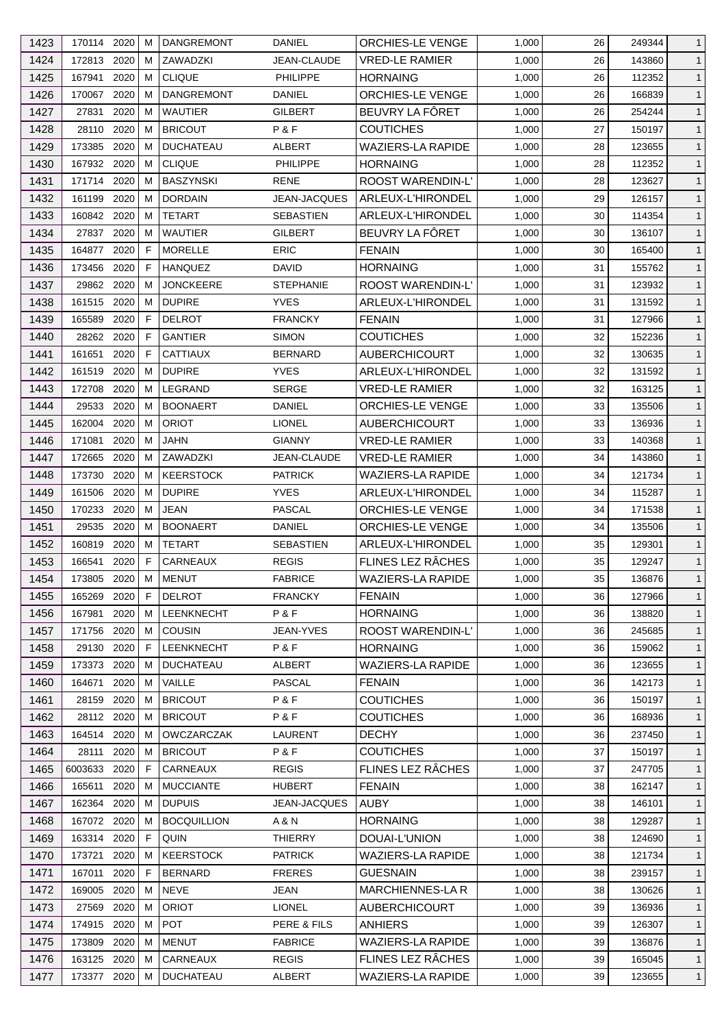| 1423 | 170114 2020 |      | м            | <b>DANGREMONT</b>  | <b>DANIEL</b>       | <b>ORCHIES-LE VENGE</b>  | 1,000 | 26 | 249344           | $\mathbf{1}$                 |
|------|-------------|------|--------------|--------------------|---------------------|--------------------------|-------|----|------------------|------------------------------|
| 1424 | 172813      | 2020 | м            | ZAWADZKI           | JEAN-CLAUDE         | <b>VRED-LE RAMIER</b>    | 1,000 | 26 | 143860           | $\mathbf{1}$                 |
| 1425 | 167941      | 2020 | м            | <b>CLIQUE</b>      | <b>PHILIPPE</b>     | <b>HORNAING</b>          | 1,000 | 26 | 112352           | $\mathbf{1}$                 |
| 1426 | 170067 2020 |      | м            | <b>DANGREMONT</b>  | DANIEL              | ORCHIES-LE VENGE         | 1,000 | 26 | 166839           | $\mathbf{1}$                 |
| 1427 | 27831       | 2020 | м            | <b>WAUTIER</b>     | GILBERT             | BEUVRY LA FÔRET          | 1,000 | 26 | 254244           | $\mathbf{1}$                 |
| 1428 | 28110       | 2020 | м            | <b>BRICOUT</b>     | P&F                 | <b>COUTICHES</b>         | 1,000 | 27 | 150197           | $\mathbf{1}$                 |
| 1429 | 173385      | 2020 | м            | <b>DUCHATEAU</b>   | ALBERT              | <b>WAZIERS-LA RAPIDE</b> | 1,000 | 28 | 123655           | $\mathbf{1}$                 |
| 1430 | 167932 2020 |      | м            | <b>CLIQUE</b>      | PHILIPPE            | <b>HORNAING</b>          | 1,000 | 28 | 112352           | $\mathbf{1}$                 |
| 1431 | 171714 2020 |      | M            | <b>BASZYNSKI</b>   | RENE                | ROOST WARENDIN-L'        | 1,000 | 28 | 123627           | $\mathbf{1}$                 |
| 1432 | 161199      | 2020 | м            | <b>DORDAIN</b>     | <b>JEAN-JACQUES</b> | ARLEUX-L'HIRONDEL        | 1,000 | 29 | 126157           | $\mathbf{1}$                 |
| 1433 | 160842      | 2020 | м            | <b>TETART</b>      | <b>SEBASTIEN</b>    | ARLEUX-L'HIRONDEL        | 1,000 | 30 | 114354           | $\mathbf{1}$                 |
| 1434 | 27837 2020  |      | м            | <b>WAUTIER</b>     | <b>GILBERT</b>      | BEUVRY LA FÔRET          | 1,000 | 30 | 136107           | $\mathbf{1}$                 |
| 1435 | 164877      | 2020 | F            | <b>MORELLE</b>     | <b>ERIC</b>         | <b>FENAIN</b>            | 1,000 | 30 | 165400           | $\mathbf{1}$                 |
| 1436 | 173456      | 2020 | F            | <b>HANQUEZ</b>     | DAVID               | <b>HORNAING</b>          | 1,000 | 31 | 155762           | $\mathbf{1}$                 |
| 1437 | 29862 2020  |      | м            | <b>JONCKEERE</b>   | <b>STEPHANIE</b>    | ROOST WARENDIN-L'        | 1,000 | 31 | 123932           | $\mathbf{1}$                 |
| 1438 | 161515      | 2020 | м            | <b>DUPIRE</b>      | <b>YVES</b>         | ARLEUX-L'HIRONDEL        | 1,000 | 31 | 131592           | $\mathbf{1}$                 |
| 1439 | 165589      | 2020 | F            | <b>DELROT</b>      | <b>FRANCKY</b>      | <b>FENAIN</b>            | 1,000 | 31 | 127966           | $\mathbf{1}$                 |
| 1440 | 28262 2020  |      | F            | <b>GANTIER</b>     | <b>SIMON</b>        | <b>COUTICHES</b>         | 1,000 | 32 | 152236           | $\mathbf{1}$                 |
| 1441 | 161651      | 2020 | F            | <b>CATTIAUX</b>    | <b>BERNARD</b>      | <b>AUBERCHICOURT</b>     | 1,000 | 32 | 130635           | $\mathbf{1}$                 |
| 1442 | 161519      | 2020 | м            | <b>DUPIRE</b>      | <b>YVES</b>         | ARLEUX-L'HIRONDEL        | 1,000 | 32 | 131592           | $\mathbf{1}$                 |
| 1443 | 172708      | 2020 | м            | LEGRAND            | <b>SERGE</b>        | VRED-LE RAMIER           | 1,000 | 32 | 163125           | $\mathbf{1}$                 |
| 1444 | 29533       | 2020 | м            | <b>BOONAERT</b>    | DANIEL              | <b>ORCHIES-LE VENGE</b>  | 1,000 | 33 | 135506           | $\mathbf{1}$                 |
| 1445 | 162004 2020 |      | м            | <b>ORIOT</b>       | <b>LIONEL</b>       | AUBERCHICOURT            | 1,000 | 33 | 136936           | $\mathbf{1}$                 |
| 1446 | 171081      | 2020 | м            | JAHN               | <b>GIANNY</b>       | VRED-LE RAMIER           | 1,000 | 33 | 140368           | $\mathbf{1}$                 |
| 1447 | 172665      | 2020 | м            | ZAWADZKI           | JEAN-CLAUDE         | <b>VRED-LE RAMIER</b>    | 1,000 | 34 | 143860           | $\mathbf{1}$                 |
| 1448 | 173730      | 2020 | м            | <b>KEERSTOCK</b>   | <b>PATRICK</b>      | <b>WAZIERS-LA RAPIDE</b> | 1,000 | 34 |                  | $\mathbf{1}$                 |
| 1449 | 161506      | 2020 | м            | <b>DUPIRE</b>      | <b>YVES</b>         | ARLEUX-L'HIRONDEL        | 1,000 | 34 | 121734<br>115287 | $\mathbf{1}$                 |
| 1450 | 170233      | 2020 | м            | <b>JEAN</b>        | PASCAL              | <b>ORCHIES-LE VENGE</b>  | 1,000 | 34 | 171538           | $\mathbf{1}$                 |
| 1451 | 29535       | 2020 | м            | <b>BOONAERT</b>    | DANIEL              | ORCHIES-LE VENGE         | 1,000 | 34 | 135506           | $\mathbf{1}$                 |
| 1452 | 160819      | 2020 | м            | <b>TETART</b>      | <b>SEBASTIEN</b>    | ARLEUX-L'HIRONDEL        | 1,000 | 35 | 129301           |                              |
|      | 166541      | 2020 | $\mathsf{F}$ | CARNEAUX           |                     | FLINES LEZ RÂCHES        | 1,000 | 35 |                  | $\mathbf{1}$<br>$\mathbf{1}$ |
| 1453 |             |      |              |                    | <b>REGIS</b>        |                          |       |    | 129247           |                              |
| 1454 | 173805      | 2020 | M            | <b>MENUT</b>       | <b>FABRICE</b>      | WAZIERS-LA RAPIDE        | 1,000 | 35 | 136876           | $\mathbf{1}$                 |
| 1455 | 165269 2020 |      | F            | <b>DELROT</b>      | <b>FRANCKY</b>      | <b>FENAIN</b>            | 1,000 | 36 | 127966           | $\mathbf{1}$                 |
| 1456 | 167981      | 2020 | м            | <b>LEENKNECHT</b>  | P&F                 | <b>HORNAING</b>          | 1,000 | 36 | 138820           | $\mathbf{1}$                 |
| 1457 | 171756      | 2020 | м            | <b>COUSIN</b>      | <b>JEAN-YVES</b>    | ROOST WARENDIN-L'        | 1,000 | 36 | 245685           | $\mathbf{1}$                 |
| 1458 | 29130       | 2020 | F.           | LEENKNECHT         | P&F                 | <b>HORNAING</b>          | 1,000 | 36 | 159062           | $\mathbf{1}$                 |
| 1459 | 173373 2020 |      | м            | <b>DUCHATEAU</b>   | <b>ALBERT</b>       | <b>WAZIERS-LA RAPIDE</b> | 1,000 | 36 | 123655           | $\mathbf{1}$                 |
| 1460 | 164671      | 2020 | м            | VAILLE             | <b>PASCAL</b>       | <b>FENAIN</b>            | 1,000 | 36 | 142173           | $\mathbf{1}$                 |
| 1461 | 28159       | 2020 | M            | <b>BRICOUT</b>     | P&F                 | <b>COUTICHES</b>         | 1,000 | 36 | 150197           | $\mathbf{1}$                 |
| 1462 | 28112 2020  |      | м            | <b>BRICOUT</b>     | P&F                 | <b>COUTICHES</b>         | 1,000 | 36 | 168936           | $\mathbf{1}$                 |
| 1463 | 164514      | 2020 | м            | <b>OWCZARCZAK</b>  | <b>LAURENT</b>      | <b>DECHY</b>             | 1,000 | 36 | 237450           | $\mathbf{1}$                 |
| 1464 | 28111       | 2020 | M            | <b>BRICOUT</b>     | P&F                 | <b>COUTICHES</b>         | 1,000 | 37 | 150197           | $\mathbf{1}$                 |
| 1465 | 6003633     | 2020 | F            | CARNEAUX           | <b>REGIS</b>        | FLINES LEZ RÂCHES        | 1,000 | 37 | 247705           | $\mathbf{1}$                 |
| 1466 | 165611      | 2020 | м            | <b>MUCCIANTE</b>   | <b>HUBERT</b>       | <b>FENAIN</b>            | 1,000 | 38 | 162147           | $\mathbf{1}$                 |
| 1467 | 162364      | 2020 | M            | <b>DUPUIS</b>      | <b>JEAN-JACQUES</b> | AUBY                     | 1,000 | 38 | 146101           | $\mathbf{1}$                 |
| 1468 | 167072 2020 |      | м            | <b>BOCQUILLION</b> | A & N               | <b>HORNAING</b>          | 1,000 | 38 | 129287           | $\mathbf{1}$                 |
| 1469 | 163314      | 2020 | F            | QUIN               | <b>THIERRY</b>      | DOUAI-L'UNION            | 1,000 | 38 | 124690           | $\mathbf{1}$                 |
| 1470 | 173721      | 2020 | м            | <b>KEERSTOCK</b>   | <b>PATRICK</b>      | <b>WAZIERS-LA RAPIDE</b> | 1,000 | 38 | 121734           | $\mathbf{1}$                 |
| 1471 | 167011      | 2020 | F            | <b>BERNARD</b>     | <b>FRERES</b>       | <b>GUESNAIN</b>          | 1,000 | 38 | 239157           | $\mathbf{1}$                 |
| 1472 | 169005      | 2020 | M            | <b>NEVE</b>        | JEAN                | MARCHIENNES-LA R         | 1,000 | 38 | 130626           | $\mathbf{1}$                 |
| 1473 | 27569       | 2020 | м            | <b>ORIOT</b>       | <b>LIONEL</b>       | <b>AUBERCHICOURT</b>     | 1,000 | 39 | 136936           | $\mathbf{1}$                 |
| 1474 | 174915      | 2020 | м            | <b>POT</b>         | PERE & FILS         | ANHIERS                  | 1,000 | 39 | 126307           | $\mathbf{1}$                 |
| 1475 | 173809      | 2020 | M            | <b>MENUT</b>       | <b>FABRICE</b>      | <b>WAZIERS-LA RAPIDE</b> | 1,000 | 39 | 136876           | $\mathbf{1}$                 |
| 1476 | 163125 2020 |      | м            | CARNEAUX           | <b>REGIS</b>        | FLINES LEZ RÂCHES        | 1,000 | 39 | 165045           | $\mathbf{1}$                 |
| 1477 | 173377 2020 |      | м            | <b>DUCHATEAU</b>   | ALBERT              | WAZIERS-LA RAPIDE        | 1,000 | 39 | 123655           | $\mathbf{1}$                 |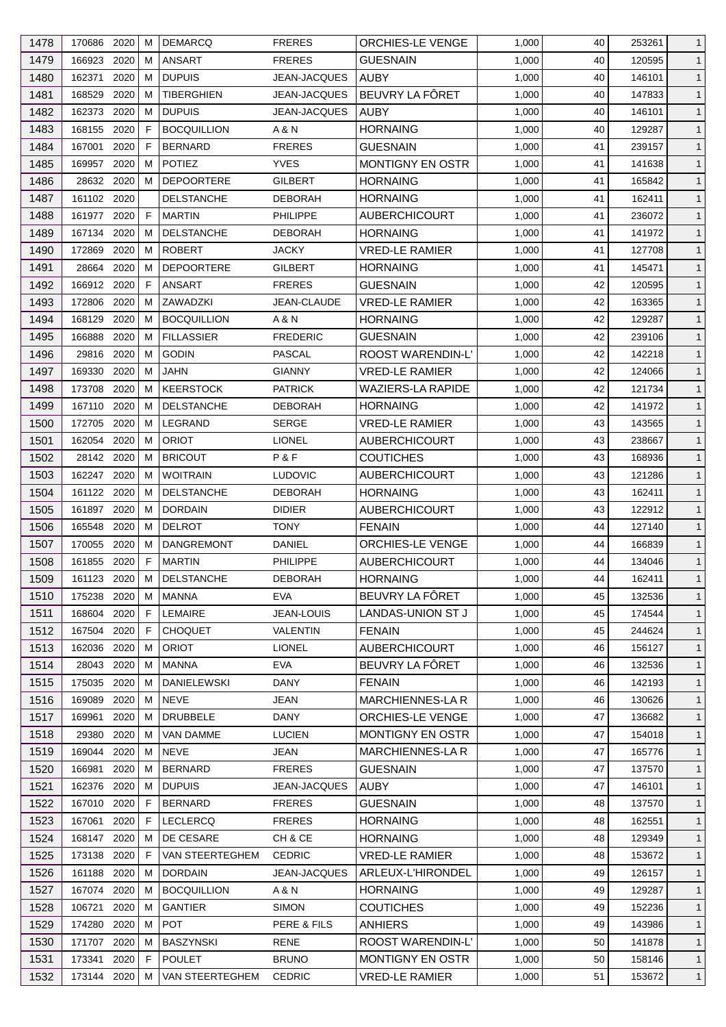| 1478         | 170686 2020 |      | M            | <b>DEMARCQ</b>                      | <b>FRERES</b>                   | ORCHIES-LE VENGE         | 1,000          | 40       | 253261           | $\mathbf{1}$                 |
|--------------|-------------|------|--------------|-------------------------------------|---------------------------------|--------------------------|----------------|----------|------------------|------------------------------|
| 1479         | 166923      | 2020 | M            | <b>ANSART</b>                       | <b>FRERES</b>                   | <b>GUESNAIN</b>          | 1,000          | 40       | 120595           | $\mathbf{1}$                 |
| 1480         | 162371      | 2020 | M            | <b>DUPUIS</b>                       | <b>JEAN-JACQUES</b>             | <b>AUBY</b>              | 1,000          | 40       | 146101           | $\mathbf{1}$                 |
| 1481         | 168529      | 2020 | м            | <b>TIBERGHIEN</b>                   | JEAN-JACQUES                    | BEUVRY LA FÔRET          | 1,000          | 40       | 147833           | $\mathbf{1}$                 |
| 1482         | 162373      | 2020 | M            | <b>DUPUIS</b>                       | <b>JEAN-JACQUES</b>             | <b>AUBY</b>              | 1,000          | 40       | 146101           | $\mathbf{1}$                 |
| 1483         | 168155      | 2020 | E            | <b>BOCQUILLION</b>                  | A & N                           | <b>HORNAING</b>          | 1,000          | 40       | 129287           | $\mathbf{1}$                 |
| 1484         | 167001      | 2020 | F            | <b>BERNARD</b>                      | <b>FRERES</b>                   | <b>GUESNAIN</b>          | 1,000          | 41       | 239157           | $\mathbf{1}$                 |
| 1485         | 169957      | 2020 | М            | <b>POTIEZ</b>                       | <b>YVES</b>                     | <b>MONTIGNY EN OSTR</b>  | 1,000          | 41       | 141638           | $\mathbf{1}$                 |
| 1486         | 28632 2020  |      | M            | <b>DEPOORTERE</b>                   | <b>GILBERT</b>                  | <b>HORNAING</b>          | 1,000          | 41       | 165842           | $\mathbf{1}$                 |
| 1487         | 161102 2020 |      |              | <b>DELSTANCHE</b>                   | <b>DEBORAH</b>                  | <b>HORNAING</b>          | 1,000          | 41       | 162411           | $\mathbf{1}$                 |
| 1488         | 161977      | 2020 | F            | <b>MARTIN</b>                       | <b>PHILIPPE</b>                 | <b>AUBERCHICOURT</b>     | 1,000          | 41       | 236072           | $\mathbf{1}$                 |
| 1489         | 167134      | 2020 | м            | <b>DELSTANCHE</b>                   | <b>DEBORAH</b>                  | <b>HORNAING</b>          | 1,000          | 41       | 141972           | $\mathbf{1}$                 |
| 1490         | 172869      | 2020 | M            | <b>ROBERT</b>                       | <b>JACKY</b>                    | <b>VRED-LE RAMIER</b>    | 1,000          | 41       | 127708           | $\mathbf{1}$                 |
| 1491         | 28664       | 2020 | M            | <b>DEPOORTERE</b>                   | GILBERT                         | <b>HORNAING</b>          | 1,000          | 41       | 145471           | $\mathbf{1}$                 |
| 1492         | 166912 2020 |      | F            | <b>ANSART</b>                       | <b>FRERES</b>                   | <b>GUESNAIN</b>          | 1,000          | 42       | 120595           | $\mathbf{1}$                 |
| 1493         | 172806      | 2020 | M            | ZAWADZKI                            | JEAN-CLAUDE                     | <b>VRED-LE RAMIER</b>    | 1,000          | 42       | 163365           | $\mathbf{1}$                 |
| 1494         | 168129      | 2020 | М            | <b>BOCQUILLION</b>                  | A & N                           | <b>HORNAING</b>          | 1,000          | 42       | 129287           | $\mathbf{1}$                 |
| 1495         | 166888      | 2020 | м            | <b>FILLASSIER</b>                   | <b>FREDERIC</b>                 | <b>GUESNAIN</b>          | 1,000          | 42       | 239106           | $\mathbf{1}$                 |
| 1496         | 29816       | 2020 | M            | <b>GODIN</b>                        | PASCAL                          | ROOST WARENDIN-L'        | 1,000          | 42       | 142218           | $\mathbf{1}$                 |
| 1497         | 169330      | 2020 | м            | <b>JAHN</b>                         | <b>GIANNY</b>                   | <b>VRED-LE RAMIER</b>    | 1,000          | 42       | 124066           | $\mathbf{1}$                 |
| 1498         | 173708      | 2020 | M            | <b>KEERSTOCK</b>                    | <b>PATRICK</b>                  | WAZIERS-LA RAPIDE        | 1,000          | 42       | 121734           | $\mathbf{1}$                 |
| 1499         | 167110      | 2020 | М            | <b>DELSTANCHE</b>                   | <b>DEBORAH</b>                  | <b>HORNAING</b>          | 1,000          | 42       | 141972           | $\mathbf{1}$                 |
| 1500         | 172705 2020 |      | М            | LEGRAND                             | <b>SERGE</b>                    | VRED-LE RAMIER           | 1,000          | 43       | 143565           | $\mathbf{1}$                 |
| 1501         | 162054      | 2020 | М            | <b>ORIOT</b>                        | <b>LIONEL</b>                   | <b>AUBERCHICOURT</b>     | 1,000          | 43       | 238667           | $\mathbf{1}$                 |
| 1502         | 28142       | 2020 | M            | <b>BRICOUT</b>                      | P&F                             | <b>COUTICHES</b>         | 1,000          | 43       | 168936           | $\mathbf{1}$                 |
|              | 162247 2020 |      | м            | <b>WOITRAIN</b>                     |                                 | <b>AUBERCHICOURT</b>     |                |          |                  |                              |
| 1503         | 161122 2020 |      |              |                                     | <b>LUDOVIC</b>                  | <b>HORNAING</b>          | 1,000          | 43<br>43 | 121286           | $\mathbf{1}$                 |
| 1504<br>1505 | 161897      | 2020 | M<br>M       | <b>DELSTANCHE</b><br><b>DORDAIN</b> | <b>DEBORAH</b><br><b>DIDIER</b> | <b>AUBERCHICOURT</b>     | 1,000<br>1,000 | 43       | 162411<br>122912 | $\mathbf{1}$<br>$\mathbf{1}$ |
| 1506         | 165548      | 2020 | м            | <b>DELROT</b>                       | TONY                            | <b>FENAIN</b>            | 1,000          | 44       | 127140           | $\mathbf{1}$                 |
| 1507         | 170055      | 2020 | М            | DANGREMONT                          | DANIEL                          | ORCHIES-LE VENGE         | 1,000          | 44       | 166839           |                              |
|              | 161855 2020 |      | $\mathsf{F}$ | <b>MARTIN</b>                       | <b>PHILIPPE</b>                 |                          |                | 44       |                  | $\mathbf{1}$                 |
| 1508         |             |      |              |                                     |                                 | <b>AUBERCHICOURT</b>     | 1,000          |          | 134046           | $\mathbf{1}$                 |
| 1509         | 161123 2020 |      | M            | DELSTANCHE                          | <b>DEBORAH</b>                  | <b>HORNAING</b>          | 1,000          | 44       | 162411           | $\mathbf{1}$                 |
| 1510         | 175238 2020 |      | M            | <b>MANNA</b>                        | <b>EVA</b>                      | BEUVRY LA FÔRET          | 1,000          | 45       | 132536           | $\mathbf{1}$                 |
| 1511         | 168604 2020 |      | F            | LEMAIRE                             | <b>JEAN-LOUIS</b>               | <b>LANDAS-UNION ST J</b> | 1,000          | 45       | 174544           | $\mathbf{1}$                 |
| 1512         | 167504      | 2020 | F            | <b>CHOQUET</b>                      | <b>VALENTIN</b>                 | <b>FENAIN</b>            | 1,000          | 45       | 244624           | $\mathbf{1}$                 |
| 1513         | 162036      | 2020 | м            | <b>ORIOT</b>                        | <b>LIONEL</b>                   | <b>AUBERCHICOURT</b>     | 1,000          | 46       | 156127           | $\mathbf{1}$                 |
| 1514         | 28043 2020  |      | м            | <b>MANNA</b>                        | <b>EVA</b>                      | BEUVRY LA FÔRET          | 1,000          | 46       | 132536           | $\mathbf{1}$                 |
| 1515         | 175035 2020 |      | M            | <b>DANIELEWSKI</b>                  | <b>DANY</b>                     | <b>FENAIN</b>            | 1,000          | 46       | 142193           | $\mathbf{1}$                 |
| 1516         | 169089      | 2020 | M            | <b>NEVE</b>                         | <b>JEAN</b>                     | <b>MARCHIENNES-LAR</b>   | 1,000          | 46       | 130626           | $\mathbf{1}$                 |
| 1517         | 169961      | 2020 | м            | <b>DRUBBELE</b>                     | DANY                            | ORCHIES-LE VENGE         | 1,000          | 47       | 136682           | $\mathbf{1}$                 |
| 1518         | 29380       | 2020 | M            | VAN DAMME                           | <b>LUCIEN</b>                   | MONTIGNY EN OSTR         | 1,000          | 47       | 154018           | $\mathbf{1}$                 |
| 1519         | 169044      | 2020 | M            | <b>NEVE</b>                         | <b>JEAN</b>                     | <b>MARCHIENNES-LA R</b>  | 1,000          | 47       | 165776           | $\mathbf{1}$                 |
| 1520         | 166981      | 2020 | M            | <b>BERNARD</b>                      | <b>FRERES</b>                   | <b>GUESNAIN</b>          | 1,000          | 47       | 137570           | $\mathbf{1}$                 |
| 1521         | 162376      | 2020 | м            | <b>DUPUIS</b>                       | JEAN-JACQUES                    | AUBY                     | 1,000          | 47       | 146101           | $\mathbf{1}$                 |
| 1522         | 167010 2020 |      | F            | <b>BERNARD</b>                      | <b>FRERES</b>                   | <b>GUESNAIN</b>          | 1,000          | 48       | 137570           | $\mathbf{1}$                 |
| 1523         | 167061      | 2020 | F            | <b>LECLERCQ</b>                     | <b>FRERES</b>                   | <b>HORNAING</b>          | 1,000          | 48       | 162551           | $\mathbf{1}$                 |
| 1524         | 168147      | 2020 | M            | DE CESARE                           | CH & CE                         | <b>HORNAING</b>          | 1,000          | 48       | 129349           | $\mathbf{1}$                 |
| 1525         | 173138 2020 |      | F            | <b>VAN STEERTEGHEM</b>              | <b>CEDRIC</b>                   | <b>VRED-LE RAMIER</b>    | 1,000          | 48       | 153672           | $\mathbf{1}$                 |
| 1526         | 161188 2020 |      | M            | <b>DORDAIN</b>                      | <b>JEAN-JACQUES</b>             | ARLEUX-L'HIRONDEL        | 1,000          | 49       | 126157           | $\mathbf{1}$                 |
| 1527         | 167074      | 2020 | M            | <b>BOCQUILLION</b>                  | A & N                           | <b>HORNAING</b>          | 1,000          | 49       | 129287           | $\mathbf{1}$                 |
| 1528         | 106721      | 2020 | м            | <b>GANTIER</b>                      | <b>SIMON</b>                    | <b>COUTICHES</b>         | 1,000          | 49       | 152236           | $\mathbf{1}$                 |
| 1529         | 174280      | 2020 | M            | <b>POT</b>                          | PERE & FILS                     | ANHIERS                  | 1,000          | 49       | 143986           | $\mathbf{1}$                 |
| 1530         | 171707      | 2020 | м            | <b>BASZYNSKI</b>                    | <b>RENE</b>                     | ROOST WARENDIN-L'        | 1,000          | 50       | 141878           | $\mathbf{1}$                 |
| 1531         | 173341      | 2020 | F            | <b>POULET</b>                       | <b>BRUNO</b>                    | <b>MONTIGNY EN OSTR</b>  | 1,000          | 50       | 158146           | $\mathbf{1}$                 |
| 1532         | 173144 2020 |      | M            | VAN STEERTEGHEM                     | <b>CEDRIC</b>                   | <b>VRED-LE RAMIER</b>    | 1,000          | 51       | 153672           | $\mathbf{1}$                 |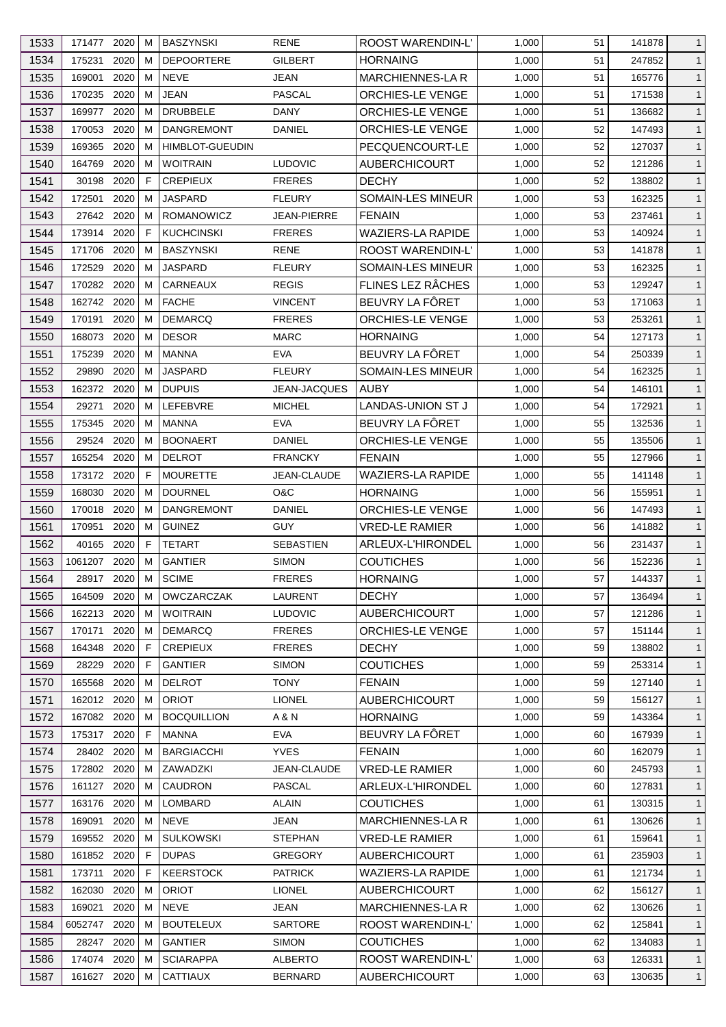| 1533 | 171477 2020 |      | м  | <b>BASZYNSKI</b>       | <b>RENE</b>         | ROOST WARENDIN-L'        | 1,000 | 51 | 141878 | $\mathbf{1}$ |
|------|-------------|------|----|------------------------|---------------------|--------------------------|-------|----|--------|--------------|
| 1534 | 175231      | 2020 | м  | <b>DEPOORTERE</b>      | <b>GILBERT</b>      | <b>HORNAING</b>          | 1,000 | 51 | 247852 | $\mathbf{1}$ |
| 1535 | 169001      | 2020 | м  | <b>NEVE</b>            | JEAN                | MARCHIENNES-LA R         | 1,000 | 51 | 165776 | $\mathbf{1}$ |
| 1536 | 170235 2020 |      | м  | <b>JEAN</b>            | <b>PASCAL</b>       | ORCHIES-LE VENGE         | 1,000 | 51 | 171538 | $\mathbf{1}$ |
| 1537 | 169977      | 2020 | м  | <b>DRUBBELE</b>        | DANY                | <b>ORCHIES-LE VENGE</b>  | 1,000 | 51 | 136682 | $\mathbf{1}$ |
| 1538 | 170053      | 2020 | м  | <b>DANGREMONT</b>      | DANIEL              | ORCHIES-LE VENGE         | 1,000 | 52 | 147493 | $\mathbf{1}$ |
| 1539 | 169365      | 2020 | м  | <b>HIMBLOT-GUEUDIN</b> |                     | PECQUENCOURT-LE          | 1,000 | 52 | 127037 | $\mathbf{1}$ |
| 1540 | 164769      | 2020 | м  | <b>WOITRAIN</b>        | <b>LUDOVIC</b>      | <b>AUBERCHICOURT</b>     | 1,000 | 52 | 121286 | $\mathbf{1}$ |
| 1541 | 30198       | 2020 | F  | <b>CREPIEUX</b>        | <b>FRERES</b>       | <b>DECHY</b>             | 1,000 | 52 | 138802 | $\mathbf{1}$ |
| 1542 | 172501      | 2020 | м  | <b>JASPARD</b>         | <b>FLEURY</b>       | <b>SOMAIN-LES MINEUR</b> | 1,000 | 53 | 162325 | $\mathbf{1}$ |
| 1543 | 27642       | 2020 | м  | ROMANOWICZ             | JEAN-PIERRE         | <b>FENAIN</b>            | 1,000 | 53 | 237461 | $\mathbf{1}$ |
| 1544 | 173914 2020 |      | F. | <b>KUCHCINSKI</b>      | <b>FRERES</b>       | <b>WAZIERS-LA RAPIDE</b> | 1,000 | 53 | 140924 | $\mathbf{1}$ |
| 1545 | 171706 2020 |      | м  | BASZYNSKI              | <b>RENE</b>         | <b>ROOST WARENDIN-L'</b> | 1,000 | 53 | 141878 | $\mathbf{1}$ |
| 1546 | 172529      | 2020 | м  | <b>JASPARD</b>         | <b>FLEURY</b>       | SOMAIN-LES MINEUR        | 1,000 | 53 | 162325 | $\mathbf{1}$ |
| 1547 | 170282 2020 |      | м  | <b>CARNEAUX</b>        | <b>REGIS</b>        | FLINES LEZ RÂCHES        | 1,000 | 53 | 129247 | $\mathbf{1}$ |
| 1548 | 162742 2020 |      | М  | <b>FACHE</b>           | <b>VINCENT</b>      | BEUVRY LA FÔRET          | 1,000 | 53 | 171063 | $\mathbf{1}$ |
| 1549 | 170191      | 2020 | м  | <b>DEMARCQ</b>         | <b>FRERES</b>       | <b>ORCHIES-LE VENGE</b>  | 1,000 | 53 | 253261 | $\mathbf{1}$ |
| 1550 | 168073      | 2020 | м  | <b>DESOR</b>           | <b>MARC</b>         | <b>HORNAING</b>          | 1,000 | 54 | 127173 | $\mathbf{1}$ |
| 1551 | 175239      | 2020 | м  | <b>MANNA</b>           | <b>EVA</b>          | BEUVRY LA FÔRET          | 1,000 | 54 | 250339 | $\mathbf{1}$ |
| 1552 | 29890       | 2020 | м  | <b>JASPARD</b>         | <b>FLEURY</b>       | SOMAIN-LES MINEUR        | 1,000 | 54 | 162325 | $\mathbf{1}$ |
| 1553 | 162372 2020 |      | м  | <b>DUPUIS</b>          | <b>JEAN-JACQUES</b> | <b>AUBY</b>              | 1,000 | 54 | 146101 | $\mathbf{1}$ |
| 1554 | 29271       | 2020 | м  | LEFEBVRE               | <b>MICHEL</b>       | <b>LANDAS-UNION ST J</b> | 1,000 | 54 | 172921 | $\mathbf{1}$ |
| 1555 | 175345      | 2020 | м  | MANNA                  | <b>EVA</b>          | BEUVRY LA FÔRET          | 1,000 | 55 | 132536 | $\mathbf{1}$ |
| 1556 | 29524       | 2020 | м  | <b>BOONAERT</b>        | DANIEL              | ORCHIES-LE VENGE         | 1,000 | 55 | 135506 | $\mathbf{1}$ |
|      |             |      |    |                        |                     |                          |       |    |        |              |
| 1557 | 165254      | 2020 | м  | <b>DELROT</b>          | <b>FRANCKY</b>      | <b>FENAIN</b>            | 1,000 | 55 | 127966 | $\mathbf{1}$ |
| 1558 | 173172 2020 |      | F  | <b>MOURETTE</b>        | JEAN-CLAUDE         | <b>WAZIERS-LA RAPIDE</b> | 1,000 | 55 | 141148 | $\mathbf{1}$ |
| 1559 | 168030      | 2020 | м  | <b>DOURNEL</b>         | O&C                 | <b>HORNAING</b>          | 1,000 | 56 | 155951 | $\mathbf{1}$ |
| 1560 | 170018      | 2020 | м  | <b>DANGREMONT</b>      | DANIEL              | <b>ORCHIES-LE VENGE</b>  | 1,000 | 56 | 147493 | $\mathbf{1}$ |
| 1561 | 170951      | 2020 | м  | <b>GUINEZ</b>          | <b>GUY</b>          | <b>VRED-LE RAMIER</b>    | 1,000 | 56 | 141882 | $\mathbf{1}$ |
| 1562 | 40165       | 2020 | F  | <b>TETART</b>          | <b>SEBASTIEN</b>    | ARLEUX-L'HIRONDEL        | 1,000 | 56 | 231437 | $\mathbf{1}$ |
| 1563 | 1061207     | 2020 | M  | <b>GANTIER</b>         | <b>SIMON</b>        | <b>COUTICHES</b>         | 1,000 | 56 | 152236 | $\mathbf{1}$ |
| 1564 | 28917       | 2020 | м  | <b>SCIME</b>           | <b>FRERES</b>       | <b>HORNAING</b>          | 1,000 | 57 | 144337 | $\mathbf{1}$ |
| 1565 | 164509 2020 |      | м  | <b>OWCZARCZAK</b>      | <b>LAURENT</b>      | <b>DECHY</b>             | 1,000 | 57 | 136494 | $\mathbf{1}$ |
| 1566 | 162213 2020 |      | м  | <b>WOITRAIN</b>        | <b>LUDOVIC</b>      | <b>AUBERCHICOURT</b>     | 1,000 | 57 | 121286 | $\mathbf{1}$ |
| 1567 | 170171      | 2020 | м  | <b>DEMARCQ</b>         | <b>FRERES</b>       | <b>ORCHIES-LE VENGE</b>  | 1,000 | 57 | 151144 | $\mathbf{1}$ |
| 1568 | 164348      | 2020 | F. | <b>CREPIEUX</b>        | <b>FRERES</b>       | <b>DECHY</b>             | 1,000 | 59 | 138802 | $\mathbf{1}$ |
| 1569 | 28229 2020  |      | F  | <b>GANTIER</b>         | <b>SIMON</b>        | <b>COUTICHES</b>         | 1,000 | 59 | 253314 | $\mathbf{1}$ |
| 1570 | 165568      | 2020 | м  | <b>DELROT</b>          | <b>TONY</b>         | <b>FENAIN</b>            | 1,000 | 59 | 127140 | $\mathbf{1}$ |
| 1571 | 162012 2020 |      | м  | <b>ORIOT</b>           | <b>LIONEL</b>       | <b>AUBERCHICOURT</b>     | 1,000 | 59 | 156127 | $\mathbf{1}$ |
| 1572 | 167082      | 2020 | м  | <b>BOCQUILLION</b>     | A & N               | <b>HORNAING</b>          | 1,000 | 59 | 143364 | $\mathbf{1}$ |
| 1573 | 175317      | 2020 | F. | MANNA                  | <b>EVA</b>          | BEUVRY LA FÔRET          | 1,000 | 60 | 167939 | $\mathbf{1}$ |
| 1574 | 28402 2020  |      | м  | <b>BARGIACCHI</b>      | <b>YVES</b>         | <b>FENAIN</b>            | 1,000 | 60 | 162079 | $\mathbf{1}$ |
| 1575 | 172802 2020 |      | м  | ZAWADZKI               | JEAN-CLAUDE         | <b>VRED-LE RAMIER</b>    | 1,000 | 60 | 245793 | $\mathbf{1}$ |
| 1576 | 161127      | 2020 | м  | <b>CAUDRON</b>         | <b>PASCAL</b>       | ARLEUX-L'HIRONDEL        | 1,000 | 60 | 127831 | $\mathbf{1}$ |
| 1577 | 163176 2020 |      | м  | LOMBARD                | <b>ALAIN</b>        | <b>COUTICHES</b>         | 1,000 | 61 | 130315 | $\mathbf{1}$ |
| 1578 | 169091      | 2020 | м  | <b>NEVE</b>            | JEAN                | MARCHIENNES-LA R         | 1,000 | 61 | 130626 | $\mathbf{1}$ |
| 1579 | 169552      | 2020 | м  | <b>SULKOWSKI</b>       | <b>STEPHAN</b>      | <b>VRED-LE RAMIER</b>    | 1,000 | 61 | 159641 | $\mathbf{1}$ |
| 1580 | 161852 2020 |      | F  | <b>DUPAS</b>           | <b>GREGORY</b>      | <b>AUBERCHICOURT</b>     | 1,000 | 61 | 235903 | $\mathbf{1}$ |
| 1581 | 173711      | 2020 | F  | <b>KEERSTOCK</b>       | <b>PATRICK</b>      | <b>WAZIERS-LA RAPIDE</b> | 1,000 | 61 | 121734 | $\mathbf{1}$ |
| 1582 | 162030      | 2020 | м  | <b>ORIOT</b>           | <b>LIONEL</b>       | <b>AUBERCHICOURT</b>     | 1,000 | 62 | 156127 | $\mathbf{1}$ |
| 1583 | 169021      | 2020 | м  | NEVE                   | JEAN                | <b>MARCHIENNES-LA R</b>  | 1,000 | 62 | 130626 | $\mathbf{1}$ |
| 1584 | 6052747     | 2020 | м  | <b>BOUTELEUX</b>       | <b>SARTORE</b>      | ROOST WARENDIN-L'        | 1,000 | 62 | 125841 | $\mathbf{1}$ |
| 1585 | 28247 2020  |      | м  | <b>GANTIER</b>         | <b>SIMON</b>        | <b>COUTICHES</b>         | 1,000 | 62 | 134083 | $\mathbf{1}$ |
| 1586 | 174074 2020 |      | м  | <b>SCIARAPPA</b>       | ALBERTO             | <b>ROOST WARENDIN-L'</b> | 1,000 | 63 | 126331 | $\mathbf{1}$ |
| 1587 | 161627 2020 |      | м  | <b>CATTIAUX</b>        | <b>BERNARD</b>      | <b>AUBERCHICOURT</b>     | 1,000 | 63 | 130635 | $\mathbf{1}$ |
|      |             |      |    |                        |                     |                          |       |    |        |              |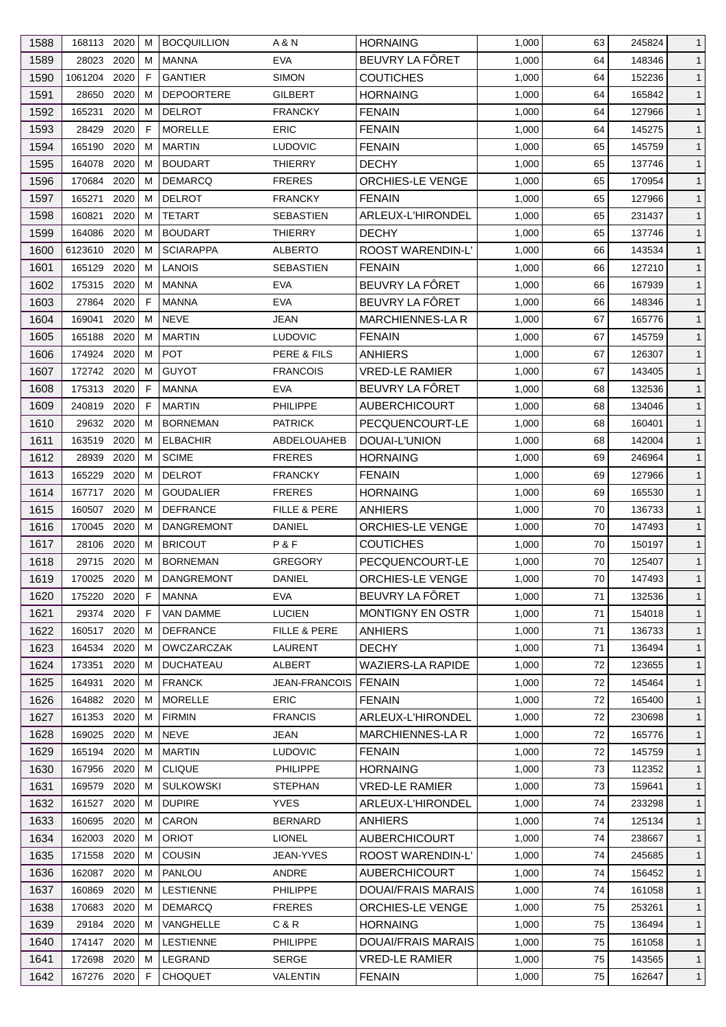| 1588 | 168113 2020 |      | м | <b>BOCQUILLION</b> | A & N                | <b>HORNAING</b>           | 1,000 | 63 | 245824 | $\mathbf{1}$ |
|------|-------------|------|---|--------------------|----------------------|---------------------------|-------|----|--------|--------------|
| 1589 | 28023       | 2020 | м | <b>MANNA</b>       | <b>EVA</b>           | BEUVRY LA FÔRET           | 1,000 | 64 | 148346 | $\mathbf{1}$ |
| 1590 | 1061204     | 2020 | F | <b>GANTIER</b>     | <b>SIMON</b>         | <b>COUTICHES</b>          | 1,000 | 64 | 152236 | $\mathbf{1}$ |
| 1591 | 28650       | 2020 | м | <b>DEPOORTERE</b>  | <b>GILBERT</b>       | <b>HORNAING</b>           | 1,000 | 64 | 165842 | $\mathbf{1}$ |
| 1592 | 165231      | 2020 | м | <b>DELROT</b>      | <b>FRANCKY</b>       | <b>FENAIN</b>             | 1,000 | 64 | 127966 | $\mathbf{1}$ |
| 1593 | 28429       | 2020 | F | <b>MORELLE</b>     | <b>ERIC</b>          | <b>FENAIN</b>             | 1,000 | 64 | 145275 | $\mathbf{1}$ |
| 1594 | 165190      | 2020 | м | <b>MARTIN</b>      | <b>LUDOVIC</b>       | <b>FENAIN</b>             | 1,000 | 65 | 145759 | $\mathbf{1}$ |
| 1595 | 164078      | 2020 | м | <b>BOUDART</b>     | THIERRY              | <b>DECHY</b>              | 1,000 | 65 | 137746 | $\mathbf{1}$ |
| 1596 | 170684      | 2020 | M | <b>DEMARCQ</b>     | <b>FRERES</b>        | <b>ORCHIES-LE VENGE</b>   | 1,000 | 65 | 170954 | $\mathbf{1}$ |
| 1597 | 165271      | 2020 | м | <b>DELROT</b>      | <b>FRANCKY</b>       | <b>FENAIN</b>             | 1,000 | 65 | 127966 | $\mathbf{1}$ |
| 1598 | 160821      | 2020 | м | <b>TETART</b>      | <b>SEBASTIEN</b>     | ARLEUX-L'HIRONDEL         | 1,000 | 65 | 231437 | $\mathbf{1}$ |
| 1599 | 164086      | 2020 | м | <b>BOUDART</b>     | <b>THIERRY</b>       | <b>DECHY</b>              | 1,000 | 65 | 137746 | $\mathbf{1}$ |
| 1600 | 6123610     | 2020 | м | <b>SCIARAPPA</b>   | <b>ALBERTO</b>       | ROOST WARENDIN-L'         | 1,000 | 66 | 143534 | $\mathbf{1}$ |
| 1601 | 165129      | 2020 | м | <b>LANOIS</b>      | <b>SEBASTIEN</b>     | <b>FENAIN</b>             | 1,000 | 66 | 127210 | $\mathbf{1}$ |
| 1602 | 175315      | 2020 | м | <b>MANNA</b>       | <b>EVA</b>           | BEUVRY LA FÔRET           | 1,000 | 66 | 167939 | $\mathbf{1}$ |
| 1603 | 27864       | 2020 | F | <b>MANNA</b>       | <b>EVA</b>           | BEUVRY LA FÔRET           | 1,000 | 66 | 148346 | $\mathbf{1}$ |
| 1604 | 169041      | 2020 | M | <b>NEVE</b>        | <b>JEAN</b>          | MARCHIENNES-LA R          | 1,000 | 67 | 165776 | $\mathbf{1}$ |
| 1605 | 165188      | 2020 | м | <b>MARTIN</b>      | <b>LUDOVIC</b>       | <b>FENAIN</b>             | 1,000 | 67 | 145759 | $\mathbf{1}$ |
| 1606 | 174924      | 2020 | м | <b>POT</b>         | PERE & FILS          | <b>ANHIERS</b>            | 1,000 | 67 | 126307 | $\mathbf{1}$ |
| 1607 | 172742 2020 |      | M | <b>GUYOT</b>       | <b>FRANCOIS</b>      | <b>VRED-LE RAMIER</b>     | 1,000 | 67 | 143405 | $\mathbf{1}$ |
| 1608 | 175313      | 2020 | F | MANNA              | <b>EVA</b>           | BEUVRY LA FÔRET           | 1,000 | 68 | 132536 | $\mathbf{1}$ |
|      | 240819      | 2020 | F | <b>MARTIN</b>      | <b>PHILIPPE</b>      |                           |       | 68 |        |              |
| 1609 |             |      |   |                    |                      | <b>AUBERCHICOURT</b>      | 1,000 |    | 134046 | $\mathbf{1}$ |
| 1610 | 29632 2020  |      | м | <b>BORNEMAN</b>    | <b>PATRICK</b>       | PECQUENCOURT-LE           | 1,000 | 68 | 160401 | $\mathbf{1}$ |
| 1611 | 163519      | 2020 | м | <b>ELBACHIR</b>    | <b>ABDELOUAHEB</b>   | DOUAI-L'UNION             | 1,000 | 68 | 142004 | $\mathbf{1}$ |
| 1612 | 28939       | 2020 | м | <b>SCIME</b>       | <b>FRERES</b>        | <b>HORNAING</b>           | 1,000 | 69 | 246964 | $\mathbf{1}$ |
| 1613 | 165229      | 2020 | м | <b>DELROT</b>      | <b>FRANCKY</b>       | <b>FENAIN</b>             | 1,000 | 69 | 127966 | $\mathbf{1}$ |
| 1614 | 167717      | 2020 | м | <b>GOUDALIER</b>   | <b>FRERES</b>        | <b>HORNAING</b>           | 1,000 | 69 | 165530 | $\mathbf{1}$ |
| 1615 | 160507      | 2020 | м | <b>DEFRANCE</b>    | FILLE & PERE         | <b>ANHIERS</b>            | 1,000 | 70 | 136733 | $\mathbf{1}$ |
| 1616 | 170045      | 2020 | м | <b>DANGREMONT</b>  | DANIEL               | <b>ORCHIES-LE VENGE</b>   | 1,000 | 70 | 147493 | $\mathbf{1}$ |
| 1617 | 28106       | 2020 | м | <b>BRICOUT</b>     | P&F                  | <b>COUTICHES</b>          | 1,000 | 70 | 150197 | $\mathbf{1}$ |
| 1618 | 29715       | 2020 | м | <b>BORNEMAN</b>    | <b>GREGORY</b>       | PECQUENCOURT-LE           | 1,000 | 70 | 125407 | $\mathbf{1}$ |
| 1619 | 170025      | 2020 | M | DANGREMONT         | <b>DANIEL</b>        | ORCHIES-LE VENGE          | 1,000 | 70 | 147493 | $\mathbf{1}$ |
| 1620 | 175220 2020 |      | F | MANNA              | <b>EVA</b>           | BEUVRY LA FÔRET           | 1,000 | 71 | 132536 | $\mathbf{1}$ |
| 1621 | 29374 2020  |      | F | VAN DAMME          | <b>LUCIEN</b>        | <b>MONTIGNY EN OSTR</b>   | 1,000 | 71 | 154018 | $\mathbf{1}$ |
| 1622 | 160517      | 2020 | м | <b>DEFRANCE</b>    | FILLE & PERE         | <b>ANHIERS</b>            | 1,000 | 71 | 136733 | $\mathbf{1}$ |
| 1623 | 164534      | 2020 | м | <b>OWCZARCZAK</b>  | <b>LAURENT</b>       | <b>DECHY</b>              | 1,000 | 71 | 136494 | $\mathbf{1}$ |
| 1624 | 173351      | 2020 | м | <b>DUCHATEAU</b>   | ALBERT               | <b>WAZIERS-LA RAPIDE</b>  | 1,000 | 72 | 123655 | $\mathbf{1}$ |
| 1625 | 164931      | 2020 | м | <b>FRANCK</b>      | <b>JEAN-FRANCOIS</b> | <b>FENAIN</b>             | 1,000 | 72 | 145464 | $\mathbf{1}$ |
| 1626 | 164882 2020 |      | м | <b>MORELLE</b>     | <b>ERIC</b>          | <b>FENAIN</b>             | 1,000 | 72 | 165400 | $\mathbf{1}$ |
| 1627 | 161353      | 2020 | м | <b>FIRMIN</b>      | <b>FRANCIS</b>       | ARLEUX-L'HIRONDEL         | 1,000 | 72 | 230698 | $\mathbf{1}$ |
| 1628 | 169025      | 2020 | м | NEVE               | JEAN                 | <b>MARCHIENNES-LA R</b>   | 1,000 | 72 | 165776 | $\mathbf{1}$ |
| 1629 | 165194      | 2020 | M | <b>MARTIN</b>      | <b>LUDOVIC</b>       | <b>FENAIN</b>             | 1,000 | 72 | 145759 | $\mathbf{1}$ |
| 1630 | 167956 2020 |      | м | <b>CLIQUE</b>      | <b>PHILIPPE</b>      | <b>HORNAING</b>           | 1,000 | 73 | 112352 | $\mathbf{1}$ |
| 1631 | 169579      | 2020 | м | <b>SULKOWSKI</b>   | <b>STEPHAN</b>       | <b>VRED-LE RAMIER</b>     | 1,000 | 73 | 159641 | $\mathbf{1}$ |
| 1632 | 161527      | 2020 | м | <b>DUPIRE</b>      | <b>YVES</b>          | ARLEUX-L'HIRONDEL         | 1,000 | 74 | 233298 | $\mathbf{1}$ |
| 1633 | 160695      | 2020 | м | CARON              | <b>BERNARD</b>       | <b>ANHIERS</b>            | 1,000 | 74 | 125134 | $\mathbf{1}$ |
| 1634 | 162003      | 2020 | м | <b>ORIOT</b>       | <b>LIONEL</b>        | <b>AUBERCHICOURT</b>      | 1,000 | 74 | 238667 | $\mathbf{1}$ |
| 1635 | 171558 2020 |      | м | COUSIN             | JEAN-YVES            | <b>ROOST WARENDIN-L'</b>  | 1,000 | 74 | 245685 | $\mathbf{1}$ |
| 1636 | 162087      | 2020 | м | PANLOU             | ANDRE                | AUBERCHICOURT             | 1,000 | 74 | 156452 | $\mathbf{1}$ |
| 1637 | 160869      | 2020 | м | <b>LESTIENNE</b>   | PHILIPPE             | <b>DOUAI/FRAIS MARAIS</b> | 1,000 | 74 | 161058 | $\mathbf{1}$ |
| 1638 | 170683 2020 |      | м | <b>DEMARCQ</b>     | <b>FRERES</b>        | <b>ORCHIES-LE VENGE</b>   | 1,000 | 75 | 253261 | $\mathbf{1}$ |
| 1639 | 29184 2020  |      | м | VANGHELLE          | C & R                | <b>HORNAING</b>           | 1,000 | 75 | 136494 | $\mathbf{1}$ |
| 1640 | 174147 2020 |      | м | <b>LESTIENNE</b>   | PHILIPPE             | DOUAI/FRAIS MARAIS        | 1,000 | 75 | 161058 | $\mathbf{1}$ |
| 1641 | 172698 2020 |      | м | LEGRAND            | <b>SERGE</b>         | <b>VRED-LE RAMIER</b>     | 1,000 | 75 | 143565 | $\mathbf{1}$ |
| 1642 | 167276 2020 |      | F | <b>CHOQUET</b>     | VALENTIN             | <b>FENAIN</b>             | 1,000 | 75 | 162647 | $\mathbf{1}$ |
|      |             |      |   |                    |                      |                           |       |    |        |              |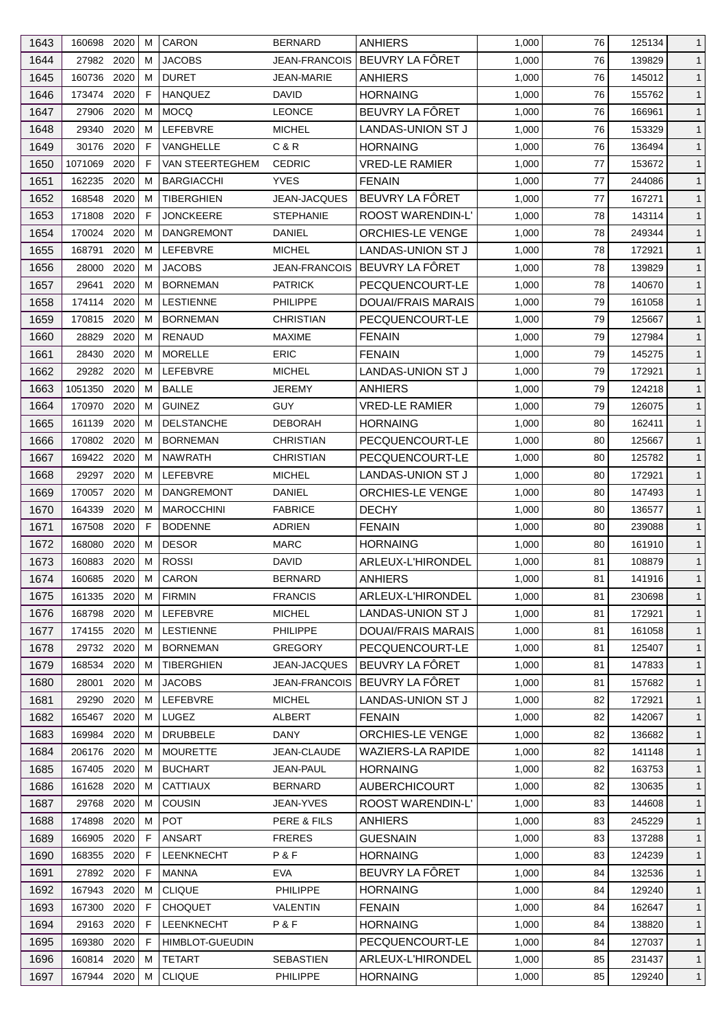| 1643 | 160698      | 2020 | M  | <b>CARON</b>           | <b>BERNARD</b>    | <b>ANHIERS</b>            | 1,000 | 76 | 125134 | $\mathbf{1}$ |
|------|-------------|------|----|------------------------|-------------------|---------------------------|-------|----|--------|--------------|
| 1644 | 27982 2020  |      | M  | <b>JACOBS</b>          | JEAN-FRANCOIS     | BEUVRY LA FÔRET           | 1,000 | 76 | 139829 | $\mathbf{1}$ |
| 1645 | 160736      | 2020 | M  | <b>DURET</b>           | <b>JEAN-MARIE</b> | <b>ANHIERS</b>            | 1,000 | 76 | 145012 | $\mathbf{1}$ |
| 1646 | 173474      | 2020 | F  | <b>HANQUEZ</b>         | DAVID             | <b>HORNAING</b>           | 1,000 | 76 | 155762 | $\mathbf{1}$ |
| 1647 | 27906       | 2020 | M  | <b>MOCO</b>            | <b>LEONCE</b>     | BEUVRY LA FÔRET           | 1,000 | 76 | 166961 | $\mathbf{1}$ |
| 1648 | 29340       | 2020 | M  | <b>LEFEBVRE</b>        | <b>MICHEL</b>     | <b>LANDAS-UNION ST J</b>  | 1,000 | 76 | 153329 | $\mathbf{1}$ |
| 1649 | 30176       | 2020 | F  | <b>VANGHELLE</b>       | C & R             | <b>HORNAING</b>           | 1,000 | 76 | 136494 | $\mathbf{1}$ |
| 1650 | 1071069     | 2020 | F  | VAN STEERTEGHEM        | <b>CEDRIC</b>     | <b>VRED-LE RAMIER</b>     | 1,000 | 77 | 153672 | $\mathbf{1}$ |
| 1651 | 162235      | 2020 | M  | <b>BARGIACCHI</b>      | <b>YVES</b>       | <b>FENAIN</b>             | 1,000 | 77 | 244086 | $\mathbf{1}$ |
| 1652 | 168548      | 2020 | M  | <b>TIBERGHIEN</b>      | JEAN-JACQUES      | BEUVRY LA FÔRET           | 1,000 | 77 | 167271 | $\mathbf{1}$ |
| 1653 | 171808      | 2020 | F. | <b>JONCKEERE</b>       | <b>STEPHANIE</b>  | ROOST WARENDIN-L'         | 1,000 | 78 | 143114 | $\mathbf{1}$ |
| 1654 | 170024      | 2020 | м  | <b>DANGREMONT</b>      | DANIEL            | ORCHIES-LE VENGE          | 1,000 | 78 | 249344 | $\mathbf{1}$ |
| 1655 | 168791      | 2020 | M  | LEFEBVRE               | MICHEL            | LANDAS-UNION ST J         | 1,000 | 78 | 172921 | $\mathbf{1}$ |
| 1656 | 28000       | 2020 | M  | <b>JACOBS</b>          | JEAN-FRANCOIS     | BEUVRY LA FÔRET           | 1,000 | 78 | 139829 | $\mathbf{1}$ |
| 1657 | 29641       | 2020 | м  | <b>BORNEMAN</b>        | <b>PATRICK</b>    | PECQUENCOURT-LE           | 1,000 | 78 | 140670 | $\mathbf{1}$ |
| 1658 | 174114      | 2020 | M  | <b>LESTIENNE</b>       | <b>PHILIPPE</b>   | <b>DOUAI/FRAIS MARAIS</b> | 1,000 | 79 | 161058 | $\mathbf{1}$ |
| 1659 | 170815      | 2020 | M  | <b>BORNEMAN</b>        | CHRISTIAN         | PECQUENCOURT-LE           | 1,000 | 79 | 125667 | $\mathbf{1}$ |
| 1660 | 28829       | 2020 | M  | RENAUD                 | MAXIME            | <b>FENAIN</b>             | 1,000 | 79 | 127984 | $\mathbf{1}$ |
|      | 28430       | 2020 | M  | <b>MORELLE</b>         | <b>ERIC</b>       | <b>FENAIN</b>             |       | 79 | 145275 |              |
| 1661 |             |      |    |                        |                   |                           | 1,000 |    |        | $\mathbf{1}$ |
| 1662 | 29282       | 2020 | M  | LEFEBVRE               | <b>MICHEL</b>     | <b>LANDAS-UNION ST J</b>  | 1,000 | 79 | 172921 | $\mathbf{1}$ |
| 1663 | 1051350     | 2020 | M  | <b>BALLE</b>           | JEREMY            | ANHIERS                   | 1,000 | 79 | 124218 | $\mathbf{1}$ |
| 1664 | 170970      | 2020 | M  | <b>GUINEZ</b>          | <b>GUY</b>        | <b>VRED-LE RAMIER</b>     | 1,000 | 79 | 126075 | $\mathbf{1}$ |
| 1665 | 161139      | 2020 | м  | <b>DELSTANCHE</b>      | <b>DEBORAH</b>    | <b>HORNAING</b>           | 1,000 | 80 | 162411 | $\mathbf{1}$ |
| 1666 | 170802 2020 |      | M  | <b>BORNEMAN</b>        | <b>CHRISTIAN</b>  | PECQUENCOURT-LE           | 1,000 | 80 | 125667 | $\mathbf{1}$ |
| 1667 | 169422      | 2020 | M  | <b>NAWRATH</b>         | <b>CHRISTIAN</b>  | PECQUENCOURT-LE           | 1,000 | 80 | 125782 | $\mathbf{1}$ |
| 1668 | 29297       | 2020 | М  | LEFEBVRE               | <b>MICHEL</b>     | LANDAS-UNION ST J         | 1,000 | 80 | 172921 | $\mathbf{1}$ |
| 1669 | 170057      | 2020 | M  | <b>DANGREMONT</b>      | <b>DANIEL</b>     | <b>ORCHIES-LE VENGE</b>   | 1,000 | 80 | 147493 | $\mathbf{1}$ |
| 1670 | 164339      | 2020 | M  | <b>MAROCCHINI</b>      | <b>FABRICE</b>    | <b>DECHY</b>              | 1,000 | 80 | 136577 | $\mathbf{1}$ |
| 1671 | 167508      | 2020 | F  | <b>BODENNE</b>         | <b>ADRIEN</b>     | <b>FENAIN</b>             | 1,000 | 80 | 239088 | $\mathbf{1}$ |
| 1672 | 168080      | 2020 | M  | <b>DESOR</b>           | <b>MARC</b>       | <b>HORNAING</b>           | 1,000 | 80 | 161910 | $\mathbf{1}$ |
| 1673 | 160883      | 2020 | M  | <b>ROSSI</b>           | DAVID             | ARLEUX-L'HIRONDEL         | 1,000 | 81 | 108879 | $\mathbf{1}$ |
| 1674 | 160685 2020 |      | M  | CARON                  | <b>BERNARD</b>    | <b>ANHIERS</b>            | 1,000 | 81 | 141916 | $\mathbf{1}$ |
| 1675 | 161335 2020 |      | M  | <b>FIRMIN</b>          | <b>FRANCIS</b>    | ARLEUX-L'HIRONDEL         | 1,000 | 81 | 230698 | $\mathbf{1}$ |
| 1676 | 168798 2020 |      | M  | LEFEBVRE               | <b>MICHEL</b>     | LANDAS-UNION ST J         | 1,000 | 81 | 172921 | $\mathbf{1}$ |
| 1677 | 174155 2020 |      | M  | <b>LESTIENNE</b>       | <b>PHILIPPE</b>   | DOUAI/FRAIS MARAIS        | 1,000 | 81 | 161058 | $\mathbf{1}$ |
| 1678 | 29732 2020  |      | M  | <b>BORNEMAN</b>        | <b>GREGORY</b>    | PECQUENCOURT-LE           | 1,000 | 81 | 125407 | $\mathbf{1}$ |
| 1679 | 168534      | 2020 | M  | <b>TIBERGHIEN</b>      | JEAN-JACQUES      | BEUVRY LA FÔRET           | 1,000 | 81 | 147833 | $\mathbf{1}$ |
| 1680 | 28001       | 2020 | M  | <b>JACOBS</b>          | JEAN-FRANCOIS     | BEUVRY LA FÔRET           | 1,000 | 81 | 157682 | $\mathbf{1}$ |
| 1681 | 29290       | 2020 | M  | LEFEBVRE               | <b>MICHEL</b>     | LANDAS-UNION ST J         | 1,000 | 82 | 172921 | $\mathbf{1}$ |
| 1682 | 165467      | 2020 | M  | LUGEZ                  | ALBERT            | <b>FENAIN</b>             | 1,000 | 82 | 142067 | $\mathbf{1}$ |
| 1683 | 169984      | 2020 | M  | <b>DRUBBELE</b>        | <b>DANY</b>       | <b>ORCHIES-LE VENGE</b>   | 1,000 | 82 | 136682 | $\mathbf{1}$ |
| 1684 | 206176 2020 |      | M  | <b>MOURETTE</b>        | JEAN-CLAUDE       | <b>WAZIERS-LA RAPIDE</b>  | 1,000 | 82 | 141148 | $\mathbf{1}$ |
| 1685 | 167405      | 2020 | M  | <b>BUCHART</b>         | JEAN-PAUL         | <b>HORNAING</b>           | 1,000 | 82 | 163753 | $\mathbf{1}$ |
| 1686 | 161628      | 2020 | M  | <b>CATTIAUX</b>        | <b>BERNARD</b>    | <b>AUBERCHICOURT</b>      | 1,000 | 82 | 130635 | $\mathbf{1}$ |
| 1687 | 29768       | 2020 | M  | <b>COUSIN</b>          | JEAN-YVES         | ROOST WARENDIN-L'         | 1,000 | 83 | 144608 | $\mathbf{1}$ |
| 1688 | 174898      | 2020 | M  | <b>POT</b>             | PERE & FILS       | <b>ANHIERS</b>            | 1,000 | 83 | 245229 | $\mathbf{1}$ |
| 1689 | 166905      | 2020 | F. | <b>ANSART</b>          | <b>FRERES</b>     | <b>GUESNAIN</b>           | 1,000 | 83 | 137288 | $\mathbf{1}$ |
| 1690 | 168355 2020 |      | F  | LEENKNECHT             | P&F               | <b>HORNAING</b>           | 1,000 | 83 | 124239 | $\mathbf{1}$ |
| 1691 | 27892 2020  |      | F. | MANNA                  | EVA               | BEUVRY LA FÔRET           | 1,000 | 84 | 132536 | $\mathbf{1}$ |
| 1692 |             | 2020 | M  | <b>CLIQUE</b>          | PHILIPPE          | <b>HORNAING</b>           |       | 84 |        | $\mathbf{1}$ |
|      | 167943      |      |    |                        |                   |                           | 1,000 |    | 129240 |              |
| 1693 | 167300      | 2020 | F  | <b>CHOQUET</b>         | VALENTIN          | <b>FENAIN</b>             | 1,000 | 84 | 162647 | $\mathbf{1}$ |
| 1694 | 29163       | 2020 | F  | LEENKNECHT             | P&F               | <b>HORNAING</b>           | 1,000 | 84 | 138820 | $\mathbf{1}$ |
| 1695 | 169380      | 2020 | F  | <b>HIMBLOT-GUEUDIN</b> |                   | PECQUENCOURT-LE           | 1,000 | 84 | 127037 | $\mathbf{1}$ |
| 1696 | 160814      | 2020 | M  | <b>TETART</b>          | SEBASTIEN         | ARLEUX-L'HIRONDEL         | 1,000 | 85 | 231437 | $\mathbf{1}$ |
| 1697 | 167944 2020 |      | M  | <b>CLIQUE</b>          | PHILIPPE          | <b>HORNAING</b>           | 1,000 | 85 | 129240 | $\mathbf{1}$ |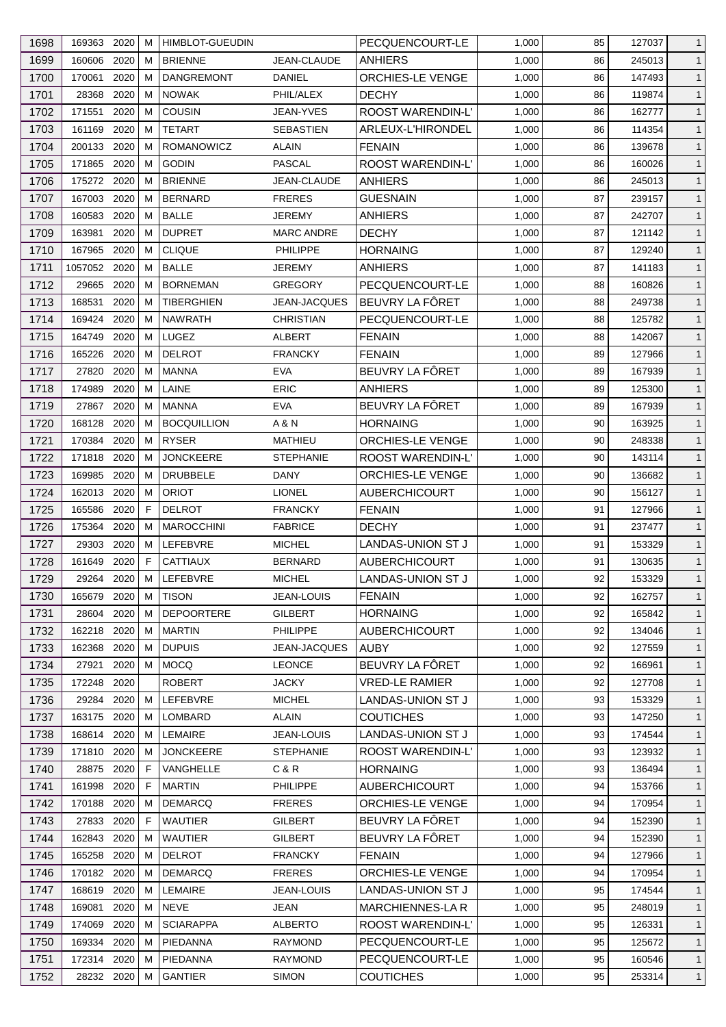| 1698 | 169363 2020             | M | <b>HIMBLOT-GUEUDIN</b>            |                              | PECQUENCOURT-LE          | 1,000 | 85       | 127037 | $\mathbf{1}$ |
|------|-------------------------|---|-----------------------------------|------------------------------|--------------------------|-------|----------|--------|--------------|
| 1699 | 2020<br>160606          | M | <b>BRIENNE</b>                    | <b>JEAN-CLAUDE</b>           | ANHIERS                  | 1,000 | 86       | 245013 | $\mathbf{1}$ |
| 1700 | 2020<br>170061          | M | <b>DANGREMONT</b>                 | <b>DANIEL</b>                | ORCHIES-LE VENGE         | 1,000 | 86       | 147493 | $\mathbf{1}$ |
| 1701 | 28368<br>2020           | м | <b>NOWAK</b>                      | PHIL/ALEX                    | <b>DECHY</b>             | 1,000 | 86       | 119874 | $\mathbf{1}$ |
| 1702 | 171551<br>2020          | M | <b>COUSIN</b>                     | <b>JEAN-YVES</b>             | <b>ROOST WARENDIN-L'</b> | 1,000 | 86       | 162777 | $\mathbf{1}$ |
| 1703 | 2020<br>161169          | M | <b>TETART</b>                     | <b>SEBASTIEN</b>             | ARLEUX-L'HIRONDEL        | 1,000 | 86       | 114354 | $\mathbf{1}$ |
| 1704 | 200133 2020             | м | <b>ROMANOWICZ</b>                 | ALAIN                        | <b>FENAIN</b>            | 1,000 | 86       | 139678 | $\mathbf{1}$ |
| 1705 | 171865<br>2020          | М | <b>GODIN</b>                      | <b>PASCAL</b>                | ROOST WARENDIN-L'        | 1,000 | 86       | 160026 | $\mathbf{1}$ |
| 1706 | 175272 2020             | М | <b>BRIENNE</b>                    | JEAN-CLAUDE                  | <b>ANHIERS</b>           | 1,000 | 86       | 245013 | $\mathbf{1}$ |
| 1707 | 2020<br>167003          | M | <b>BERNARD</b>                    | <b>FRERES</b>                | <b>GUESNAIN</b>          | 1,000 | 87       | 239157 | $\mathbf{1}$ |
| 1708 | 2020<br>160583          | М | <b>BALLE</b>                      | <b>JEREMY</b>                | <b>ANHIERS</b>           | 1,000 | 87       | 242707 | $\mathbf{1}$ |
| 1709 | 2020<br>163981          | м | <b>DUPRET</b>                     | <b>MARC ANDRE</b>            | <b>DECHY</b>             | 1,000 | 87       | 121142 | $\mathbf{1}$ |
| 1710 | 167965 2020             | м | <b>CLIQUE</b>                     | PHILIPPE                     | <b>HORNAING</b>          | 1,000 | 87       | 129240 | $\mathbf{1}$ |
| 1711 | 2020<br>1057052         | М | <b>BALLE</b>                      | <b>JEREMY</b>                | <b>ANHIERS</b>           | 1,000 | 87       | 141183 | $\mathbf{1}$ |
| 1712 | 2020<br>29665           | м | <b>BORNEMAN</b>                   | <b>GREGORY</b>               | PECQUENCOURT-LE          | 1,000 | 88       | 160826 | $\mathbf{1}$ |
| 1713 | 168531<br>2020          | M | <b>TIBERGHIEN</b>                 | <b>JEAN-JACQUES</b>          | BEUVRY LA FÔRET          | 1,000 | 88       | 249738 | $\mathbf{1}$ |
| 1714 | 169424<br>2020          | M | <b>NAWRATH</b>                    | <b>CHRISTIAN</b>             | PECQUENCOURT-LE          | 1,000 | 88       | 125782 | $\mathbf{1}$ |
| 1715 | 2020<br>164749          | M | LUGEZ                             | ALBERT                       | <b>FENAIN</b>            | 1,000 | 88       | 142067 | $\mathbf{1}$ |
| 1716 | 2020<br>165226          | М | <b>DELROT</b>                     | <b>FRANCKY</b>               | <b>FENAIN</b>            | 1,000 | 89       | 127966 | $\mathbf{1}$ |
| 1717 | 2020<br>27820           | м | <b>MANNA</b>                      | <b>EVA</b>                   | BEUVRY LA FÔRET          | 1,000 | 89       | 167939 | $\mathbf{1}$ |
| 1718 | 2020<br>174989          | м | LAINE                             | <b>ERIC</b>                  | <b>ANHIERS</b>           | 1,000 | 89       | 125300 | $\mathbf{1}$ |
| 1719 | 2020<br>27867           | м | MANNA                             | <b>EVA</b>                   | BEUVRY LA FÔRET          | 1,000 | 89       | 167939 | $\mathbf{1}$ |
| 1720 | 2020<br>168128          | м | <b>BOCQUILLION</b>                | A & N                        | <b>HORNAING</b>          | 1,000 | 90       | 163925 | $\mathbf{1}$ |
| 1721 | 2020<br>170384          | M | <b>RYSER</b>                      | MATHIEU                      | ORCHIES-LE VENGE         | 1,000 | 90       | 248338 | $\mathbf{1}$ |
| 1722 | 171818<br>2020          | M | <b>JONCKEERE</b>                  | <b>STEPHANIE</b>             | ROOST WARENDIN-L'        | 1,000 | 90       | 143114 | $\mathbf{1}$ |
| 1723 | 2020<br>169985          | м | <b>DRUBBELE</b>                   | DANY                         | ORCHIES-LE VENGE         | 1,000 | 90       | 136682 | $\mathbf{1}$ |
| 1724 | 162013 2020             | M | <b>ORIOT</b>                      | <b>LIONEL</b>                | <b>AUBERCHICOURT</b>     | 1,000 | 90       | 156127 | $\mathbf{1}$ |
| 1725 | 2020<br>165586          | E | <b>DELROT</b>                     | <b>FRANCKY</b>               | <b>FENAIN</b>            | 1,000 | 91       | 127966 | $\mathbf{1}$ |
| 1726 | 175364<br>2020          | M | <b>MAROCCHINI</b>                 | <b>FABRICE</b>               | <b>DECHY</b>             | 1,000 | 91       | 237477 | $\mathbf{1}$ |
| 1727 | 29303<br>2020           | M | LEFEBVRE                          | <b>MICHEL</b>                | LANDAS-UNION ST J        | 1,000 | 91       | 153329 | $\mathbf{1}$ |
|      | 2020<br>161649          | F | <b>CATTIAUX</b>                   |                              |                          |       | 91       |        | $\mathbf{1}$ |
| 1728 |                         |   |                                   | <b>BERNARD</b>               | <b>AUBERCHICOURT</b>     | 1,000 | 92       | 130635 |              |
| 1729 | 29264 2020 M            |   | LEFEBVRE                          | <b>MICHEL</b>                | LANDAS-UNION ST J        | 1,000 |          | 153329 | $\mathbf{1}$ |
| 1730 | 165679<br>2020          | M | <b>TISON</b><br><b>DEPOORTERE</b> | JEAN-LOUIS<br><b>GILBERT</b> | <b>FENAIN</b>            | 1,000 | 92<br>92 | 162757 | $\mathbf{1}$ |
| 1731 | 2020<br>28604<br>162218 | м |                                   |                              | <b>HORNAING</b>          | 1,000 |          | 165842 | $\mathbf{1}$ |
| 1732 | 2020                    | М | <b>MARTIN</b>                     | <b>PHILIPPE</b>              | <b>AUBERCHICOURT</b>     | 1,000 | 92       | 134046 | $\mathbf{1}$ |
| 1733 | 162368<br>2020          | M | <b>DUPUIS</b>                     | <b>JEAN-JACQUES</b>          | <b>AUBY</b>              | 1,000 | 92       | 127559 | $\mathbf{1}$ |
| 1734 | 2020<br>27921           | м | MOCQ                              | <b>LEONCE</b>                | BEUVRY LA FÔRET          | 1,000 | 92       | 166961 | $\mathbf{1}$ |
| 1735 | 172248 2020             |   | <b>ROBERT</b>                     | <b>JACKY</b>                 | <b>VRED-LE RAMIER</b>    | 1,000 | 92       | 127708 | $\mathbf{1}$ |
| 1736 | 29284 2020              | М | LEFEBVRE                          | <b>MICHEL</b>                | <b>LANDAS-UNION ST J</b> | 1,000 | 93       | 153329 | $\mathbf{1}$ |
| 1737 | 163175<br>2020          | M | LOMBARD                           | ALAIN                        | <b>COUTICHES</b>         | 1,000 | 93       | 147250 | $\mathbf{1}$ |
| 1738 | 168614<br>2020          | M | <b>LEMAIRE</b>                    | <b>JEAN-LOUIS</b>            | <b>LANDAS-UNION ST J</b> | 1,000 | 93       | 174544 | $\mathbf{1}$ |
| 1739 | 171810 2020             | м | <b>JONCKEERE</b>                  | <b>STEPHANIE</b>             | ROOST WARENDIN-L'        | 1,000 | 93       | 123932 | $\mathbf{1}$ |
| 1740 | 2020<br>28875           | F | VANGHELLE                         | C & R                        | <b>HORNAING</b>          | 1,000 | 93       | 136494 | $\mathbf{1}$ |
| 1741 | 2020<br>161998          | F | <b>MARTIN</b>                     | <b>PHILIPPE</b>              | <b>AUBERCHICOURT</b>     | 1,000 | 94       | 153766 | $\mathbf{1}$ |
| 1742 | 170188<br>2020          | M | <b>DEMARCQ</b>                    | <b>FRERES</b>                | ORCHIES-LE VENGE         | 1,000 | 94       | 170954 | $\mathbf{1}$ |
| 1743 | 27833<br>2020           | F | <b>WAUTIER</b>                    | <b>GILBERT</b>               | BEUVRY LA FÔRET          | 1,000 | 94       | 152390 | $\mathbf{1}$ |
| 1744 | 2020<br>162843          | M | <b>WAUTIER</b>                    | <b>GILBERT</b>               | BEUVRY LA FÔRET          | 1,000 | 94       | 152390 | $\mathbf{1}$ |
| 1745 | 165258 2020             | M | <b>DELROT</b>                     | <b>FRANCKY</b>               | <b>FENAIN</b>            | 1,000 | 94       | 127966 | $\mathbf{1}$ |
| 1746 | 170182 2020             | M | <b>DEMARCQ</b>                    | <b>FRERES</b>                | <b>ORCHIES-LE VENGE</b>  | 1,000 | 94       | 170954 | $\mathbf{1}$ |
| 1747 | 2020<br>168619          | М | <b>LEMAIRE</b>                    | JEAN-LOUIS                   | LANDAS-UNION ST J        | 1,000 | 95       | 174544 | $\mathbf{1}$ |
| 1748 | 169081<br>2020          | M | NEVE                              | JEAN                         | <b>MARCHIENNES-LA R</b>  | 1,000 | 95       | 248019 | $\mathbf{1}$ |
| 1749 | 174069<br>2020          | М | <b>SCIARAPPA</b>                  | <b>ALBERTO</b>               | <b>ROOST WARENDIN-L'</b> | 1,000 | 95       | 126331 | $\mathbf{1}$ |
| 1750 | 169334 2020             | М | PIEDANNA                          | <b>RAYMOND</b>               | PECQUENCOURT-LE          | 1,000 | 95       | 125672 | $\mathbf{1}$ |
| 1751 | 172314<br>2020          | M | PIEDANNA                          | <b>RAYMOND</b>               | PECQUENCOURT-LE          | 1,000 | 95       | 160546 | $\mathbf{1}$ |
| 1752 | 28232 2020              | М | <b>GANTIER</b>                    | <b>SIMON</b>                 | <b>COUTICHES</b>         | 1,000 | 95       | 253314 | $\mathbf{1}$ |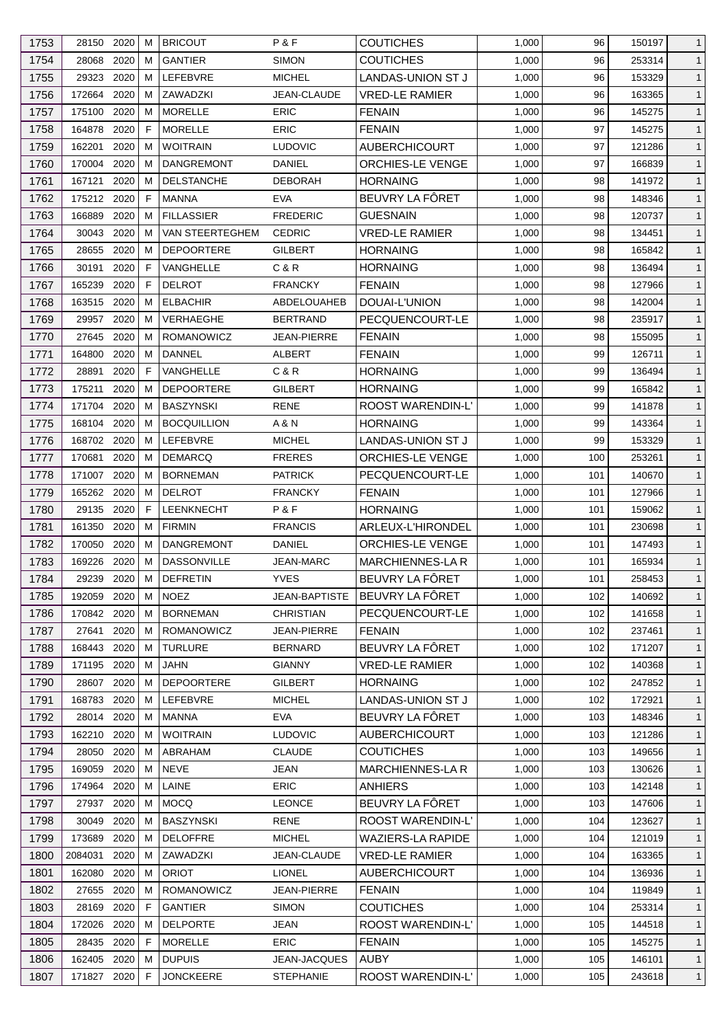| 1753         | 28150                 | 2020         | м      | <b>BRICOUT</b>           | P & F                            | <b>COUTICHES</b>                              | 1,000          | 96         | 150197           | $\mathbf{1}$                 |
|--------------|-----------------------|--------------|--------|--------------------------|----------------------------------|-----------------------------------------------|----------------|------------|------------------|------------------------------|
| 1754         | 28068                 | 2020         | м      | <b>GANTIER</b>           | <b>SIMON</b>                     | <b>COUTICHES</b>                              | 1,000          | 96         | 253314           | $\mathbf{1}$                 |
| 1755         | 29323                 | 2020         | м      | LEFEBVRE                 | <b>MICHEL</b>                    | LANDAS-UNION ST J                             | 1,000          | 96         | 153329           | $\mathbf{1}$                 |
| 1756         | 172664                | 2020         | м      | ZAWADZKI                 | JEAN-CLAUDE                      | <b>VRED-LE RAMIER</b>                         | 1,000          | 96         | 163365           | $\mathbf{1}$                 |
| 1757         | 175100                | 2020         | M      | <b>MORELLE</b>           | <b>ERIC</b>                      | <b>FENAIN</b>                                 | 1,000          | 96         | 145275           | $\mathbf{1}$                 |
| 1758         | 164878                | 2020         | F      | <b>MORELLE</b>           | ERIC                             | <b>FENAIN</b>                                 | 1,000          | 97         | 145275           | $\mathbf{1}$                 |
| 1759         | 162201                | 2020         | м      | <b>WOITRAIN</b>          | <b>LUDOVIC</b>                   | <b>AUBERCHICOURT</b>                          | 1,000          | 97         | 121286           | $\mathbf{1}$                 |
| 1760         | 170004                | 2020         | м      | <b>DANGREMONT</b>        | <b>DANIEL</b>                    | ORCHIES-LE VENGE                              | 1,000          | 97         | 166839           | $\mathbf{1}$                 |
| 1761         | 167121                | 2020         | м      | <b>DELSTANCHE</b>        | DEBORAH                          | <b>HORNAING</b>                               | 1,000          | 98         | 141972           | $\mathbf{1}$                 |
| 1762         | 175212                | 2020         | F      | <b>MANNA</b>             | EVA                              | BEUVRY LA FÖRET                               | 1,000          | 98         | 148346           | $\mathbf{1}$                 |
| 1763         | 166889                | 2020         | м      | <b>FILLASSIER</b>        | <b>FREDERIC</b>                  | <b>GUESNAIN</b>                               | 1,000          | 98         | 120737           | $\mathbf{1}$                 |
| 1764         | 30043                 | 2020         | м      | VAN STEERTEGHEM          | <b>CEDRIC</b>                    | <b>VRED-LE RAMIER</b>                         | 1,000          | 98         | 134451           | $\mathbf{1}$                 |
| 1765         | 28655                 | 2020         | м      | <b>DEPOORTERE</b>        | <b>GILBERT</b>                   | <b>HORNAING</b>                               | 1,000          | 98         | 165842           | $\mathbf{1}$                 |
| 1766         | 30191                 | 2020         | F      | VANGHELLE                | C & R                            | <b>HORNAING</b>                               | 1,000          | 98         | 136494           | $\mathbf{1}$                 |
| 1767         | 165239                | 2020         | F      | <b>DELROT</b>            | <b>FRANCKY</b>                   | <b>FENAIN</b>                                 | 1,000          | 98         | 127966           | $\mathbf{1}$                 |
| 1768         | 163515                | 2020         | M      | <b>ELBACHIR</b>          | <b>ABDELOUAHEB</b>               | DOUAI-L'UNION                                 | 1,000          | 98         | 142004           | $\mathbf{1}$                 |
| 1769         | 29957                 | 2020         | м      | VERHAEGHE                | <b>BERTRAND</b>                  | PECQUENCOURT-LE                               | 1,000          | 98         | 235917           | $\mathbf{1}$                 |
| 1770         | 27645                 | 2020         | м      | <b>ROMANOWICZ</b>        | <b>JEAN-PIERRE</b>               | <b>FENAIN</b>                                 | 1,000          | 98         | 155095           | $\mathbf{1}$                 |
| 1771         | 164800                | 2020         | м      | <b>DANNEL</b>            | <b>ALBERT</b>                    | <b>FENAIN</b>                                 | 1,000          | 99         | 126711           | $\mathbf{1}$                 |
| 1772         | 28891                 | 2020         | F      | VANGHELLE                | C & R                            | <b>HORNAING</b>                               | 1,000          | 99         | 136494           | $\mathbf{1}$                 |
| 1773         | 175211                | 2020         | м      | <b>DEPOORTERE</b>        | <b>GILBERT</b>                   | <b>HORNAING</b>                               | 1,000          | 99         | 165842           | $\mathbf{1}$                 |
| 1774         | 171704                | 2020         | м      | <b>BASZYNSKI</b>         | <b>RENE</b>                      | ROOST WARENDIN-L'                             | 1,000          | 99         | 141878           | $\mathbf{1}$                 |
| 1775         | 168104                | 2020         | м      | <b>BOCQUILLION</b>       | A & N                            | <b>HORNAING</b>                               | 1,000          | 99         | 143364           | $\mathbf{1}$                 |
| 1776         | 168702 2020           |              | M      | LEFEBVRE                 | <b>MICHEL</b>                    | LANDAS-UNION ST J                             | 1,000          | 99         | 153329           | $\mathbf{1}$                 |
| 1777         | 170681                | 2020         | м      | <b>DEMARCQ</b>           | <b>FRERES</b>                    | ORCHIES-LE VENGE                              | 1,000          | 100        | 253261           | $\mathbf{1}$                 |
| 1778         | 171007                | 2020         | м      | <b>BORNEMAN</b>          | <b>PATRICK</b>                   | PECQUENCOURT-LE                               | 1,000          | 101        | 140670           | $\mathbf{1}$                 |
| 1779         | 165262                | 2020         | M      | <b>DELROT</b>            | <b>FRANCKY</b>                   | <b>FENAIN</b>                                 | 1,000          | 101        | 127966           | $\mathbf{1}$                 |
| 1780         | 29135                 | 2020         | F      | <b>LEENKNECHT</b>        | P&F                              | <b>HORNAING</b>                               | 1,000          | 101        | 159062           | $\mathbf{1}$                 |
| 1781         | 161350                | 2020         | м      | <b>FIRMIN</b>            | <b>FRANCIS</b>                   | ARLEUX-L'HIRONDEL                             | 1,000          | 101        | 230698           | $\mathbf{1}$                 |
| 1782         | 170050                | 2020         | м      | <b>DANGREMONT</b>        | <b>DANIEL</b>                    | <b>ORCHIES-LE VENGE</b>                       | 1,000          | 101        | 147493           | $\mathbf{1}$                 |
| 1783         | 169226                | 2020         | м      | <b>DASSONVILLE</b>       | <b>JEAN-MARC</b>                 | MARCHIENNES-LA R                              | 1,000          | 101        | 165934           | $\mathbf{1}$                 |
| 1784         | 29239 2020            |              | M      | <b>DEFRETIN</b>          | <b>YVES</b>                      | BEUVRY LA FÖRET                               | 1,000          | 101        | 258453           | $\mathbf{1}$                 |
| 1785         | 192059                | 2020         | м      | <b>NOEZ</b>              | <b>JEAN-BAPTISTE</b>             | BEUVRY LA FÔRET                               | 1,000          | 102        | 140692           | $\mathbf{1}$                 |
| 1786         | 170842 2020           |              | м      | <b>BORNEMAN</b>          | <b>CHRISTIAN</b>                 | PECQUENCOURT-LE                               | 1,000          | 102        | 141658           | $\mathbf{1}$                 |
| 1787         | 27641                 | 2020         | M      | <b>ROMANOWICZ</b>        | JEAN-PIERRE                      | <b>FENAIN</b>                                 | 1,000          | 102        | 237461           | $\mathbf{1}$                 |
| 1788         | 168443                | 2020         | м      | <b>TURLURE</b>           | <b>BERNARD</b>                   | BEUVRY LA FÔRET                               | 1.000          | 102        | 171207           | $\mathbf{1}$                 |
| 1789         | 171195                | 2020         | м      | JAHN                     | <b>GIANNY</b>                    | <b>VRED-LE RAMIER</b>                         | 1,000          | 102        | 140368           | $\mathbf{1}$                 |
| 1790         | 28607                 | 2020         | м      | <b>DEPOORTERE</b>        | <b>GILBERT</b>                   | <b>HORNAING</b>                               | 1,000          | 102        | 247852           | $\mathbf{1}$                 |
| 1791         | 168783                | 2020         | м      | LEFEBVRE                 | <b>MICHEL</b>                    | LANDAS-UNION ST J                             | 1,000          | 102        | 172921           | $\mathbf{1}$                 |
| 1792         | 28014                 | 2020         | м      | MANNA                    | EVA                              | BEUVRY LA FÔRET                               | 1,000          | 103        | 148346           | $\mathbf{1}$                 |
| 1793         | 162210                | 2020         | м      | <b>WOITRAIN</b>          | <b>LUDOVIC</b>                   | <b>AUBERCHICOURT</b>                          | 1,000          | 103        | 121286           | $\mathbf{1}$                 |
| 1794         | 28050                 | 2020         | M      | ABRAHAM                  | <b>CLAUDE</b>                    | <b>COUTICHES</b>                              | 1,000          | 103        | 149656           | $\mathbf{1}$                 |
| 1795         | 169059                | 2020         | м      | <b>NEVE</b>              | <b>JEAN</b>                      | <b>MARCHIENNES-LAR</b>                        | 1,000          | 103        | 130626           | $\mathbf{1}$                 |
| 1796         | 174964                | 2020         | м      | LAINE                    | <b>ERIC</b>                      | <b>ANHIERS</b>                                | 1,000          | 103        | 142148           | $\mathbf{1}$                 |
| 1797         | 27937                 | 2020         | м      | <b>MOCQ</b>              | <b>LEONCE</b>                    | BEUVRY LA FÔRET                               | 1,000          | 103        | 147606           | $\mathbf{1}$                 |
| 1798         | 30049                 | 2020         | м      | <b>BASZYNSKI</b>         | RENE                             | ROOST WARENDIN-L'                             | 1,000          | 104        | 123627           | $\mathbf{1}$                 |
| 1799         | 173689                | 2020         | м      | <b>DELOFFRE</b>          | <b>MICHEL</b>                    | <b>WAZIERS-LA RAPIDE</b>                      | 1,000          | 104        | 121019           | $\mathbf{1}$                 |
|              |                       |              |        |                          |                                  |                                               |                |            |                  |                              |
| 1800<br>1801 | 2084031<br>162080     | 2020<br>2020 | м<br>M | ZAWADZKI<br><b>ORIOT</b> | JEAN-CLAUDE<br><b>LIONEL</b>     | <b>VRED-LE RAMIER</b><br><b>AUBERCHICOURT</b> | 1,000<br>1,000 | 104<br>104 | 163365<br>136936 | $\mathbf{1}$                 |
| 1802         |                       |              |        | <b>ROMANOWICZ</b>        |                                  |                                               |                | 104        |                  | $\mathbf{1}$<br>$\mathbf{1}$ |
| 1803         | 27655<br>28169        | 2020<br>2020 | м<br>F | <b>GANTIER</b>           | JEAN-PIERRE<br><b>SIMON</b>      | <b>FENAIN</b><br>COUTICHES                    | 1,000<br>1,000 | 104        | 119849<br>253314 | $\mathbf{1}$                 |
| 1804         | 172026                | 2020         | м      | <b>DELPORTE</b>          | <b>JEAN</b>                      | ROOST WARENDIN-L'                             | 1,000          | 105        | 144518           | $\mathbf{1}$                 |
|              |                       |              | F      | <b>MORELLE</b>           | <b>ERIC</b>                      |                                               |                |            |                  |                              |
| 1805         | 28435 2020            |              | M      | <b>DUPUIS</b>            |                                  | <b>FENAIN</b>                                 | 1,000          | 105        | 145275           | $\mathbf{1}$                 |
| 1806<br>1807 | 162405<br>171827 2020 | 2020         | F      | <b>JONCKEERE</b>         | JEAN-JACQUES<br><b>STEPHANIE</b> | <b>AUBY</b><br>ROOST WARENDIN-L'              | 1,000<br>1,000 | 105<br>105 | 146101<br>243618 | $\mathbf{1}$<br>$\mathbf{1}$ |
|              |                       |              |        |                          |                                  |                                               |                |            |                  |                              |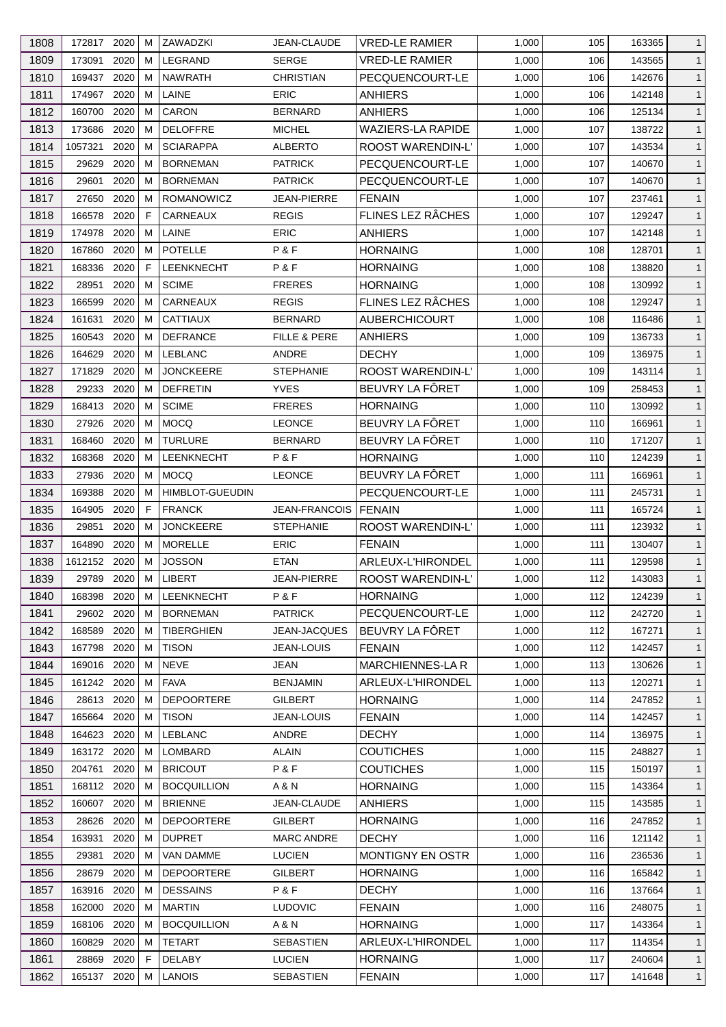| 1808 | 172817 2020  |      | M | ZAWADZKI               | <b>JEAN-CLAUDE</b>      | <b>VRED-LE RAMIER</b>    | 1,000 | 105 | 163365 | $\mathbf{1}$ |
|------|--------------|------|---|------------------------|-------------------------|--------------------------|-------|-----|--------|--------------|
| 1809 | 173091       | 2020 | M | LEGRAND                | <b>SERGE</b>            | <b>VRED-LE RAMIER</b>    | 1,000 | 106 | 143565 | $\mathbf{1}$ |
| 1810 | 169437       | 2020 | M | <b>NAWRATH</b>         | <b>CHRISTIAN</b>        | PECQUENCOURT-LE          | 1,000 | 106 | 142676 | $\mathbf{1}$ |
| 1811 | 174967 2020  |      | м | LAINE                  | <b>ERIC</b>             | <b>ANHIERS</b>           | 1,000 | 106 | 142148 | $\mathbf{1}$ |
| 1812 | 160700       | 2020 | M | <b>CARON</b>           | <b>BERNARD</b>          | ANHIERS                  | 1,000 | 106 | 125134 | $\mathbf{1}$ |
| 1813 | 173686       | 2020 | M | <b>DELOFFRE</b>        | <b>MICHEL</b>           | <b>WAZIERS-LA RAPIDE</b> | 1,000 | 107 | 138722 | $\mathbf{1}$ |
| 1814 | 1057321      | 2020 | м | <b>SCIARAPPA</b>       | <b>ALBERTO</b>          | <b>ROOST WARENDIN-L'</b> | 1,000 | 107 | 143534 | $\mathbf{1}$ |
| 1815 | 29629        | 2020 | М | <b>BORNEMAN</b>        | <b>PATRICK</b>          | PECQUENCOURT-LE          | 1,000 | 107 | 140670 | $\mathbf{1}$ |
| 1816 | 29601        | 2020 | M | <b>BORNEMAN</b>        | <b>PATRICK</b>          | PECQUENCOURT-LE          | 1,000 | 107 | 140670 | $\mathbf{1}$ |
| 1817 | 27650        | 2020 | M | <b>ROMANOWICZ</b>      | <b>JEAN-PIERRE</b>      | <b>FENAIN</b>            | 1,000 | 107 | 237461 | $\mathbf{1}$ |
| 1818 | 166578       | 2020 | F | CARNEAUX               | <b>REGIS</b>            | FLINES LEZ RÂCHES        | 1,000 | 107 | 129247 | $\mathbf{1}$ |
| 1819 | 174978       | 2020 | М | LAINE                  | <b>ERIC</b>             | <b>ANHIERS</b>           | 1,000 | 107 | 142148 | $\mathbf{1}$ |
| 1820 | 167860       | 2020 | M | POTELLE                | P&F                     | <b>HORNAING</b>          | 1,000 | 108 | 128701 | $\mathbf{1}$ |
| 1821 | 168336       | 2020 | E | LEENKNECHT             | P&F                     | <b>HORNAING</b>          | 1,000 | 108 | 138820 | $\mathbf{1}$ |
| 1822 | 28951        | 2020 | м | <b>SCIME</b>           | <b>FRERES</b>           | <b>HORNAING</b>          | 1,000 | 108 | 130992 | $\mathbf{1}$ |
| 1823 | 166599       | 2020 | M | CARNEAUX               | <b>REGIS</b>            | FLINES LEZ RÂCHES        | 1,000 | 108 | 129247 |              |
|      |              |      |   |                        |                         |                          |       |     |        | $\mathbf{1}$ |
| 1824 | 161631       | 2020 | M | <b>CATTIAUX</b>        | <b>BERNARD</b>          | <b>AUBERCHICOURT</b>     | 1,000 | 108 | 116486 | $\mathbf{1}$ |
| 1825 | 160543       | 2020 | м | <b>DEFRANCE</b>        | <b>FILLE &amp; PERE</b> | ANHIERS                  | 1,000 | 109 | 136733 | $\mathbf{1}$ |
| 1826 | 164629       | 2020 | М | <b>LEBLANC</b>         | ANDRE                   | <b>DECHY</b>             | 1,000 | 109 | 136975 | $\mathbf{1}$ |
| 1827 | 171829       | 2020 | М | <b>JONCKEERE</b>       | <b>STEPHANIE</b>        | <b>ROOST WARENDIN-L'</b> | 1,000 | 109 | 143114 | $\mathbf{1}$ |
| 1828 | 29233        | 2020 | м | <b>DEFRETIN</b>        | <b>YVES</b>             | BEUVRY LA FÖRET          | 1,000 | 109 | 258453 | $\mathbf{1}$ |
| 1829 | 168413       | 2020 | м | <b>SCIME</b>           | <b>FRERES</b>           | <b>HORNAING</b>          | 1,000 | 110 | 130992 | $\mathbf{1}$ |
| 1830 | 27926        | 2020 | м | <b>MOCQ</b>            | <b>LEONCE</b>           | BEUVRY LA FÔRET          | 1,000 | 110 | 166961 | $\mathbf{1}$ |
| 1831 | 168460       | 2020 | М | <b>TURLURE</b>         | <b>BERNARD</b>          | BEUVRY LA FÔRET          | 1,000 | 110 | 171207 | $\mathbf{1}$ |
| 1832 | 168368       | 2020 | M | <b>LEENKNECHT</b>      | P&F                     | <b>HORNAING</b>          | 1,000 | 110 | 124239 | $\mathbf{1}$ |
| 1833 | 27936        | 2020 | м | <b>MOCQ</b>            | <b>LEONCE</b>           | BEUVRY LA FÔRET          | 1,000 | 111 | 166961 | $\mathbf{1}$ |
| 1834 | 169388       | 2020 | M | <b>HIMBLOT-GUEUDIN</b> |                         | PECQUENCOURT-LE          | 1,000 | 111 | 245731 | $\mathbf{1}$ |
| 1835 | 164905       | 2020 | E | <b>FRANCK</b>          | JEAN-FRANCOIS           | <b>FENAIN</b>            | 1,000 | 111 | 165724 | $\mathbf{1}$ |
| 1836 | 29851        | 2020 | м | <b>JONCKEERE</b>       | <b>STEPHANIE</b>        | ROOST WARENDIN-L'        | 1,000 | 111 | 123932 | $\mathbf{1}$ |
| 1837 | 164890       | 2020 | М | <b>MORELLE</b>         | <b>ERIC</b>             | <b>FENAIN</b>            | 1,000 | 111 | 130407 | $\mathbf{1}$ |
| 1838 | 1612152 2020 |      | М | <b>JOSSON</b>          | <b>ETAN</b>             | ARLEUX-L'HIRONDEL        | 1,000 | 111 | 129598 | $\mathbf{1}$ |
| 1839 | 29789 2020 M |      |   | LIBERT                 | JEAN-PIERRE             | ROOST WARENDIN-L'        | 1,000 | 112 | 143083 | $\mathbf{1}$ |
| 1840 | 168398 2020  |      | M | <b>LEENKNECHT</b>      | P&F                     | <b>HORNAING</b>          | 1,000 | 112 | 124239 | $\mathbf{1}$ |
| 1841 | 29602 2020   |      | M | <b>BORNEMAN</b>        | <b>PATRICK</b>          | PECQUENCOURT-LE          | 1,000 | 112 | 242720 | $\mathbf{1}$ |
| 1842 | 168589       | 2020 | M | TIBERGHIEN             | <b>JEAN-JACQUES</b>     | BEUVRY LA FÔRET          | 1,000 | 112 | 167271 | $\mathbf{1}$ |
| 1843 | 167798       | 2020 | M | <b>TISON</b>           | JEAN-LOUIS              | <b>FENAIN</b>            | 1,000 | 112 | 142457 | $\mathbf{1}$ |
| 1844 | 169016 2020  |      | M | <b>NEVE</b>            | JEAN                    | <b>MARCHIENNES-LAR</b>   | 1,000 | 113 | 130626 | $\mathbf{1}$ |
| 1845 | 161242 2020  |      | M | <b>FAVA</b>            | <b>BENJAMIN</b>         | ARLEUX-L'HIRONDEL        | 1,000 | 113 | 120271 | $\mathbf{1}$ |
| 1846 | 28613 2020   |      | м | <b>DEPOORTERE</b>      | <b>GILBERT</b>          | <b>HORNAING</b>          | 1,000 | 114 | 247852 | $\mathbf{1}$ |
| 1847 | 165664       | 2020 | M | <b>TISON</b>           | JEAN-LOUIS              | <b>FENAIN</b>            | 1,000 | 114 | 142457 | $\mathbf{1}$ |
| 1848 | 164623       | 2020 | М | <b>LEBLANC</b>         | ANDRE                   | <b>DECHY</b>             | 1,000 | 114 | 136975 | $\mathbf{1}$ |
| 1849 | 163172 2020  |      | M | LOMBARD                | <b>ALAIN</b>            | <b>COUTICHES</b>         | 1,000 | 115 | 248827 | $\mathbf{1}$ |
| 1850 | 204761       | 2020 | M | <b>BRICOUT</b>         | P&F                     | <b>COUTICHES</b>         | 1,000 | 115 | 150197 | $\mathbf{1}$ |
| 1851 | 168112       | 2020 | M | <b>BOCQUILLION</b>     | A & N                   | <b>HORNAING</b>          | 1,000 | 115 | 143364 | $\mathbf{1}$ |
| 1852 | 160607       | 2020 | M | <b>BRIENNE</b>         | JEAN-CLAUDE             | <b>ANHIERS</b>           | 1,000 | 115 | 143585 | $\mathbf{1}$ |
| 1853 | 28626        | 2020 | M | <b>DEPOORTERE</b>      | <b>GILBERT</b>          | <b>HORNAING</b>          | 1,000 | 116 | 247852 | $\mathbf{1}$ |
| 1854 | 163931       | 2020 | M | <b>DUPRET</b>          | <b>MARC ANDRE</b>       | <b>DECHY</b>             | 1,000 | 116 | 121142 | $\mathbf{1}$ |
| 1855 | 29381        | 2020 | M | VAN DAMME              | <b>LUCIEN</b>           | <b>MONTIGNY EN OSTR</b>  | 1,000 | 116 | 236536 | $\mathbf{1}$ |
| 1856 | 28679        | 2020 | M | <b>DEPOORTERE</b>      | <b>GILBERT</b>          | <b>HORNAING</b>          | 1,000 | 116 | 165842 | $\mathbf{1}$ |
| 1857 | 163916       | 2020 | M | <b>DESSAINS</b>        | P&F                     | <b>DECHY</b>             | 1,000 | 116 | 137664 | $\mathbf{1}$ |
| 1858 | 162000       | 2020 | M | MARTIN                 | <b>LUDOVIC</b>          | <b>FENAIN</b>            | 1,000 | 116 | 248075 | $\mathbf{1}$ |
| 1859 | 168106       | 2020 | M | <b>BOCQUILLION</b>     | A & N                   | <b>HORNAING</b>          | 1,000 | 117 | 143364 | $\mathbf{1}$ |
| 1860 | 160829       | 2020 | M | <b>TETART</b>          | <b>SEBASTIEN</b>        | ARLEUX-L'HIRONDEL        | 1,000 | 117 | 114354 | $\mathbf{1}$ |
| 1861 | 28869        | 2020 | F | <b>DELABY</b>          | <b>LUCIEN</b>           | <b>HORNAING</b>          | 1,000 | 117 | 240604 | $\mathbf{1}$ |
| 1862 | 165137 2020  |      | M | LANOIS                 | <b>SEBASTIEN</b>        | <b>FENAIN</b>            | 1,000 | 117 | 141648 | $\mathbf{1}$ |
|      |              |      |   |                        |                         |                          |       |     |        |              |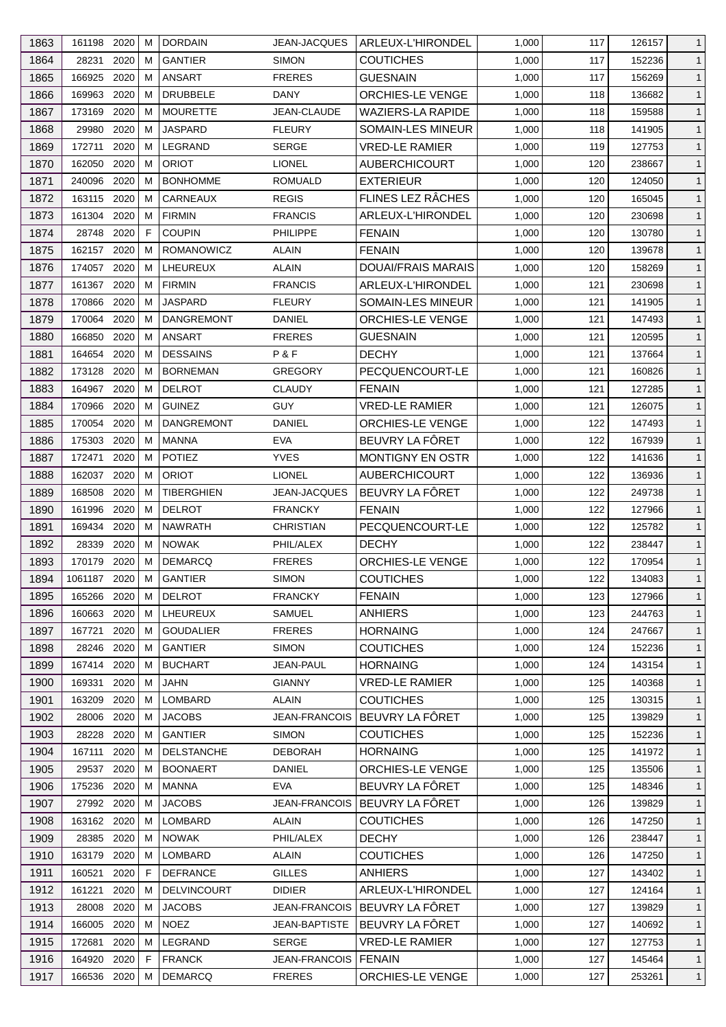| 1863 | 161198 2020    | M  | <b>DORDAIN</b>     | <b>JEAN-JACQUES</b>  | ARLEUX-L'HIRONDEL         | 1,000 | 117 | 126157 | $\mathbf{1}$                 |
|------|----------------|----|--------------------|----------------------|---------------------------|-------|-----|--------|------------------------------|
| 1864 | 2020<br>28231  | M  | <b>GANTIER</b>     | <b>SIMON</b>         | <b>COUTICHES</b>          | 1,000 | 117 | 152236 | $\mathbf{1}$                 |
| 1865 | 166925<br>2020 | M  | <b>ANSART</b>      | <b>FRERES</b>        | <b>GUESNAIN</b>           | 1,000 | 117 | 156269 | $\mathbf{1}$                 |
| 1866 | 2020<br>169963 | м  | <b>DRUBBELE</b>    | <b>DANY</b>          | ORCHIES-LE VENGE          | 1,000 | 118 | 136682 | $\mathbf{1}$                 |
| 1867 | 173169<br>2020 | M  | <b>MOURETTE</b>    | JEAN-CLAUDE          | <b>WAZIERS-LA RAPIDE</b>  | 1,000 | 118 | 159588 | $\mathbf{1}$                 |
| 1868 | 29980<br>2020  | M  | <b>JASPARD</b>     | <b>FLEURY</b>        | SOMAIN-LES MINEUR         | 1,000 | 118 | 141905 | $\mathbf{1}$                 |
| 1869 | 172711<br>2020 | м  | LEGRAND            | <b>SERGE</b>         | <b>VRED-LE RAMIER</b>     | 1,000 | 119 | 127753 | $\mathbf{1}$                 |
| 1870 | 2020<br>162050 | М  | <b>ORIOT</b>       | <b>LIONEL</b>        | <b>AUBERCHICOURT</b>      | 1,000 | 120 | 238667 | $\mathbf{1}$                 |
| 1871 | 2020<br>240096 | М  | <b>BONHOMME</b>    | <b>ROMUALD</b>       | <b>EXTERIEUR</b>          | 1,000 | 120 | 124050 | $\mathbf{1}$                 |
| 1872 | 163115<br>2020 | M  | CARNEAUX           | <b>REGIS</b>         | FLINES LEZ RÂCHES         | 1,000 | 120 | 165045 | $\mathbf{1}$                 |
| 1873 | 161304<br>2020 | М  | <b>FIRMIN</b>      | <b>FRANCIS</b>       | ARLEUX-L'HIRONDEL         | 1,000 | 120 | 230698 | $\mathbf{1}$                 |
| 1874 | 28748 2020     | F. | <b>COUPIN</b>      | <b>PHILIPPE</b>      | <b>FENAIN</b>             | 1,000 | 120 | 130780 | $\mathbf{1}$                 |
| 1875 | 162157 2020    | м  | <b>ROMANOWICZ</b>  | ALAIN                | <b>FENAIN</b>             | 1,000 | 120 | 139678 | $\mathbf{1}$                 |
| 1876 | 174057<br>2020 | M  | LHEUREUX           | ALAIN                | <b>DOUAI/FRAIS MARAIS</b> | 1,000 | 120 | 158269 | $\mathbf{1}$                 |
| 1877 | 161367 2020    | М  | <b>FIRMIN</b>      | <b>FRANCIS</b>       | ARLEUX-L'HIRONDEL         | 1,000 | 121 | 230698 | $\mathbf{1}$                 |
| 1878 | 170866<br>2020 | М  | <b>JASPARD</b>     | <b>FLEURY</b>        | <b>SOMAIN-LES MINEUR</b>  | 1,000 | 121 | 141905 | $\mathbf{1}$                 |
| 1879 | 2020<br>170064 | M  | <b>DANGREMONT</b>  | <b>DANIEL</b>        | ORCHIES-LE VENGE          | 1,000 | 121 | 147493 | $\mathbf{1}$                 |
| 1880 | 2020<br>166850 | м  | <b>ANSART</b>      | <b>FRERES</b>        | <b>GUESNAIN</b>           | 1,000 | 121 | 120595 | $\mathbf{1}$                 |
| 1881 | 2020<br>164654 | M  | <b>DESSAINS</b>    | P&F                  | <b>DECHY</b>              | 1,000 | 121 | 137664 | $\mathbf{1}$                 |
| 1882 | 2020<br>173128 | М  | <b>BORNEMAN</b>    | <b>GREGORY</b>       | PECQUENCOURT-LE           | 1,000 | 121 | 160826 | $\mathbf{1}$                 |
| 1883 | 164967<br>2020 | M  | <b>DELROT</b>      | <b>CLAUDY</b>        | <b>FENAIN</b>             | 1,000 | 121 | 127285 | $\mathbf{1}$                 |
| 1884 | 2020<br>170966 | М  | <b>GUINEZ</b>      | <b>GUY</b>           | <b>VRED-LE RAMIER</b>     | 1,000 | 121 | 126075 | $\mathbf{1}$                 |
| 1885 | 170054 2020    | м  | <b>DANGREMONT</b>  | DANIEL               | <b>ORCHIES-LE VENGE</b>   | 1,000 | 122 | 147493 | $\mathbf{1}$                 |
| 1886 | 2020<br>175303 | М  | MANNA              | <b>EVA</b>           | BEUVRY LA FÖRET           | 1,000 | 122 | 167939 | $\mathbf{1}$                 |
| 1887 | 2020<br>172471 | м  | <b>POTIEZ</b>      | <b>YVES</b>          | MONTIGNY EN OSTR          | 1,000 | 122 | 141636 | $\mathbf{1}$                 |
| 1888 | 2020<br>162037 | м  | <b>ORIOT</b>       | <b>LIONEL</b>        | <b>AUBERCHICOURT</b>      | 1,000 | 122 | 136936 | $\mathbf{1}$                 |
| 1889 | 168508<br>2020 | M  | <b>TIBERGHIEN</b>  | <b>JEAN-JACQUES</b>  | BEUVRY LA FÔRET           | 1,000 | 122 | 249738 |                              |
| 1890 | 161996<br>2020 | M  | <b>DELROT</b>      | <b>FRANCKY</b>       | <b>FENAIN</b>             | 1,000 | 122 | 127966 | $\mathbf{1}$<br>$\mathbf{1}$ |
|      | 2020           | м  | <b>NAWRATH</b>     | <b>CHRISTIAN</b>     | PECQUENCOURT-LE           |       | 122 | 125782 |                              |
| 1891 | 169434<br>2020 | M  | <b>NOWAK</b>       | PHIL/ALEX            |                           | 1,000 |     |        | $\mathbf{1}$                 |
| 1892 | 28339          |    |                    |                      | <b>DECHY</b>              | 1,000 | 122 | 238447 | $\mathbf{1}$                 |
| 1893 | 2020<br>170179 | M  | <b>DEMARCQ</b>     | <b>FRERES</b>        | ORCHIES-LE VENGE          | 1,000 | 122 | 170954 | $\mathbf{1}$                 |
| 1894 | 1061187 2020   | M  | <b>GANTIER</b>     | <b>SIMON</b>         | <b>COUTICHES</b>          | 1,000 | 122 | 134083 | $\mathbf{1}$                 |
| 1895 | 165266 2020    | M  | <b>DELROT</b>      | <b>FRANCKY</b>       | <b>FENAIN</b>             | 1,000 | 123 | 127966 | $\mathbf{1}$                 |
| 1896 | 160663 2020    | М  | LHEUREUX           | SAMUEL               | <b>ANHIERS</b>            | 1,000 | 123 | 244763 | $\mathbf{1}$                 |
| 1897 | 2020<br>167721 | M  | <b>GOUDALIER</b>   | <b>FRERES</b>        | <b>HORNAING</b>           | 1,000 | 124 | 247667 | $\mathbf{1}$                 |
| 1898 | 2020<br>28246  | M  | <b>GANTIER</b>     | <b>SIMON</b>         | <b>COUTICHES</b>          | 1,000 | 124 | 152236 | $\mathbf{1}$                 |
| 1899 | 167414 2020    | м  | <b>BUCHART</b>     | <b>JEAN-PAUL</b>     | <b>HORNAING</b>           | 1,000 | 124 | 143154 | $\mathbf{1}$                 |
| 1900 | 169331<br>2020 | м  | <b>JAHN</b>        | <b>GIANNY</b>        | <b>VRED-LE RAMIER</b>     | 1,000 | 125 | 140368 | $\mathbf{1}$                 |
| 1901 | 163209<br>2020 | M  | LOMBARD            | <b>ALAIN</b>         | <b>COUTICHES</b>          | 1,000 | 125 | 130315 | $\mathbf{1}$                 |
| 1902 | 28006<br>2020  | м  | <b>JACOBS</b>      | <b>JEAN-FRANCOIS</b> | BEUVRY LA FÔRET           | 1,000 | 125 | 139829 | $\mathbf{1}$                 |
| 1903 | 2020<br>28228  | M  | <b>GANTIER</b>     | <b>SIMON</b>         | <b>COUTICHES</b>          | 1,000 | 125 | 152236 | $\mathbf{1}$                 |
| 1904 | 2020<br>167111 | M  | <b>DELSTANCHE</b>  | <b>DEBORAH</b>       | <b>HORNAING</b>           | 1,000 | 125 | 141972 | $\mathbf{1}$                 |
| 1905 | 29537<br>2020  | M  | <b>BOONAERT</b>    | DANIEL               | <b>ORCHIES-LE VENGE</b>   | 1,000 | 125 | 135506 | $\mathbf{1}$                 |
| 1906 | 2020<br>175236 | м  | <b>MANNA</b>       | <b>EVA</b>           | BEUVRY LA FÔRET           | 1,000 | 125 | 148346 | $\mathbf{1}$                 |
| 1907 | 27992 2020     | M  | <b>JACOBS</b>      | JEAN-FRANCOIS        | BEUVRY LA FÔRET           | 1,000 | 126 | 139829 | $\mathbf{1}$                 |
| 1908 | 163162<br>2020 | M  | LOMBARD            | ALAIN                | <b>COUTICHES</b>          | 1,000 | 126 | 147250 | $\mathbf{1}$                 |
| 1909 | 2020<br>28385  | M  | <b>NOWAK</b>       | PHIL/ALEX            | <b>DECHY</b>              | 1,000 | 126 | 238447 | $\mathbf{1}$                 |
| 1910 | 2020<br>163179 | м  | LOMBARD            | <b>ALAIN</b>         | <b>COUTICHES</b>          | 1,000 | 126 | 147250 | $\mathbf{1}$                 |
| 1911 | 160521<br>2020 | F  | <b>DEFRANCE</b>    | <b>GILLES</b>        | <b>ANHIERS</b>            | 1,000 | 127 | 143402 | $\mathbf{1}$                 |
| 1912 | 2020<br>161221 | M  | <b>DELVINCOURT</b> | <b>DIDIER</b>        | ARLEUX-L'HIRONDEL         | 1,000 | 127 | 124164 | $\mathbf{1}$                 |
| 1913 | 28008<br>2020  | м  | <b>JACOBS</b>      | JEAN-FRANCOIS        | BEUVRY LA FÖRET           | 1,000 | 127 | 139829 | $\mathbf{1}$                 |
| 1914 | 166005<br>2020 | M  | <b>NOEZ</b>        | <b>JEAN-BAPTISTE</b> | BEUVRY LA FÖRET           | 1,000 | 127 | 140692 | $\mathbf{1}$                 |
| 1915 | 2020<br>172681 | М  | LEGRAND            | <b>SERGE</b>         | <b>VRED-LE RAMIER</b>     | 1,000 | 127 | 127753 | $\mathbf{1}$                 |
| 1916 | 164920<br>2020 | F  | <b>FRANCK</b>      | <b>JEAN-FRANCOIS</b> | <b>FENAIN</b>             | 1,000 | 127 | 145464 | $\mathbf{1}$                 |
| 1917 | 166536 2020    | М  | <b>DEMARCQ</b>     | <b>FRERES</b>        | ORCHIES-LE VENGE          | 1,000 | 127 | 253261 | $\mathbf{1}$                 |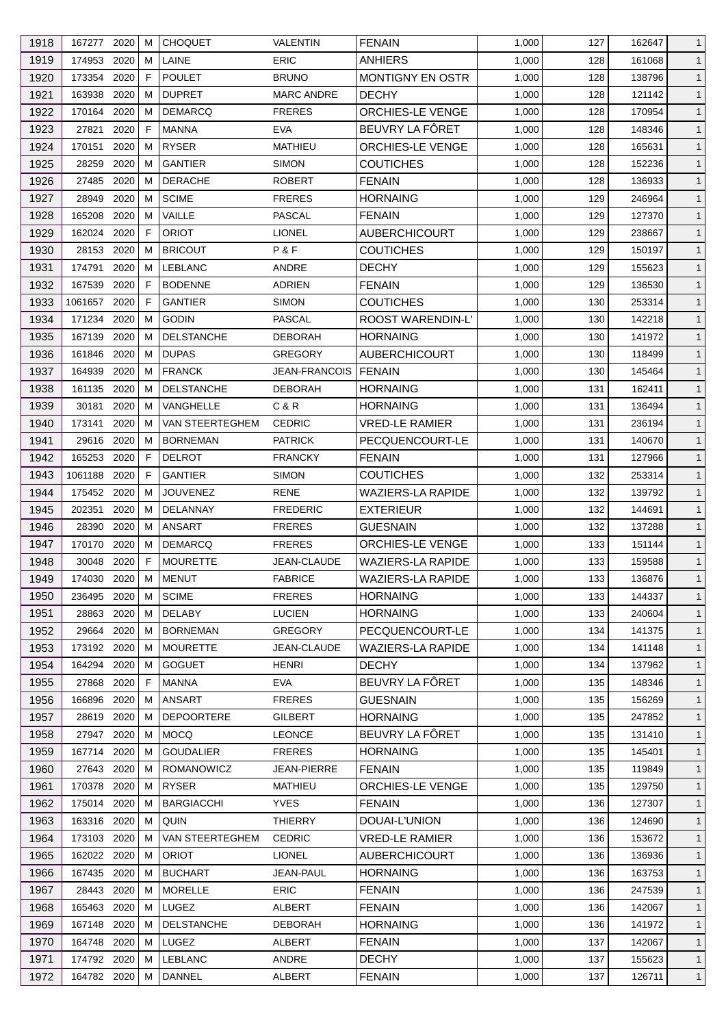| 1918 | 167277 2020 |      | м            | <b>CHOQUET</b>    | VALENTIN             | <b>FENAIN</b>            | 1,000 | 127 | 162647 | $\mathbf{1}$ |
|------|-------------|------|--------------|-------------------|----------------------|--------------------------|-------|-----|--------|--------------|
| 1919 | 174953      | 2020 | м            | LAINE             | <b>ERIC</b>          | <b>ANHIERS</b>           | 1,000 | 128 | 161068 | $\mathbf{1}$ |
| 1920 | 173354      | 2020 | F            | <b>POULET</b>     | <b>BRUNO</b>         | MONTIGNY EN OSTR         | 1,000 | 128 | 138796 | $\mathbf{1}$ |
| 1921 | 163938      | 2020 | м            | <b>DUPRET</b>     | <b>MARC ANDRE</b>    | <b>DECHY</b>             | 1,000 | 128 | 121142 | $\mathbf{1}$ |
| 1922 | 170164      | 2020 | м            | <b>DEMARCO</b>    | <b>FRERES</b>        | <b>ORCHIES-LE VENGE</b>  | 1,000 | 128 | 170954 | $\mathbf{1}$ |
| 1923 | 27821       | 2020 | F            | <b>MANNA</b>      | <b>EVA</b>           | BEUVRY LA FÔRET          | 1,000 | 128 | 148346 | $\mathbf{1}$ |
| 1924 | 170151      | 2020 | м            | <b>RYSER</b>      | <b>MATHIEU</b>       | ORCHIES-LE VENGE         | 1,000 | 128 | 165631 | $\mathbf{1}$ |
| 1925 | 28259       | 2020 | м            | <b>GANTIER</b>    | <b>SIMON</b>         | <b>COUTICHES</b>         | 1,000 | 128 | 152236 | $\mathbf{1}$ |
| 1926 | 27485       | 2020 | M            | <b>DERACHE</b>    | <b>ROBERT</b>        | <b>FENAIN</b>            | 1,000 | 128 | 136933 | $\mathbf{1}$ |
| 1927 | 28949       | 2020 | м            | <b>SCIME</b>      | <b>FRERES</b>        | <b>HORNAING</b>          | 1,000 | 129 | 246964 | $\mathbf{1}$ |
| 1928 | 165208      | 2020 | м            | VAILLE            | <b>PASCAL</b>        | <b>FENAIN</b>            | 1,000 | 129 | 127370 | $\mathbf{1}$ |
| 1929 | 162024 2020 |      | F            | <b>ORIOT</b>      | <b>LIONEL</b>        | AUBERCHICOURT            | 1,000 | 129 | 238667 | $\mathbf{1}$ |
| 1930 | 28153       | 2020 | м            | <b>BRICOUT</b>    | P&F                  | <b>COUTICHES</b>         | 1,000 | 129 | 150197 | $\mathbf{1}$ |
| 1931 | 174791      | 2020 | м            | <b>LEBLANC</b>    | ANDRE                | <b>DECHY</b>             | 1,000 | 129 | 155623 | $\mathbf{1}$ |
| 1932 | 167539      | 2020 | F            | <b>BODENNE</b>    | <b>ADRIEN</b>        | <b>FENAIN</b>            | 1,000 | 129 | 136530 | $\mathbf{1}$ |
| 1933 | 1061657     | 2020 | F            | <b>GANTIER</b>    | <b>SIMON</b>         | <b>COUTICHES</b>         | 1,000 | 130 | 253314 | $\mathbf{1}$ |
| 1934 | 171234      | 2020 | M            | <b>GODIN</b>      | <b>PASCAL</b>        | ROOST WARENDIN-L'        | 1,000 | 130 | 142218 | $\mathbf{1}$ |
| 1935 | 167139      | 2020 | м            | <b>DELSTANCHE</b> | <b>DEBORAH</b>       | <b>HORNAING</b>          | 1,000 | 130 | 141972 | $\mathbf{1}$ |
| 1936 | 161846      | 2020 | м            | <b>DUPAS</b>      | <b>GREGORY</b>       | <b>AUBERCHICOURT</b>     | 1,000 | 130 | 118499 | $\mathbf{1}$ |
| 1937 | 164939      | 2020 | M            | <b>FRANCK</b>     | <b>JEAN-FRANCOIS</b> | FENAIN                   | 1,000 | 130 | 145464 | $\mathbf{1}$ |
| 1938 | 161135      | 2020 | м            | <b>DELSTANCHE</b> | <b>DEBORAH</b>       | <b>HORNAING</b>          | 1,000 | 131 | 162411 | $\mathbf{1}$ |
|      | 30181       | 2020 | м            | <b>VANGHELLE</b>  | C&R                  | <b>HORNAING</b>          |       |     |        |              |
| 1939 |             |      |              |                   |                      |                          | 1,000 | 131 | 136494 | $\mathbf{1}$ |
| 1940 | 173141      | 2020 | м            | VAN STEERTEGHEM   | <b>CEDRIC</b>        | VRED-LE RAMIER           | 1,000 | 131 | 236194 | $\mathbf{1}$ |
| 1941 | 29616       | 2020 | м            | <b>BORNEMAN</b>   | <b>PATRICK</b>       | PECQUENCOURT-LE          | 1,000 | 131 | 140670 | $\mathbf{1}$ |
| 1942 | 165253      | 2020 | F            | <b>DELROT</b>     | <b>FRANCKY</b>       | <b>FENAIN</b>            | 1,000 | 131 | 127966 | $\mathbf{1}$ |
| 1943 | 1061188     | 2020 | F            | <b>GANTIER</b>    | <b>SIMON</b>         | <b>COUTICHES</b>         | 1,000 | 132 | 253314 | $\mathbf{1}$ |
| 1944 | 175452 2020 |      | м            | <b>JOUVENEZ</b>   | RENE                 | <b>WAZIERS-LA RAPIDE</b> | 1,000 | 132 | 139792 | $\mathbf{1}$ |
| 1945 | 202351      | 2020 | м            | DELANNAY          | <b>FREDERIC</b>      | <b>EXTERIEUR</b>         | 1,000 | 132 | 144691 | $\mathbf{1}$ |
| 1946 | 28390       | 2020 | м            | <b>ANSART</b>     | <b>FRERES</b>        | <b>GUESNAIN</b>          | 1,000 | 132 | 137288 | $\mathbf{1}$ |
| 1947 | 170170      | 2020 | м            | <b>DEMARCQ</b>    | <b>FRERES</b>        | ORCHIES-LE VENGE         | 1,000 | 133 | 151144 | $\mathbf{1}$ |
| 1948 | 30048       | 2020 | $\mathsf{F}$ | <b>MOURETTE</b>   | JEAN-CLAUDE          | <b>WAZIERS-LA RAPIDE</b> | 1,000 | 133 | 159588 | $\mathbf{1}$ |
| 1949 | 174030      | 2020 | M            | <b>MENUT</b>      | <b>FABRICE</b>       | <b>WAZIERS-LA RAPIDE</b> | 1,000 | 133 | 136876 | $\mathbf{1}$ |
| 1950 | 236495 2020 |      | м            | <b>SCIME</b>      | <b>FRERES</b>        | <b>HORNAING</b>          | 1,000 | 133 | 144337 | $\mathbf{1}$ |
| 1951 | 28863       | 2020 | м            | <b>DELABY</b>     | <b>LUCIEN</b>        | <b>HORNAING</b>          | 1,000 | 133 | 240604 | $\mathbf{1}$ |
| 1952 | 29664       | 2020 | м            | <b>BORNEMAN</b>   | <b>GREGORY</b>       | PECQUENCOURT-LE          | 1,000 | 134 | 141375 | $\mathbf{1}$ |
| 1953 | 173192      | 2020 | м            | <b>MOURETTE</b>   | JEAN-CLAUDE          | <b>WAZIERS-LA RAPIDE</b> | 1,000 | 134 | 141148 | $\mathbf{1}$ |
| 1954 | 164294 2020 |      | м            | <b>GOGUET</b>     | HENRI                | <b>DECHY</b>             | 1,000 | 134 | 137962 | $\mathbf{1}$ |
| 1955 | 27868       | 2020 | F            | MANNA             | <b>EVA</b>           | BEUVRY LA FÔRET          | 1,000 | 135 | 148346 | $\mathbf{1}$ |
| 1956 | 166896      | 2020 | м            | <b>ANSART</b>     | <b>FRERES</b>        | <b>GUESNAIN</b>          | 1,000 | 135 | 156269 | $\mathbf{1}$ |
| 1957 | 28619       | 2020 | м            | <b>DEPOORTERE</b> | <b>GILBERT</b>       | <b>HORNAING</b>          | 1,000 | 135 | 247852 | $\mathbf{1}$ |
| 1958 | 27947       | 2020 | м            | <b>MOCQ</b>       | <b>LEONCE</b>        | BEUVRY LA FÔRET          | 1,000 | 135 | 131410 | $\mathbf{1}$ |
| 1959 | 167714      | 2020 | м            | <b>GOUDALIER</b>  | <b>FRERES</b>        | <b>HORNAING</b>          | 1,000 | 135 | 145401 | $\mathbf{1}$ |
| 1960 | 27643       | 2020 | м            | <b>ROMANOWICZ</b> | JEAN-PIERRE          | <b>FENAIN</b>            | 1,000 | 135 | 119849 | $\mathbf{1}$ |
| 1961 | 170378      | 2020 | м            | <b>RYSER</b>      | <b>MATHIEU</b>       | ORCHIES-LE VENGE         | 1,000 | 135 | 129750 | $\mathbf{1}$ |
| 1962 | 175014 2020 |      | м            | <b>BARGIACCHI</b> | <b>YVES</b>          | <b>FENAIN</b>            | 1,000 | 136 | 127307 | $\mathbf{1}$ |
| 1963 | 163316 2020 |      | м            | QUIN              | <b>THIERRY</b>       | DOUAI-L'UNION            | 1,000 | 136 | 124690 | $\mathbf{1}$ |
| 1964 | 173103      | 2020 | м            | VAN STEERTEGHEM   | <b>CEDRIC</b>        | <b>VRED-LE RAMIER</b>    | 1,000 | 136 | 153672 | $\mathbf{1}$ |
| 1965 | 162022 2020 |      | м            | <b>ORIOT</b>      | <b>LIONEL</b>        | <b>AUBERCHICOURT</b>     | 1,000 | 136 | 136936 | $\mathbf{1}$ |
| 1966 | 167435 2020 |      | м            | <b>BUCHART</b>    | JEAN-PAUL            | <b>HORNAING</b>          | 1,000 | 136 | 163753 | $\mathbf{1}$ |
| 1967 | 28443       | 2020 | M            | <b>MORELLE</b>    | ERIC                 | <b>FENAIN</b>            | 1,000 | 136 | 247539 | $\mathbf{1}$ |
| 1968 | 165463      | 2020 | M            | LUGEZ             | ALBERT               | <b>FENAIN</b>            | 1,000 | 136 | 142067 | $\mathbf{1}$ |
| 1969 | 167148      | 2020 | м            | <b>DELSTANCHE</b> | <b>DEBORAH</b>       | <b>HORNAING</b>          | 1,000 | 136 | 141972 | $\mathbf{1}$ |
| 1970 | 164748 2020 |      | м            | <b>LUGEZ</b>      | ALBERT               | <b>FENAIN</b>            | 1,000 | 137 | 142067 | $\mathbf{1}$ |
| 1971 | 174792 2020 |      | м            | <b>LEBLANC</b>    | ANDRE                | <b>DECHY</b>             | 1,000 | 137 | 155623 | $\mathbf{1}$ |
| 1972 | 164782 2020 |      | м            | DANNEL            | ALBERT               | <b>FENAIN</b>            | 1,000 | 137 | 126711 | $\mathbf{1}$ |
|      |             |      |              |                   |                      |                          |       |     |        |              |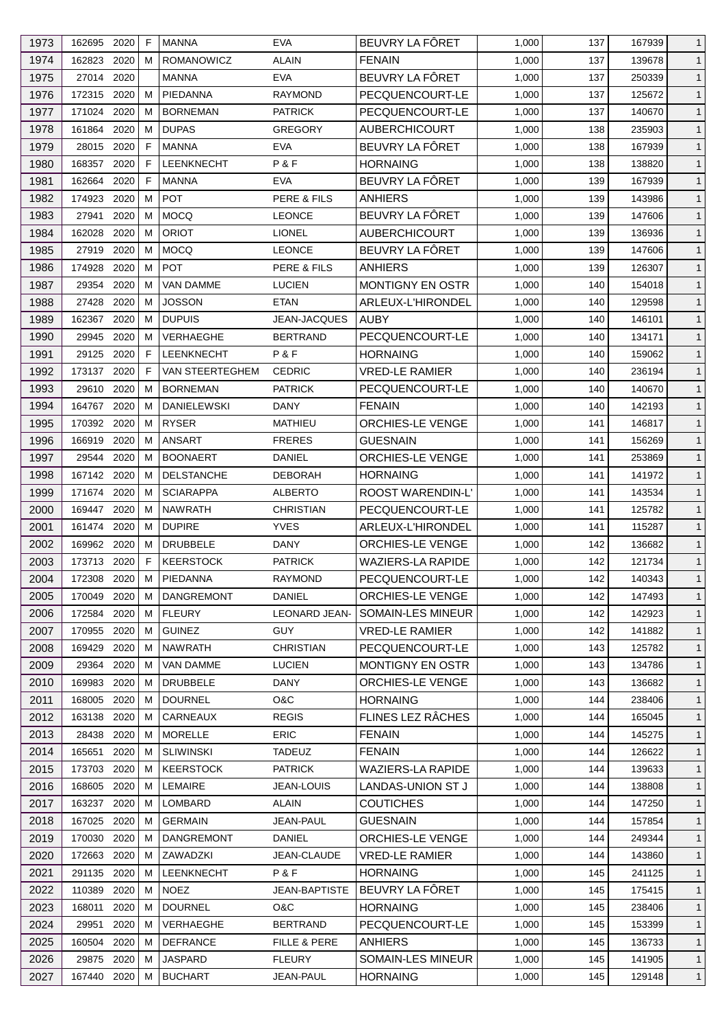| 1973 | 162695      | 2020 | F            | <b>MANNA</b>       | <b>EVA</b>           | BEUVRY LA FÔRET          | 1,000 | 137 | 167939 | $\mathbf{1}$ |
|------|-------------|------|--------------|--------------------|----------------------|--------------------------|-------|-----|--------|--------------|
| 1974 | 162823      | 2020 | м            | <b>ROMANOWICZ</b>  | <b>ALAIN</b>         | <b>FENAIN</b>            | 1,000 | 137 | 139678 | $\mathbf{1}$ |
| 1975 | 27014       | 2020 |              | MANNA              | <b>EVA</b>           | BEUVRY LA FÔRET          | 1,000 | 137 | 250339 | $\mathbf{1}$ |
| 1976 | 172315 2020 |      | м            | PIEDANNA           | <b>RAYMOND</b>       | PECQUENCOURT-LE          | 1,000 | 137 | 125672 | $\mathbf{1}$ |
| 1977 | 171024      | 2020 | м            | <b>BORNEMAN</b>    | <b>PATRICK</b>       | PECQUENCOURT-LE          | 1,000 | 137 | 140670 | $\mathbf{1}$ |
| 1978 | 161864      | 2020 | м            | <b>DUPAS</b>       | <b>GREGORY</b>       | <b>AUBERCHICOURT</b>     | 1,000 | 138 | 235903 | $\mathbf{1}$ |
| 1979 | 28015       | 2020 | F            | <b>MANNA</b>       | <b>EVA</b>           | BEUVRY LA FÖRET          | 1,000 | 138 | 167939 | $\mathbf{1}$ |
| 1980 | 168357      | 2020 | F            | LEENKNECHT         | P&F                  | <b>HORNAING</b>          | 1,000 | 138 | 138820 | $\mathbf{1}$ |
| 1981 | 162664      | 2020 | F            | <b>MANNA</b>       | <b>EVA</b>           | BEUVRY LA FÔRET          | 1,000 | 139 | 167939 | $\mathbf{1}$ |
| 1982 | 174923      | 2020 | м            | <b>POT</b>         | PERE & FILS          | <b>ANHIERS</b>           | 1,000 | 139 | 143986 | $\mathbf{1}$ |
| 1983 | 27941       | 2020 | м            | <b>MOCQ</b>        | <b>LEONCE</b>        | BEUVRY LA FÔRET          | 1,000 | 139 | 147606 | $\mathbf{1}$ |
| 1984 | 162028      | 2020 | м            | <b>ORIOT</b>       | <b>LIONEL</b>        | <b>AUBERCHICOURT</b>     | 1,000 | 139 | 136936 | $\mathbf{1}$ |
| 1985 | 27919       | 2020 | м            | <b>MOCQ</b>        | <b>LEONCE</b>        | BEUVRY LA FÔRET          | 1,000 | 139 | 147606 | $\mathbf{1}$ |
| 1986 | 174928      | 2020 | м            | <b>POT</b>         | PERE & FILS          | <b>ANHIERS</b>           | 1,000 | 139 | 126307 | $\mathbf{1}$ |
| 1987 | 29354       | 2020 | м            | <b>VAN DAMME</b>   | <b>LUCIEN</b>        | <b>MONTIGNY EN OSTR</b>  | 1,000 | 140 | 154018 | $\mathbf{1}$ |
| 1988 | 27428       | 2020 | м            | <b>JOSSON</b>      | <b>ETAN</b>          | ARLEUX-L'HIRONDEL        | 1,000 | 140 | 129598 | $\mathbf{1}$ |
| 1989 | 162367      | 2020 | м            | <b>DUPUIS</b>      | JEAN-JACQUES         | <b>AUBY</b>              | 1,000 | 140 | 146101 | $\mathbf{1}$ |
| 1990 | 29945       | 2020 | м            | <b>VERHAEGHE</b>   | <b>BERTRAND</b>      | PECQUENCOURT-LE          | 1,000 | 140 | 134171 | $\mathbf{1}$ |
| 1991 | 29125       | 2020 | F.           | LEENKNECHT         | P&F                  | <b>HORNAING</b>          | 1,000 | 140 | 159062 | $\mathbf{1}$ |
| 1992 | 173137      | 2020 | F            | VAN STEERTEGHEM    | <b>CEDRIC</b>        | <b>VRED-LE RAMIER</b>    | 1,000 | 140 | 236194 | $\mathbf{1}$ |
| 1993 | 29610       | 2020 | м            | <b>BORNEMAN</b>    | <b>PATRICK</b>       | PECQUENCOURT-LE          | 1,000 | 140 | 140670 | $\mathbf{1}$ |
| 1994 | 164767      | 2020 | м            | <b>DANIELEWSKI</b> | <b>DANY</b>          | <b>FENAIN</b>            | 1,000 | 140 | 142193 | $\mathbf{1}$ |
| 1995 | 170392 2020 |      | м            | <b>RYSER</b>       | MATHIEU              | ORCHIES-LE VENGE         | 1,000 | 141 | 146817 | $\mathbf{1}$ |
|      |             | 2020 | м            | <b>ANSART</b>      |                      |                          |       | 141 |        | $\mathbf{1}$ |
| 1996 | 166919      |      |              |                    | <b>FRERES</b>        | <b>GUESNAIN</b>          | 1,000 |     | 156269 |              |
| 1997 | 29544       | 2020 | м            | <b>BOONAERT</b>    | DANIEL               | ORCHIES-LE VENGE         | 1,000 | 141 | 253869 | $\mathbf{1}$ |
| 1998 | 167142 2020 |      | м            | <b>DELSTANCHE</b>  | <b>DEBORAH</b>       | <b>HORNAING</b>          | 1,000 | 141 | 141972 | $\mathbf{1}$ |
| 1999 | 171674 2020 |      | M            | <b>SCIARAPPA</b>   | <b>ALBERTO</b>       | <b>ROOST WARENDIN-L'</b> | 1,000 | 141 | 143534 | $\mathbf{1}$ |
| 2000 | 169447      | 2020 | м            | <b>NAWRATH</b>     | <b>CHRISTIAN</b>     | PECQUENCOURT-LE          | 1,000 | 141 | 125782 | $\mathbf{1}$ |
| 2001 | 161474      | 2020 | м            | <b>DUPIRE</b>      | <b>YVES</b>          | ARLEUX-L'HIRONDEL        | 1,000 | 141 | 115287 | $\mathbf{1}$ |
| 2002 | 169962 2020 |      | м            | <b>DRUBBELE</b>    | DANY                 | ORCHIES-LE VENGE         | 1,000 | 142 | 136682 | $\mathbf{1}$ |
| 2003 | 173713 2020 |      | $\mathsf{F}$ | <b>KEERSTOCK</b>   | <b>PATRICK</b>       | <b>WAZIERS-LA RAPIDE</b> | 1,000 | 142 | 121734 | $\mathbf{1}$ |
| 2004 | 172308      | 2020 | M            | PIEDANNA           | <b>RAYMOND</b>       | PECQUENCOURT-LE          | 1,000 | 142 | 140343 | $\mathbf{1}$ |
| 2005 | 170049 2020 |      | M            | <b>DANGREMONT</b>  | <b>DANIEL</b>        | ORCHIES-LE VENGE         | 1,000 | 142 | 147493 | $\mathbf{1}$ |
| 2006 | 172584 2020 |      | м            | <b>FLEURY</b>      | <b>LEONARD JEAN-</b> | SOMAIN-LES MINEUR        | 1,000 | 142 | 142923 | $\mathbf{1}$ |
| 2007 | 170955      | 2020 | м            | <b>GUINEZ</b>      | GUY                  | <b>VRED-LE RAMIER</b>    | 1,000 | 142 | 141882 | $\mathbf{1}$ |
| 2008 | 169429      | 2020 | м            | <b>NAWRATH</b>     | <b>CHRISTIAN</b>     | PECQUENCOURT-LE          | 1,000 | 143 | 125782 | $\mathbf{1}$ |
| 2009 | 29364 2020  |      | м            | VAN DAMME          | <b>LUCIEN</b>        | <b>MONTIGNY EN OSTR</b>  | 1,000 | 143 | 134786 | $\mathbf{1}$ |
| 2010 | 169983      | 2020 | м            | <b>DRUBBELE</b>    | DANY                 | <b>ORCHIES-LE VENGE</b>  | 1,000 | 143 | 136682 | $\mathbf{1}$ |
| 2011 | 168005      | 2020 | м            | <b>DOURNEL</b>     | O&C                  | <b>HORNAING</b>          | 1,000 | 144 | 238406 | $\mathbf{1}$ |
| 2012 | 163138      | 2020 | м            | CARNEAUX           | <b>REGIS</b>         | FLINES LEZ RÂCHES        | 1,000 | 144 | 165045 | $\mathbf{1}$ |
| 2013 | 28438       | 2020 | м            | <b>MORELLE</b>     | <b>ERIC</b>          | <b>FENAIN</b>            | 1,000 | 144 | 145275 | $\mathbf{1}$ |
| 2014 | 165651      | 2020 | м            | <b>SLIWINSKI</b>   | <b>TADEUZ</b>        | <b>FENAIN</b>            | 1,000 | 144 | 126622 | $\mathbf{1}$ |
| 2015 | 173703 2020 |      | м            | <b>KEERSTOCK</b>   | <b>PATRICK</b>       | <b>WAZIERS-LA RAPIDE</b> | 1,000 | 144 | 139633 | $\mathbf{1}$ |
| 2016 | 168605      | 2020 | M            | LEMAIRE            | <b>JEAN-LOUIS</b>    | LANDAS-UNION ST J        | 1,000 | 144 | 138808 | $\mathbf{1}$ |
| 2017 | 163237 2020 |      | м            | LOMBARD            | ALAIN                | <b>COUTICHES</b>         | 1,000 | 144 | 147250 | $\mathbf{1}$ |
| 2018 | 167025      | 2020 | м            | <b>GERMAIN</b>     | JEAN-PAUL            | <b>GUESNAIN</b>          | 1,000 | 144 | 157854 | $\mathbf{1}$ |
| 2019 | 170030      | 2020 | м            | <b>DANGREMONT</b>  | DANIEL               | ORCHIES-LE VENGE         | 1,000 | 144 | 249344 | $\mathbf{1}$ |
| 2020 | 172663 2020 |      | м            | ZAWADZKI           | JEAN-CLAUDE          | <b>VRED-LE RAMIER</b>    | 1,000 | 144 | 143860 | $\mathbf{1}$ |
| 2021 | 291135 2020 |      | м            | LEENKNECHT         | P&F                  | <b>HORNAING</b>          | 1,000 | 145 | 241125 | $\mathbf{1}$ |
| 2022 | 110389      | 2020 | м            | <b>NOEZ</b>        | <b>JEAN-BAPTISTE</b> | BEUVRY LA FÖRET          | 1,000 | 145 | 175415 | $\mathbf{1}$ |
| 2023 | 168011      | 2020 | м            | <b>DOURNEL</b>     | O&C.                 | <b>HORNAING</b>          | 1,000 | 145 | 238406 | $\mathbf{1}$ |
| 2024 | 29951       | 2020 | м            | VERHAEGHE          | <b>BERTRAND</b>      | PECQUENCOURT-LE          | 1,000 | 145 | 153399 | $\mathbf{1}$ |
| 2025 | 160504 2020 |      | м            | <b>DEFRANCE</b>    | FILLE & PERE         | ANHIERS                  | 1,000 | 145 | 136733 | $\mathbf{1}$ |
| 2026 | 29875       | 2020 | м            | <b>JASPARD</b>     | <b>FLEURY</b>        | SOMAIN-LES MINEUR        | 1,000 | 145 | 141905 | $\mathbf{1}$ |
| 2027 | 167440 2020 |      | м            | <b>BUCHART</b>     | JEAN-PAUL            | <b>HORNAING</b>          | 1,000 | 145 | 129148 | $\mathbf{1}$ |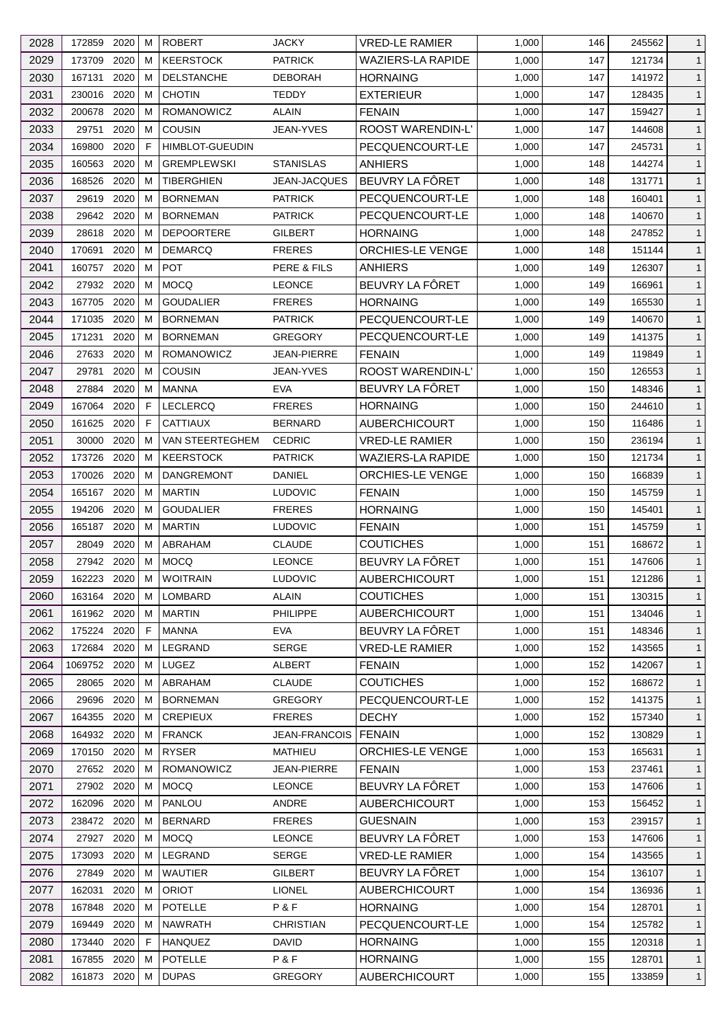| 2028 | 172859      | 2020 | м      | <b>ROBERT</b>            | JACKY                | VRED-LE RAMIER           | 1,000 | 146 | 245562           | $\mathbf{1}$ |
|------|-------------|------|--------|--------------------------|----------------------|--------------------------|-------|-----|------------------|--------------|
| 2029 | 173709      | 2020 | м      | <b>KEERSTOCK</b>         | <b>PATRICK</b>       | <b>WAZIERS-LA RAPIDE</b> | 1,000 | 147 | 121734           | $\mathbf{1}$ |
| 2030 | 167131      | 2020 | м      | <b>DELSTANCHE</b>        | DEBORAH              | <b>HORNAING</b>          | 1,000 | 147 | 141972           | $\mathbf{1}$ |
| 2031 | 230016      | 2020 | м      | <b>CHOTIN</b>            | <b>TEDDY</b>         | <b>EXTERIEUR</b>         | 1,000 | 147 | 128435           | $\mathbf{1}$ |
| 2032 | 200678      | 2020 | M      | ROMANOWICZ               | <b>ALAIN</b>         | <b>FENAIN</b>            | 1,000 | 147 | 159427           | $\mathbf{1}$ |
| 2033 | 29751       | 2020 | м      | <b>COUSIN</b>            | JEAN-YVES            | <b>ROOST WARENDIN-L'</b> | 1,000 | 147 | 144608           | $\mathbf{1}$ |
| 2034 | 169800      | 2020 | F      | <b>HIMBLOT-GUEUDIN</b>   |                      | PECQUENCOURT-LE          | 1,000 | 147 | 245731           | $\mathbf{1}$ |
| 2035 | 160563      | 2020 | м      | <b>GREMPLEWSKI</b>       | <b>STANISLAS</b>     | ANHIERS                  | 1,000 | 148 | 144274           | $\mathbf{1}$ |
| 2036 | 168526      | 2020 | м      | <b>TIBERGHIEN</b>        | JEAN-JACQUES         | BEUVRY LA FÔRET          | 1,000 | 148 | 131771           | $\mathbf{1}$ |
| 2037 | 29619       | 2020 | м      | <b>BORNEMAN</b>          | <b>PATRICK</b>       | PECQUENCOURT-LE          | 1,000 | 148 | 160401           | $\mathbf{1}$ |
| 2038 | 29642       | 2020 | м      | <b>BORNEMAN</b>          | <b>PATRICK</b>       | PECQUENCOURT-LE          | 1,000 | 148 | 140670           | $\mathbf{1}$ |
| 2039 | 28618       | 2020 | м      | <b>DEPOORTERE</b>        | GILBERT              | <b>HORNAING</b>          | 1,000 | 148 | 247852           | $\mathbf{1}$ |
| 2040 | 170691      | 2020 | м      | <b>DEMARCQ</b>           | <b>FRERES</b>        | ORCHIES-LE VENGE         | 1,000 | 148 | 151144           | $\mathbf{1}$ |
| 2041 | 160757      | 2020 | м      | <b>POT</b>               | PERE & FILS          | ANHIERS                  | 1,000 | 149 | 126307           | $\mathbf{1}$ |
| 2042 | 27932       | 2020 | м      | <b>MOCO</b>              | <b>LEONCE</b>        | BEUVRY LA FÔRET          | 1,000 | 149 | 166961           | $\mathbf{1}$ |
| 2043 | 167705      | 2020 | M      | <b>GOUDALIER</b>         | <b>FRERES</b>        | <b>HORNAING</b>          | 1,000 | 149 | 165530           | $\mathbf{1}$ |
| 2044 | 171035      | 2020 | м      | <b>BORNEMAN</b>          | <b>PATRICK</b>       | PECQUENCOURT-LE          | 1,000 | 149 | 140670           | $\mathbf{1}$ |
| 2045 | 171231      | 2020 | м      | <b>BORNEMAN</b>          | <b>GREGORY</b>       | PECQUENCOURT-LE          | 1,000 | 149 | 141375           | $\mathbf{1}$ |
| 2046 | 27633       | 2020 | м      | <b>ROMANOWICZ</b>        | JEAN-PIERRE          | <b>FENAIN</b>            | 1,000 | 149 | 119849           | $\mathbf{1}$ |
| 2047 | 29781       | 2020 | м      | <b>COUSIN</b>            | JEAN-YVES            | ROOST WARENDIN-L'        | 1,000 | 150 | 126553           | $\mathbf{1}$ |
| 2048 | 27884       | 2020 | м      | <b>MANNA</b>             | <b>EVA</b>           | BEUVRY LA FÔRET          | 1,000 | 150 | 148346           | $\mathbf{1}$ |
| 2049 | 167064      | 2020 | F.     | <b>LECLERCQ</b>          | <b>FRERES</b>        | <b>HORNAING</b>          | 1,000 | 150 | 244610           | $\mathbf{1}$ |
| 2050 | 161625      | 2020 | F      | <b>CATTIAUX</b>          | <b>BERNARD</b>       | AUBERCHICOURT            | 1,000 | 150 | 116486           | $\mathbf{1}$ |
| 2051 | 30000       | 2020 | м      | VAN STEERTEGHEM          | <b>CEDRIC</b>        | VRED-LE RAMIER           | 1,000 | 150 | 236194           | $\mathbf{1}$ |
| 2052 | 173726      | 2020 | м      | <b>KEERSTOCK</b>         | <b>PATRICK</b>       | <b>WAZIERS-LA RAPIDE</b> | 1,000 | 150 | 121734           | $\mathbf{1}$ |
|      |             | 2020 | м      |                          |                      |                          |       |     |                  |              |
| 2053 | 170026      |      |        | <b>DANGREMONT</b>        | DANIEL               | ORCHIES-LE VENGE         | 1,000 | 150 | 166839           | $\mathbf{1}$ |
| 2054 | 165167      | 2020 | M      | <b>MARTIN</b>            | <b>LUDOVIC</b>       | <b>FENAIN</b>            | 1,000 | 150 | 145759           | $\mathbf{1}$ |
| 2055 | 194206      | 2020 | м<br>м | <b>GOUDALIER</b>         | <b>FRERES</b>        | <b>HORNAING</b>          | 1,000 | 150 | 145401           | $\mathbf{1}$ |
| 2056 | 165187      | 2020 |        | <b>MARTIN</b><br>ABRAHAM | <b>LUDOVIC</b>       | <b>FENAIN</b>            | 1,000 | 151 | 145759<br>168672 | $\mathbf{1}$ |
| 2057 | 28049       | 2020 | м      |                          | <b>CLAUDE</b>        | <b>COUTICHES</b>         | 1,000 | 151 |                  | $\mathbf{1}$ |
| 2058 | 27942 2020  |      | м      | <b>MOCQ</b>              | <b>LEONCE</b>        | BEUVRY LA FÔRET          | 1,000 | 151 | 147606           | $\mathbf{1}$ |
| 2059 | 162223 2020 |      | M      | <b>WOITRAIN</b>          | <b>LUDOVIC</b>       | <b>AUBERCHICOURT</b>     | 1,000 | 151 | 121286           | $\mathbf{1}$ |
| 2060 | 163164 2020 |      | М      | LOMBARD                  | <b>ALAIN</b>         | <b>COUTICHES</b>         | 1,000 | 151 | 130315           | $\mathbf{1}$ |
| 2061 | 161962 2020 |      | м      | <b>MARTIN</b>            | PHILIPPE             | <b>AUBERCHICOURT</b>     | 1,000 | 151 | 134046           | $\mathbf{1}$ |
| 2062 | 175224      | 2020 | F      | <b>MANNA</b>             | <b>EVA</b>           | BEUVRY LA FÖRET          | 1,000 | 151 | 148346           | $\mathbf{1}$ |
| 2063 | 172684      | 2020 | м      | LEGRAND                  | <b>SERGE</b>         | <b>VRED-LE RAMIER</b>    | 1,000 | 152 | 143565           | $\mathbf{1}$ |
| 2064 | 1069752     | 2020 | м      | LUGEZ                    | <b>ALBERT</b>        | <b>FENAIN</b>            | 1,000 | 152 | 142067           | $\mathbf{1}$ |
| 2065 | 28065       | 2020 | м      | ABRAHAM                  | <b>CLAUDE</b>        | <b>COUTICHES</b>         | 1,000 | 152 | 168672           | $\mathbf{1}$ |
| 2066 | 29696       | 2020 | м      | <b>BORNEMAN</b>          | <b>GREGORY</b>       | PECQUENCOURT-LE          | 1,000 | 152 | 141375           | $\mathbf{1}$ |
| 2067 | 164355      | 2020 | м      | <b>CREPIEUX</b>          | <b>FRERES</b>        | <b>DECHY</b>             | 1,000 | 152 | 157340           | $\mathbf{1}$ |
| 2068 | 164932      | 2020 | м      | <b>FRANCK</b>            | <b>JEAN-FRANCOIS</b> | <b>FENAIN</b>            | 1,000 | 152 | 130829           | $\mathbf{1}$ |
| 2069 | 170150 2020 |      | м      | <b>RYSER</b>             | <b>MATHIEU</b>       | ORCHIES-LE VENGE         | 1,000 | 153 | 165631           | $\mathbf{1}$ |
| 2070 | 27652       | 2020 | м      | <b>ROMANOWICZ</b>        | JEAN-PIERRE          | <b>FENAIN</b>            | 1,000 | 153 | 237461           | $\mathbf{1}$ |
| 2071 | 27902       | 2020 | м      | <b>MOCQ</b>              | <b>LEONCE</b>        | BEUVRY LA FÔRET          | 1,000 | 153 | 147606           | $\mathbf{1}$ |
| 2072 | 162096      | 2020 | м      | <b>PANLOU</b>            | ANDRE                | <b>AUBERCHICOURT</b>     | 1,000 | 153 | 156452           | $\mathbf{1}$ |
| 2073 | 238472 2020 |      | м      | <b>BERNARD</b>           | <b>FRERES</b>        | <b>GUESNAIN</b>          | 1,000 | 153 | 239157           | $\mathbf{1}$ |
| 2074 | 27927       | 2020 | м      | <b>MOCQ</b>              | <b>LEONCE</b>        | BEUVRY LA FÔRET          | 1,000 | 153 | 147606           | $\mathbf{1}$ |
| 2075 | 173093      | 2020 | м      | LEGRAND                  | <b>SERGE</b>         | <b>VRED-LE RAMIER</b>    | 1,000 | 154 | 143565           | $\mathbf{1}$ |
| 2076 | 27849       | 2020 | м      | <b>WAUTIER</b>           | <b>GILBERT</b>       | BEUVRY LA FÔRET          | 1,000 | 154 | 136107           | $\mathbf{1}$ |
| 2077 | 162031      | 2020 | м      | <b>ORIOT</b>             | <b>LIONEL</b>        | <b>AUBERCHICOURT</b>     | 1,000 | 154 | 136936           | $\mathbf{1}$ |
| 2078 | 167848      | 2020 | м      | <b>POTELLE</b>           | P & F                | <b>HORNAING</b>          | 1,000 | 154 | 128701           | $\mathbf{1}$ |
| 2079 | 169449      | 2020 | м      | <b>NAWRATH</b>           | CHRISTIAN            | PECQUENCOURT-LE          | 1,000 | 154 | 125782           | $\mathbf{1}$ |
| 2080 | 173440      | 2020 | F      | <b>HANQUEZ</b>           | <b>DAVID</b>         | <b>HORNAING</b>          | 1,000 | 155 | 120318           | $\mathbf{1}$ |
| 2081 | 167855      | 2020 | M      | <b>POTELLE</b>           | P&F                  | <b>HORNAING</b>          | 1,000 | 155 | 128701           | $\mathbf{1}$ |
| 2082 | 161873 2020 |      | M      | <b>DUPAS</b>             | <b>GREGORY</b>       | AUBERCHICOURT            | 1,000 | 155 | 133859           | $\mathbf{1}$ |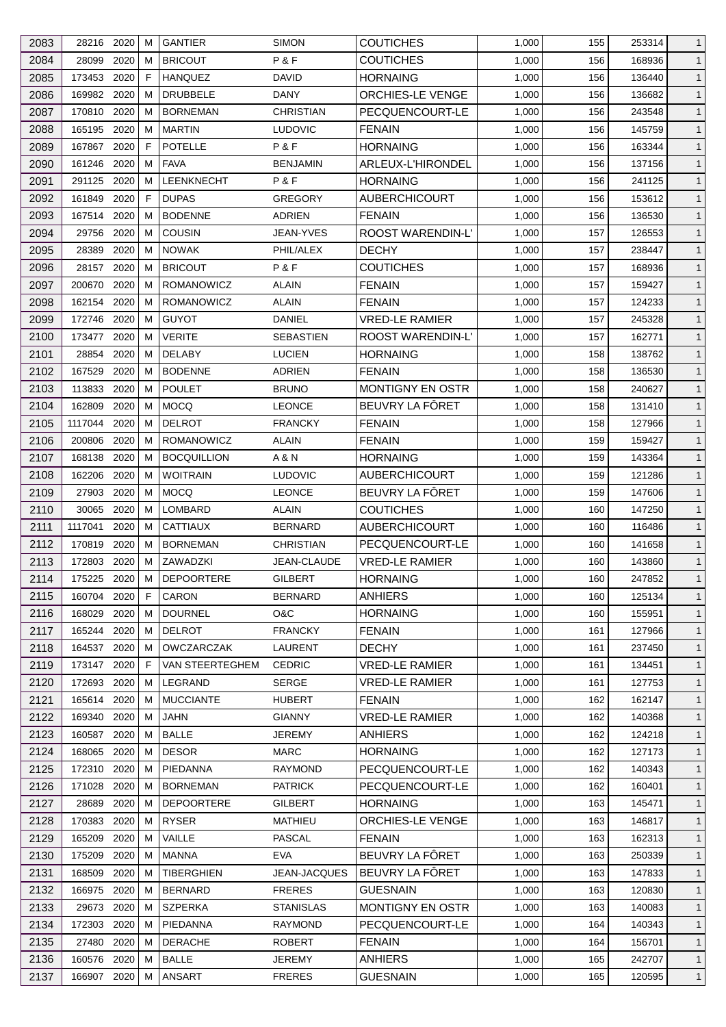| 2083 | 28216 2020  |      | м | <b>GANTIER</b>     | <b>SIMON</b>        | <b>COUTICHES</b>        | 1,000 | 155 | 253314 | 1            |
|------|-------------|------|---|--------------------|---------------------|-------------------------|-------|-----|--------|--------------|
| 2084 | 28099       | 2020 | м | <b>BRICOUT</b>     | P&F                 | <b>COUTICHES</b>        | 1,000 | 156 | 168936 | $\mathbf{1}$ |
| 2085 | 173453      | 2020 | F | <b>HANQUEZ</b>     | DAVID               | <b>HORNAING</b>         | 1,000 | 156 | 136440 | $\mathbf{1}$ |
| 2086 | 169982      | 2020 | м | <b>DRUBBELE</b>    | DANY                | ORCHIES-LE VENGE        | 1,000 | 156 | 136682 | $\mathbf{1}$ |
| 2087 | 170810      | 2020 | M | <b>BORNEMAN</b>    | CHRISTIAN           | PECQUENCOURT-LE         | 1,000 | 156 | 243548 | $\mathbf{1}$ |
| 2088 | 165195      | 2020 | м | <b>MARTIN</b>      | <b>LUDOVIC</b>      | <b>FENAIN</b>           | 1,000 | 156 | 145759 | $\mathbf{1}$ |
| 2089 | 167867      | 2020 | F | <b>POTELLE</b>     | P & F               | <b>HORNAING</b>         | 1,000 | 156 | 163344 | $\mathbf{1}$ |
| 2090 | 161246      | 2020 | м | <b>FAVA</b>        | <b>BENJAMIN</b>     | ARLEUX-L'HIRONDEL       | 1,000 | 156 | 137156 | $\mathbf{1}$ |
| 2091 | 291125      | 2020 | м | <b>LEENKNECHT</b>  | P&F                 | <b>HORNAING</b>         | 1,000 | 156 | 241125 | $\mathbf{1}$ |
| 2092 | 161849      | 2020 | F | <b>DUPAS</b>       | <b>GREGORY</b>      | AUBERCHICOURT           | 1,000 | 156 | 153612 | $\mathbf{1}$ |
| 2093 | 167514      | 2020 | м | <b>BODENNE</b>     | <b>ADRIEN</b>       | <b>FENAIN</b>           | 1,000 | 156 | 136530 | $\mathbf{1}$ |
| 2094 | 29756       | 2020 | M | <b>COUSIN</b>      | JEAN-YVES           | ROOST WARENDIN-L'       | 1,000 | 157 | 126553 | $\mathbf{1}$ |
| 2095 | 28389       | 2020 | м | <b>NOWAK</b>       | PHIL/ALEX           | <b>DECHY</b>            | 1,000 | 157 | 238447 | $\mathbf{1}$ |
| 2096 | 28157       | 2020 | м | <b>BRICOUT</b>     | P&F                 | <b>COUTICHES</b>        | 1,000 | 157 | 168936 | $\mathbf{1}$ |
| 2097 | 200670      | 2020 | м | <b>ROMANOWICZ</b>  | ALAIN               | <b>FENAIN</b>           | 1,000 | 157 | 159427 | $\mathbf{1}$ |
| 2098 | 162154      | 2020 | M | <b>ROMANOWICZ</b>  | ALAIN               | <b>FENAIN</b>           | 1,000 | 157 | 124233 | $\mathbf{1}$ |
| 2099 | 172746      | 2020 | м | <b>GUYOT</b>       | <b>DANIEL</b>       | <b>VRED-LE RAMIER</b>   | 1,000 | 157 | 245328 | $\mathbf{1}$ |
| 2100 | 173477      | 2020 | м | <b>VERITE</b>      | SEBASTIEN           | ROOST WARENDIN-L'       | 1,000 | 157 | 162771 | $\mathbf{1}$ |
| 2101 | 28854       | 2020 | м | <b>DELABY</b>      | <b>LUCIEN</b>       | <b>HORNAING</b>         | 1,000 | 158 | 138762 | $\mathbf{1}$ |
| 2102 | 167529      | 2020 | м | <b>BODENNE</b>     | ADRIEN              | <b>FENAIN</b>           | 1,000 | 158 | 136530 | $\mathbf{1}$ |
| 2103 | 113833      | 2020 | м | <b>POULET</b>      | <b>BRUNO</b>        | <b>MONTIGNY EN OSTR</b> | 1,000 | 158 | 240627 | $\mathbf{1}$ |
| 2104 | 162809      | 2020 | м | <b>MOCQ</b>        | <b>LEONCE</b>       | BEUVRY LA FÔRET         | 1,000 | 158 | 131410 | $\mathbf{1}$ |
| 2105 | 1117044     | 2020 | м | <b>DELROT</b>      | <b>FRANCKY</b>      | <b>FENAIN</b>           | 1,000 | 158 | 127966 | $\mathbf{1}$ |
|      |             | 2020 | м |                    |                     |                         |       |     |        |              |
| 2106 | 200806      |      |   | <b>ROMANOWICZ</b>  | ALAIN               | <b>FENAIN</b>           | 1,000 | 159 | 159427 | $\mathbf{1}$ |
| 2107 | 168138      | 2020 | м | <b>BOCQUILLION</b> | A & N               | <b>HORNAING</b>         | 1,000 | 159 | 143364 | $\mathbf{1}$ |
| 2108 | 162206      | 2020 | м | <b>WOITRAIN</b>    | <b>LUDOVIC</b>      | <b>AUBERCHICOURT</b>    | 1,000 | 159 | 121286 | $\mathbf{1}$ |
| 2109 | 27903       | 2020 | M | <b>MOCQ</b>        | <b>LEONCE</b>       | BEUVRY LA FÔRET         | 1,000 | 159 | 147606 | $\mathbf{1}$ |
| 2110 | 30065       | 2020 | м | LOMBARD            | ALAIN               | <b>COUTICHES</b>        | 1,000 | 160 | 147250 | $\mathbf{1}$ |
| 2111 | 1117041     | 2020 | м | <b>CATTIAUX</b>    | <b>BERNARD</b>      | <b>AUBERCHICOURT</b>    | 1,000 | 160 | 116486 | $\mathbf{1}$ |
| 2112 | 170819      | 2020 | м | <b>BORNEMAN</b>    | <b>CHRISTIAN</b>    | PECQUENCOURT-LE         | 1,000 | 160 | 141658 | $\mathbf{1}$ |
| 2113 | 172803      | 2020 | м | ZAWADZKI           | JEAN-CLAUDE         | <b>VRED-LE RAMIER</b>   | 1,000 | 160 | 143860 | $\mathbf{1}$ |
| 2114 | 175225      | 2020 | M | DEPOORTERE         | GILBERT             | <b>HORNAING</b>         | 1,000 | 160 | 247852 | $\mathbf{1}$ |
| 2115 | 160704      | 2020 | F | CARON              | <b>BERNARD</b>      | <b>ANHIERS</b>          | 1,000 | 160 | 125134 | $\mathbf{1}$ |
| 2116 | 168029      | 2020 | м | <b>DOURNEL</b>     | O&C                 | <b>HORNAING</b>         | 1,000 | 160 | 155951 | $\mathbf{1}$ |
| 2117 | 165244      | 2020 | м | <b>DELROT</b>      | <b>FRANCKY</b>      | <b>FENAIN</b>           | 1,000 | 161 | 127966 | $\mathbf{1}$ |
| 2118 | 164537      | 2020 | м | <b>OWCZARCZAK</b>  | LAURENT             | <b>DECHY</b>            | 1,000 | 161 | 237450 | $\mathbf{1}$ |
| 2119 | 173147      | 2020 | F | VAN STEERTEGHEM    | <b>CEDRIC</b>       | <b>VRED-LE RAMIER</b>   | 1,000 | 161 | 134451 | $\mathbf{1}$ |
| 2120 | 172693      | 2020 | M | LEGRAND            | <b>SERGE</b>        | <b>VRED-LE RAMIER</b>   | 1,000 | 161 | 127753 | $\mathbf{1}$ |
| 2121 | 165614      | 2020 | м | <b>MUCCIANTE</b>   | <b>HUBERT</b>       | <b>FENAIN</b>           | 1,000 | 162 | 162147 | $\mathbf{1}$ |
| 2122 | 169340      | 2020 | м | JAHN               | <b>GIANNY</b>       | <b>VRED-LE RAMIER</b>   | 1,000 | 162 | 140368 | $\mathbf{1}$ |
| 2123 | 160587      | 2020 | м | <b>BALLE</b>       | <b>JEREMY</b>       | ANHIERS                 | 1,000 | 162 | 124218 | $\mathbf{1}$ |
| 2124 | 168065 2020 |      | м | <b>DESOR</b>       | <b>MARC</b>         | <b>HORNAING</b>         | 1,000 | 162 | 127173 | $\mathbf{1}$ |
| 2125 | 172310      | 2020 | м | PIEDANNA           | <b>RAYMOND</b>      | PECQUENCOURT-LE         | 1,000 | 162 | 140343 | $\mathbf{1}$ |
| 2126 | 171028      | 2020 | м | <b>BORNEMAN</b>    | <b>PATRICK</b>      | PECQUENCOURT-LE         | 1,000 | 162 | 160401 | $\mathbf{1}$ |
| 2127 | 28689       | 2020 | м | <b>DEPOORTERE</b>  | <b>GILBERT</b>      | <b>HORNAING</b>         | 1,000 | 163 | 145471 | $\mathbf{1}$ |
| 2128 | 170383      | 2020 | M | <b>RYSER</b>       | MATHIEU             | ORCHIES-LE VENGE        | 1,000 | 163 | 146817 | $\mathbf{1}$ |
| 2129 | 165209      | 2020 | м | VAILLE             | PASCAL              | <b>FENAIN</b>           | 1,000 | 163 | 162313 | $\mathbf{1}$ |
| 2130 | 175209      | 2020 | м | <b>MANNA</b>       | <b>EVA</b>          | BEUVRY LA FÔRET         | 1,000 | 163 | 250339 | $\mathbf{1}$ |
| 2131 | 168509      | 2020 | м | <b>TIBERGHIEN</b>  | <b>JEAN-JACQUES</b> | BEUVRY LA FÔRET         | 1,000 | 163 | 147833 | $\mathbf{1}$ |
| 2132 | 166975      | 2020 | м | <b>BERNARD</b>     | <b>FRERES</b>       | <b>GUESNAIN</b>         | 1,000 | 163 | 120830 | $\mathbf{1}$ |
| 2133 | 29673       | 2020 | м | <b>SZPERKA</b>     | STANISLAS           | <b>MONTIGNY EN OSTR</b> | 1,000 | 163 | 140083 | $\mathbf{1}$ |
| 2134 | 172303      | 2020 | м | PIEDANNA           | <b>RAYMOND</b>      | PECQUENCOURT-LE         | 1,000 | 164 | 140343 | $\mathbf{1}$ |
| 2135 | 27480       | 2020 | м | <b>DERACHE</b>     | <b>ROBERT</b>       | <b>FENAIN</b>           | 1,000 | 164 | 156701 | $\mathbf{1}$ |
| 2136 | 160576      | 2020 | м | <b>BALLE</b>       | <b>JEREMY</b>       | <b>ANHIERS</b>          | 1,000 | 165 | 242707 | $\mathbf{1}$ |
| 2137 | 166907 2020 |      | м | <b>ANSART</b>      | <b>FRERES</b>       | <b>GUESNAIN</b>         | 1,000 | 165 | 120595 | $\mathbf{1}$ |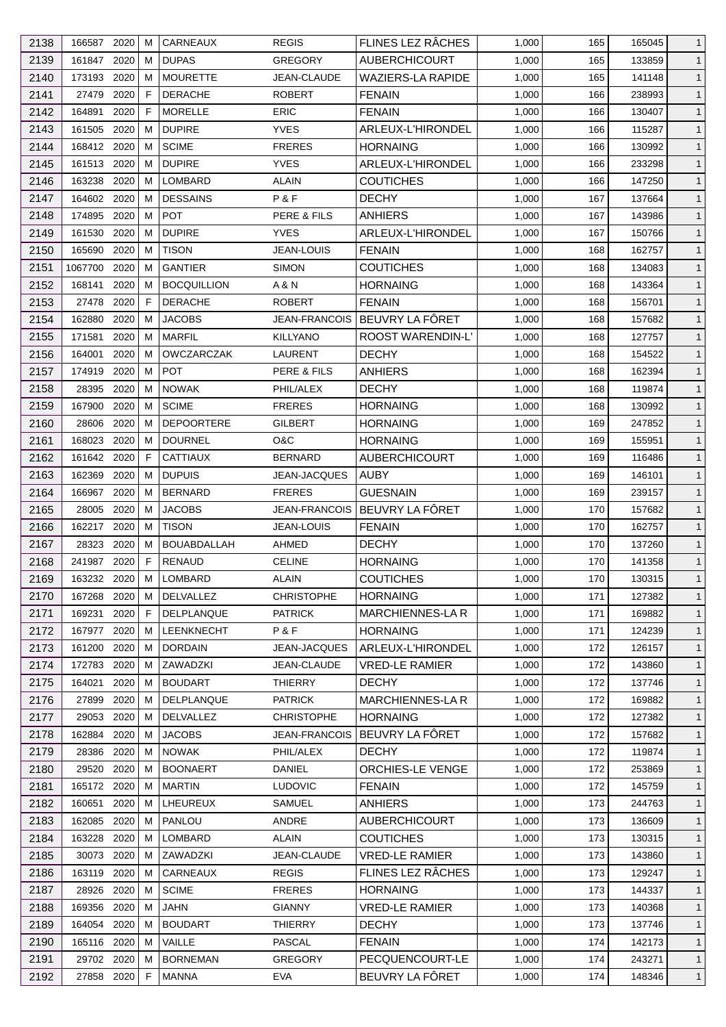| 2138 | 166587 2020           |      | м       | CARNEAUX           | <b>REGIS</b>                      | FLINES LEZ RÂCHES        | 1,000 | 165 | 165045           | $\mathbf{1}$                 |
|------|-----------------------|------|---------|--------------------|-----------------------------------|--------------------------|-------|-----|------------------|------------------------------|
| 2139 | 161847                | 2020 | м       | <b>DUPAS</b>       | <b>GREGORY</b>                    | <b>AUBERCHICOURT</b>     | 1,000 | 165 | 133859           | $\mathbf{1}$                 |
| 2140 | 173193                | 2020 | м       | <b>MOURETTE</b>    | JEAN-CLAUDE                       | <b>WAZIERS-LA RAPIDE</b> | 1,000 | 165 | 141148           | $\mathbf{1}$                 |
| 2141 | 27479                 | 2020 | F       | <b>DERACHE</b>     | <b>ROBERT</b>                     | <b>FENAIN</b>            | 1,000 | 166 | 238993           | $\mathbf{1}$                 |
| 2142 | 164891                | 2020 | F       | <b>MORELLE</b>     | <b>ERIC</b>                       | <b>FENAIN</b>            | 1,000 | 166 | 130407           | $\mathbf{1}$                 |
| 2143 | 161505                | 2020 | м       | <b>DUPIRE</b>      | <b>YVES</b>                       | ARLEUX-L'HIRONDEL        | 1,000 | 166 | 115287           | $\mathbf{1}$                 |
| 2144 | 168412                | 2020 | м       | <b>SCIME</b>       | <b>FRERES</b>                     | <b>HORNAING</b>          | 1,000 | 166 | 130992           | $\mathbf{1}$                 |
| 2145 | 161513                | 2020 | м       | <b>DUPIRE</b>      | <b>YVES</b>                       | ARLEUX-L'HIRONDEL        | 1,000 | 166 | 233298           | $\mathbf{1}$                 |
| 2146 | 163238                | 2020 | м       | LOMBARD            | <b>ALAIN</b>                      | <b>COUTICHES</b>         | 1,000 | 166 | 147250           | $\mathbf{1}$                 |
| 2147 | 164602                | 2020 | м       | <b>DESSAINS</b>    | P&F                               | <b>DECHY</b>             | 1,000 | 167 | 137664           | $\mathbf{1}$                 |
| 2148 | 174895                | 2020 | м       | <b>POT</b>         | PERE & FILS                       | <b>ANHIERS</b>           | 1,000 | 167 | 143986           | $\mathbf{1}$                 |
| 2149 | 161530                | 2020 | м       | <b>DUPIRE</b>      | <b>YVES</b>                       | ARLEUX-L'HIRONDEL        | 1,000 | 167 | 150766           | $\mathbf{1}$                 |
| 2150 | 165690                | 2020 | м       | <b>TISON</b>       | <b>JEAN-LOUIS</b>                 | <b>FENAIN</b>            | 1,000 | 168 | 162757           | $\mathbf{1}$                 |
| 2151 | 1067700               | 2020 | м       | <b>GANTIER</b>     | <b>SIMON</b>                      | <b>COUTICHES</b>         | 1,000 | 168 | 134083           | $\mathbf{1}$                 |
| 2152 | 168141                | 2020 | м       | <b>BOCQUILLION</b> | A & N                             | <b>HORNAING</b>          | 1,000 | 168 | 143364           | $\mathbf{1}$                 |
| 2153 | 27478                 | 2020 | F       | <b>DERACHE</b>     | <b>ROBERT</b>                     | <b>FENAIN</b>            | 1,000 | 168 | 156701           | $\mathbf{1}$                 |
| 2154 | 162880                | 2020 | м       | <b>JACOBS</b>      | <b>JEAN-FRANCOIS</b>              | BEUVRY LA FÔRET          | 1,000 | 168 | 157682           | $\mathbf{1}$                 |
| 2155 | 171581                | 2020 | м       | <b>MARFIL</b>      | <b>KILLYANO</b>                   | ROOST WARENDIN-L'        | 1,000 | 168 | 127757           | $\mathbf{1}$                 |
| 2156 | 164001                | 2020 | м       | <b>OWCZARCZAK</b>  | <b>LAURENT</b>                    | <b>DECHY</b>             | 1,000 | 168 | 154522           | $\mathbf{1}$                 |
| 2157 | 174919                | 2020 | М       | <b>POT</b>         | PERE & FILS                       | ANHIERS                  | 1,000 | 168 | 162394           | $\mathbf{1}$                 |
| 2158 | 28395                 | 2020 | м       | <b>NOWAK</b>       | PHIL/ALEX                         | <b>DECHY</b>             | 1,000 | 168 | 119874           | $\mathbf{1}$                 |
| 2159 | 167900                | 2020 | м       | <b>SCIME</b>       | <b>FRERES</b>                     | <b>HORNAING</b>          | 1,000 | 168 | 130992           | $\mathbf{1}$                 |
| 2160 | 28606                 | 2020 | м       | <b>DEPOORTERE</b>  | <b>GILBERT</b>                    | <b>HORNAING</b>          | 1,000 | 169 | 247852           | $\mathbf{1}$                 |
| 2161 | 168023                | 2020 | м       | <b>DOURNEL</b>     | O&C                               | <b>HORNAING</b>          | 1,000 | 169 | 155951           | $\mathbf{1}$                 |
| 2162 | 161642                | 2020 | F       | <b>CATTIAUX</b>    | <b>BERNARD</b>                    | <b>AUBERCHICOURT</b>     | 1,000 | 169 | 116486           | $\mathbf{1}$                 |
| 2163 | 162369                | 2020 | м       | <b>DUPUIS</b>      | JEAN-JACQUES                      | <b>AUBY</b>              | 1,000 | 169 | 146101           | $\mathbf{1}$                 |
| 2164 | 166967                | 2020 | M       | <b>BERNARD</b>     | <b>FRERES</b>                     | <b>GUESNAIN</b>          | 1,000 | 169 | 239157           | $\mathbf{1}$                 |
| 2165 | 28005                 | 2020 | М       | <b>JACOBS</b>      | JEAN-FRANCOIS                     | BEUVRY LA FÔRET          | 1,000 | 170 | 157682           | $\mathbf{1}$                 |
| 2166 | 162217                | 2020 | м       | <b>TISON</b>       | JEAN-LOUIS                        | <b>FENAIN</b>            | 1,000 | 170 | 162757           | $\mathbf{1}$                 |
| 2167 | 28323                 | 2020 | м       | <b>BOUABDALLAH</b> | AHMED                             | <b>DECHY</b>             | 1,000 | 170 | 137260           | $\mathbf{1}$                 |
| 2168 | 241987                | 2020 | F       | <b>RENAUD</b>      | <b>CELINE</b>                     | <b>HORNAING</b>          | 1,000 | 170 | 141358           | $\mathbf{1}$                 |
| 2169 |                       |      | M       | LOMBARD            |                                   | <b>COUTICHES</b>         | 1,000 | 170 |                  |                              |
| 2170 | 163232 2020<br>167268 | 2020 |         | <b>DELVALLEZ</b>   | <b>ALAIN</b><br><b>CHRISTOPHE</b> | <b>HORNAING</b>          | 1,000 | 171 | 130315<br>127382 | $\mathbf{1}$<br>$\mathbf{1}$ |
| 2171 | 169231                | 2020 | М<br>F. | DELPLANQUE         | <b>PATRICK</b>                    | <b>MARCHIENNES-LA R</b>  | 1,000 | 171 | 169882           | $\mathbf{1}$                 |
| 2172 | 167977                | 2020 | м       | LEENKNECHT         | P&F                               | <b>HORNAING</b>          | 1,000 | 171 | 124239           | $\mathbf{1}$                 |
|      |                       |      |         | <b>DORDAIN</b>     | <b>JEAN-JACQUES</b>               | ARLEUX-L'HIRONDEL        |       |     |                  |                              |
| 2173 | 161200                | 2020 | м       |                    |                                   |                          | 1,000 | 172 | 126157           | $\mathbf{1}$                 |
| 2174 | 172783                | 2020 | м       | ZAWADZKI           | JEAN-CLAUDE                       | <b>VRED-LE RAMIER</b>    | 1,000 | 172 | 143860           | $\mathbf{1}$                 |
| 2175 | 164021                | 2020 | M       | <b>BOUDART</b>     | THIERRY                           | <b>DECHY</b>             | 1,000 | 172 | 137746           | $\mathbf{1}$                 |
| 2176 | 27899                 | 2020 | м       | DELPLANQUE         | <b>PATRICK</b>                    | <b>MARCHIENNES-LAR</b>   | 1,000 | 172 | 169882           | $\mathbf{1}$                 |
| 2177 | 29053                 | 2020 | м       | DELVALLEZ          | <b>CHRISTOPHE</b>                 | <b>HORNAING</b>          | 1,000 | 172 | 127382           | $\mathbf{1}$                 |
| 2178 | 162884                | 2020 | м       | <b>JACOBS</b>      | JEAN-FRANCOIS                     | BEUVRY LA FÔRET          | 1,000 | 172 | 157682           | $\mathbf{1}$                 |
| 2179 | 28386                 | 2020 | М       | <b>NOWAK</b>       | PHIL/ALEX                         | <b>DECHY</b>             | 1,000 | 172 | 119874           | $\mathbf{1}$                 |
| 2180 | 29520                 | 2020 | м       | <b>BOONAERT</b>    | DANIEL                            | <b>ORCHIES-LE VENGE</b>  | 1,000 | 172 | 253869           | $\mathbf{1}$                 |
| 2181 | 165172                | 2020 | м       | <b>MARTIN</b>      | <b>LUDOVIC</b>                    | <b>FENAIN</b>            | 1,000 | 172 | 145759           | $\mathbf{1}$                 |
| 2182 | 160651                | 2020 | M       | LHEUREUX           | <b>SAMUEL</b>                     | <b>ANHIERS</b>           | 1,000 | 173 | 244763           | $\mathbf{1}$                 |
| 2183 | 162085                | 2020 | м       | <b>PANLOU</b>      | ANDRE                             | <b>AUBERCHICOURT</b>     | 1,000 | 173 | 136609           | $\mathbf{1}$                 |
| 2184 | 163228                | 2020 | м       | LOMBARD            | <b>ALAIN</b>                      | <b>COUTICHES</b>         | 1,000 | 173 | 130315           | $\mathbf{1}$                 |
| 2185 | 30073                 | 2020 | м       | ZAWADZKI           | JEAN-CLAUDE                       | <b>VRED-LE RAMIER</b>    | 1,000 | 173 | 143860           | $\mathbf{1}$                 |
| 2186 | 163119                | 2020 | м       | CARNEAUX           | <b>REGIS</b>                      | FLINES LEZ RÂCHES        | 1,000 | 173 | 129247           | $\mathbf{1}$                 |
| 2187 | 28926                 | 2020 | м       | <b>SCIME</b>       | <b>FRERES</b>                     | <b>HORNAING</b>          | 1,000 | 173 | 144337           | $\mathbf{1}$                 |
| 2188 | 169356                | 2020 | м       | JAHN               | <b>GIANNY</b>                     | <b>VRED-LE RAMIER</b>    | 1,000 | 173 | 140368           | $\mathbf{1}$                 |
| 2189 | 164054                | 2020 | м       | <b>BOUDART</b>     | <b>THIERRY</b>                    | <b>DECHY</b>             | 1,000 | 173 | 137746           | $\mathbf{1}$                 |
| 2190 | 165116 2020           |      | м       | VAILLE             | <b>PASCAL</b>                     | <b>FENAIN</b>            | 1,000 | 174 | 142173           | $\mathbf{1}$                 |
| 2191 | 29702                 | 2020 | м       | <b>BORNEMAN</b>    | <b>GREGORY</b>                    | PECQUENCOURT-LE          | 1,000 | 174 | 243271           | $\mathbf{1}$                 |
| 2192 | 27858 2020            |      | F       | <b>MANNA</b>       | <b>EVA</b>                        | BEUVRY LA FÔRET          | 1,000 | 174 | 148346           | $\mathbf{1}$                 |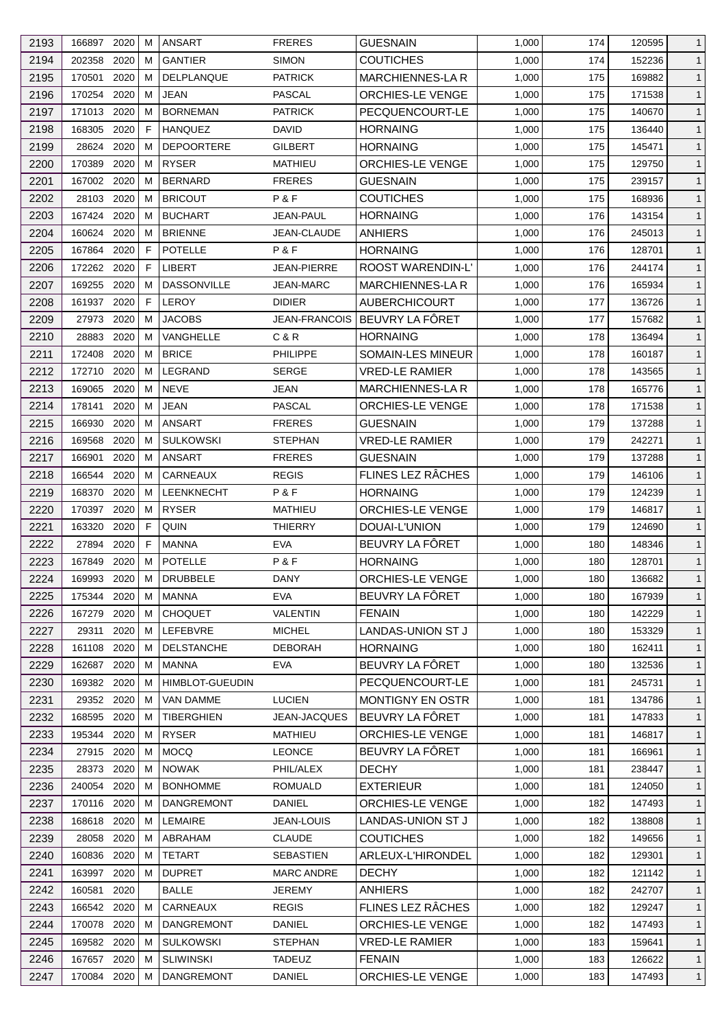| 2193 | 166897      | 2020 | м | <b>ANSART</b>          | <b>FRERES</b>       | <b>GUESNAIN</b>               | 1,000 | 174 | 120595 | $\mathbf{1}$ |
|------|-------------|------|---|------------------------|---------------------|-------------------------------|-------|-----|--------|--------------|
| 2194 | 202358      | 2020 | м | <b>GANTIER</b>         | <b>SIMON</b>        | <b>COUTICHES</b>              | 1,000 | 174 | 152236 | $\mathbf{1}$ |
| 2195 | 170501      | 2020 | м | DELPLANQUE             | <b>PATRICK</b>      | MARCHIENNES-LA R              | 1,000 | 175 | 169882 | $\mathbf{1}$ |
| 2196 | 170254      | 2020 | м | <b>JEAN</b>            | <b>PASCAL</b>       | <b>ORCHIES-LE VENGE</b>       | 1,000 | 175 | 171538 | $\mathbf{1}$ |
| 2197 | 171013      | 2020 | М | <b>BORNEMAN</b>        | <b>PATRICK</b>      | PECQUENCOURT-LE               | 1,000 | 175 | 140670 | $\mathbf{1}$ |
| 2198 | 168305      | 2020 | F | <b>HANQUEZ</b>         | <b>DAVID</b>        | <b>HORNAING</b>               | 1,000 | 175 | 136440 | $\mathbf{1}$ |
| 2199 | 28624       | 2020 | м | <b>DEPOORTERE</b>      | GILBERT             | <b>HORNAING</b>               | 1,000 | 175 | 145471 | $\mathbf{1}$ |
| 2200 | 170389      | 2020 | M | <b>RYSER</b>           | <b>MATHIEU</b>      | <b>ORCHIES-LE VENGE</b>       | 1,000 | 175 | 129750 | $\mathbf{1}$ |
| 2201 | 167002      | 2020 | м | <b>BERNARD</b>         | <b>FRERES</b>       | <b>GUESNAIN</b>               | 1,000 | 175 | 239157 | $\mathbf{1}$ |
| 2202 | 28103       | 2020 | м | <b>BRICOUT</b>         | P&F                 | <b>COUTICHES</b>              | 1,000 | 175 | 168936 | $\mathbf{1}$ |
| 2203 | 167424      | 2020 | м | <b>BUCHART</b>         | JEAN-PAUL           | <b>HORNAING</b>               | 1,000 | 176 | 143154 | $\mathbf{1}$ |
| 2204 | 160624      | 2020 | м | <b>BRIENNE</b>         | JEAN-CLAUDE         | ANHIERS                       | 1,000 | 176 | 245013 | $\mathbf{1}$ |
| 2205 | 167864      | 2020 | F | <b>POTELLE</b>         | P & F               | <b>HORNAING</b>               | 1,000 | 176 | 128701 | $\mathbf{1}$ |
| 2206 | 172262      | 2020 | F | LIBERT                 | JEAN-PIERRE         | ROOST WARENDIN-L'             | 1,000 | 176 | 244174 | $\mathbf{1}$ |
| 2207 | 169255      | 2020 | м | <b>DASSONVILLE</b>     | <b>JEAN-MARC</b>    | <b>MARCHIENNES-LAR</b>        | 1,000 | 176 | 165934 | $\mathbf{1}$ |
| 2208 | 161937      | 2020 | F | <b>LEROY</b>           | <b>DIDIER</b>       | <b>AUBERCHICOURT</b>          | 1,000 | 177 | 136726 | $\mathbf{1}$ |
| 2209 | 27973       | 2020 | м | <b>JACOBS</b>          |                     | JEAN-FRANCOIS BEUVRY LA FORET | 1,000 | 177 | 157682 | $\mathbf{1}$ |
| 2210 | 28883       | 2020 | м | VANGHELLE              | C & R               | <b>HORNAING</b>               | 1,000 | 178 | 136494 | $\mathbf{1}$ |
| 2211 | 172408      | 2020 | М | <b>BRICE</b>           | <b>PHILIPPE</b>     | <b>SOMAIN-LES MINEUR</b>      | 1,000 | 178 | 160187 | $\mathbf{1}$ |
| 2212 | 172710      | 2020 | М | LEGRAND                | <b>SERGE</b>        | <b>VRED-LE RAMIER</b>         | 1,000 | 178 | 143565 | $\mathbf{1}$ |
| 2213 | 169065      | 2020 | м | <b>NEVE</b>            | JEAN                | <b>MARCHIENNES-LA R</b>       | 1,000 | 178 | 165776 | $\mathbf{1}$ |
| 2214 | 178141      | 2020 | м | <b>JEAN</b>            | <b>PASCAL</b>       | <b>ORCHIES-LE VENGE</b>       | 1,000 | 178 | 171538 | $\mathbf{1}$ |
| 2215 | 166930      | 2020 | м | ANSART                 | <b>FRERES</b>       | <b>GUESNAIN</b>               | 1,000 | 179 | 137288 | $\mathbf{1}$ |
|      |             | 2020 | м | <b>SULKOWSKI</b>       |                     |                               |       |     |        | $\mathbf{1}$ |
| 2216 | 169568      |      |   |                        | <b>STEPHAN</b>      | <b>VRED-LE RAMIER</b>         | 1,000 | 179 | 242271 |              |
| 2217 | 166901      | 2020 | м | <b>ANSART</b>          | <b>FRERES</b>       | <b>GUESNAIN</b>               | 1,000 | 179 | 137288 | $\mathbf{1}$ |
| 2218 | 166544      | 2020 | м | CARNEAUX               | <b>REGIS</b>        | FLINES LEZ RÂCHES             | 1,000 | 179 | 146106 | $\mathbf{1}$ |
| 2219 | 168370      | 2020 | M | <b>LEENKNECHT</b>      | <b>P&amp;F</b>      | <b>HORNAING</b>               | 1,000 | 179 | 124239 | $\mathbf{1}$ |
| 2220 | 170397      | 2020 | м | <b>RYSER</b>           | <b>MATHIEU</b>      | <b>ORCHIES-LE VENGE</b>       | 1,000 | 179 | 146817 | $\mathbf{1}$ |
| 2221 | 163320      | 2020 | F | QUIN                   | <b>THIERRY</b>      | DOUAI-L'UNION                 | 1,000 | 179 | 124690 | $\mathbf{1}$ |
| 2222 | 27894       | 2020 | F | <b>MANNA</b>           | <b>EVA</b>          | BEUVRY LA FÔRET               | 1,000 | 180 | 148346 | $\mathbf{1}$ |
| 2223 | 167849      | 2020 | M | <b>POTELLE</b>         | P&F                 | <b>HORNAING</b>               | 1,000 | 180 | 128701 | $\mathbf{1}$ |
| 2224 | 169993      | 2020 | м | DRUBBELE               | DANY                | <b>ORCHIES-LE VENGE</b>       | 1,000 | 180 | 136682 | $\mathbf{1}$ |
| 2225 | 175344      | 2020 | м | MANNA                  | <b>EVA</b>          | BEUVRY LA FÔRET               | 1,000 | 180 | 167939 | $\mathbf{1}$ |
| 2226 | 167279      | 2020 | м | <b>CHOQUET</b>         | VALENTIN            | <b>FENAIN</b>                 | 1,000 | 180 | 142229 | $\mathbf{1}$ |
| 2227 | 29311       | 2020 | м | LEFEBVRE               | <b>MICHEL</b>       | LANDAS-UNION ST J             | 1,000 | 180 | 153329 | $\mathbf{1}$ |
| 2228 | 161108      | 2020 | м | <b>DELSTANCHE</b>      | <b>DEBORAH</b>      | <b>HORNAING</b>               | 1,000 | 180 | 162411 | $\mathbf{1}$ |
| 2229 | 162687      | 2020 | м | <b>MANNA</b>           | <b>EVA</b>          | BEUVRY LA FÔRET               | 1,000 | 180 | 132536 | $\mathbf{1}$ |
| 2230 | 169382 2020 |      | м | <b>HIMBLOT-GUEUDIN</b> |                     | PECQUENCOURT-LE               | 1,000 | 181 | 245731 | $\mathbf{1}$ |
| 2231 | 29352 2020  |      | м | VAN DAMME              | <b>LUCIEN</b>       | <b>MONTIGNY EN OSTR</b>       | 1,000 | 181 | 134786 | $\mathbf{1}$ |
| 2232 | 168595      | 2020 | м | <b>TIBERGHIEN</b>      | <b>JEAN-JACQUES</b> | BEUVRY LA FÔRET               | 1,000 | 181 | 147833 | $\mathbf{1}$ |
| 2233 | 195344      | 2020 | М | <b>RYSER</b>           | MATHIEU             | ORCHIES-LE VENGE              | 1,000 | 181 | 146817 | $\mathbf{1}$ |
| 2234 | 27915 2020  |      | М | <b>MOCQ</b>            | <b>LEONCE</b>       | BEUVRY LA FÔRET               | 1,000 | 181 | 166961 | $\mathbf{1}$ |
| 2235 | 28373       | 2020 | м | <b>NOWAK</b>           | PHIL/ALEX           | <b>DECHY</b>                  | 1,000 | 181 | 238447 | $\mathbf{1}$ |
| 2236 | 240054      | 2020 | м | <b>BONHOMME</b>        | <b>ROMUALD</b>      | <b>EXTERIEUR</b>              | 1,000 | 181 | 124050 | $\mathbf{1}$ |
| 2237 | 170116 2020 |      | м | <b>DANGREMONT</b>      | <b>DANIEL</b>       | <b>ORCHIES-LE VENGE</b>       | 1,000 | 182 | 147493 | $\mathbf{1}$ |
| 2238 | 168618      | 2020 | м | LEMAIRE                | <b>JEAN-LOUIS</b>   | LANDAS-UNION ST J             | 1,000 | 182 | 138808 | $\mathbf{1}$ |
| 2239 | 28058       | 2020 | м | ABRAHAM                | <b>CLAUDE</b>       | <b>COUTICHES</b>              | 1,000 | 182 | 149656 | $\mathbf{1}$ |
| 2240 | 160836      | 2020 | м | <b>TETART</b>          | <b>SEBASTIEN</b>    | ARLEUX-L'HIRONDEL             | 1,000 | 182 | 129301 | $\mathbf{1}$ |
| 2241 | 163997      | 2020 | М | <b>DUPRET</b>          | <b>MARC ANDRE</b>   | <b>DECHY</b>                  | 1,000 | 182 | 121142 | $\mathbf{1}$ |
| 2242 | 160581      | 2020 |   | <b>BALLE</b>           | <b>JEREMY</b>       | ANHIERS                       | 1,000 | 182 | 242707 | $\mathbf{1}$ |
| 2243 | 166542      | 2020 | м | CARNEAUX               | <b>REGIS</b>        | FLINES LEZ RÂCHES             | 1,000 | 182 | 129247 | $\mathbf{1}$ |
| 2244 | 170078      | 2020 | м | DANGREMONT             | <b>DANIEL</b>       | ORCHIES-LE VENGE              | 1,000 | 182 | 147493 | $\mathbf{1}$ |
| 2245 | 169582 2020 |      | м | <b>SULKOWSKI</b>       | <b>STEPHAN</b>      | <b>VRED-LE RAMIER</b>         | 1,000 | 183 | 159641 | $\mathbf{1}$ |
| 2246 | 167657      | 2020 | м | <b>SLIWINSKI</b>       | <b>TADEUZ</b>       | <b>FENAIN</b>                 | 1,000 | 183 | 126622 | $\mathbf{1}$ |
| 2247 | 170084 2020 |      | м | DANGREMONT             | DANIEL              | ORCHIES-LE VENGE              | 1,000 | 183 | 147493 | $\mathbf{1}$ |
|      |             |      |   |                        |                     |                               |       |     |        |              |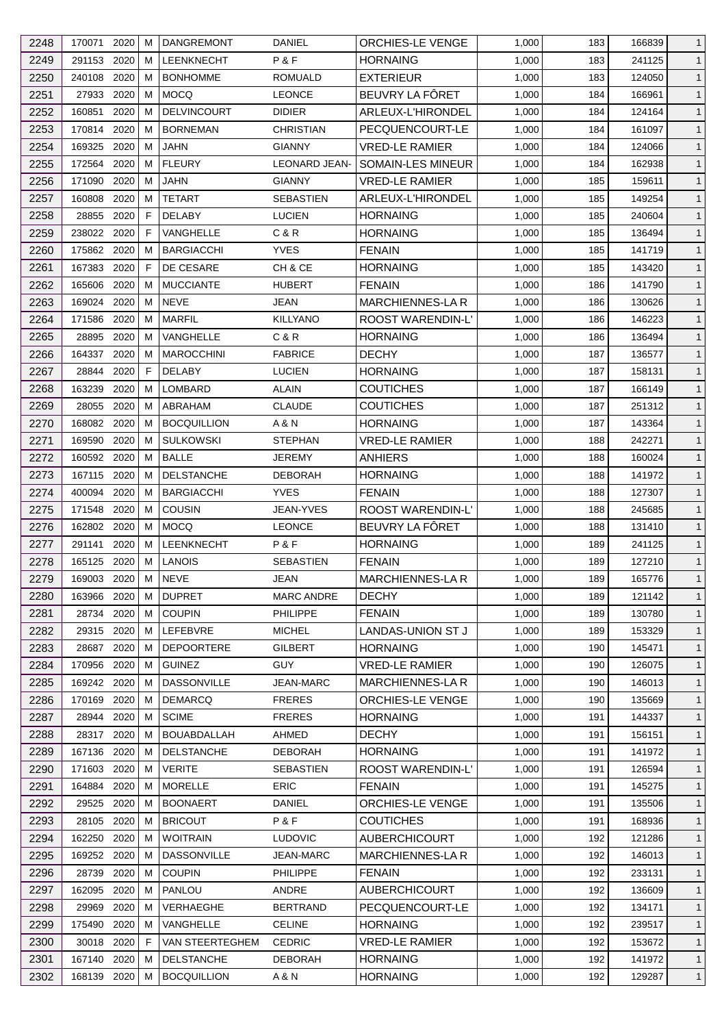| 2248 | 170071         | 2020         | м      | <b>DANGREMONT</b>             | <b>DANIEL</b>                        | ORCHIES-LE VENGE                         | 1,000          | 183        | 166839           | $\mathbf{1}$                 |
|------|----------------|--------------|--------|-------------------------------|--------------------------------------|------------------------------------------|----------------|------------|------------------|------------------------------|
| 2249 | 291153         | 2020         | м      | <b>LEENKNECHT</b>             | P&F                                  | <b>HORNAING</b>                          | 1,000          | 183        | 241125           | $\mathbf{1}$                 |
| 2250 | 240108         | 2020         | м      | <b>BONHOMME</b>               | <b>ROMUALD</b>                       | <b>EXTERIEUR</b>                         | 1,000          | 183        | 124050           | $\mathbf{1}$                 |
| 2251 | 27933          | 2020         | M      | <b>MOCQ</b>                   | <b>LEONCE</b>                        | BEUVRY LA FÖRET                          | 1,000          | 184        | 166961           | $\mathbf{1}$                 |
| 2252 | 160851         | 2020         | м      | <b>DELVINCOURT</b>            | <b>DIDIER</b>                        | ARLEUX-L'HIRONDEL                        | 1,000          | 184        | 124164           | $\mathbf{1}$                 |
| 2253 | 170814         | 2020         | м      | <b>BORNEMAN</b>               | <b>CHRISTIAN</b>                     | PECQUENCOURT-LE                          | 1,000          | 184        | 161097           | $\mathbf{1}$                 |
| 2254 | 169325         | 2020         | м      | <b>JAHN</b>                   | <b>GIANNY</b>                        | <b>VRED-LE RAMIER</b>                    | 1,000          | 184        | 124066           | $\mathbf{1}$                 |
| 2255 | 172564         | 2020         | M      | <b>FLEURY</b>                 | <b>LEONARD JEAN-</b>                 | SOMAIN-LES MINEUR                        | 1,000          | 184        | 162938           | $\mathbf{1}$                 |
| 2256 | 171090         | 2020         | м      | <b>JAHN</b>                   | <b>GIANNY</b>                        | <b>VRED-LE RAMIER</b>                    | 1,000          | 185        | 159611           | $\mathbf{1}$                 |
| 2257 | 160808         | 2020         | м      | <b>TETART</b>                 | SEBASTIEN                            | ARLEUX-L'HIRONDEL                        | 1,000          | 185        | 149254           | $\mathbf{1}$                 |
| 2258 | 28855          | 2020         | F      | <b>DELABY</b>                 | <b>LUCIEN</b>                        | <b>HORNAING</b>                          | 1,000          | 185        | 240604           | $\mathbf{1}$                 |
| 2259 | 238022         | 2020         | F      | VANGHELLE                     | C & R                                | <b>HORNAING</b>                          | 1,000          | 185        | 136494           | $\mathbf{1}$                 |
| 2260 | 175862         | 2020         | м      | <b>BARGIACCHI</b>             | <b>YVES</b>                          | <b>FENAIN</b>                            | 1,000          | 185        | 141719           | $\mathbf{1}$                 |
| 2261 | 167383         | 2020         | F      | DE CESARE                     | CH & CE                              | <b>HORNAING</b>                          | 1,000          | 185        | 143420           | $\mathbf{1}$                 |
| 2262 | 165606         | 2020         | м      | <b>MUCCIANTE</b>              | <b>HUBERT</b>                        | <b>FENAIN</b>                            | 1,000          | 186        | 141790           | $\mathbf{1}$                 |
| 2263 | 169024         | 2020         | м      | <b>NEVE</b>                   | JEAN                                 | <b>MARCHIENNES-LAR</b>                   | 1,000          | 186        | 130626           | $\mathbf{1}$                 |
| 2264 | 171586         | 2020         | M      | <b>MARFIL</b>                 | <b>KILLYANO</b>                      | ROOST WARENDIN-L'                        | 1,000          | 186        | 146223           | $\mathbf{1}$                 |
| 2265 | 28895          | 2020         | м      | VANGHELLE                     | C & R                                | <b>HORNAING</b>                          | 1,000          | 186        | 136494           | $\mathbf{1}$                 |
| 2266 | 164337         | 2020         | м      | <b>MAROCCHINI</b>             | <b>FABRICE</b>                       | <b>DECHY</b>                             | 1,000          | 187        | 136577           | $\mathbf{1}$                 |
| 2267 | 28844          | 2020         | F      | <b>DELABY</b>                 | <b>LUCIEN</b>                        | <b>HORNAING</b>                          | 1,000          | 187        | 158131           | $\mathbf{1}$                 |
| 2268 | 163239         | 2020         | м      | LOMBARD                       | ALAIN                                | <b>COUTICHES</b>                         | 1,000          | 187        | 166149           | $\mathbf{1}$                 |
| 2269 | 28055          | 2020         | м      | ABRAHAM                       | <b>CLAUDE</b>                        | <b>COUTICHES</b>                         | 1,000          | 187        | 251312           | $\mathbf{1}$                 |
| 2270 | 168082         | 2020         | м      | <b>BOCQUILLION</b>            | A & N                                | <b>HORNAING</b>                          | 1,000          | 187        | 143364           | $\mathbf{1}$                 |
| 2271 | 169590         | 2020         | м      | <b>SULKOWSKI</b>              | <b>STEPHAN</b>                       | <b>VRED-LE RAMIER</b>                    | 1,000          | 188        | 242271           | $\mathbf{1}$                 |
| 2272 | 160592         | 2020         | м      | <b>BALLE</b>                  | <b>JEREMY</b>                        | <b>ANHIERS</b>                           | 1,000          | 188        | 160024           | $\mathbf{1}$                 |
| 2273 | 167115         | 2020         | м      | <b>DELSTANCHE</b>             | <b>DEBORAH</b>                       | <b>HORNAING</b>                          | 1,000          | 188        | 141972           | $\mathbf{1}$                 |
| 2274 | 400094         | 2020         | м      | <b>BARGIACCHI</b>             | <b>YVES</b>                          | <b>FENAIN</b>                            | 1,000          | 188        | 127307           | $\mathbf{1}$                 |
| 2275 | 171548         | 2020         | м      | <b>COUSIN</b>                 | JEAN-YVES                            | <b>ROOST WARENDIN-L'</b>                 | 1,000          | 188        | 245685           | $\mathbf{1}$                 |
| 2276 | 162802         | 2020         | м      | <b>MOCO</b>                   | <b>LEONCE</b>                        | BEUVRY LA FÔRET                          | 1,000          | 188        | 131410           | $\mathbf{1}$                 |
| 2277 | 291141         | 2020         | M      | LEENKNECHT                    | P&F                                  | <b>HORNAING</b>                          | 1,000          | 189        | 241125           | $\mathbf{1}$                 |
| 2278 | 165125         | 2020         | м      | <b>LANOIS</b>                 | <b>SEBASTIEN</b>                     | <b>FENAIN</b>                            | 1,000          | 189        | 127210           | $\mathbf{1}$                 |
|      | 169003 2020    |              | М      | <b>NEVE</b>                   |                                      | MARCHIENNES-LA R                         | 1,000          | 189        |                  | $\mathbf{1}$                 |
| 2279 | 163966 2020    |              |        | <b>DUPRET</b>                 | <b>JEAN</b>                          |                                          |                |            | 165776           |                              |
| 2280 | 28734          | 2020         | м<br>M | <b>COUPIN</b>                 | <b>MARC ANDRE</b><br><b>PHILIPPE</b> | <b>DECHY</b><br><b>FENAIN</b>            | 1,000<br>1,000 | 189<br>189 | 121142<br>130780 | $\mathbf{1}$<br>$\mathbf{1}$ |
| 2281 |                |              |        |                               |                                      | LANDAS-UNION ST J                        |                |            |                  |                              |
| 2282 | 29315<br>28687 | 2020<br>2020 | M      | LEFEBVRE<br><b>DEPOORTERE</b> | <b>MICHEL</b><br><b>GILBERT</b>      |                                          | 1,000          | 189        | 153329<br>145471 | $\mathbf{1}$                 |
| 2283 |                |              | м      |                               |                                      | <b>HORNAING</b><br><b>VRED-LE RAMIER</b> | 1,000          | 190        |                  | $\mathbf{1}$                 |
| 2284 | 170956         | 2020         | м      | <b>GUINEZ</b>                 | <b>GUY</b>                           |                                          | 1,000          | 190        | 126075           | $\mathbf{1}$                 |
| 2285 | 169242 2020    |              | м      | <b>DASSONVILLE</b>            | JEAN-MARC                            | <b>MARCHIENNES-LA R</b>                  | 1,000          | 190        | 146013           | $\mathbf{1}$                 |
| 2286 | 170169         | 2020         | м      | <b>DEMARCQ</b>                | <b>FRERES</b>                        | ORCHIES-LE VENGE                         | 1,000          | 190        | 135669           | $\mathbf{1}$                 |
| 2287 | 28944          | 2020         | м      | <b>SCIME</b>                  | <b>FRERES</b>                        | <b>HORNAING</b>                          | 1,000          | 191        | 144337           | $\mathbf{1}$                 |
| 2288 | 28317          | 2020         | м      | <b>BOUABDALLAH</b>            | AHMED                                | <b>DECHY</b>                             | 1,000          | 191        | 156151           | $\mathbf{1}$                 |
| 2289 | 167136         | 2020         | м      | <b>DELSTANCHE</b>             | <b>DEBORAH</b>                       | <b>HORNAING</b>                          | 1,000          | 191        | 141972           | $\mathbf{1}$                 |
| 2290 | 171603         | 2020         | м      | <b>VERITE</b>                 | SEBASTIEN                            | ROOST WARENDIN-L'                        | 1,000          | 191        | 126594           | $\mathbf{1}$                 |
| 2291 | 164884         | 2020         | м      | <b>MORELLE</b>                | <b>ERIC</b>                          | <b>FENAIN</b>                            | 1,000          | 191        | 145275           | $\mathbf{1}$                 |
| 2292 | 29525          | 2020         | м      | <b>BOONAERT</b>               | DANIEL                               | <b>ORCHIES-LE VENGE</b>                  | 1,000          | 191        | 135506           | $\mathbf{1}$                 |
| 2293 | 28105          | 2020         | м      | <b>BRICOUT</b>                | P & F                                | <b>COUTICHES</b>                         | 1,000          | 191        | 168936           | $\mathbf{1}$                 |
| 2294 | 162250         | 2020         | м      | <b>WOITRAIN</b>               | <b>LUDOVIC</b>                       | <b>AUBERCHICOURT</b>                     | 1,000          | 192        | 121286           | $\mathbf{1}$                 |
| 2295 | 169252 2020    |              | м      | <b>DASSONVILLE</b>            | <b>JEAN-MARC</b>                     | <b>MARCHIENNES-LA R</b>                  | 1,000          | 192        | 146013           | $\mathbf{1}$                 |
| 2296 | 28739          | 2020         | M      | <b>COUPIN</b>                 | <b>PHILIPPE</b>                      | <b>FENAIN</b>                            | 1,000          | 192        | 233131           | $\mathbf{1}$                 |
| 2297 | 162095         | 2020         | м      | PANLOU                        | ANDRE                                | <b>AUBERCHICOURT</b>                     | 1,000          | 192        | 136609           | $\mathbf{1}$                 |
| 2298 | 29969          | 2020         | м      | VERHAEGHE                     | <b>BERTRAND</b>                      | PECQUENCOURT-LE                          | 1,000          | 192        | 134171           | $\mathbf{1}$                 |
| 2299 | 175490         | 2020         | м      | VANGHELLE                     | <b>CELINE</b>                        | <b>HORNAING</b>                          | 1,000          | 192        | 239517           | $\mathbf{1}$                 |
| 2300 | 30018          | 2020         | F      | <b>VAN STEERTEGHEM</b>        | <b>CEDRIC</b>                        | <b>VRED-LE RAMIER</b>                    | 1,000          | 192        | 153672           | $\mathbf{1}$                 |
| 2301 | 167140         | 2020         | м      | <b>DELSTANCHE</b>             | <b>DEBORAH</b>                       | <b>HORNAING</b>                          | 1,000          | 192        | 141972           | $\mathbf{1}$                 |
| 2302 | 168139 2020    |              | М      | <b>BOCQUILLION</b>            | A & N                                | <b>HORNAING</b>                          | 1,000          | 192        | 129287           | $\mathbf{1}$                 |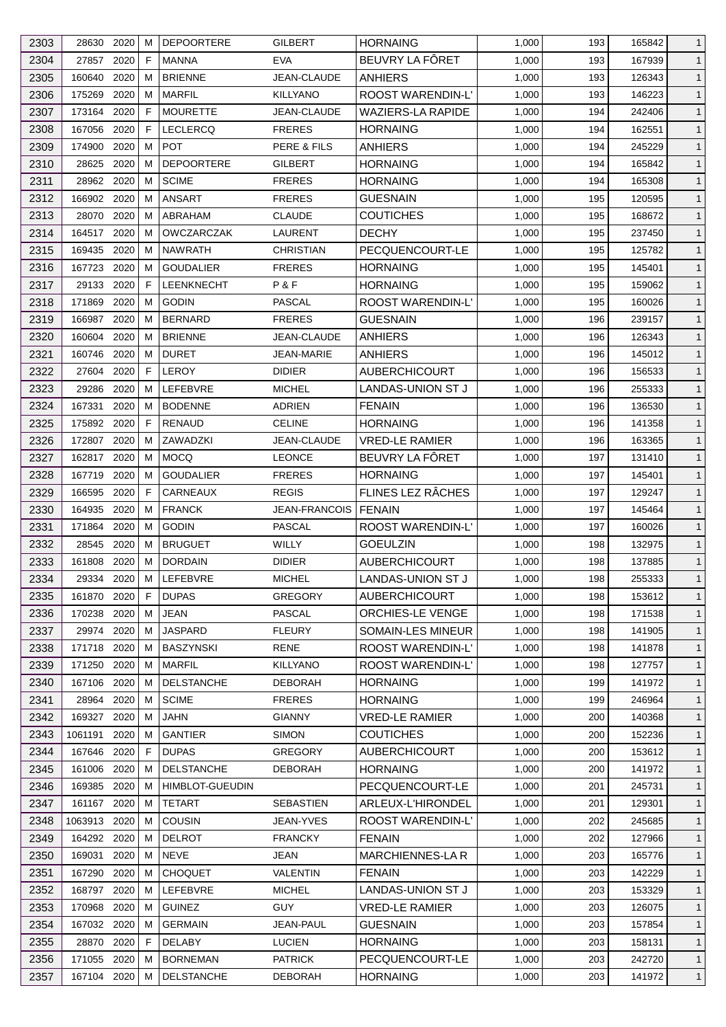| 2303 | 28630       | 2020 | м | <b>DEPOORTERE</b>      | <b>GILBERT</b>    | <b>HORNAING</b>          | 1,000 | 193 | 165842 | $\mathbf{1}$ |
|------|-------------|------|---|------------------------|-------------------|--------------------------|-------|-----|--------|--------------|
| 2304 | 27857       | 2020 | F | <b>MANNA</b>           | <b>EVA</b>        | BEUVRY LA FÖRET          | 1,000 | 193 | 167939 | $\mathbf{1}$ |
| 2305 | 160640      | 2020 | м | <b>BRIENNE</b>         | JEAN-CLAUDE       | <b>ANHIERS</b>           | 1,000 | 193 | 126343 | $\mathbf{1}$ |
| 2306 | 175269      | 2020 | м | <b>MARFIL</b>          | <b>KILLYANO</b>   | ROOST WARENDIN-L'        | 1,000 | 193 | 146223 | $\mathbf{1}$ |
| 2307 | 173164      | 2020 | F | <b>MOURETTE</b>        | JEAN-CLAUDE       | <b>WAZIERS-LA RAPIDE</b> | 1,000 | 194 | 242406 | $\mathbf{1}$ |
| 2308 | 167056      | 2020 | F | LECLERCQ               | <b>FRERES</b>     | <b>HORNAING</b>          | 1,000 | 194 | 162551 | $\mathbf{1}$ |
| 2309 | 174900      | 2020 | м | <b>POT</b>             | PERE & FILS       | ANHIERS                  | 1,000 | 194 | 245229 | $\mathbf{1}$ |
| 2310 | 28625       | 2020 | м | <b>DEPOORTERE</b>      | GILBERT           | <b>HORNAING</b>          | 1,000 | 194 | 165842 | $\mathbf{1}$ |
| 2311 | 28962       | 2020 | м | <b>SCIME</b>           | <b>FRERES</b>     | <b>HORNAING</b>          | 1,000 | 194 | 165308 | $\mathbf{1}$ |
| 2312 | 166902      | 2020 | м | ANSART                 | <b>FRERES</b>     | <b>GUESNAIN</b>          | 1,000 | 195 | 120595 | $\mathbf{1}$ |
| 2313 | 28070       | 2020 | м | ABRAHAM                | <b>CLAUDE</b>     | <b>COUTICHES</b>         | 1,000 | 195 | 168672 | $\mathbf{1}$ |
| 2314 | 164517      | 2020 | м | <b>OWCZARCZAK</b>      | LAURENT           | <b>DECHY</b>             | 1,000 | 195 | 237450 | $\mathbf{1}$ |
| 2315 | 169435      | 2020 | м | <b>NAWRATH</b>         | CHRISTIAN         | PECQUENCOURT-LE          | 1,000 | 195 | 125782 | $\mathbf{1}$ |
| 2316 | 167723      | 2020 | м | <b>GOUDALIER</b>       | <b>FRERES</b>     | <b>HORNAING</b>          | 1,000 | 195 | 145401 | $\mathbf{1}$ |
| 2317 | 29133       | 2020 | F | <b>LEENKNECHT</b>      | P&F               | <b>HORNAING</b>          | 1,000 | 195 | 159062 | $\mathbf{1}$ |
| 2318 | 171869      | 2020 | М | <b>GODIN</b>           | <b>PASCAL</b>     | ROOST WARENDIN-L'        | 1,000 | 195 | 160026 | $\mathbf{1}$ |
| 2319 | 166987      | 2020 | м | <b>BERNARD</b>         | <b>FRERES</b>     | <b>GUESNAIN</b>          | 1,000 | 196 | 239157 | $\mathbf{1}$ |
| 2320 | 160604      | 2020 | м | <b>BRIENNE</b>         | JEAN-CLAUDE       | <b>ANHIERS</b>           | 1,000 | 196 | 126343 | $\mathbf{1}$ |
| 2321 | 160746      | 2020 | м | <b>DURET</b>           | <b>JEAN-MARIE</b> | <b>ANHIERS</b>           | 1,000 | 196 | 145012 | $\mathbf{1}$ |
| 2322 | 27604       | 2020 | F | <b>LEROY</b>           | <b>DIDIER</b>     | <b>AUBERCHICOURT</b>     | 1,000 | 196 | 156533 | $\mathbf{1}$ |
| 2323 | 29286       | 2020 | м | LEFEBVRE               | <b>MICHEL</b>     | LANDAS-UNION ST J        | 1,000 | 196 | 255333 | $\mathbf{1}$ |
| 2324 | 167331      | 2020 | м | <b>BODENNE</b>         | <b>ADRIEN</b>     | <b>FENAIN</b>            | 1,000 | 196 | 136530 | $\mathbf{1}$ |
|      |             | 2020 | F | <b>RENAUD</b>          |                   |                          |       |     |        |              |
| 2325 | 175892      |      |   |                        | <b>CELINE</b>     | <b>HORNAING</b>          | 1,000 | 196 | 141358 | $\mathbf{1}$ |
| 2326 | 172807      | 2020 | м | ZAWADZKI               | JEAN-CLAUDE       | <b>VRED-LE RAMIER</b>    | 1,000 | 196 | 163365 | $\mathbf{1}$ |
| 2327 | 162817      | 2020 | м | <b>MOCQ</b>            | <b>LEONCE</b>     | BEUVRY LA FÔRET          | 1,000 | 197 | 131410 | $\mathbf{1}$ |
| 2328 | 167719      | 2020 | м | <b>GOUDALIER</b>       | <b>FRERES</b>     | <b>HORNAING</b>          | 1,000 | 197 | 145401 | $\mathbf{1}$ |
| 2329 | 166595      | 2020 | F | CARNEAUX               | <b>REGIS</b>      | FLINES LEZ RÂCHES        | 1,000 | 197 | 129247 | $\mathbf{1}$ |
| 2330 | 164935      | 2020 | м | <b>FRANCK</b>          | JEAN-FRANCOIS     | <b>FENAIN</b>            | 1,000 | 197 | 145464 | $\mathbf{1}$ |
| 2331 | 171864      | 2020 | м | <b>GODIN</b>           | <b>PASCAL</b>     | ROOST WARENDIN-L'        | 1,000 | 197 | 160026 | $\mathbf{1}$ |
| 2332 | 28545       | 2020 | м | <b>BRUGUET</b>         | WILLY             | <b>GOEULZIN</b>          | 1,000 | 198 | 132975 | $\mathbf{1}$ |
| 2333 | 161808      | 2020 | м | <b>DORDAIN</b>         | <b>DIDIER</b>     | <b>AUBERCHICOURT</b>     | 1,000 | 198 | 137885 | $\mathbf{1}$ |
| 2334 | 29334 2020  |      | M | LEFEBVRE               | <b>MICHEL</b>     | LANDAS-UNION ST J        | 1,000 | 198 | 255333 | $\mathbf{1}$ |
| 2335 | 161870 2020 |      | F | <b>DUPAS</b>           | <b>GREGORY</b>    | <b>AUBERCHICOURT</b>     | 1,000 | 198 | 153612 | $\mathbf{1}$ |
| 2336 | 170238      | 2020 | м | JEAN                   | <b>PASCAL</b>     | <b>ORCHIES-LE VENGE</b>  | 1,000 | 198 | 171538 | $\mathbf{1}$ |
| 2337 | 29974       | 2020 | м | <b>JASPARD</b>         | <b>FLEURY</b>     | SOMAIN-LES MINEUR        | 1,000 | 198 | 141905 | $\mathbf{1}$ |
| 2338 | 171718      | 2020 | м | BASZYNSKI              | <b>RENE</b>       | <b>ROOST WARENDIN-L'</b> | 1,000 | 198 | 141878 | $\mathbf{1}$ |
| 2339 | 171250      | 2020 | м | <b>MARFIL</b>          | <b>KILLYANO</b>   | ROOST WARENDIN-L'        | 1,000 | 198 | 127757 | $\mathbf{1}$ |
| 2340 | 167106      | 2020 | м | <b>DELSTANCHE</b>      | DEBORAH           | <b>HORNAING</b>          | 1,000 | 199 | 141972 | $\mathbf{1}$ |
| 2341 | 28964       | 2020 | м | <b>SCIME</b>           | <b>FRERES</b>     | <b>HORNAING</b>          | 1,000 | 199 | 246964 | $\mathbf{1}$ |
| 2342 | 169327      | 2020 | м | JAHN                   | <b>GIANNY</b>     | <b>VRED-LE RAMIER</b>    | 1,000 | 200 | 140368 | $\mathbf{1}$ |
| 2343 | 1061191     | 2020 | м | <b>GANTIER</b>         | <b>SIMON</b>      | <b>COUTICHES</b>         | 1,000 | 200 | 152236 | $\mathbf{1}$ |
| 2344 | 167646      | 2020 | F | <b>DUPAS</b>           | <b>GREGORY</b>    | <b>AUBERCHICOURT</b>     | 1,000 | 200 | 153612 | $\mathbf{1}$ |
| 2345 | 161006      | 2020 | м | <b>DELSTANCHE</b>      | <b>DEBORAH</b>    | <b>HORNAING</b>          | 1,000 | 200 | 141972 | $\mathbf{1}$ |
| 2346 | 169385      | 2020 | м | <b>HIMBLOT-GUEUDIN</b> |                   | PECQUENCOURT-LE          | 1,000 | 201 | 245731 | $\mathbf{1}$ |
| 2347 | 161167      | 2020 | М | <b>TETART</b>          | <b>SEBASTIEN</b>  | ARLEUX-L'HIRONDEL        | 1,000 | 201 | 129301 | $\mathbf{1}$ |
| 2348 | 1063913     | 2020 | м | <b>COUSIN</b>          | JEAN-YVES         | ROOST WARENDIN-L'        | 1,000 | 202 | 245685 | $\mathbf{1}$ |
| 2349 | 164292      | 2020 | м | <b>DELROT</b>          | <b>FRANCKY</b>    | <b>FENAIN</b>            | 1,000 | 202 | 127966 | $\mathbf{1}$ |
| 2350 | 169031      | 2020 | м | <b>NEVE</b>            | JEAN              | MARCHIENNES-LA R         | 1,000 | 203 | 165776 | $\mathbf{1}$ |
| 2351 | 167290      | 2020 | м | <b>CHOQUET</b>         | <b>VALENTIN</b>   | <b>FENAIN</b>            | 1,000 | 203 | 142229 | $\mathbf{1}$ |
| 2352 | 168797      | 2020 | м | LEFEBVRE               | <b>MICHEL</b>     | LANDAS-UNION ST J        | 1,000 | 203 | 153329 | $\mathbf{1}$ |
| 2353 | 170968      | 2020 | м | <b>GUINEZ</b>          | <b>GUY</b>        | <b>VRED-LE RAMIER</b>    | 1,000 | 203 | 126075 | $\mathbf{1}$ |
| 2354 | 167032      | 2020 | м | <b>GERMAIN</b>         | JEAN-PAUL         | <b>GUESNAIN</b>          | 1,000 | 203 | 157854 | $\mathbf{1}$ |
| 2355 | 28870 2020  |      | F | <b>DELABY</b>          | <b>LUCIEN</b>     | <b>HORNAING</b>          | 1,000 | 203 | 158131 | $\mathbf{1}$ |
| 2356 | 171055      | 2020 | м | <b>BORNEMAN</b>        | <b>PATRICK</b>    | PECQUENCOURT-LE          | 1,000 | 203 | 242720 | $\mathbf{1}$ |
| 2357 | 167104 2020 |      | м | <b>DELSTANCHE</b>      | <b>DEBORAH</b>    | <b>HORNAING</b>          | 1,000 | 203 | 141972 | $\mathbf{1}$ |
|      |             |      |   |                        |                   |                          |       |     |        |              |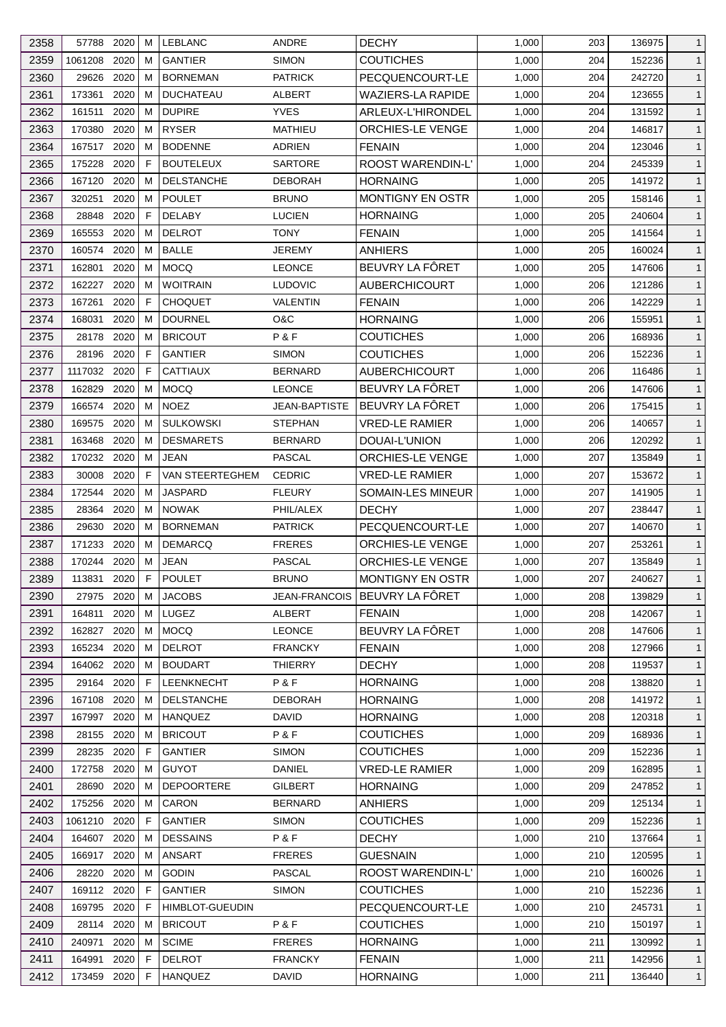| 2358 | 57788       | 2020 | м | <b>LEBLANC</b>         | ANDRE                | <b>DECHY</b>                  | 1,000 | 203 | 136975 | 1            |
|------|-------------|------|---|------------------------|----------------------|-------------------------------|-------|-----|--------|--------------|
| 2359 | 1061208     | 2020 | м | <b>GANTIER</b>         | <b>SIMON</b>         | <b>COUTICHES</b>              | 1,000 | 204 | 152236 | $\mathbf{1}$ |
| 2360 | 29626       | 2020 | м | <b>BORNEMAN</b>        | <b>PATRICK</b>       | PECQUENCOURT-LE               | 1,000 | 204 | 242720 | $\mathbf{1}$ |
| 2361 | 173361      | 2020 | м | <b>DUCHATEAU</b>       | ALBERT               | <b>WAZIERS-LA RAPIDE</b>      | 1,000 | 204 | 123655 | $\mathbf{1}$ |
| 2362 | 161511      | 2020 | M | <b>DUPIRE</b>          | <b>YVES</b>          | ARLEUX-L'HIRONDEL             | 1,000 | 204 | 131592 | $\mathbf{1}$ |
| 2363 | 170380      | 2020 | м | <b>RYSER</b>           | <b>MATHIEU</b>       | <b>ORCHIES-LE VENGE</b>       | 1,000 | 204 | 146817 | $\mathbf{1}$ |
| 2364 | 167517      | 2020 | м | <b>BODENNE</b>         | ADRIEN               | <b>FENAIN</b>                 | 1,000 | 204 | 123046 | $\mathbf{1}$ |
| 2365 | 175228      | 2020 | F | <b>BOUTELEUX</b>       | <b>SARTORE</b>       | ROOST WARENDIN-L'             | 1,000 | 204 | 245339 | $\mathbf{1}$ |
| 2366 | 167120      | 2020 | м | <b>DELSTANCHE</b>      | DEBORAH              | <b>HORNAING</b>               | 1,000 | 205 | 141972 | $\mathbf{1}$ |
| 2367 | 320251      | 2020 | M | <b>POULET</b>          | <b>BRUNO</b>         | <b>MONTIGNY EN OSTR</b>       | 1,000 | 205 | 158146 | $\mathbf{1}$ |
| 2368 | 28848       | 2020 | F | <b>DELABY</b>          | <b>LUCIEN</b>        | <b>HORNAING</b>               | 1,000 | 205 | 240604 | $\mathbf{1}$ |
| 2369 | 165553      | 2020 | м | <b>DELROT</b>          | TONY                 | <b>FENAIN</b>                 | 1,000 | 205 | 141564 | $\mathbf{1}$ |
| 2370 | 160574      | 2020 | м | <b>BALLE</b>           | JEREMY               | <b>ANHIERS</b>                | 1,000 | 205 | 160024 | $\mathbf{1}$ |
| 2371 | 162801      | 2020 | м | <b>MOCQ</b>            | <b>LEONCE</b>        | BEUVRY LA FÔRET               | 1,000 | 205 | 147606 | $\mathbf{1}$ |
| 2372 | 162227      | 2020 | м | <b>WOITRAIN</b>        | <b>LUDOVIC</b>       | AUBERCHICOURT                 | 1,000 | 206 | 121286 | $\mathbf{1}$ |
| 2373 | 167261      | 2020 | F | <b>CHOQUET</b>         | VALENTIN             | <b>FENAIN</b>                 | 1,000 | 206 | 142229 | $\mathbf{1}$ |
| 2374 | 168031      | 2020 | м | <b>DOURNEL</b>         | O&C                  | <b>HORNAING</b>               | 1,000 | 206 | 155951 | $\mathbf{1}$ |
| 2375 | 28178       | 2020 | м | <b>BRICOUT</b>         | P&F                  | <b>COUTICHES</b>              | 1,000 | 206 | 168936 | $\mathbf{1}$ |
| 2376 | 28196       | 2020 | F | <b>GANTIER</b>         | <b>SIMON</b>         | <b>COUTICHES</b>              | 1,000 | 206 | 152236 | $\mathbf{1}$ |
| 2377 | 1117032     | 2020 | F | <b>CATTIAUX</b>        |                      | <b>AUBERCHICOURT</b>          | 1,000 | 206 | 116486 | $\mathbf{1}$ |
|      |             |      |   |                        | <b>BERNARD</b>       | BEUVRY LA FÖRET               |       | 206 |        |              |
| 2378 | 162829      | 2020 | м | <b>MOCQ</b>            | <b>LEONCE</b>        |                               | 1,000 |     | 147606 | $\mathbf{1}$ |
| 2379 | 166574      | 2020 | м | <b>NOEZ</b>            | <b>JEAN-BAPTISTE</b> | BEUVRY LA FÔRET               | 1,000 | 206 | 175415 | $\mathbf{1}$ |
| 2380 | 169575      | 2020 | м | <b>SULKOWSKI</b>       | <b>STEPHAN</b>       | <b>VRED-LE RAMIER</b>         | 1,000 | 206 | 140657 | $\mathbf{1}$ |
| 2381 | 163468      | 2020 | м | <b>DESMARETS</b>       | <b>BERNARD</b>       | DOUAI-L'UNION                 | 1,000 | 206 | 120292 | $\mathbf{1}$ |
| 2382 | 170232      | 2020 | м | JEAN                   | PASCAL               | <b>ORCHIES-LE VENGE</b>       | 1,000 | 207 | 135849 | $\mathbf{1}$ |
| 2383 | 30008       | 2020 | F | VAN STEERTEGHEM        | <b>CEDRIC</b>        | <b>VRED-LE RAMIER</b>         | 1,000 | 207 | 153672 | $\mathbf{1}$ |
| 2384 | 172544      | 2020 | M | <b>JASPARD</b>         | <b>FLEURY</b>        | SOMAIN-LES MINEUR             | 1,000 | 207 | 141905 | $\mathbf{1}$ |
| 2385 | 28364       | 2020 | м | <b>NOWAK</b>           | PHIL/ALEX            | <b>DECHY</b>                  | 1,000 | 207 | 238447 | $\mathbf{1}$ |
| 2386 | 29630       | 2020 | м | <b>BORNEMAN</b>        | <b>PATRICK</b>       | PECQUENCOURT-LE               | 1,000 | 207 | 140670 | $\mathbf{1}$ |
| 2387 | 171233      | 2020 | м | <b>DEMARCQ</b>         | <b>FRERES</b>        | <b>ORCHIES-LE VENGE</b>       | 1,000 | 207 | 253261 | $\mathbf{1}$ |
| 2388 | 170244      | 2020 | M | <b>JEAN</b>            | <b>PASCAL</b>        | <b>ORCHIES-LE VENGE</b>       | 1,000 | 207 | 135849 | $\mathbf{1}$ |
| 2389 | 113831      | 2020 | F | <b>POULET</b>          | <b>BRUNO</b>         | MONTIGNY EN OSTR              | 1,000 | 207 | 240627 | $\mathbf{1}$ |
| 2390 | 27975 2020  |      | м | <b>JACOBS</b>          |                      | JEAN-FRANCOIS BEUVRY LA FÔRET | 1,000 | 208 | 139829 | $\mathbf{1}$ |
| 2391 | 164811      | 2020 | M | LUGEZ                  | <b>ALBERT</b>        | <b>FENAIN</b>                 | 1,000 | 208 | 142067 | $\mathbf{1}$ |
| 2392 | 162827      | 2020 | м | <b>MOCQ</b>            | <b>LEONCE</b>        | BEUVRY LA FÖRET               | 1,000 | 208 | 147606 | $\mathbf{1}$ |
| 2393 | 165234      | 2020 | м | <b>DELROT</b>          | <b>FRANCKY</b>       | <b>FENAIN</b>                 | 1,000 | 208 | 127966 | $\mathbf{1}$ |
| 2394 | 164062      | 2020 | м | <b>BOUDART</b>         | <b>THIERRY</b>       | <b>DECHY</b>                  | 1,000 | 208 | 119537 | $\mathbf{1}$ |
| 2395 | 29164       | 2020 | F | LEENKNECHT             | P&F                  | <b>HORNAING</b>               | 1,000 | 208 | 138820 | $\mathbf{1}$ |
| 2396 | 167108      | 2020 | м | <b>DELSTANCHE</b>      | <b>DEBORAH</b>       | <b>HORNAING</b>               | 1,000 | 208 | 141972 | $\mathbf{1}$ |
| 2397 | 167997      | 2020 | м | <b>HANQUEZ</b>         | <b>DAVID</b>         | <b>HORNAING</b>               | 1,000 | 208 | 120318 | $\mathbf{1}$ |
| 2398 | 28155       | 2020 | м | <b>BRICOUT</b>         | P&F                  | <b>COUTICHES</b>              | 1,000 | 209 | 168936 | $\mathbf{1}$ |
| 2399 | 28235       | 2020 | F | <b>GANTIER</b>         | <b>SIMON</b>         | <b>COUTICHES</b>              | 1,000 | 209 | 152236 | $\mathbf{1}$ |
| 2400 | 172758      | 2020 | м | <b>GUYOT</b>           | DANIEL               | <b>VRED-LE RAMIER</b>         | 1,000 | 209 | 162895 | $\mathbf{1}$ |
| 2401 | 28690       | 2020 | м | <b>DEPOORTERE</b>      | GILBERT              | <b>HORNAING</b>               | 1,000 | 209 | 247852 | $\mathbf{1}$ |
| 2402 | 175256      | 2020 | м | CARON                  | <b>BERNARD</b>       | ANHIERS                       | 1,000 | 209 | 125134 | $\mathbf{1}$ |
| 2403 | 1061210     | 2020 | F | <b>GANTIER</b>         | <b>SIMON</b>         | <b>COUTICHES</b>              | 1,000 | 209 | 152236 | $\mathbf{1}$ |
| 2404 | 164607      | 2020 | м | <b>DESSAINS</b>        | P&F                  | <b>DECHY</b>                  | 1,000 | 210 | 137664 | $\mathbf{1}$ |
| 2405 | 166917      | 2020 | м | <b>ANSART</b>          | <b>FRERES</b>        | <b>GUESNAIN</b>               | 1,000 | 210 | 120595 | $\mathbf{1}$ |
| 2406 | 28220       | 2020 | м | <b>GODIN</b>           | <b>PASCAL</b>        | ROOST WARENDIN-L'             | 1,000 | 210 | 160026 | $\mathbf{1}$ |
| 2407 | 169112 2020 |      | F | <b>GANTIER</b>         | <b>SIMON</b>         | <b>COUTICHES</b>              | 1,000 | 210 | 152236 | $\mathbf{1}$ |
| 2408 | 169795      | 2020 | F | <b>HIMBLOT-GUEUDIN</b> |                      | PECQUENCOURT-LE               | 1,000 | 210 | 245731 | $\mathbf{1}$ |
| 2409 | 28114       | 2020 | м | <b>BRICOUT</b>         | P&F                  | COUTICHES                     | 1,000 | 210 | 150197 | $\mathbf{1}$ |
| 2410 | 240971      | 2020 | м | <b>SCIME</b>           | <b>FRERES</b>        | <b>HORNAING</b>               | 1,000 | 211 | 130992 | $\mathbf{1}$ |
| 2411 | 164991      | 2020 | F | <b>DELROT</b>          | <b>FRANCKY</b>       | <b>FENAIN</b>                 | 1,000 | 211 | 142956 | $\mathbf{1}$ |
| 2412 | 173459 2020 |      | F | <b>HANQUEZ</b>         | <b>DAVID</b>         | <b>HORNAING</b>               | 1,000 | 211 | 136440 | $\mathbf{1}$ |
|      |             |      |   |                        |                      |                               |       |     |        |              |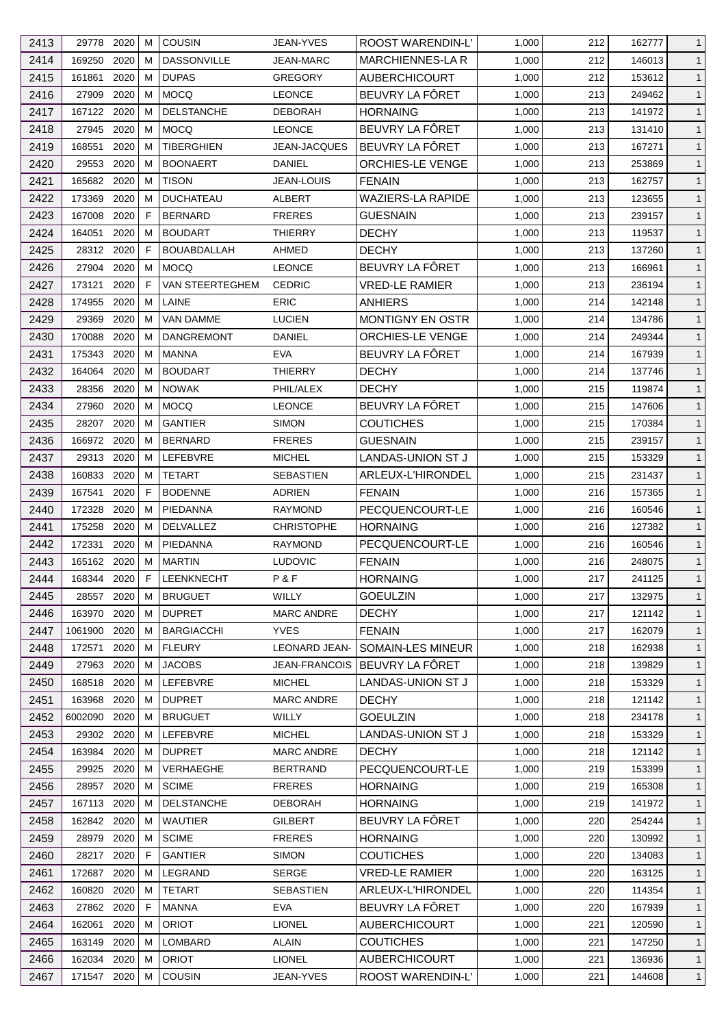| 2413 | 29778             | 2020         | м           | <b>COUSIN</b>                      | <b>JEAN-YVES</b>     | ROOST WARENDIN-L'                         | 1,000 | 212 | 162777 | $\mathbf{1}$ |
|------|-------------------|--------------|-------------|------------------------------------|----------------------|-------------------------------------------|-------|-----|--------|--------------|
| 2414 | 169250            | 2020         | м           | <b>DASSONVILLE</b>                 | <b>JEAN-MARC</b>     | MARCHIENNES-LA R                          | 1,000 | 212 | 146013 | $\mathbf{1}$ |
| 2415 | 161861            | 2020         | М           | <b>DUPAS</b>                       | <b>GREGORY</b>       | <b>AUBERCHICOURT</b>                      | 1,000 | 212 | 153612 | $\mathbf{1}$ |
| 2416 | 27909             | 2020         | м           | <b>MOCQ</b>                        | <b>LEONCE</b>        | BEUVRY LA FÔRET                           | 1,000 | 213 | 249462 | $\mathbf{1}$ |
| 2417 | 167122            | 2020         | м           | <b>DELSTANCHE</b>                  | <b>DEBORAH</b>       | <b>HORNAING</b>                           | 1,000 | 213 | 141972 | $\mathbf{1}$ |
| 2418 | 27945             | 2020         | M           | <b>MOCQ</b>                        | <b>LEONCE</b>        | BEUVRY LA FÔRET                           | 1,000 | 213 | 131410 | $\mathbf{1}$ |
| 2419 | 168551            | 2020         | м           | <b>TIBERGHIEN</b>                  | <b>JEAN-JACQUES</b>  | BEUVRY LA FÔRET                           | 1,000 | 213 | 167271 | $\mathbf{1}$ |
| 2420 | 29553             | 2020         | м           | <b>BOONAERT</b>                    | <b>DANIEL</b>        | <b>ORCHIES-LE VENGE</b>                   | 1,000 | 213 | 253869 | $\mathbf{1}$ |
| 2421 | 165682            | 2020         | м           | <b>TISON</b>                       | <b>JEAN-LOUIS</b>    | <b>FENAIN</b>                             | 1,000 | 213 | 162757 | $\mathbf{1}$ |
| 2422 | 173369            | 2020         | м           | <b>DUCHATEAU</b>                   | ALBERT               | <b>WAZIERS-LA RAPIDE</b>                  | 1,000 | 213 | 123655 | $\mathbf{1}$ |
| 2423 | 167008            | 2020         | F           | <b>BERNARD</b>                     | <b>FRERES</b>        | <b>GUESNAIN</b>                           | 1,000 | 213 | 239157 | $\mathbf{1}$ |
| 2424 | 164051            | 2020         | м           | <b>BOUDART</b>                     | <b>THIERRY</b>       | <b>DECHY</b>                              | 1,000 | 213 | 119537 | $\mathbf{1}$ |
| 2425 | 28312 2020        |              | F           | <b>BOUABDALLAH</b>                 | AHMED                | <b>DECHY</b>                              | 1,000 | 213 | 137260 | $\mathbf{1}$ |
| 2426 | 27904             | 2020         | М           | <b>MOCQ</b>                        | <b>LEONCE</b>        | BEUVRY LA FÔRET                           | 1,000 | 213 | 166961 | $\mathbf{1}$ |
| 2427 | 173121            | 2020         | F           | VAN STEERTEGHEM                    | <b>CEDRIC</b>        | <b>VRED-LE RAMIER</b>                     | 1,000 | 213 | 236194 | $\mathbf{1}$ |
| 2428 | 174955            | 2020         | М           | LAINE                              | <b>ERIC</b>          | ANHIERS                                   | 1,000 | 214 | 142148 | $\mathbf{1}$ |
| 2429 | 29369             | 2020         | м           | <b>VAN DAMME</b>                   | <b>LUCIEN</b>        | <b>MONTIGNY EN OSTR</b>                   | 1,000 | 214 | 134786 | $\mathbf{1}$ |
| 2430 | 170088            | 2020         | м           | DANGREMONT                         | DANIEL               | ORCHIES-LE VENGE                          | 1,000 | 214 | 249344 | $\mathbf{1}$ |
| 2431 | 175343            | 2020         | м           | <b>MANNA</b>                       | <b>EVA</b>           | BEUVRY LA FÔRET                           | 1,000 | 214 | 167939 | $\mathbf{1}$ |
| 2432 | 164064            | 2020         | м           | <b>BOUDART</b>                     | <b>THIERRY</b>       | <b>DECHY</b>                              | 1,000 | 214 | 137746 | $\mathbf{1}$ |
| 2433 | 28356             | 2020         | м           | <b>NOWAK</b>                       | PHIL/ALEX            | <b>DECHY</b>                              | 1,000 | 215 | 119874 | $\mathbf{1}$ |
| 2434 | 27960             | 2020         | м           | <b>MOCQ</b>                        | <b>LEONCE</b>        | BEUVRY LA FÔRET                           | 1,000 | 215 | 147606 | $\mathbf{1}$ |
| 2435 | 28207             | 2020         | м           | <b>GANTIER</b>                     | <b>SIMON</b>         | <b>COUTICHES</b>                          | 1,000 | 215 | 170384 | $\mathbf{1}$ |
| 2436 | 166972            | 2020         | м           | <b>BERNARD</b>                     | <b>FRERES</b>        | <b>GUESNAIN</b>                           | 1,000 | 215 | 239157 | $\mathbf{1}$ |
| 2437 | 29313             | 2020         | М           | LEFEBVRE                           | <b>MICHEL</b>        | LANDAS-UNION ST J                         | 1,000 | 215 | 153329 | $\mathbf{1}$ |
| 2438 | 160833            | 2020         | м           | <b>TETART</b>                      | SEBASTIEN            | ARLEUX-L'HIRONDEL                         | 1,000 | 215 | 231437 | $\mathbf{1}$ |
| 2439 | 167541            | 2020         | F           | <b>BODENNE</b>                     | <b>ADRIEN</b>        | <b>FENAIN</b>                             | 1,000 | 216 | 157365 | $\mathbf{1}$ |
| 2440 | 172328            | 2020         | М           | <b>PIEDANNA</b>                    | <b>RAYMOND</b>       | PECQUENCOURT-LE                           | 1,000 | 216 | 160546 | $\mathbf{1}$ |
| 2441 | 175258            | 2020         | м           | <b>DELVALLEZ</b>                   | <b>CHRISTOPHE</b>    | <b>HORNAING</b>                           | 1,000 | 216 | 127382 | $\mathbf{1}$ |
| 2442 | 172331            | 2020         | м           | PIEDANNA                           | <b>RAYMOND</b>       | PECQUENCOURT-LE                           | 1,000 | 216 | 160546 | $\mathbf{1}$ |
| 2443 | 165162            | 2020         | м           | <b>MARTIN</b>                      | <b>LUDOVIC</b>       | <b>FENAIN</b>                             | 1,000 | 216 | 248075 | $\mathbf{1}$ |
| 2444 | 168344 2020       |              | $\mathsf F$ | LEENKNECHT                         | P&F                  | <b>HORNAING</b>                           | 1,000 | 217 | 241125 | $\mathbf{1}$ |
|      |                   |              |             |                                    | WILLY                |                                           |       |     |        |              |
| 2445 | 28557             | 2020         | М           | <b>BRUGUET</b>                     |                      | <b>GOEULZIN</b><br><b>DECHY</b>           | 1,000 | 217 | 132975 | $\mathbf{1}$ |
| 2446 | 163970<br>1061900 | 2020<br>2020 | м           | <b>DUPRET</b><br><b>BARGIACCHI</b> | <b>MARC ANDRE</b>    |                                           | 1,000 | 217 | 121142 | $\mathbf{1}$ |
| 2447 |                   |              | м           |                                    | <b>YVES</b>          | <b>FENAIN</b><br><b>SOMAIN-LES MINEUR</b> | 1,000 | 217 | 162079 | $\mathbf{1}$ |
| 2448 | 172571            | 2020         | м           | <b>FLEURY</b>                      | <b>LEONARD JEAN-</b> |                                           | 1,000 | 218 | 162938 | $\mathbf{1}$ |
| 2449 | 27963             | 2020         | м           | <b>JACOBS</b>                      | JEAN-FRANCOIS        | BEUVRY LA FÔRET                           | 1,000 | 218 | 139829 | $\mathbf{1}$ |
| 2450 | 168518            | 2020         | м           | LEFEBVRE                           | <b>MICHEL</b>        | LANDAS-UNION ST J                         | 1,000 | 218 | 153329 | $\mathbf{1}$ |
| 2451 | 163968            | 2020         | М           | <b>DUPRET</b>                      | <b>MARC ANDRE</b>    | <b>DECHY</b>                              | 1,000 | 218 | 121142 | $\mathbf{1}$ |
| 2452 | 6002090           | 2020         | м           | <b>BRUGUET</b>                     | WILLY                | <b>GOEULZIN</b>                           | 1,000 | 218 | 234178 | $\mathbf{1}$ |
| 2453 | 29302             | 2020         | м           | LEFEBVRE                           | <b>MICHEL</b>        | LANDAS-UNION ST J                         | 1,000 | 218 | 153329 | $\mathbf{1}$ |
| 2454 | 163984 2020       |              | M           | <b>DUPRET</b>                      | <b>MARC ANDRE</b>    | <b>DECHY</b>                              | 1,000 | 218 | 121142 | $\mathbf{1}$ |
| 2455 | 29925             | 2020         | м           | VERHAEGHE                          | <b>BERTRAND</b>      | PECQUENCOURT-LE                           | 1,000 | 219 | 153399 | $\mathbf{1}$ |
| 2456 | 28957             | 2020         | м           | <b>SCIME</b>                       | <b>FRERES</b>        | <b>HORNAING</b>                           | 1,000 | 219 | 165308 | $\mathbf{1}$ |
| 2457 | 167113            | 2020         | м           | <b>DELSTANCHE</b>                  | <b>DEBORAH</b>       | <b>HORNAING</b>                           | 1,000 | 219 | 141972 | $\mathbf{1}$ |
| 2458 | 162842 2020       |              | м           | <b>WAUTIER</b>                     | <b>GILBERT</b>       | BEUVRY LA FÔRET                           | 1,000 | 220 | 254244 | $\mathbf{1}$ |
| 2459 | 28979             | 2020         | м           | <b>SCIME</b>                       | <b>FRERES</b>        | <b>HORNAING</b>                           | 1,000 | 220 | 130992 | $\mathbf{1}$ |
| 2460 | 28217             | 2020         | F           | <b>GANTIER</b>                     | <b>SIMON</b>         | <b>COUTICHES</b>                          | 1,000 | 220 | 134083 | $\mathbf{1}$ |
| 2461 | 172687            | 2020         | м           | LEGRAND                            | <b>SERGE</b>         | <b>VRED-LE RAMIER</b>                     | 1,000 | 220 | 163125 | $\mathbf{1}$ |
| 2462 | 160820            | 2020         | м           | <b>TETART</b>                      | <b>SEBASTIEN</b>     | ARLEUX-L'HIRONDEL                         | 1,000 | 220 | 114354 | $\mathbf{1}$ |
| 2463 | 27862             | 2020         | F           | <b>MANNA</b>                       | <b>EVA</b>           | BEUVRY LA FÖRET                           | 1,000 | 220 | 167939 | $\mathbf{1}$ |
| 2464 | 162061            | 2020         | м           | <b>ORIOT</b>                       | <b>LIONEL</b>        | <b>AUBERCHICOURT</b>                      | 1,000 | 221 | 120590 | $\mathbf{1}$ |
| 2465 | 163149            | 2020         | м           | LOMBARD                            | <b>ALAIN</b>         | <b>COUTICHES</b>                          | 1,000 | 221 | 147250 | $\mathbf{1}$ |
| 2466 | 162034            | 2020         | м           | <b>ORIOT</b>                       | <b>LIONEL</b>        | <b>AUBERCHICOURT</b>                      | 1,000 | 221 | 136936 | $\mathbf{1}$ |
| 2467 | 171547 2020       |              | М           | COUSIN                             | JEAN-YVES            | ROOST WARENDIN-L'                         | 1,000 | 221 | 144608 | $\mathbf{1}$ |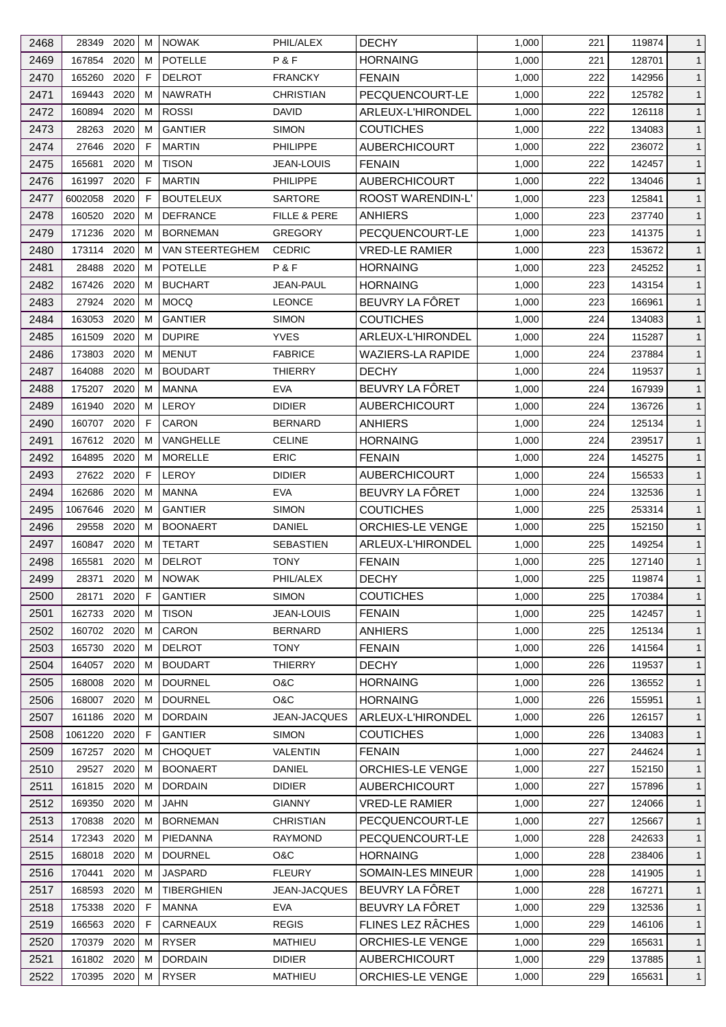| 2468 | 28349       | 2020 | м | <b>NOWAK</b>      | PHIL/ALEX           | <b>DECHY</b>             | 1,000 | 221 | 119874 | $\mathbf{1}$ |
|------|-------------|------|---|-------------------|---------------------|--------------------------|-------|-----|--------|--------------|
| 2469 | 167854      | 2020 | м | <b>POTELLE</b>    | P&F                 | <b>HORNAING</b>          | 1,000 | 221 | 128701 | $\mathbf{1}$ |
| 2470 | 165260      | 2020 | F | <b>DELROT</b>     | <b>FRANCKY</b>      | <b>FENAIN</b>            | 1,000 | 222 | 142956 | $\mathbf{1}$ |
| 2471 | 169443      | 2020 | м | <b>NAWRATH</b>    | <b>CHRISTIAN</b>    | PECQUENCOURT-LE          | 1,000 | 222 | 125782 | $\mathbf{1}$ |
| 2472 | 160894      | 2020 | М | <b>ROSSI</b>      | DAVID               | ARLEUX-L'HIRONDEL        | 1,000 | 222 | 126118 | $\mathbf{1}$ |
| 2473 | 28263       | 2020 | м | <b>GANTIER</b>    | <b>SIMON</b>        | <b>COUTICHES</b>         | 1,000 | 222 | 134083 | $\mathbf{1}$ |
| 2474 | 27646       | 2020 | F | <b>MARTIN</b>     | PHILIPPE            | AUBERCHICOURT            | 1,000 | 222 | 236072 | $\mathbf{1}$ |
| 2475 | 165681      | 2020 | м | <b>TISON</b>      | <b>JEAN-LOUIS</b>   | <b>FENAIN</b>            | 1,000 | 222 | 142457 | $\mathbf{1}$ |
| 2476 | 161997      | 2020 | F | <b>MARTIN</b>     | <b>PHILIPPE</b>     | <b>AUBERCHICOURT</b>     | 1,000 | 222 | 134046 | $\mathbf{1}$ |
| 2477 | 6002058     | 2020 | F | <b>BOUTELEUX</b>  | <b>SARTORE</b>      | ROOST WARENDIN-L'        | 1,000 | 223 | 125841 | $\mathbf{1}$ |
| 2478 | 160520      | 2020 | м | <b>DEFRANCE</b>   | FILLE & PERE        | <b>ANHIERS</b>           | 1,000 | 223 | 237740 | $\mathbf{1}$ |
| 2479 | 171236      | 2020 | м | <b>BORNEMAN</b>   | <b>GREGORY</b>      | PECQUENCOURT-LE          | 1,000 | 223 | 141375 | $\mathbf{1}$ |
| 2480 | 173114      | 2020 | м | VAN STEERTEGHEM   | <b>CEDRIC</b>       | <b>VRED-LE RAMIER</b>    | 1,000 | 223 | 153672 | $\mathbf{1}$ |
| 2481 | 28488       | 2020 | M | <b>POTELLE</b>    | P&F                 | <b>HORNAING</b>          | 1,000 | 223 | 245252 | $\mathbf{1}$ |
| 2482 | 167426      | 2020 | м | <b>BUCHART</b>    | JEAN-PAUL           | <b>HORNAING</b>          | 1,000 | 223 | 143154 | $\mathbf{1}$ |
| 2483 | 27924       | 2020 | M | <b>MOCQ</b>       | <b>LEONCE</b>       | BEUVRY LA FÔRET          | 1,000 | 223 | 166961 | $\mathbf{1}$ |
| 2484 | 163053      | 2020 | м | <b>GANTIER</b>    | <b>SIMON</b>        | <b>COUTICHES</b>         | 1,000 | 224 | 134083 | $\mathbf{1}$ |
| 2485 | 161509      | 2020 | м | <b>DUPIRE</b>     | <b>YVES</b>         | ARLEUX-L'HIRONDEL        | 1,000 | 224 | 115287 | $\mathbf{1}$ |
| 2486 | 173803      | 2020 | м | <b>MENUT</b>      | <b>FABRICE</b>      | WAZIERS-LA RAPIDE        | 1,000 | 224 | 237884 | $\mathbf{1}$ |
| 2487 | 164088      | 2020 | м | <b>BOUDART</b>    | <b>THIERRY</b>      | <b>DECHY</b>             | 1,000 | 224 | 119537 | $\mathbf{1}$ |
| 2488 | 175207      | 2020 | м | <b>MANNA</b>      | <b>EVA</b>          | BEUVRY LA FÔRET          | 1,000 | 224 | 167939 | $\mathbf{1}$ |
|      | 161940      | 2020 |   | <b>LEROY</b>      | <b>DIDIER</b>       |                          |       |     |        |              |
| 2489 |             |      | м |                   |                     | <b>AUBERCHICOURT</b>     | 1,000 | 224 | 136726 | $\mathbf{1}$ |
| 2490 | 160707      | 2020 | F | <b>CARON</b>      | <b>BERNARD</b>      | ANHIERS                  | 1,000 | 224 | 125134 | $\mathbf{1}$ |
| 2491 | 167612      | 2020 | м | <b>VANGHELLE</b>  | <b>CELINE</b>       | <b>HORNAING</b>          | 1,000 | 224 | 239517 | $\mathbf{1}$ |
| 2492 | 164895      | 2020 | м | <b>MORELLE</b>    | <b>ERIC</b>         | <b>FENAIN</b>            | 1,000 | 224 | 145275 | $\mathbf{1}$ |
| 2493 | 27622       | 2020 | F | <b>LEROY</b>      | <b>DIDIER</b>       | <b>AUBERCHICOURT</b>     | 1,000 | 224 | 156533 | $\mathbf{1}$ |
| 2494 | 162686      | 2020 | M | <b>MANNA</b>      | <b>EVA</b>          | BEUVRY LA FÔRET          | 1,000 | 224 | 132536 | $\mathbf{1}$ |
| 2495 | 1067646     | 2020 | м | <b>GANTIER</b>    | <b>SIMON</b>        | <b>COUTICHES</b>         | 1,000 | 225 | 253314 | $\mathbf{1}$ |
| 2496 | 29558       | 2020 | м | <b>BOONAERT</b>   | DANIEL              | ORCHIES-LE VENGE         | 1,000 | 225 | 152150 | $\mathbf{1}$ |
| 2497 | 160847      | 2020 | м | <b>TETART</b>     | SEBASTIEN           | ARLEUX-L'HIRONDEL        | 1,000 | 225 | 149254 | $\mathbf{1}$ |
| 2498 | 165581      | 2020 | М | <b>DELROT</b>     | <b>TONY</b>         | <b>FENAIN</b>            | 1,000 | 225 | 127140 | $\mathbf{1}$ |
| 2499 | 28371       | 2020 | м | <b>NOWAK</b>      | PHIL/ALEX           | <b>DECHY</b>             | 1,000 | 225 | 119874 | $\mathbf{1}$ |
| 2500 | 28171       | 2020 | F | <b>GANTIER</b>    | <b>SIMON</b>        | <b>COUTICHES</b>         | 1,000 | 225 | 170384 | $\mathbf{1}$ |
| 2501 | 162733      | 2020 | м | <b>TISON</b>      | <b>JEAN-LOUIS</b>   | <b>FENAIN</b>            | 1,000 | 225 | 142457 | $\mathbf{1}$ |
| 2502 | 160702      | 2020 | м | CARON             | <b>BERNARD</b>      | <b>ANHIERS</b>           | 1,000 | 225 | 125134 | $\mathbf{1}$ |
| 2503 | 165730      | 2020 | м | <b>DELROT</b>     | <b>TONY</b>         | <b>FENAIN</b>            | 1,000 | 226 | 141564 | $\mathbf{1}$ |
| 2504 | 164057      | 2020 | м | <b>BOUDART</b>    | <b>THIERRY</b>      | <b>DECHY</b>             | 1,000 | 226 | 119537 | $\mathbf{1}$ |
| 2505 | 168008      | 2020 | м | <b>DOURNEL</b>    | O&C                 | <b>HORNAING</b>          | 1,000 | 226 | 136552 | $\mathbf{1}$ |
| 2506 | 168007      | 2020 | м | <b>DOURNEL</b>    | O&C                 | <b>HORNAING</b>          | 1,000 | 226 | 155951 | $\mathbf{1}$ |
| 2507 | 161186      | 2020 | м | <b>DORDAIN</b>    | JEAN-JACQUES        | ARLEUX-L'HIRONDEL        | 1,000 | 226 | 126157 | $\mathbf{1}$ |
| 2508 | 1061220     | 2020 | F | <b>GANTIER</b>    | <b>SIMON</b>        | <b>COUTICHES</b>         | 1,000 | 226 | 134083 | $\mathbf{1}$ |
| 2509 | 167257      | 2020 | м | <b>CHOQUET</b>    | VALENTIN            | <b>FENAIN</b>            | 1,000 | 227 | 244624 | $\mathbf{1}$ |
| 2510 | 29527       | 2020 | м | <b>BOONAERT</b>   | DANIEL              | <b>ORCHIES-LE VENGE</b>  | 1,000 | 227 | 152150 | $\mathbf{1}$ |
| 2511 | 161815      | 2020 | м | <b>DORDAIN</b>    | <b>DIDIER</b>       | <b>AUBERCHICOURT</b>     | 1,000 | 227 | 157896 | $\mathbf{1}$ |
| 2512 | 169350      | 2020 | М | <b>JAHN</b>       | <b>GIANNY</b>       | <b>VRED-LE RAMIER</b>    | 1,000 | 227 | 124066 | $\mathbf{1}$ |
| 2513 | 170838      | 2020 | м | <b>BORNEMAN</b>   | CHRISTIAN           | PECQUENCOURT-LE          | 1,000 | 227 | 125667 | $\mathbf{1}$ |
| 2514 | 172343      | 2020 | м | PIEDANNA          | <b>RAYMOND</b>      | PECQUENCOURT-LE          | 1,000 | 228 | 242633 | $\mathbf{1}$ |
| 2515 | 168018      | 2020 | м | <b>DOURNEL</b>    | O&C                 | <b>HORNAING</b>          | 1,000 | 228 | 238406 | $\mathbf{1}$ |
| 2516 | 170441      | 2020 | м | <b>JASPARD</b>    | <b>FLEURY</b>       | SOMAIN-LES MINEUR        | 1,000 | 228 | 141905 | $\mathbf{1}$ |
| 2517 | 168593      | 2020 | м | <b>TIBERGHIEN</b> | <b>JEAN-JACQUES</b> | BEUVRY LA FÖRET          | 1,000 | 228 | 167271 | $\mathbf{1}$ |
| 2518 | 175338      | 2020 | F | <b>MANNA</b>      | <b>EVA</b>          | BEUVRY LA FÖRET          | 1,000 | 229 | 132536 | $\mathbf{1}$ |
| 2519 | 166563      | 2020 | F | CARNEAUX          | <b>REGIS</b>        | <b>FLINES LEZ RACHES</b> | 1,000 | 229 | 146106 | $\mathbf{1}$ |
| 2520 | 170379      | 2020 | м | <b>RYSER</b>      | <b>MATHIEU</b>      | ORCHIES-LE VENGE         | 1,000 | 229 | 165631 | $\mathbf{1}$ |
| 2521 | 161802      | 2020 | м | <b>DORDAIN</b>    | <b>DIDIER</b>       | <b>AUBERCHICOURT</b>     | 1,000 | 229 | 137885 | $\mathbf{1}$ |
| 2522 | 170395 2020 |      | М | <b>RYSER</b>      | <b>MATHIEU</b>      | ORCHIES-LE VENGE         | 1,000 | 229 | 165631 | $\mathbf{1}$ |
|      |             |      |   |                   |                     |                          |       |     |        |              |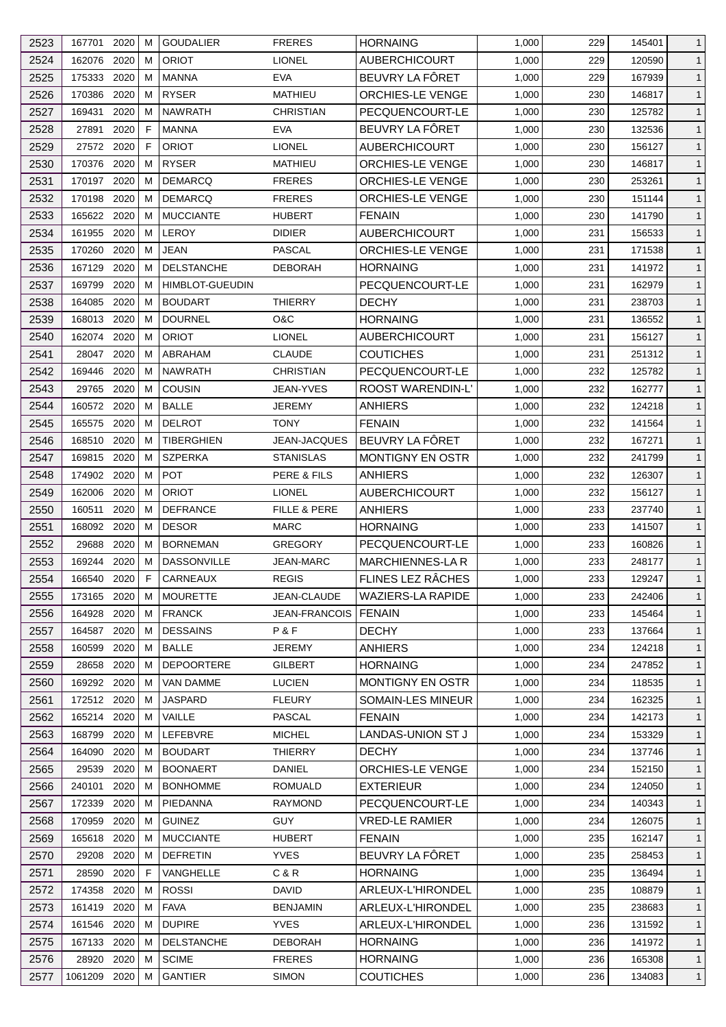| 2523 | 167701           | 2020         | м           | <b>GOUDALIER</b>                | <b>FRERES</b>                 | <b>HORNAING</b>                    | 1,000 | 229        | 145401 | $\mathbf{1}$                 |
|------|------------------|--------------|-------------|---------------------------------|-------------------------------|------------------------------------|-------|------------|--------|------------------------------|
| 2524 | 162076           | 2020         | м           | <b>ORIOT</b>                    | <b>LIONEL</b>                 | <b>AUBERCHICOURT</b>               | 1,000 | 229        | 120590 | $\mathbf{1}$                 |
| 2525 | 175333           | 2020         | м           | <b>MANNA</b>                    | <b>EVA</b>                    | BEUVRY LA FÔRET                    | 1,000 | 229        | 167939 | $\mathbf{1}$                 |
| 2526 | 170386           | 2020         | м           | <b>RYSER</b>                    | <b>MATHIEU</b>                | ORCHIES-LE VENGE                   | 1,000 | 230        | 146817 | $\mathbf{1}$                 |
| 2527 | 169431           | 2020         | м           | <b>NAWRATH</b>                  | <b>CHRISTIAN</b>              | PECQUENCOURT-LE                    | 1,000 | 230        | 125782 | $\mathbf{1}$                 |
| 2528 | 27891            | 2020         | F           | <b>MANNA</b>                    | <b>EVA</b>                    | BEUVRY LA FÔRET                    | 1,000 | 230        | 132536 | $\mathbf{1}$                 |
| 2529 | 27572            | 2020         | F           | <b>ORIOT</b>                    | <b>LIONEL</b>                 | <b>AUBERCHICOURT</b>               | 1,000 | 230        | 156127 | $\mathbf{1}$                 |
| 2530 | 170376           | 2020         | м           | <b>RYSER</b>                    | <b>MATHIEU</b>                | <b>ORCHIES-LE VENGE</b>            | 1,000 | 230        | 146817 | $\mathbf{1}$                 |
| 2531 | 170197           | 2020         | м           | <b>DEMARCQ</b>                  | <b>FRERES</b>                 | <b>ORCHIES-LE VENGE</b>            | 1,000 | 230        | 253261 | $\mathbf{1}$                 |
| 2532 | 170198           | 2020         | м           | <b>DEMARCQ</b>                  | <b>FRERES</b>                 | ORCHIES-LE VENGE                   | 1,000 | 230        | 151144 | $\mathbf{1}$                 |
| 2533 | 165622           | 2020         | м           | <b>MUCCIANTE</b>                | <b>HUBERT</b>                 | <b>FENAIN</b>                      | 1,000 | 230        | 141790 | $\mathbf{1}$                 |
| 2534 | 161955           | 2020         | м           | <b>LEROY</b>                    | <b>DIDIER</b>                 | <b>AUBERCHICOURT</b>               | 1,000 | 231        | 156533 | $\mathbf{1}$                 |
| 2535 | 170260           | 2020         | м           | <b>JEAN</b>                     | <b>PASCAL</b>                 | <b>ORCHIES-LE VENGE</b>            | 1,000 | 231        | 171538 | $\mathbf{1}$                 |
| 2536 | 167129           | 2020         | м           | <b>DELSTANCHE</b>               | <b>DEBORAH</b>                | <b>HORNAING</b>                    | 1,000 | 231        | 141972 | $\mathbf{1}$                 |
| 2537 | 169799           | 2020         | м           | <b>HIMBLOT-GUEUDIN</b>          |                               | PECQUENCOURT-LE                    | 1,000 | 231        | 162979 | $\mathbf{1}$                 |
| 2538 | 164085           | 2020         | м           | <b>BOUDART</b>                  | <b>THIERRY</b>                | <b>DECHY</b>                       | 1,000 | 231        | 238703 | $\mathbf{1}$                 |
| 2539 | 168013           | 2020         | М           | <b>DOURNEL</b>                  | O&C                           | <b>HORNAING</b>                    | 1,000 | 231        | 136552 | $\mathbf{1}$                 |
| 2540 | 162074           | 2020         | м           | <b>ORIOT</b>                    | <b>LIONEL</b>                 | <b>AUBERCHICOURT</b>               | 1,000 | 231        | 156127 | $\mathbf{1}$                 |
| 2541 | 28047            | 2020         | м           | ABRAHAM                         | <b>CLAUDE</b>                 | <b>COUTICHES</b>                   | 1,000 | 231        | 251312 | $\mathbf{1}$                 |
| 2542 | 169446           | 2020         | м           | <b>NAWRATH</b>                  | <b>CHRISTIAN</b>              | PECQUENCOURT-LE                    | 1,000 | 232        | 125782 | $\mathbf{1}$                 |
| 2543 | 29765            | 2020         | м           | <b>COUSIN</b>                   | JEAN-YVES                     | ROOST WARENDIN-L'                  | 1,000 | 232        | 162777 | $\mathbf{1}$                 |
| 2544 | 160572           | 2020         | м           | <b>BALLE</b>                    | <b>JEREMY</b>                 | <b>ANHIERS</b>                     | 1,000 | 232        | 124218 | $\mathbf{1}$                 |
| 2545 | 165575           | 2020         | м           | <b>DELROT</b>                   | <b>TONY</b>                   | <b>FENAIN</b>                      | 1,000 | 232        | 141564 | $\mathbf{1}$                 |
| 2546 | 168510           | 2020         | м           | <b>TIBERGHIEN</b>               | JEAN-JACQUES                  | BEUVRY LA FÔRET                    | 1,000 | 232        | 167271 | $\mathbf{1}$                 |
| 2547 | 169815           | 2020         | м           | <b>SZPERKA</b>                  | <b>STANISLAS</b>              | <b>MONTIGNY EN OSTR</b>            | 1,000 | 232        | 241799 | $\mathbf{1}$                 |
| 2548 | 174902           | 2020         | м           | <b>POT</b>                      | PERE & FILS                   | <b>ANHIERS</b>                     | 1,000 | 232        | 126307 | $\mathbf{1}$                 |
|      |                  |              | м           | <b>ORIOT</b>                    |                               |                                    |       |            |        |                              |
| 2549 | 162006           | 2020<br>2020 | м           | <b>DEFRANCE</b>                 | <b>LIONEL</b><br>FILLE & PERE | <b>AUBERCHICOURT</b>               | 1,000 | 232<br>233 | 156127 | $\mathbf{1}$<br>$\mathbf{1}$ |
| 2550 | 160511<br>168092 |              |             |                                 |                               | <b>ANHIERS</b>                     | 1,000 |            | 237740 |                              |
| 2551 | 29688            | 2020<br>2020 | м           | <b>DESOR</b><br><b>BORNEMAN</b> | MARC<br><b>GREGORY</b>        | <b>HORNAING</b><br>PECQUENCOURT-LE | 1,000 | 233        | 141507 | $\mathbf{1}$                 |
| 2552 | 169244           |              | м           | <b>DASSONVILLE</b>              |                               |                                    | 1,000 | 233        | 160826 | $\mathbf{1}$                 |
| 2553 |                  | 2020         | м           |                                 | <b>JEAN-MARC</b>              | <b>MARCHIENNES-LA R</b>            | 1,000 | 233        | 248177 | $\mathbf{1}$                 |
| 2554 | 166540           | 2020         | $\mathsf F$ | CARNEAUX                        | <b>REGIS</b>                  | FLINES LEZ RÂCHES                  | 1,000 | 233        | 129247 | $\mathbf{1}$                 |
| 2555 | 173165 2020      |              | М           | <b>MOURETTE</b>                 | JEAN-CLAUDE                   | <b>WAZIERS-LA RAPIDE</b>           | 1,000 | 233        | 242406 | $\mathbf{1}$                 |
| 2556 | 164928           | 2020         | М           | <b>FRANCK</b>                   | <b>JEAN-FRANCOIS</b>          | <b>FENAIN</b>                      | 1,000 | 233        | 145464 | $\mathbf{1}$                 |
| 2557 | 164587           | 2020         | м           | <b>DESSAINS</b>                 | P & F                         | <b>DECHY</b>                       | 1,000 | 233        | 137664 | $\mathbf{1}$                 |
| 2558 | 160599           | 2020         | м           | <b>BALLE</b>                    | <b>JEREMY</b>                 | <b>ANHIERS</b>                     | 1,000 | 234        | 124218 | $\mathbf{1}$                 |
| 2559 | 28658            | 2020         | м           | <b>DEPOORTERE</b>               | <b>GILBERT</b>                | <b>HORNAING</b>                    | 1,000 | 234        | 247852 | $\mathbf{1}$                 |
| 2560 | 169292 2020      |              | м           | VAN DAMME                       | <b>LUCIEN</b>                 | <b>MONTIGNY EN OSTR</b>            | 1,000 | 234        | 118535 | $\mathbf{1}$                 |
| 2561 | 172512 2020      |              | м           | <b>JASPARD</b>                  | <b>FLEURY</b>                 | SOMAIN-LES MINEUR                  | 1,000 | 234        | 162325 | $\mathbf{1}$                 |
| 2562 | 165214           | 2020         | м           | VAILLE                          | PASCAL                        | <b>FENAIN</b>                      | 1,000 | 234        | 142173 | $\mathbf{1}$                 |
| 2563 | 168799           | 2020         | м           | LEFEBVRE                        | <b>MICHEL</b>                 | LANDAS-UNION ST J                  | 1,000 | 234        | 153329 | $\mathbf{1}$                 |
| 2564 | 164090           | 2020         | М           | <b>BOUDART</b>                  | <b>THIERRY</b>                | <b>DECHY</b>                       | 1,000 | 234        | 137746 | $\mathbf{1}$                 |
| 2565 | 29539            | 2020         | м           | <b>BOONAERT</b>                 | DANIEL                        | <b>ORCHIES-LE VENGE</b>            | 1,000 | 234        | 152150 | $\mathbf{1}$                 |
| 2566 | 240101           | 2020         | м           | <b>BONHOMME</b>                 | ROMUALD                       | <b>EXTERIEUR</b>                   | 1,000 | 234        | 124050 | $\mathbf{1}$                 |
| 2567 | 172339           | 2020         | м           | PIEDANNA                        | <b>RAYMOND</b>                | PECQUENCOURT-LE                    | 1,000 | 234        | 140343 | $\mathbf{1}$                 |
| 2568 | 170959           | 2020         | М           | <b>GUINEZ</b>                   | <b>GUY</b>                    | <b>VRED-LE RAMIER</b>              | 1,000 | 234        | 126075 | $\mathbf{1}$                 |
| 2569 | 165618           | 2020         | м           | <b>MUCCIANTE</b>                | <b>HUBERT</b>                 | <b>FENAIN</b>                      | 1,000 | 235        | 162147 | $\mathbf{1}$                 |
| 2570 | 29208            | 2020         | м           | <b>DEFRETIN</b>                 | <b>YVES</b>                   | BEUVRY LA FÔRET                    | 1,000 | 235        | 258453 | $\mathbf{1}$                 |
| 2571 | 28590            | 2020         | F           | VANGHELLE                       | C&R                           | <b>HORNAING</b>                    | 1,000 | 235        | 136494 | $\mathbf{1}$                 |
| 2572 | 174358           | 2020         | м           | <b>ROSSI</b>                    | <b>DAVID</b>                  | ARLEUX-L'HIRONDEL                  | 1,000 | 235        | 108879 | $\mathbf{1}$                 |
| 2573 | 161419           | 2020         | м           | <b>FAVA</b>                     | <b>BENJAMIN</b>               | ARLEUX-L'HIRONDEL                  | 1,000 | 235        | 238683 | $\mathbf{1}$                 |
| 2574 | 161546           | 2020         | м           | <b>DUPIRE</b>                   | <b>YVES</b>                   | ARLEUX-L'HIRONDEL                  | 1,000 | 236        | 131592 | $\mathbf{1}$                 |
| 2575 | 167133           | 2020         | М           | <b>DELSTANCHE</b>               | <b>DEBORAH</b>                | <b>HORNAING</b>                    | 1,000 | 236        | 141972 | $\mathbf{1}$                 |
| 2576 | 28920            | 2020         | м           | <b>SCIME</b>                    | <b>FRERES</b>                 | <b>HORNAING</b>                    | 1,000 | 236        | 165308 | $\mathbf{1}$                 |
| 2577 | 1061209 2020     |              | м           | <b>GANTIER</b>                  | <b>SIMON</b>                  | <b>COUTICHES</b>                   | 1,000 | 236        | 134083 | $\mathbf{1}$                 |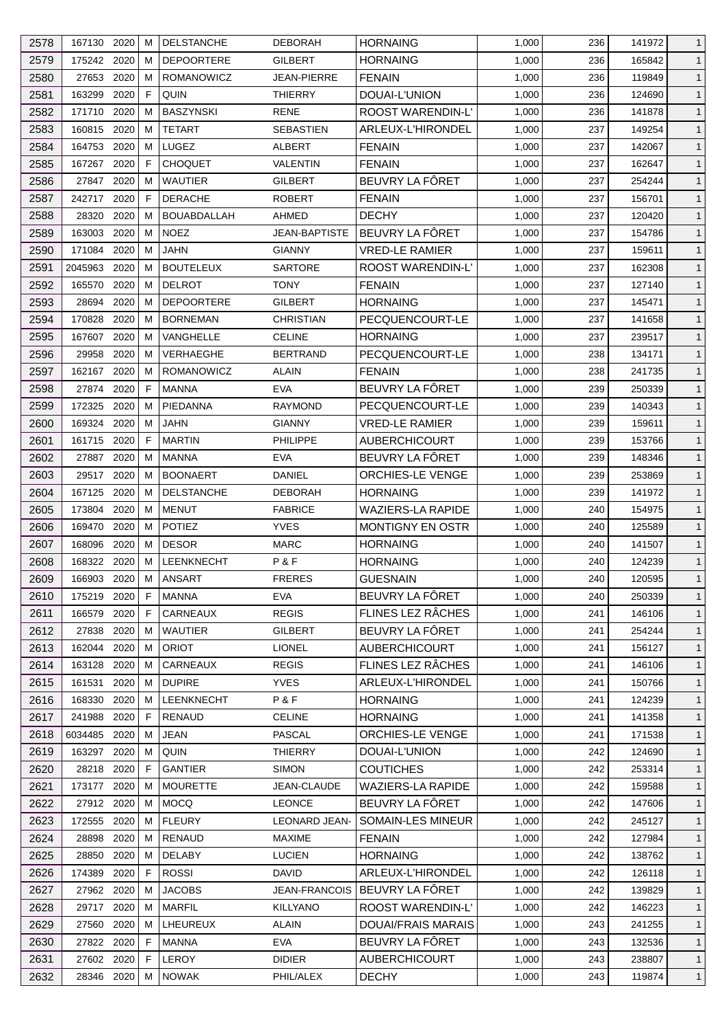| 2578 | 167130 2020 |      | м | <b>DELSTANCHE</b>  | <b>DEBORAH</b>       | <b>HORNAING</b>                    | 1,000 | 236 | 141972 | $\mathbf{1}$ |
|------|-------------|------|---|--------------------|----------------------|------------------------------------|-------|-----|--------|--------------|
| 2579 | 175242 2020 |      | м | <b>DEPOORTERE</b>  | GILBERT              | <b>HORNAING</b>                    | 1,000 | 236 | 165842 | $\mathbf{1}$ |
| 2580 | 27653       | 2020 | м | <b>ROMANOWICZ</b>  | <b>JEAN-PIERRE</b>   | <b>FENAIN</b>                      | 1,000 | 236 | 119849 | $\mathbf{1}$ |
| 2581 | 163299      | 2020 | F | QUIN               | <b>THIERRY</b>       | DOUAI-L'UNION                      | 1,000 | 236 | 124690 | $\mathbf{1}$ |
| 2582 | 171710      | 2020 | м | <b>BASZYNSKI</b>   | RENE                 | <b>ROOST WARENDIN-L'</b>           | 1,000 | 236 | 141878 | $\mathbf{1}$ |
| 2583 | 160815      | 2020 | м | <b>TETART</b>      | <b>SEBASTIEN</b>     | ARLEUX-L'HIRONDEL                  | 1,000 | 237 | 149254 | $\mathbf{1}$ |
| 2584 | 164753      | 2020 | м | LUGEZ              | ALBERT               | <b>FENAIN</b>                      | 1,000 | 237 | 142067 | $\mathbf{1}$ |
| 2585 | 167267      | 2020 | F | <b>CHOQUET</b>     | <b>VALENTIN</b>      | <b>FENAIN</b>                      | 1,000 | 237 | 162647 | $\mathbf{1}$ |
| 2586 | 27847       | 2020 | м | <b>WAUTIER</b>     | <b>GILBERT</b>       | BEUVRY LA FÔRET                    | 1,000 | 237 | 254244 | $\mathbf{1}$ |
| 2587 | 242717      | 2020 | F | <b>DERACHE</b>     | <b>ROBERT</b>        | <b>FENAIN</b>                      | 1,000 | 237 | 156701 | $\mathbf{1}$ |
| 2588 | 28320       | 2020 | м | <b>BOUABDALLAH</b> | <b>AHMED</b>         | <b>DECHY</b>                       | 1,000 | 237 | 120420 | $\mathbf{1}$ |
| 2589 | 163003      | 2020 | м | <b>NOEZ</b>        | JEAN-BAPTISTE        | BEUVRY LA FÔRET                    | 1,000 | 237 | 154786 | $\mathbf{1}$ |
| 2590 | 171084      | 2020 | м | JAHN               | <b>GIANNY</b>        | <b>VRED-LE RAMIER</b>              | 1,000 | 237 | 159611 | $\mathbf{1}$ |
| 2591 | 2045963     | 2020 | м | <b>BOUTELEUX</b>   | <b>SARTORE</b>       | ROOST WARENDIN-L'                  | 1,000 | 237 | 162308 | $\mathbf{1}$ |
| 2592 | 165570      | 2020 | м | <b>DELROT</b>      | <b>TONY</b>          | <b>FENAIN</b>                      | 1,000 | 237 | 127140 | $\mathbf{1}$ |
| 2593 | 28694       | 2020 | м | <b>DEPOORTERE</b>  | GILBERT              | <b>HORNAING</b>                    | 1,000 | 237 | 145471 | $\mathbf{1}$ |
| 2594 | 170828      | 2020 | м | <b>BORNEMAN</b>    | <b>CHRISTIAN</b>     | PECQUENCOURT-LE                    | 1,000 | 237 | 141658 | $\mathbf{1}$ |
| 2595 | 167607      | 2020 | м | VANGHELLE          | <b>CELINE</b>        | <b>HORNAING</b>                    | 1,000 | 237 | 239517 | $\mathbf{1}$ |
| 2596 | 29958       | 2020 | м | VERHAEGHE          | <b>BERTRAND</b>      | PECQUENCOURT-LE                    | 1,000 | 238 | 134171 | $\mathbf{1}$ |
| 2597 | 162167      | 2020 | м | ROMANOWICZ         | ALAIN                | <b>FENAIN</b>                      | 1,000 | 238 | 241735 | $\mathbf{1}$ |
| 2598 | 27874       | 2020 | F | MANNA              | <b>EVA</b>           | BEUVRY LA FÔRET                    | 1,000 | 239 | 250339 | $\mathbf{1}$ |
| 2599 | 172325      | 2020 | м | PIEDANNA           | <b>RAYMOND</b>       | PECQUENCOURT-LE                    | 1,000 | 239 | 140343 | $\mathbf{1}$ |
| 2600 | 169324 2020 |      | м | <b>JAHN</b>        | <b>GIANNY</b>        | <b>VRED-LE RAMIER</b>              | 1,000 | 239 | 159611 | $\mathbf{1}$ |
| 2601 | 161715 2020 |      | F | <b>MARTIN</b>      | <b>PHILIPPE</b>      | <b>AUBERCHICOURT</b>               | 1,000 | 239 | 153766 | $\mathbf{1}$ |
| 2602 | 27887       | 2020 | м | MANNA              | <b>EVA</b>           | BEUVRY LA FÔRET                    | 1,000 | 239 | 148346 | $\mathbf{1}$ |
| 2603 | 29517       | 2020 | м | <b>BOONAERT</b>    | DANIEL               | ORCHIES-LE VENGE                   | 1,000 | 239 | 253869 | $\mathbf{1}$ |
| 2604 | 167125      | 2020 | м | DELSTANCHE         | <b>DEBORAH</b>       | <b>HORNAING</b>                    | 1,000 | 239 | 141972 | $\mathbf{1}$ |
| 2605 | 173804      | 2020 | м | <b>MENUT</b>       | <b>FABRICE</b>       | <b>WAZIERS-LA RAPIDE</b>           | 1,000 | 240 | 154975 | $\mathbf{1}$ |
| 2606 | 169470      | 2020 | м | <b>POTIEZ</b>      | <b>YVES</b>          | MONTIGNY EN OSTR                   | 1,000 | 240 | 125589 | $\mathbf{1}$ |
| 2607 | 168096      | 2020 | м | <b>DESOR</b>       | MARC                 | <b>HORNAING</b>                    | 1,000 | 240 | 141507 | $\mathbf{1}$ |
| 2608 | 168322 2020 |      | M | <b>LEENKNECHT</b>  | P&F                  | <b>HORNAING</b>                    | 1,000 | 240 | 124239 | $\mathbf{1}$ |
|      |             |      |   |                    |                      |                                    |       |     |        |              |
| 2609 | 166903 2020 |      | M | ANSART             | <b>FRERES</b>        | <b>GUESNAIN</b><br>BEUVRY LA FÔRET | 1,000 | 240 | 120595 | $\mathbf{1}$ |
| 2610 | 175219 2020 |      | F | MANNA              | <b>EVA</b>           |                                    | 1,000 | 240 | 250339 | $\mathbf{1}$ |
| 2611 | 166579      | 2020 | F | CARNEAUX           | <b>REGIS</b>         | FLINES LEZ RÂCHES                  | 1,000 | 241 | 146106 | $\mathbf{1}$ |
| 2612 | 27838       | 2020 | м | <b>WAUTIER</b>     | GILBERT              | BEUVRY LA FÔRET                    | 1,000 | 241 | 254244 | $\mathbf{1}$ |
| 2613 | 162044      | 2020 | м | <b>ORIOT</b>       | <b>LIONEL</b>        | <b>AUBERCHICOURT</b>               | 1,000 | 241 | 156127 | $\mathbf{1}$ |
| 2614 | 163128      | 2020 | м | CARNEAUX           | <b>REGIS</b>         | FLINES LEZ RÂCHES                  | 1,000 | 241 | 146106 | $\mathbf{1}$ |
| 2615 | 161531      | 2020 | м | <b>DUPIRE</b>      | <b>YVES</b>          | ARLEUX-L'HIRONDEL                  | 1,000 | 241 | 150766 | $\mathbf{1}$ |
| 2616 | 168330      | 2020 | м | LEENKNECHT         | P&F                  | <b>HORNAING</b>                    | 1,000 | 241 | 124239 | $\mathbf{1}$ |
| 2617 | 241988      | 2020 | F | <b>RENAUD</b>      | <b>CELINE</b>        | <b>HORNAING</b>                    | 1,000 | 241 | 141358 | $\mathbf{1}$ |
| 2618 | 6034485     | 2020 | м | JEAN               | <b>PASCAL</b>        | <b>ORCHIES-LE VENGE</b>            | 1,000 | 241 | 171538 | $\mathbf{1}$ |
| 2619 | 163297      | 2020 | м | QUIN               | THIERRY              | DOUAI-L'UNION                      | 1,000 | 242 | 124690 | $\mathbf{1}$ |
| 2620 | 28218       | 2020 | F | <b>GANTIER</b>     | <b>SIMON</b>         | <b>COUTICHES</b>                   | 1,000 | 242 | 253314 | $\mathbf{1}$ |
| 2621 | 173177      | 2020 | м | <b>MOURETTE</b>    | JEAN-CLAUDE          | <b>WAZIERS-LA RAPIDE</b>           | 1,000 | 242 | 159588 | $\mathbf{1}$ |
| 2622 | 27912 2020  |      | M | <b>MOCQ</b>        | <b>LEONCE</b>        | BEUVRY LA FÔRET                    | 1,000 | 242 | 147606 | $\mathbf{1}$ |
| 2623 | 172555      | 2020 | м | <b>FLEURY</b>      | <b>LEONARD JEAN-</b> | SOMAIN-LES MINEUR                  | 1,000 | 242 | 245127 | $\mathbf{1}$ |
| 2624 | 28898       | 2020 | м | RENAUD             | <b>MAXIME</b>        | <b>FENAIN</b>                      | 1,000 | 242 | 127984 | $\mathbf{1}$ |
| 2625 | 28850       | 2020 | м | <b>DELABY</b>      | <b>LUCIEN</b>        | <b>HORNAING</b>                    | 1,000 | 242 | 138762 | $\mathbf{1}$ |
| 2626 | 174389      | 2020 | F | <b>ROSSI</b>       | <b>DAVID</b>         | ARLEUX-L'HIRONDEL                  | 1,000 | 242 | 126118 | $\mathbf{1}$ |
| 2627 | 27962 2020  |      | м | <b>JACOBS</b>      | <b>JEAN-FRANCOIS</b> | BEUVRY LA FÖRET                    | 1,000 | 242 | 139829 | $\mathbf{1}$ |
| 2628 | 29717       | 2020 | м | <b>MARFIL</b>      | <b>KILLYANO</b>      | ROOST WARENDIN-L'                  | 1,000 | 242 | 146223 | $\mathbf{1}$ |
| 2629 | 27560       | 2020 | м | LHEUREUX           | <b>ALAIN</b>         | <b>DOUAI/FRAIS MARAIS</b>          | 1,000 | 243 | 241255 | $\mathbf{1}$ |
| 2630 | 27822 2020  |      | F | <b>MANNA</b>       | <b>EVA</b>           | BEUVRY LA FÔRET                    | 1,000 | 243 | 132536 | $\mathbf{1}$ |
| 2631 | 27602 2020  |      | F | <b>LEROY</b>       | <b>DIDIER</b>        | <b>AUBERCHICOURT</b>               | 1,000 | 243 | 238807 | $\mathbf{1}$ |
| 2632 | 28346 2020  |      | м | <b>NOWAK</b>       | PHIL/ALEX            | <b>DECHY</b>                       | 1,000 | 243 | 119874 | $\mathbf{1}$ |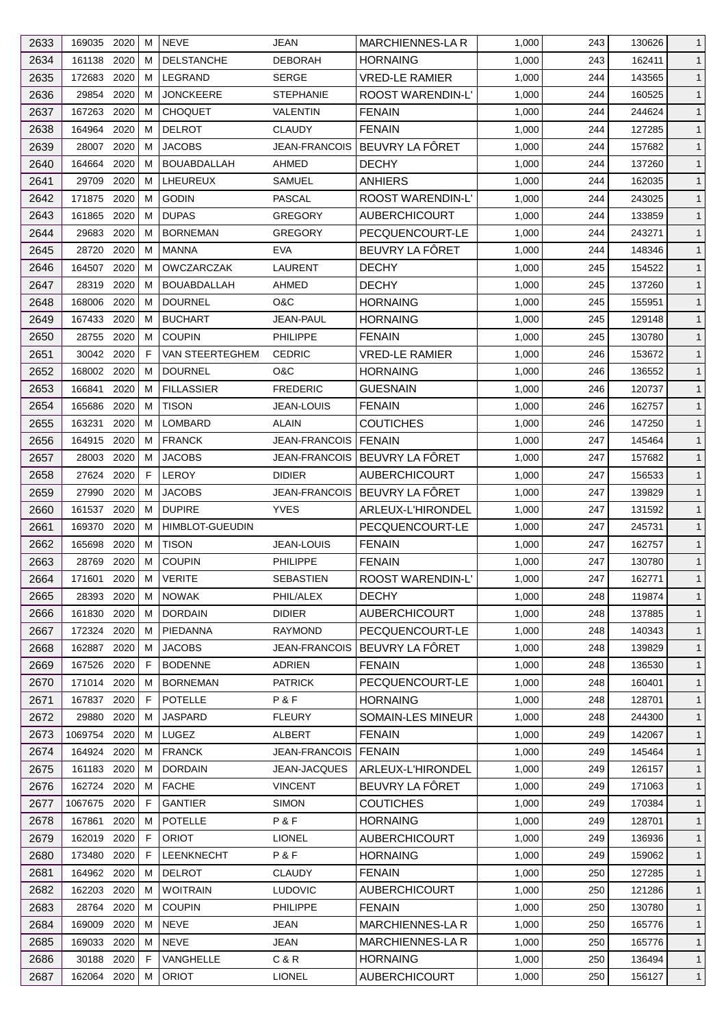| 2633 | 169035 2020 |      | M  | <b>NEVE</b>            | <b>JEAN</b>            | MARCHIENNES-LA R         | 1,000 | 243 | 130626 | $\mathbf{1}$ |
|------|-------------|------|----|------------------------|------------------------|--------------------------|-------|-----|--------|--------------|
| 2634 | 161138      | 2020 | м  | <b>DELSTANCHE</b>      | <b>DEBORAH</b>         | <b>HORNAING</b>          | 1,000 | 243 | 162411 | $\mathbf{1}$ |
| 2635 | 172683      | 2020 | м  | LEGRAND                | <b>SERGE</b>           | <b>VRED-LE RAMIER</b>    | 1,000 | 244 | 143565 | $\mathbf{1}$ |
| 2636 | 29854       | 2020 | м  | <b>JONCKEERE</b>       | <b>STEPHANIE</b>       | <b>ROOST WARENDIN-L'</b> | 1,000 | 244 | 160525 | $\mathbf{1}$ |
| 2637 | 167263      | 2020 | м  | <b>CHOQUET</b>         | VALENTIN               | <b>FENAIN</b>            | 1,000 | 244 | 244624 | $\mathbf{1}$ |
| 2638 | 164964      | 2020 | м  | <b>DELROT</b>          | <b>CLAUDY</b>          | <b>FENAIN</b>            | 1,000 | 244 | 127285 | $\mathbf{1}$ |
| 2639 | 28007       | 2020 | м  | <b>JACOBS</b>          | <b>JEAN-FRANCOIS</b>   | BEUVRY LA FÔRET          | 1,000 | 244 | 157682 | $\mathbf{1}$ |
| 2640 | 164664      | 2020 | м  | <b>BOUABDALLAH</b>     | AHMED                  | <b>DECHY</b>             | 1,000 | 244 | 137260 | $\mathbf{1}$ |
| 2641 | 29709       | 2020 | М  | LHEUREUX               | SAMUEL                 | <b>ANHIERS</b>           | 1,000 | 244 | 162035 | $\mathbf{1}$ |
| 2642 | 171875      | 2020 | м  | <b>GODIN</b>           | PASCAL                 | <b>ROOST WARENDIN-L'</b> | 1,000 | 244 | 243025 | $\mathbf{1}$ |
| 2643 | 161865      | 2020 | м  | <b>DUPAS</b>           | <b>GREGORY</b>         | <b>AUBERCHICOURT</b>     | 1,000 | 244 | 133859 | $\mathbf{1}$ |
| 2644 | 29683       | 2020 | м  | <b>BORNEMAN</b>        | <b>GREGORY</b>         | PECQUENCOURT-LE          | 1,000 | 244 | 243271 | $\mathbf{1}$ |
| 2645 | 28720       | 2020 | м  | <b>MANNA</b>           | <b>EVA</b>             | BEUVRY LA FÖRET          | 1,000 | 244 | 148346 | $\mathbf{1}$ |
| 2646 | 164507      | 2020 | м  | <b>OWCZARCZAK</b>      | <b>LAURENT</b>         | <b>DECHY</b>             | 1,000 | 245 | 154522 | $\mathbf{1}$ |
| 2647 | 28319       | 2020 | м  | <b>BOUABDALLAH</b>     | AHMED                  | <b>DECHY</b>             | 1,000 | 245 | 137260 | $\mathbf{1}$ |
| 2648 | 168006      | 2020 | м  | <b>DOURNEL</b>         | O&C                    | <b>HORNAING</b>          | 1,000 | 245 | 155951 | $\mathbf{1}$ |
| 2649 | 167433      | 2020 | м  | <b>BUCHART</b>         | JEAN-PAUL              | <b>HORNAING</b>          | 1,000 | 245 | 129148 | $\mathbf{1}$ |
| 2650 | 28755       | 2020 | м  | <b>COUPIN</b>          | <b>PHILIPPE</b>        | <b>FENAIN</b>            | 1,000 | 245 | 130780 | $\mathbf{1}$ |
| 2651 | 30042 2020  |      | F  | VAN STEERTEGHEM        | <b>CEDRIC</b>          | <b>VRED-LE RAMIER</b>    | 1,000 | 246 | 153672 | $\mathbf{1}$ |
| 2652 | 168002      | 2020 | м  | <b>DOURNEL</b>         | O&C                    | <b>HORNAING</b>          | 1,000 | 246 | 136552 | $\mathbf{1}$ |
| 2653 | 166841      | 2020 | м  | <b>FILLASSIER</b>      | <b>FREDERIC</b>        | GUESNAIN                 | 1,000 | 246 | 120737 |              |
|      |             | 2020 |    | <b>TISON</b>           |                        | <b>FENAIN</b>            |       |     |        | $\mathbf{1}$ |
| 2654 | 165686      |      | м  |                        | JEAN-LOUIS             |                          | 1,000 | 246 | 162757 | $\mathbf{1}$ |
| 2655 | 163231      | 2020 | м  | LOMBARD                | <b>ALAIN</b>           | COUTICHES                | 1,000 | 246 | 147250 | $\mathbf{1}$ |
| 2656 | 164915      | 2020 | M  | <b>FRANCK</b>          | JEAN-FRANCOIS   FENAIN |                          | 1,000 | 247 | 145464 | $\mathbf{1}$ |
| 2657 | 28003       | 2020 | м  | <b>JACOBS</b>          | JEAN-FRANCOIS          | BEUVRY LA FÔRET          | 1,000 | 247 | 157682 | $\mathbf{1}$ |
| 2658 | 27624       | 2020 | F  | LEROY                  | <b>DIDIER</b>          | <b>AUBERCHICOURT</b>     | 1,000 | 247 | 156533 | $\mathbf{1}$ |
| 2659 | 27990       | 2020 | м  | <b>JACOBS</b>          | JEAN-FRANCOIS          | BEUVRY LA FÔRET          | 1,000 | 247 | 139829 | $\mathbf{1}$ |
| 2660 | 161537      | 2020 | м  | <b>DUPIRE</b>          | <b>YVES</b>            | ARLEUX-L'HIRONDEL        | 1,000 | 247 | 131592 | $\mathbf{1}$ |
| 2661 | 169370      | 2020 | м  | <b>HIMBLOT-GUEUDIN</b> |                        | PECQUENCOURT-LE          | 1,000 | 247 | 245731 | $\mathbf{1}$ |
| 2662 | 165698      | 2020 | M  | <b>TISON</b>           | <b>JEAN-LOUIS</b>      | <b>FENAIN</b>            | 1,000 | 247 | 162757 | $\mathbf{1}$ |
| 2663 | 28769       | 2020 | м  | <b>COUPIN</b>          | PHILIPPE               | <b>FENAIN</b>            | 1,000 | 247 | 130780 | $\mathbf{1}$ |
| 2664 | 171601      | 2020 | M  | <b>VERITE</b>          | SEBASTIEN              | ROOST WARENDIN-L'        | 1,000 | 247 | 162771 | $\mathbf{1}$ |
| 2665 | 28393 2020  |      | M  | <b>NOWAK</b>           | PHIL/ALEX              | <b>DECHY</b>             | 1,000 | 248 | 119874 | $\mathbf{1}$ |
| 2666 | 161830      | 2020 | м  | <b>DORDAIN</b>         | <b>DIDIER</b>          | <b>AUBERCHICOURT</b>     | 1,000 | 248 | 137885 | $\mathbf{1}$ |
| 2667 | 172324      | 2020 | м  | PIEDANNA               | <b>RAYMOND</b>         | PECQUENCOURT-LE          | 1,000 | 248 | 140343 | $\mathbf{1}$ |
| 2668 | 162887      | 2020 | м  | <b>JACOBS</b>          | <b>JEAN-FRANCOIS</b>   | BEUVRY LA FÔRET          | 1,000 | 248 | 139829 | $\mathbf{1}$ |
| 2669 | 167526 2020 |      | F  | <b>BODENNE</b>         | <b>ADRIEN</b>          | <b>FENAIN</b>            | 1,000 | 248 | 136530 | $\mathbf{1}$ |
| 2670 | 171014 2020 |      | м  | <b>BORNEMAN</b>        | <b>PATRICK</b>         | PECQUENCOURT-LE          | 1,000 | 248 | 160401 | $\mathbf{1}$ |
| 2671 | 167837      | 2020 | F. | <b>POTELLE</b>         | P&F                    | <b>HORNAING</b>          | 1,000 | 248 | 128701 | $\mathbf{1}$ |
| 2672 | 29880       | 2020 | м  | <b>JASPARD</b>         | <b>FLEURY</b>          | SOMAIN-LES MINEUR        | 1,000 | 248 | 244300 | $\mathbf{1}$ |
| 2673 | 1069754     | 2020 | M  | <b>LUGEZ</b>           | ALBERT                 | <b>FENAIN</b>            | 1,000 | 249 | 142067 | $\mathbf{1}$ |
| 2674 | 164924      | 2020 | м  | <b>FRANCK</b>          | <b>JEAN-FRANCOIS</b>   | <b>FENAIN</b>            | 1,000 | 249 | 145464 | $\mathbf{1}$ |
| 2675 | 161183      | 2020 | м  | <b>DORDAIN</b>         | JEAN-JACQUES           | ARLEUX-L'HIRONDEL        | 1,000 | 249 | 126157 | $\mathbf{1}$ |
| 2676 | 162724      | 2020 | M  | <b>FACHE</b>           | <b>VINCENT</b>         | BEUVRY LA FÖRET          | 1,000 | 249 | 171063 | $\mathbf{1}$ |
| 2677 | 1067675     | 2020 | F  | <b>GANTIER</b>         | <b>SIMON</b>           | <b>COUTICHES</b>         | 1,000 | 249 | 170384 | $\mathbf{1}$ |
| 2678 | 167861      | 2020 | м  | <b>POTELLE</b>         | P&F                    | <b>HORNAING</b>          | 1,000 | 249 | 128701 | $\mathbf{1}$ |
| 2679 | 162019      | 2020 | F. | <b>ORIOT</b>           | <b>LIONEL</b>          | <b>AUBERCHICOURT</b>     | 1,000 | 249 | 136936 | $\mathbf{1}$ |
| 2680 | 173480 2020 |      | F  | LEENKNECHT             | P&F                    | <b>HORNAING</b>          | 1,000 | 249 | 159062 | $\mathbf{1}$ |
| 2681 | 164962 2020 |      | м  | <b>DELROT</b>          | <b>CLAUDY</b>          | <b>FENAIN</b>            | 1,000 | 250 | 127285 | $\mathbf{1}$ |
| 2682 | 162203      | 2020 | м  | <b>WOITRAIN</b>        | <b>LUDOVIC</b>         | <b>AUBERCHICOURT</b>     | 1,000 | 250 | 121286 | $\mathbf{1}$ |
| 2683 | 28764       | 2020 | м  | <b>COUPIN</b>          | PHILIPPE               | <b>FENAIN</b>            | 1,000 | 250 | 130780 | $\mathbf{1}$ |
| 2684 | 169009      | 2020 | M  | NEVE                   | JEAN                   | <b>MARCHIENNES-LAR</b>   | 1,000 | 250 | 165776 | $\mathbf{1}$ |
| 2685 | 169033      | 2020 | м  | <b>NEVE</b>            | <b>JEAN</b>            | <b>MARCHIENNES-LAR</b>   | 1,000 | 250 | 165776 | $\mathbf{1}$ |
|      |             |      | F  | VANGHELLE              | C & R                  |                          |       |     |        |              |
| 2686 | 30188       | 2020 |    |                        |                        | <b>HORNAING</b>          | 1,000 | 250 | 136494 | $\mathbf{1}$ |
| 2687 | 162064 2020 |      | м  | <b>ORIOT</b>           | <b>LIONEL</b>          | <b>AUBERCHICOURT</b>     | 1,000 | 250 | 156127 | $\mathbf{1}$ |